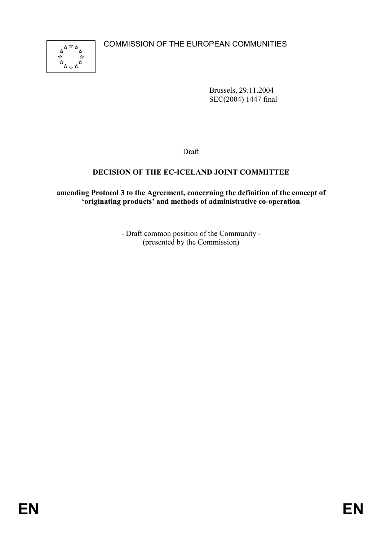COMMISSION OF THE EUROPEAN COMMUNITIES



Brussels, 29.11.2004 SEC(2004) 1447 final

Draft

## DECISION OF THE EC-ICELAND JOINT COMMITTEE

amending Protocol 3 to the Agreement, concerning the definition of the concept of 'originating products' and methods of administrative co-operation

> - Draft common position of the Community - (presented by the Commission)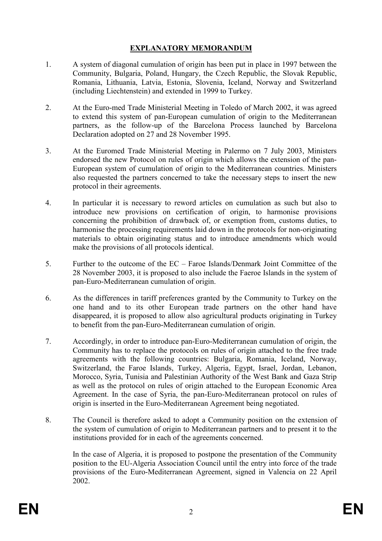## EXPLANATORY MEMORANDUM

- 1. A system of diagonal cumulation of origin has been put in place in 1997 between the Community, Bulgaria, Poland, Hungary, the Czech Republic, the Slovak Republic, Romania, Lithuania, Latvia, Estonia, Slovenia, Iceland, Norway and Switzerland (including Liechtenstein) and extended in 1999 to Turkey.
- 2. At the Euro-med Trade Ministerial Meeting in Toledo of March 2002, it was agreed to extend this system of pan-European cumulation of origin to the Mediterranean partners, as the follow-up of the Barcelona Process launched by Barcelona Declaration adopted on 27 and 28 November 1995.
- 3. At the Euromed Trade Ministerial Meeting in Palermo on 7 July 2003, Ministers endorsed the new Protocol on rules of origin which allows the extension of the pan-European system of cumulation of origin to the Mediterranean countries. Ministers also requested the partners concerned to take the necessary steps to insert the new protocol in their agreements.
- 4. In particular it is necessary to reword articles on cumulation as such but also to introduce new provisions on certification of origin, to harmonise provisions concerning the prohibition of drawback of, or exemption from, customs duties, to harmonise the processing requirements laid down in the protocols for non-originating materials to obtain originating status and to introduce amendments which would make the provisions of all protocols identical.
- 5. Further to the outcome of the EC Faroe Islands/Denmark Joint Committee of the 28 November 2003, it is proposed to also include the Faeroe Islands in the system of pan-Euro-Mediterranean cumulation of origin.
- 6. As the differences in tariff preferences granted by the Community to Turkey on the one hand and to its other European trade partners on the other hand have disappeared, it is proposed to allow also agricultural products originating in Turkey to benefit from the pan-Euro-Mediterranean cumulation of origin.
- 7. Accordingly, in order to introduce pan-Euro-Mediterranean cumulation of origin, the Community has to replace the protocols on rules of origin attached to the free trade agreements with the following countries: Bulgaria, Romania, Iceland, Norway, Switzerland, the Faroe Islands, Turkey, Algeria, Egypt, Israel, Jordan, Lebanon, Morocco, Syria, Tunisia and Palestinian Authority of the West Bank and Gaza Strip as well as the protocol on rules of origin attached to the European Economic Area Agreement. In the case of Syria, the pan-Euro-Mediterranean protocol on rules of origin is inserted in the Euro-Mediterranean Agreement being negotiated.
- 8. The Council is therefore asked to adopt a Community position on the extension of the system of cumulation of origin to Mediterranean partners and to present it to the institutions provided for in each of the agreements concerned.

In the case of Algeria, it is proposed to postpone the presentation of the Community position to the EU-Algeria Association Council until the entry into force of the trade provisions of the Euro-Mediterranean Agreement, signed in Valencia on 22 April 2002.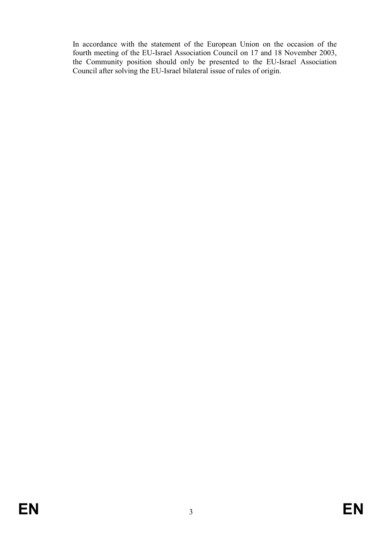In accordance with the statement of the European Union on the occasion of the fourth meeting of the EU-Israel Association Council on 17 and 18 November 2003, the Community position should only be presented to the EU-Israel Association Council after solving the EU-Israel bilateral issue of rules of origin.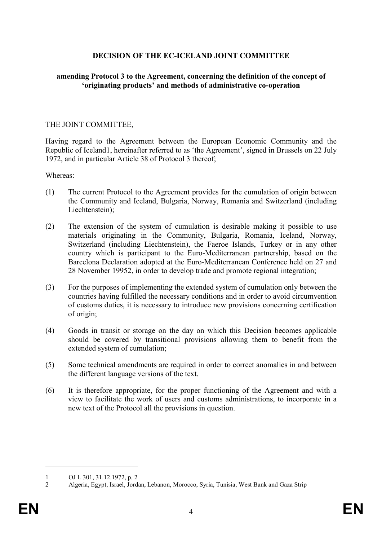## DECISION OF THE EC-ICELAND JOINT COMMITTEE

### amending Protocol 3 to the Agreement, concerning the definition of the concept of 'originating products' and methods of administrative co-operation

### THE JOINT COMMITTEE,

Having regard to the Agreement between the European Economic Community and the Republic of Iceland1, hereinafter referred to as 'the Agreement', signed in Brussels on 22 July 1972, and in particular Article 38 of Protocol 3 thereof;

Whereas:

- (1) The current Protocol to the Agreement provides for the cumulation of origin between the Community and Iceland, Bulgaria, Norway, Romania and Switzerland (including Liechtenstein);
- (2) The extension of the system of cumulation is desirable making it possible to use materials originating in the Community, Bulgaria, Romania, Iceland, Norway, Switzerland (including Liechtenstein), the Faeroe Islands, Turkey or in any other country which is participant to the Euro-Mediterranean partnership, based on the Barcelona Declaration adopted at the Euro-Mediterranean Conference held on 27 and 28 November 19952, in order to develop trade and promote regional integration;
- (3) For the purposes of implementing the extended system of cumulation only between the countries having fulfilled the necessary conditions and in order to avoid circumvention of customs duties, it is necessary to introduce new provisions concerning certification of origin;
- (4) Goods in transit or storage on the day on which this Decision becomes applicable should be covered by transitional provisions allowing them to benefit from the extended system of cumulation;
- (5) Some technical amendments are required in order to correct anomalies in and between the different language versions of the text.
- (6) It is therefore appropriate, for the proper functioning of the Agreement and with a view to facilitate the work of users and customs administrations, to incorporate in a new text of the Protocol all the provisions in question.

<sup>1</sup> OJ L 301, 31.12.1972, p. 2<br>2 Algeria. Egypt. Israel. Jorda

<sup>2</sup> Algeria, Egypt, Israel, Jordan, Lebanon, Morocco, Syria, Tunisia, West Bank and Gaza Strip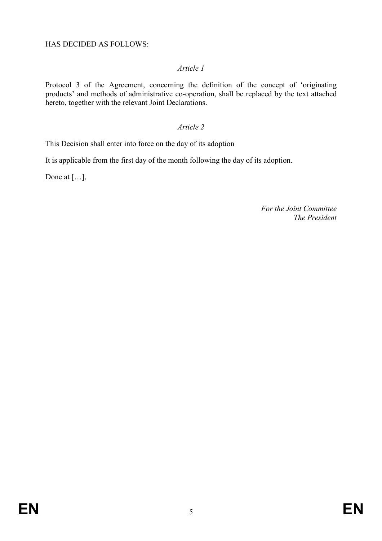Protocol 3 of the Agreement, concerning the definition of the concept of 'originating products' and methods of administrative co-operation, shall be replaced by the text attached hereto, together with the relevant Joint Declarations.

### Article 2

This Decision shall enter into force on the day of its adoption

It is applicable from the first day of the month following the day of its adoption.

Done at […],

For the Joint Committee The President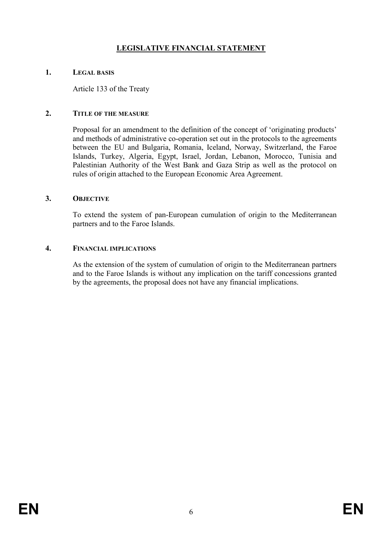# LEGISLATIVE FINANCIAL STATEMENT

### 1. LEGAL BASIS

Article 133 of the Treaty

### 2. TITLE OF THE MEASURE

Proposal for an amendment to the definition of the concept of 'originating products' and methods of administrative co-operation set out in the protocols to the agreements between the EU and Bulgaria, Romania, Iceland, Norway, Switzerland, the Faroe Islands, Turkey, Algeria, Egypt, Israel, Jordan, Lebanon, Morocco, Tunisia and Palestinian Authority of the West Bank and Gaza Strip as well as the protocol on rules of origin attached to the European Economic Area Agreement.

#### 3. OBJECTIVE

To extend the system of pan-European cumulation of origin to the Mediterranean partners and to the Faroe Islands.

### 4. FINANCIAL IMPLICATIONS

As the extension of the system of cumulation of origin to the Mediterranean partners and to the Faroe Islands is without any implication on the tariff concessions granted by the agreements, the proposal does not have any financial implications.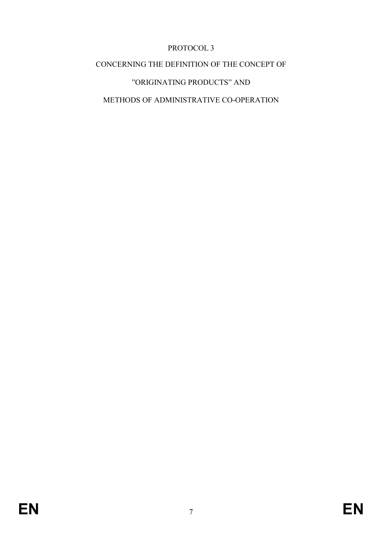# PROTOCOL 3

# CONCERNING THE DEFINITION OF THE CONCEPT OF

# "ORIGINATING PRODUCTS" AND

# METHODS OF ADMINISTRATIVE CO-OPERATION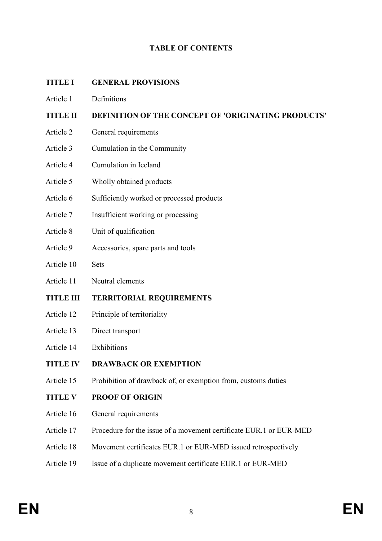## TABLE OF CONTENTS

### TITLE I GENERAL PROVISIONS

Article 1 Definitions

## TITLE II DEFINITION OF THE CONCEPT OF 'ORIGINATING PRODUCTS'

- Article 2 General requirements
- Article 3 Cumulation in the Community
- Article 4 Cumulation in Iceland
- Article 5 Wholly obtained products
- Article 6 Sufficiently worked or processed products
- Article 7 Insufficient working or processing
- Article 8 Unit of qualification
- Article 9 Accessories, spare parts and tools
- Article 10 Sets
- Article 11 Neutral elements

## TITLE III TERRITORIAL REQUIREMENTS

- Article 12 Principle of territoriality
- Article 13 Direct transport
- Article 14 Exhibitions
- TITLE IV DRAWBACK OR EXEMPTION
- Article 15 Prohibition of drawback of, or exemption from, customs duties
- TITLE V PROOF OF ORIGIN
- Article 16 General requirements
- Article 17 Procedure for the issue of a movement certificate EUR.1 or EUR-MED
- Article 18 Movement certificates EUR.1 or EUR-MED issued retrospectively
- Article 19 Issue of a duplicate movement certificate EUR.1 or EUR-MED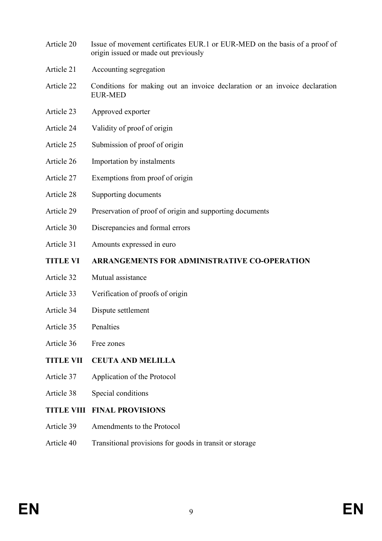- Article 20 Issue of movement certificates EUR.1 or EUR-MED on the basis of a proof of origin issued or made out previously
- Article 21 Accounting segregation
- Article 22 Conditions for making out an invoice declaration or an invoice declaration EUR-MED
- Article 23 Approved exporter
- Article 24 Validity of proof of origin
- Article 25 Submission of proof of origin
- Article 26 Importation by instalments
- Article 27 Exemptions from proof of origin
- Article 28 Supporting documents
- Article 29 Preservation of proof of origin and supporting documents
- Article 30 Discrepancies and formal errors
- Article 31 Amounts expressed in euro
- TITLE VI ARRANGEMENTS FOR ADMINISTRATIVE CO-OPERATION
- Article 32 Mutual assistance
- Article 33 Verification of proofs of origin
- Article 34 Dispute settlement
- Article 35 Penalties
- Article 36 Free zones
- TITLE VII CEUTA AND MELILLA
- Article 37 Application of the Protocol
- Article 38 Special conditions
- TITLE VIII FINAL PROVISIONS
- Article 39 Amendments to the Protocol
- Article 40 Transitional provisions for goods in transit or storage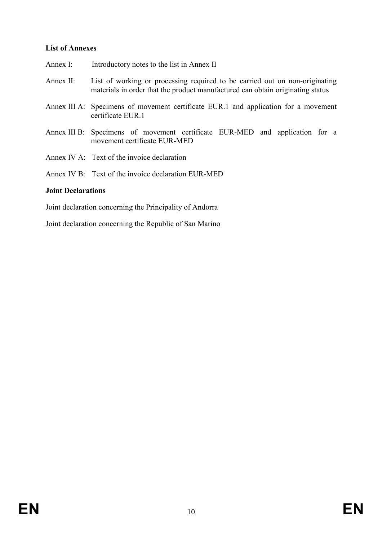### List of Annexes

- Annex I: Introductory notes to the list in Annex II
- Annex II: List of working or processing required to be carried out on non-originating materials in order that the product manufactured can obtain originating status
- Annex III A: Specimens of movement certificate EUR.1 and application for a movement certificate EUR.1
- Annex III B: Specimens of movement certificate EUR-MED and application for a movement certificate EUR-MED
- Annex IV A: Text of the invoice declaration
- Annex IV B: Text of the invoice declaration EUR-MED

### Joint Declarations

Joint declaration concerning the Principality of Andorra

Joint declaration concerning the Republic of San Marino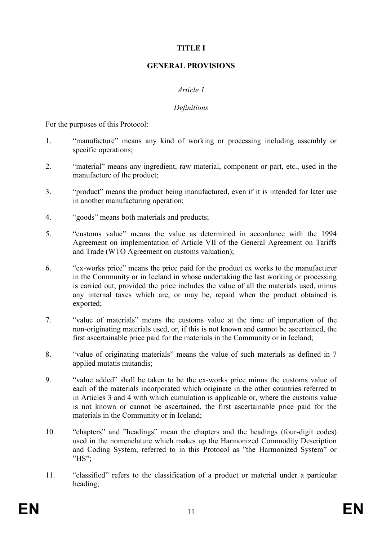## TITLE I

### GENERAL PROVISIONS

### Article 1

### Definitions

For the purposes of this Protocol:

- 1. "manufacture" means any kind of working or processing including assembly or specific operations;
- 2. "material" means any ingredient, raw material, component or part, etc., used in the manufacture of the product;
- 3. "product" means the product being manufactured, even if it is intended for later use in another manufacturing operation;
- 4. "goods" means both materials and products;
- 5. "customs value" means the value as determined in accordance with the 1994 Agreement on implementation of Article VII of the General Agreement on Tariffs and Trade (WTO Agreement on customs valuation);
- 6. "ex-works price" means the price paid for the product ex works to the manufacturer in the Community or in Iceland in whose undertaking the last working or processing is carried out, provided the price includes the value of all the materials used, minus any internal taxes which are, or may be, repaid when the product obtained is exported;
- 7. "value of materials" means the customs value at the time of importation of the non-originating materials used, or, if this is not known and cannot be ascertained, the first ascertainable price paid for the materials in the Community or in Iceland;
- 8. "value of originating materials" means the value of such materials as defined in 7 applied mutatis mutandis;
- 9. "value added" shall be taken to be the ex-works price minus the customs value of each of the materials incorporated which originate in the other countries referred to in Articles 3 and 4 with which cumulation is applicable or, where the customs value is not known or cannot be ascertained, the first ascertainable price paid for the materials in the Community or in Iceland;
- 10. "chapters" and "headings" mean the chapters and the headings (four-digit codes) used in the nomenclature which makes up the Harmonized Commodity Description and Coding System, referred to in this Protocol as "the Harmonized System" or "HS";
- 11. "classified" refers to the classification of a product or material under a particular heading;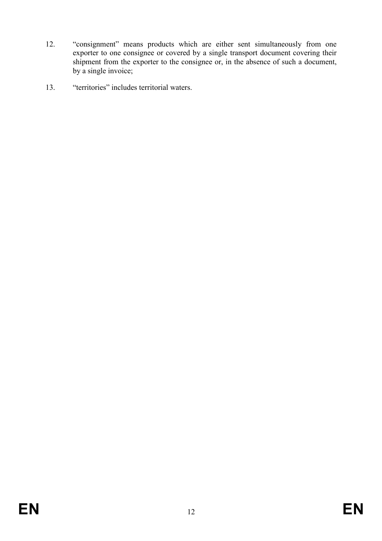- 12. "consignment" means products which are either sent simultaneously from one exporter to one consignee or covered by a single transport document covering their shipment from the exporter to the consignee or, in the absence of such a document, by a single invoice;
- 13. "territories" includes territorial waters.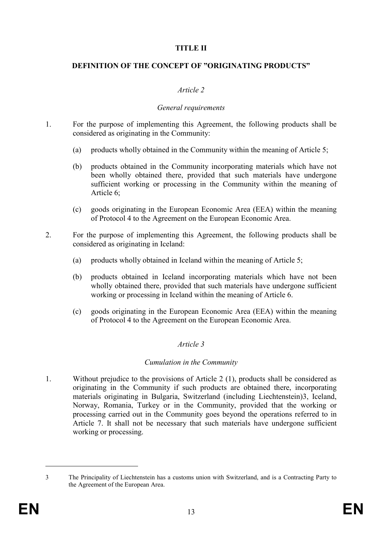### TITLE II

### DEFINITION OF THE CONCEPT OF "ORIGINATING PRODUCTS"

### Article 2

### General requirements

- 1. For the purpose of implementing this Agreement, the following products shall be considered as originating in the Community:
	- (a) products wholly obtained in the Community within the meaning of Article 5;
	- (b) products obtained in the Community incorporating materials which have not been wholly obtained there, provided that such materials have undergone sufficient working or processing in the Community within the meaning of Article 6;
	- (c) goods originating in the European Economic Area (EEA) within the meaning of Protocol 4 to the Agreement on the European Economic Area.
- 2. For the purpose of implementing this Agreement, the following products shall be considered as originating in Iceland:
	- (a) products wholly obtained in Iceland within the meaning of Article 5;
	- (b) products obtained in Iceland incorporating materials which have not been wholly obtained there, provided that such materials have undergone sufficient working or processing in Iceland within the meaning of Article 6.
	- (c) goods originating in the European Economic Area (EEA) within the meaning of Protocol 4 to the Agreement on the European Economic Area.

## Article 3

### Cumulation in the Community

1. Without prejudice to the provisions of Article 2 (1), products shall be considered as originating in the Community if such products are obtained there, incorporating materials originating in Bulgaria, Switzerland (including Liechtenstein)3, Iceland, Norway, Romania, Turkey or in the Community, provided that the working or processing carried out in the Community goes beyond the operations referred to in Article 7. It shall not be necessary that such materials have undergone sufficient working or processing.

<sup>3</sup> The Principality of Liechtenstein has a customs union with Switzerland, and is a Contracting Party to the Agreement of the European Area.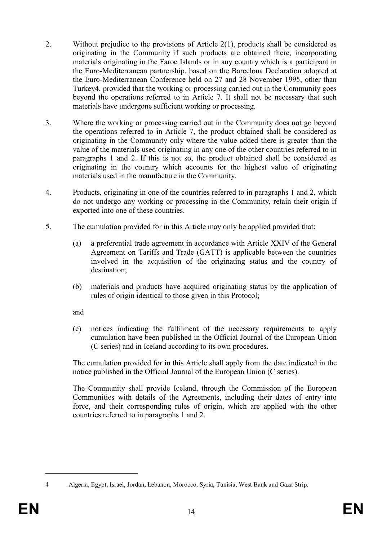- 2. Without prejudice to the provisions of Article 2(1), products shall be considered as originating in the Community if such products are obtained there, incorporating materials originating in the Faroe Islands or in any country which is a participant in the Euro-Mediterranean partnership, based on the Barcelona Declaration adopted at the Euro-Mediterranean Conference held on 27 and 28 November 1995, other than Turkey4, provided that the working or processing carried out in the Community goes beyond the operations referred to in Article 7. It shall not be necessary that such materials have undergone sufficient working or processing.
- 3. Where the working or processing carried out in the Community does not go beyond the operations referred to in Article 7, the product obtained shall be considered as originating in the Community only where the value added there is greater than the value of the materials used originating in any one of the other countries referred to in paragraphs 1 and 2. If this is not so, the product obtained shall be considered as originating in the country which accounts for the highest value of originating materials used in the manufacture in the Community.
- 4. Products, originating in one of the countries referred to in paragraphs 1 and 2, which do not undergo any working or processing in the Community, retain their origin if exported into one of these countries.
- 5. The cumulation provided for in this Article may only be applied provided that:
	- (a) a preferential trade agreement in accordance with Article XXIV of the General Agreement on Tariffs and Trade (GATT) is applicable between the countries involved in the acquisition of the originating status and the country of destination;
	- (b) materials and products have acquired originating status by the application of rules of origin identical to those given in this Protocol;

and

(c) notices indicating the fulfilment of the necessary requirements to apply cumulation have been published in the Official Journal of the European Union (C series) and in Iceland according to its own procedures.

The cumulation provided for in this Article shall apply from the date indicated in the notice published in the Official Journal of the European Union (C series).

The Community shall provide Iceland, through the Commission of the European Communities with details of the Agreements, including their dates of entry into force, and their corresponding rules of origin, which are applied with the other countries referred to in paragraphs 1 and 2.

<sup>4</sup> Algeria, Egypt, Israel, Jordan, Lebanon, Morocco, Syria, Tunisia, West Bank and Gaza Strip.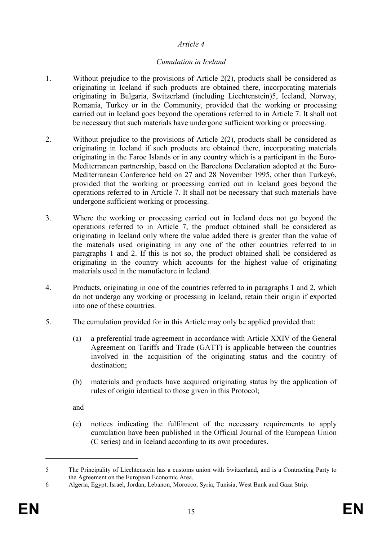### Cumulation in Iceland

- 1. Without prejudice to the provisions of Article 2(2), products shall be considered as originating in Iceland if such products are obtained there, incorporating materials originating in Bulgaria, Switzerland (including Liechtenstein)5, Iceland, Norway, Romania, Turkey or in the Community, provided that the working or processing carried out in Iceland goes beyond the operations referred to in Article 7. It shall not be necessary that such materials have undergone sufficient working or processing.
- 2. Without prejudice to the provisions of Article 2(2), products shall be considered as originating in Iceland if such products are obtained there, incorporating materials originating in the Faroe Islands or in any country which is a participant in the Euro-Mediterranean partnership, based on the Barcelona Declaration adopted at the Euro-Mediterranean Conference held on 27 and 28 November 1995, other than Turkey6, provided that the working or processing carried out in Iceland goes beyond the operations referred to in Article 7. It shall not be necessary that such materials have undergone sufficient working or processing.
- 3. Where the working or processing carried out in Iceland does not go beyond the operations referred to in Article 7, the product obtained shall be considered as originating in Iceland only where the value added there is greater than the value of the materials used originating in any one of the other countries referred to in paragraphs 1 and 2. If this is not so, the product obtained shall be considered as originating in the country which accounts for the highest value of originating materials used in the manufacture in Iceland.
- 4. Products, originating in one of the countries referred to in paragraphs 1 and 2, which do not undergo any working or processing in Iceland, retain their origin if exported into one of these countries.
- 5. The cumulation provided for in this Article may only be applied provided that:
	- (a) a preferential trade agreement in accordance with Article XXIV of the General Agreement on Tariffs and Trade (GATT) is applicable between the countries involved in the acquisition of the originating status and the country of destination;
	- (b) materials and products have acquired originating status by the application of rules of origin identical to those given in this Protocol;

and

(c) notices indicating the fulfilment of the necessary requirements to apply cumulation have been published in the Official Journal of the European Union (C series) and in Iceland according to its own procedures.

<sup>5</sup> The Principality of Liechtenstein has a customs union with Switzerland, and is a Contracting Party to the Agreement on the European Economic Area.

<sup>6</sup> Algeria, Egypt, Israel, Jordan, Lebanon, Morocco, Syria, Tunisia, West Bank and Gaza Strip.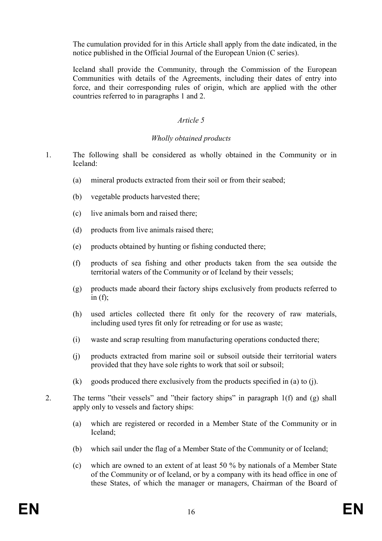The cumulation provided for in this Article shall apply from the date indicated, in the notice published in the Official Journal of the European Union (C series).

Iceland shall provide the Community, through the Commission of the European Communities with details of the Agreements, including their dates of entry into force, and their corresponding rules of origin, which are applied with the other countries referred to in paragraphs 1 and 2.

## Article 5

## Wholly obtained products

- 1. The following shall be considered as wholly obtained in the Community or in Iceland:
	- (a) mineral products extracted from their soil or from their seabed;
	- (b) vegetable products harvested there;
	- (c) live animals born and raised there;
	- (d) products from live animals raised there;
	- (e) products obtained by hunting or fishing conducted there;
	- (f) products of sea fishing and other products taken from the sea outside the territorial waters of the Community or of Iceland by their vessels;
	- (g) products made aboard their factory ships exclusively from products referred to in  $(f)$ ;
	- (h) used articles collected there fit only for the recovery of raw materials, including used tyres fit only for retreading or for use as waste;
	- (i) waste and scrap resulting from manufacturing operations conducted there;
	- (j) products extracted from marine soil or subsoil outside their territorial waters provided that they have sole rights to work that soil or subsoil;
	- (k) goods produced there exclusively from the products specified in (a) to (j).
- 2. The terms "their vessels" and "their factory ships" in paragraph 1(f) and (g) shall apply only to vessels and factory ships:
	- (a) which are registered or recorded in a Member State of the Community or in Iceland;
	- (b) which sail under the flag of a Member State of the Community or of Iceland;
	- (c) which are owned to an extent of at least 50 % by nationals of a Member State of the Community or of Iceland, or by a company with its head office in one of these States, of which the manager or managers, Chairman of the Board of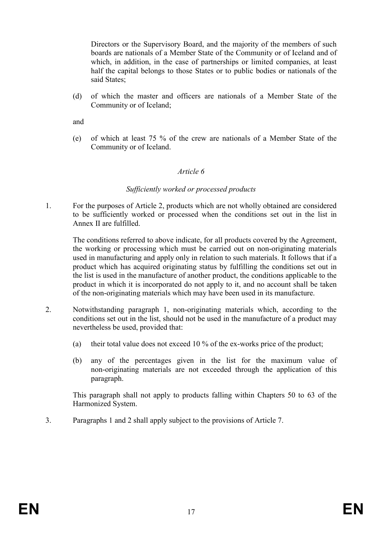Directors or the Supervisory Board, and the majority of the members of such boards are nationals of a Member State of the Community or of Iceland and of which, in addition, in the case of partnerships or limited companies, at least half the capital belongs to those States or to public bodies or nationals of the said States:

(d) of which the master and officers are nationals of a Member State of the Community or of Iceland;

and

(e) of which at least 75 % of the crew are nationals of a Member State of the Community or of Iceland.

### Article 6

### Sufficiently worked or processed products

1. For the purposes of Article 2, products which are not wholly obtained are considered to be sufficiently worked or processed when the conditions set out in the list in Annex II are fulfilled.

The conditions referred to above indicate, for all products covered by the Agreement, the working or processing which must be carried out on non-originating materials used in manufacturing and apply only in relation to such materials. It follows that if a product which has acquired originating status by fulfilling the conditions set out in the list is used in the manufacture of another product, the conditions applicable to the product in which it is incorporated do not apply to it, and no account shall be taken of the non-originating materials which may have been used in its manufacture.

- 2. Notwithstanding paragraph 1, non-originating materials which, according to the conditions set out in the list, should not be used in the manufacture of a product may nevertheless be used, provided that:
	- (a) their total value does not exceed 10 % of the ex-works price of the product;
	- (b) any of the percentages given in the list for the maximum value of non-originating materials are not exceeded through the application of this paragraph.

This paragraph shall not apply to products falling within Chapters 50 to 63 of the Harmonized System.

3. Paragraphs 1 and 2 shall apply subject to the provisions of Article 7.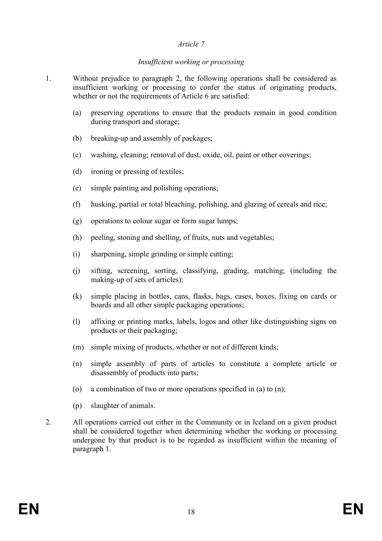### Insufficient working or processing

- 1. Without prejudice to paragraph 2, the following operations shall be considered as insufficient working or processing to confer the status of originating products, whether or not the requirements of Article 6 are satisfied:
	- (a) preserving operations to ensure that the products remain in good condition during transport and storage;
	- (b) breaking-up and assembly of packages;
	- (c) washing, cleaning; removal of dust, oxide, oil, paint or other coverings;
	- (d) ironing or pressing of textiles;
	- (e) simple painting and polishing operations;
	- (f) husking, partial or total bleaching, polishing, and glazing of cereals and rice;
	- (g) operations to colour sugar or form sugar lumps;
	- (h) peeling, stoning and shelling, of fruits, nuts and vegetables;
	- (i) sharpening, simple grinding or simple cutting;
	- (j) sifting, screening, sorting, classifying, grading, matching; (including the making-up of sets of articles);
	- (k) simple placing in bottles, cans, flasks, bags, cases, boxes, fixing on cards or boards and all other simple packaging operations;
	- (l) affixing or printing marks, labels, logos and other like distinguishing signs on products or their packaging;
	- (m) simple mixing of products, whether or not of different kinds;
	- (n) simple assembly of parts of articles to constitute a complete article or disassembly of products into parts;
	- (o) a combination of two or more operations specified in (a) to (n);
	- (p) slaughter of animals.
- 2. All operations carried out either in the Community or in Iceland on a given product shall be considered together when determining whether the working or processing undergone by that product is to be regarded as insufficient within the meaning of paragraph 1.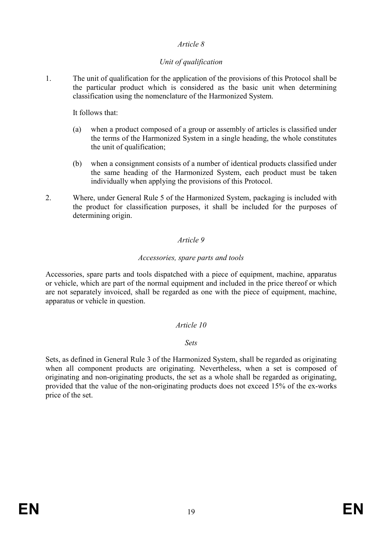## Unit of qualification

1. The unit of qualification for the application of the provisions of this Protocol shall be the particular product which is considered as the basic unit when determining classification using the nomenclature of the Harmonized System.

It follows that:

- (a) when a product composed of a group or assembly of articles is classified under the terms of the Harmonized System in a single heading, the whole constitutes the unit of qualification;
- (b) when a consignment consists of a number of identical products classified under the same heading of the Harmonized System, each product must be taken individually when applying the provisions of this Protocol.
- 2. Where, under General Rule 5 of the Harmonized System, packaging is included with the product for classification purposes, it shall be included for the purposes of determining origin.

## Article 9

### Accessories, spare parts and tools

Accessories, spare parts and tools dispatched with a piece of equipment, machine, apparatus or vehicle, which are part of the normal equipment and included in the price thereof or which are not separately invoiced, shall be regarded as one with the piece of equipment, machine, apparatus or vehicle in question.

## Article 10

### Sets

Sets, as defined in General Rule 3 of the Harmonized System, shall be regarded as originating when all component products are originating. Nevertheless, when a set is composed of originating and non-originating products, the set as a whole shall be regarded as originating, provided that the value of the non-originating products does not exceed 15% of the ex-works price of the set.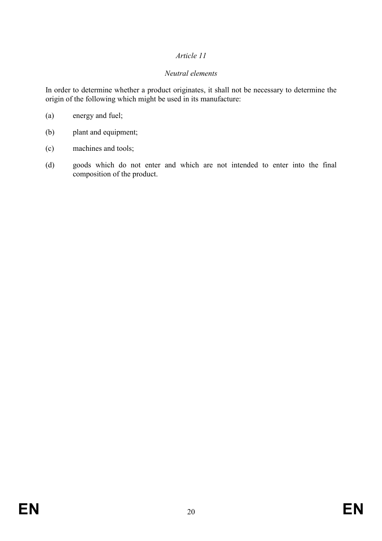## Neutral elements

In order to determine whether a product originates, it shall not be necessary to determine the origin of the following which might be used in its manufacture:

- (a) energy and fuel;
- (b) plant and equipment;
- (c) machines and tools;
- (d) goods which do not enter and which are not intended to enter into the final composition of the product.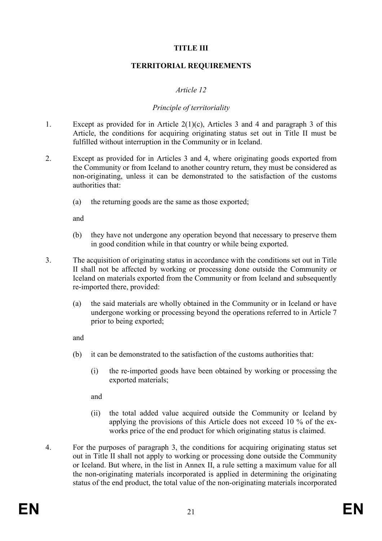## TITLE III

### TERRITORIAL REQUIREMENTS

### Article 12

### Principle of territoriality

- 1. Except as provided for in Article 2(1)(c), Articles 3 and 4 and paragraph 3 of this Article, the conditions for acquiring originating status set out in Title II must be fulfilled without interruption in the Community or in Iceland.
- 2. Except as provided for in Articles 3 and 4, where originating goods exported from the Community or from Iceland to another country return, they must be considered as non-originating, unless it can be demonstrated to the satisfaction of the customs authorities that:
	- (a) the returning goods are the same as those exported;

and

- (b) they have not undergone any operation beyond that necessary to preserve them in good condition while in that country or while being exported.
- 3. The acquisition of originating status in accordance with the conditions set out in Title II shall not be affected by working or processing done outside the Community or Iceland on materials exported from the Community or from Iceland and subsequently re-imported there, provided:
	- (a) the said materials are wholly obtained in the Community or in Iceland or have undergone working or processing beyond the operations referred to in Article 7 prior to being exported;

and

- (b) it can be demonstrated to the satisfaction of the customs authorities that:
	- (i) the re-imported goods have been obtained by working or processing the exported materials;

and

- (ii) the total added value acquired outside the Community or Iceland by applying the provisions of this Article does not exceed 10 % of the exworks price of the end product for which originating status is claimed.
- 4. For the purposes of paragraph 3, the conditions for acquiring originating status set out in Title II shall not apply to working or processing done outside the Community or Iceland. But where, in the list in Annex II, a rule setting a maximum value for all the non-originating materials incorporated is applied in determining the originating status of the end product, the total value of the non-originating materials incorporated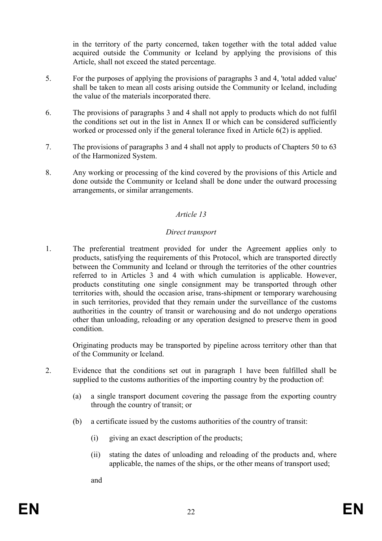in the territory of the party concerned, taken together with the total added value acquired outside the Community or Iceland by applying the provisions of this Article, shall not exceed the stated percentage.

- 5. For the purposes of applying the provisions of paragraphs 3 and 4, 'total added value' shall be taken to mean all costs arising outside the Community or Iceland, including the value of the materials incorporated there.
- 6. The provisions of paragraphs 3 and 4 shall not apply to products which do not fulfil the conditions set out in the list in Annex II or which can be considered sufficiently worked or processed only if the general tolerance fixed in Article 6(2) is applied.
- 7. The provisions of paragraphs 3 and 4 shall not apply to products of Chapters 50 to 63 of the Harmonized System.
- 8. Any working or processing of the kind covered by the provisions of this Article and done outside the Community or Iceland shall be done under the outward processing arrangements, or similar arrangements.

## Article 13

### Direct transport

1. The preferential treatment provided for under the Agreement applies only to products, satisfying the requirements of this Protocol, which are transported directly between the Community and Iceland or through the territories of the other countries referred to in Articles 3 and 4 with which cumulation is applicable. However, products constituting one single consignment may be transported through other territories with, should the occasion arise, trans-shipment or temporary warehousing in such territories, provided that they remain under the surveillance of the customs authorities in the country of transit or warehousing and do not undergo operations other than unloading, reloading or any operation designed to preserve them in good condition.

Originating products may be transported by pipeline across territory other than that of the Community or Iceland.

- 2. Evidence that the conditions set out in paragraph 1 have been fulfilled shall be supplied to the customs authorities of the importing country by the production of:
	- (a) a single transport document covering the passage from the exporting country through the country of transit; or
	- (b) a certificate issued by the customs authorities of the country of transit:
		- (i) giving an exact description of the products;
		- (ii) stating the dates of unloading and reloading of the products and, where applicable, the names of the ships, or the other means of transport used;

and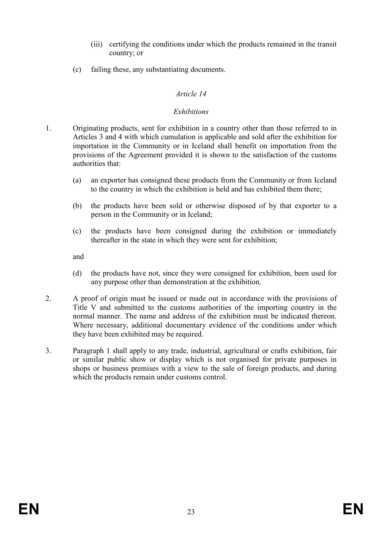- (iii) certifying the conditions under which the products remained in the transit country; or
- (c) failing these, any substantiating documents.

### **Exhibitions**

- 1. Originating products, sent for exhibition in a country other than those referred to in Articles 3 and 4 with which cumulation is applicable and sold after the exhibition for importation in the Community or in Iceland shall benefit on importation from the provisions of the Agreement provided it is shown to the satisfaction of the customs authorities that:
	- (a) an exporter has consigned these products from the Community or from Iceland to the country in which the exhibition is held and has exhibited them there;
	- (b) the products have been sold or otherwise disposed of by that exporter to a person in the Community or in Iceland;
	- (c) the products have been consigned during the exhibition or immediately thereafter in the state in which they were sent for exhibition;

and

- (d) the products have not, since they were consigned for exhibition, been used for any purpose other than demonstration at the exhibition.
- 2. A proof of origin must be issued or made out in accordance with the provisions of Title V and submitted to the customs authorities of the importing country in the normal manner. The name and address of the exhibition must be indicated thereon. Where necessary, additional documentary evidence of the conditions under which they have been exhibited may be required.
- 3. Paragraph 1 shall apply to any trade, industrial, agricultural or crafts exhibition, fair or similar public show or display which is not organised for private purposes in shops or business premises with a view to the sale of foreign products, and during which the products remain under customs control.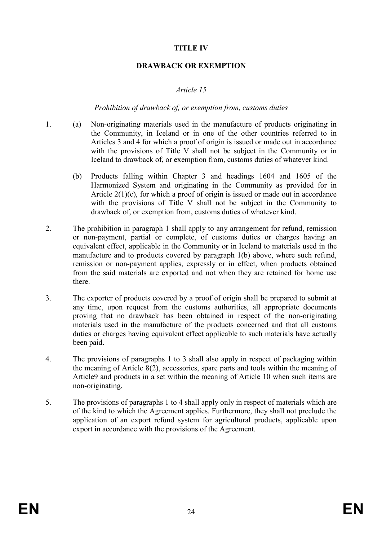## TITLE IV

### DRAWBACK OR EXEMPTION

### Article 15

### Prohibition of drawback of, or exemption from, customs duties

- 1. (a) Non-originating materials used in the manufacture of products originating in the Community, in Iceland or in one of the other countries referred to in Articles 3 and 4 for which a proof of origin is issued or made out in accordance with the provisions of Title V shall not be subject in the Community or in Iceland to drawback of, or exemption from, customs duties of whatever kind.
	- (b) Products falling within Chapter 3 and headings 1604 and 1605 of the Harmonized System and originating in the Community as provided for in Article  $2(1)(c)$ , for which a proof of origin is issued or made out in accordance with the provisions of Title V shall not be subject in the Community to drawback of, or exemption from, customs duties of whatever kind.
- 2. The prohibition in paragraph 1 shall apply to any arrangement for refund, remission or non-payment, partial or complete, of customs duties or charges having an equivalent effect, applicable in the Community or in Iceland to materials used in the manufacture and to products covered by paragraph 1(b) above, where such refund, remission or non-payment applies, expressly or in effect, when products obtained from the said materials are exported and not when they are retained for home use there.
- 3. The exporter of products covered by a proof of origin shall be prepared to submit at any time, upon request from the customs authorities, all appropriate documents proving that no drawback has been obtained in respect of the non-originating materials used in the manufacture of the products concerned and that all customs duties or charges having equivalent effect applicable to such materials have actually been paid.
- 4. The provisions of paragraphs 1 to 3 shall also apply in respect of packaging within the meaning of Article 8(2), accessories, spare parts and tools within the meaning of Article9 and products in a set within the meaning of Article 10 when such items are non-originating.
- 5. The provisions of paragraphs 1 to 4 shall apply only in respect of materials which are of the kind to which the Agreement applies. Furthermore, they shall not preclude the application of an export refund system for agricultural products, applicable upon export in accordance with the provisions of the Agreement.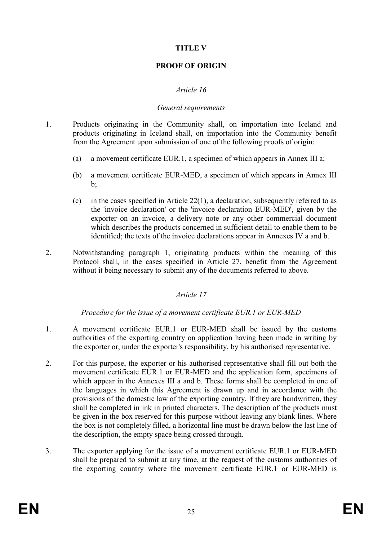## TITLE V

## PROOF OF ORIGIN

## Article 16

### General requirements

- 1. Products originating in the Community shall, on importation into Iceland and products originating in Iceland shall, on importation into the Community benefit from the Agreement upon submission of one of the following proofs of origin:
	- (a) a movement certificate EUR.1, a specimen of which appears in Annex III a;
	- (b) a movement certificate EUR-MED, a specimen of which appears in Annex III  $h^{\cdot}$
	- (c) in the cases specified in Article 22(1), a declaration, subsequently referred to as the 'invoice declaration' or the 'invoice declaration EUR-MED', given by the exporter on an invoice, a delivery note or any other commercial document which describes the products concerned in sufficient detail to enable them to be identified; the texts of the invoice declarations appear in Annexes IV a and b.
- 2. Notwithstanding paragraph 1, originating products within the meaning of this Protocol shall, in the cases specified in Article 27, benefit from the Agreement without it being necessary to submit any of the documents referred to above.

## Article 17

Procedure for the issue of a movement certificate EUR.1 or EUR-MED

- 1. A movement certificate EUR.1 or EUR-MED shall be issued by the customs authorities of the exporting country on application having been made in writing by the exporter or, under the exporter's responsibility, by his authorised representative.
- 2. For this purpose, the exporter or his authorised representative shall fill out both the movement certificate EUR.1 or EUR-MED and the application form, specimens of which appear in the Annexes III a and b. These forms shall be completed in one of the languages in which this Agreement is drawn up and in accordance with the provisions of the domestic law of the exporting country. If they are handwritten, they shall be completed in ink in printed characters. The description of the products must be given in the box reserved for this purpose without leaving any blank lines. Where the box is not completely filled, a horizontal line must be drawn below the last line of the description, the empty space being crossed through.
- 3. The exporter applying for the issue of a movement certificate EUR.1 or EUR-MED shall be prepared to submit at any time, at the request of the customs authorities of the exporting country where the movement certificate EUR.1 or EUR-MED is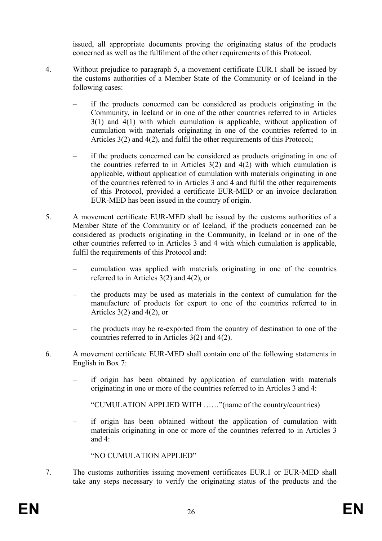issued, all appropriate documents proving the originating status of the products concerned as well as the fulfilment of the other requirements of this Protocol.

- 4. Without prejudice to paragraph 5, a movement certificate EUR.1 shall be issued by the customs authorities of a Member State of the Community or of Iceland in the following cases:
	- if the products concerned can be considered as products originating in the Community, in Iceland or in one of the other countries referred to in Articles 3(1) and 4(1) with which cumulation is applicable, without application of cumulation with materials originating in one of the countries referred to in Articles 3(2) and 4(2), and fulfil the other requirements of this Protocol;
	- if the products concerned can be considered as products originating in one of the countries referred to in Articles  $3(2)$  and  $4(2)$  with which cumulation is applicable, without application of cumulation with materials originating in one of the countries referred to in Articles 3 and 4 and fulfil the other requirements of this Protocol, provided a certificate EUR-MED or an invoice declaration EUR-MED has been issued in the country of origin.
- 5. A movement certificate EUR-MED shall be issued by the customs authorities of a Member State of the Community or of Iceland, if the products concerned can be considered as products originating in the Community, in Iceland or in one of the other countries referred to in Articles 3 and 4 with which cumulation is applicable, fulfil the requirements of this Protocol and:
	- cumulation was applied with materials originating in one of the countries referred to in Articles 3(2) and 4(2), or
	- the products may be used as materials in the context of cumulation for the manufacture of products for export to one of the countries referred to in Articles 3(2) and 4(2), or
	- the products may be re-exported from the country of destination to one of the countries referred to in Articles 3(2) and 4(2).
- 6. A movement certificate EUR-MED shall contain one of the following statements in English in Box 7:
	- if origin has been obtained by application of cumulation with materials originating in one or more of the countries referred to in Articles 3 and 4:

"CUMULATION APPLIED WITH ……"(name of the country/countries)

– if origin has been obtained without the application of cumulation with materials originating in one or more of the countries referred to in Articles 3 and 4:

"NO CUMULATION APPLIED"

7. The customs authorities issuing movement certificates EUR.1 or EUR-MED shall take any steps necessary to verify the originating status of the products and the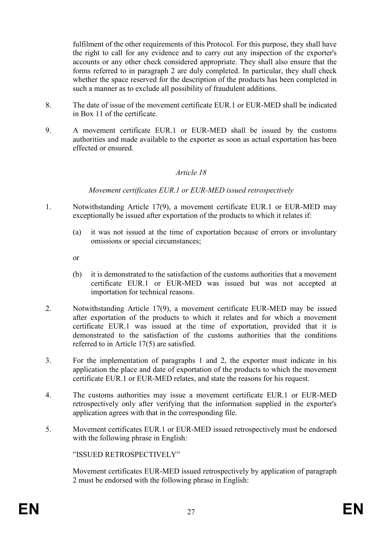fulfilment of the other requirements of this Protocol. For this purpose, they shall have the right to call for any evidence and to carry out any inspection of the exporter's accounts or any other check considered appropriate. They shall also ensure that the forms referred to in paragraph 2 are duly completed. In particular, they shall check whether the space reserved for the description of the products has been completed in such a manner as to exclude all possibility of fraudulent additions.

- 8. The date of issue of the movement certificate EUR.1 or EUR-MED shall be indicated in Box 11 of the certificate.
- 9. A movement certificate EUR.1 or EUR-MED shall be issued by the customs authorities and made available to the exporter as soon as actual exportation has been effected or ensured.

### Article 18

Movement certificates EUR.1 or EUR-MED issued retrospectively

- 1. Notwithstanding Article 17(9), a movement certificate EUR.1 or EUR-MED may exceptionally be issued after exportation of the products to which it relates if:
	- (a) it was not issued at the time of exportation because of errors or involuntary omissions or special circumstances;
	- or
	- (b) it is demonstrated to the satisfaction of the customs authorities that a movement certificate EUR.1 or EUR-MED was issued but was not accepted at importation for technical reasons.
- 2. Notwithstanding Article 17(9), a movement certificate EUR-MED may be issued after exportation of the products to which it relates and for which a movement certificate EUR.1 was issued at the time of exportation, provided that it is demonstrated to the satisfaction of the customs authorities that the conditions referred to in Article 17(5) are satisfied.
- 3. For the implementation of paragraphs 1 and 2, the exporter must indicate in his application the place and date of exportation of the products to which the movement certificate EUR.1 or EUR-MED relates, and state the reasons for his request.
- 4. The customs authorities may issue a movement certificate EUR.1 or EUR-MED retrospectively only after verifying that the information supplied in the exporter's application agrees with that in the corresponding file.
- 5. Movement certificates EUR.1 or EUR-MED issued retrospectively must be endorsed with the following phrase in English:

"ISSUED RETROSPECTIVELY"

Movement certificates EUR-MED issued retrospectively by application of paragraph 2 must be endorsed with the following phrase in English: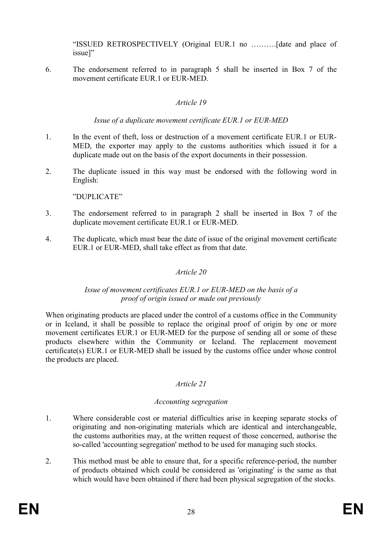"ISSUED RETROSPECTIVELY (Original EUR.1 no ……….[date and place of issue]"

6. The endorsement referred to in paragraph 5 shall be inserted in Box 7 of the movement certificate EUR.1 or EUR-MED.

## Article 19

### Issue of a duplicate movement certificate EUR.1 or EUR-MED

- 1. In the event of theft, loss or destruction of a movement certificate EUR.1 or EUR-MED, the exporter may apply to the customs authorities which issued it for a duplicate made out on the basis of the export documents in their possession.
- 2. The duplicate issued in this way must be endorsed with the following word in English:

"DUPLICATE"

- 3. The endorsement referred to in paragraph 2 shall be inserted in Box 7 of the duplicate movement certificate EUR.1 or EUR-MED.
- 4. The duplicate, which must bear the date of issue of the original movement certificate EUR.1 or EUR-MED, shall take effect as from that date.

## Article 20

### Issue of movement certificates EUR.1 or EUR-MED on the basis of a proof of origin issued or made out previously

When originating products are placed under the control of a customs office in the Community or in Iceland, it shall be possible to replace the original proof of origin by one or more movement certificates EUR.1 or EUR-MED for the purpose of sending all or some of these products elsewhere within the Community or Iceland. The replacement movement certificate(s) EUR.1 or EUR-MED shall be issued by the customs office under whose control the products are placed.

## Article 21

## Accounting segregation

- 1. Where considerable cost or material difficulties arise in keeping separate stocks of originating and non-originating materials which are identical and interchangeable, the customs authorities may, at the written request of those concerned, authorise the so-called 'accounting segregation' method to be used for managing such stocks.
- 2. This method must be able to ensure that, for a specific reference-period, the number of products obtained which could be considered as 'originating' is the same as that which would have been obtained if there had been physical segregation of the stocks.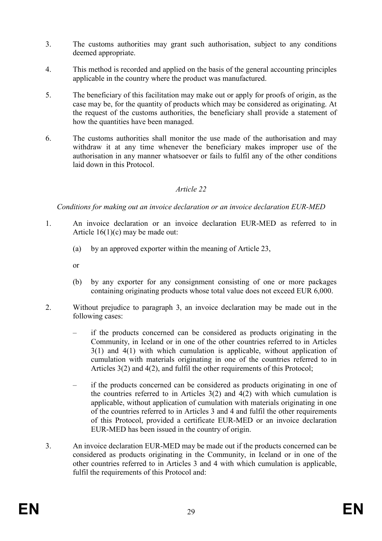- 3. The customs authorities may grant such authorisation, subject to any conditions deemed appropriate.
- 4. This method is recorded and applied on the basis of the general accounting principles applicable in the country where the product was manufactured.
- 5. The beneficiary of this facilitation may make out or apply for proofs of origin, as the case may be, for the quantity of products which may be considered as originating. At the request of the customs authorities, the beneficiary shall provide a statement of how the quantities have been managed.
- 6. The customs authorities shall monitor the use made of the authorisation and may withdraw it at any time whenever the beneficiary makes improper use of the authorisation in any manner whatsoever or fails to fulfil any of the other conditions laid down in this Protocol.

Conditions for making out an invoice declaration or an invoice declaration EUR-MED

- 1. An invoice declaration or an invoice declaration EUR-MED as referred to in Article  $16(1)(c)$  may be made out:
	- (a) by an approved exporter within the meaning of Article 23,
	- or
	- (b) by any exporter for any consignment consisting of one or more packages containing originating products whose total value does not exceed EUR 6,000.
- 2. Without prejudice to paragraph 3, an invoice declaration may be made out in the following cases:
	- if the products concerned can be considered as products originating in the Community, in Iceland or in one of the other countries referred to in Articles 3(1) and 4(1) with which cumulation is applicable, without application of cumulation with materials originating in one of the countries referred to in Articles 3(2) and 4(2), and fulfil the other requirements of this Protocol;
	- if the products concerned can be considered as products originating in one of the countries referred to in Articles  $3(2)$  and  $4(2)$  with which cumulation is applicable, without application of cumulation with materials originating in one of the countries referred to in Articles 3 and 4 and fulfil the other requirements of this Protocol, provided a certificate EUR-MED or an invoice declaration EUR-MED has been issued in the country of origin.
- 3. An invoice declaration EUR-MED may be made out if the products concerned can be considered as products originating in the Community, in Iceland or in one of the other countries referred to in Articles 3 and 4 with which cumulation is applicable, fulfil the requirements of this Protocol and: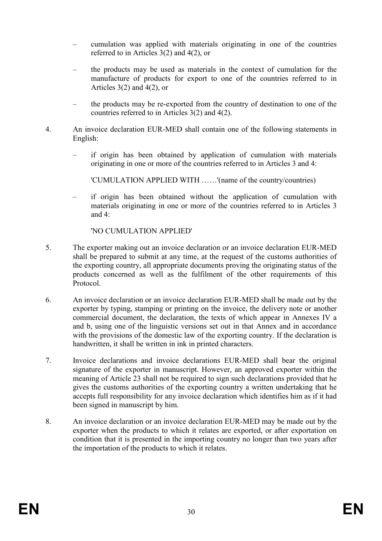- cumulation was applied with materials originating in one of the countries referred to in Articles 3(2) and 4(2), or
- the products may be used as materials in the context of cumulation for the manufacture of products for export to one of the countries referred to in Articles  $3(2)$  and  $4(2)$ , or
- the products may be re-exported from the country of destination to one of the countries referred to in Articles 3(2) and 4(2).
- 4. An invoice declaration EUR-MED shall contain one of the following statements in English:
	- if origin has been obtained by application of cumulation with materials originating in one or more of the countries referred to in Articles 3 and 4:

'CUMULATION APPLIED WITH ……'(name of the country/countries)

– if origin has been obtained without the application of cumulation with materials originating in one or more of the countries referred to in Articles 3 and 4:

'NO CUMULATION APPLIED'

- 5. The exporter making out an invoice declaration or an invoice declaration EUR-MED shall be prepared to submit at any time, at the request of the customs authorities of the exporting country, all appropriate documents proving the originating status of the products concerned as well as the fulfilment of the other requirements of this Protocol.
- 6. An invoice declaration or an invoice declaration EUR-MED shall be made out by the exporter by typing, stamping or printing on the invoice, the delivery note or another commercial document, the declaration, the texts of which appear in Annexes IV a and b, using one of the linguistic versions set out in that Annex and in accordance with the provisions of the domestic law of the exporting country. If the declaration is handwritten, it shall be written in ink in printed characters.
- 7. Invoice declarations and invoice declarations EUR-MED shall bear the original signature of the exporter in manuscript. However, an approved exporter within the meaning of Article 23 shall not be required to sign such declarations provided that he gives the customs authorities of the exporting country a written undertaking that he accepts full responsibility for any invoice declaration which identifies him as if it had been signed in manuscript by him.
- 8. An invoice declaration or an invoice declaration EUR-MED may be made out by the exporter when the products to which it relates are exported, or after exportation on condition that it is presented in the importing country no longer than two years after the importation of the products to which it relates.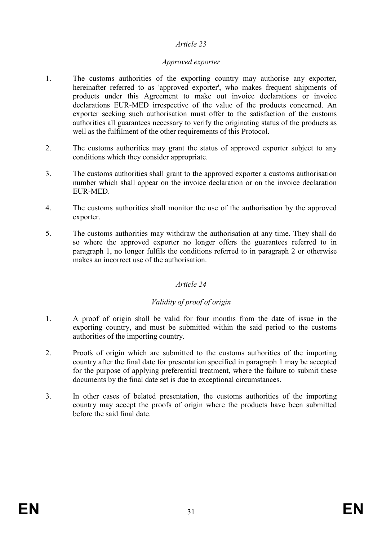## Approved exporter

- 1. The customs authorities of the exporting country may authorise any exporter, hereinafter referred to as 'approved exporter', who makes frequent shipments of products under this Agreement to make out invoice declarations or invoice declarations EUR-MED irrespective of the value of the products concerned. An exporter seeking such authorisation must offer to the satisfaction of the customs authorities all guarantees necessary to verify the originating status of the products as well as the fulfilment of the other requirements of this Protocol.
- 2. The customs authorities may grant the status of approved exporter subject to any conditions which they consider appropriate.
- 3. The customs authorities shall grant to the approved exporter a customs authorisation number which shall appear on the invoice declaration or on the invoice declaration EUR-MED.
- 4. The customs authorities shall monitor the use of the authorisation by the approved exporter.
- 5. The customs authorities may withdraw the authorisation at any time. They shall do so where the approved exporter no longer offers the guarantees referred to in paragraph 1, no longer fulfils the conditions referred to in paragraph 2 or otherwise makes an incorrect use of the authorisation.

## Article 24

## Validity of proof of origin

- 1. A proof of origin shall be valid for four months from the date of issue in the exporting country, and must be submitted within the said period to the customs authorities of the importing country.
- 2. Proofs of origin which are submitted to the customs authorities of the importing country after the final date for presentation specified in paragraph 1 may be accepted for the purpose of applying preferential treatment, where the failure to submit these documents by the final date set is due to exceptional circumstances.
- 3. In other cases of belated presentation, the customs authorities of the importing country may accept the proofs of origin where the products have been submitted before the said final date.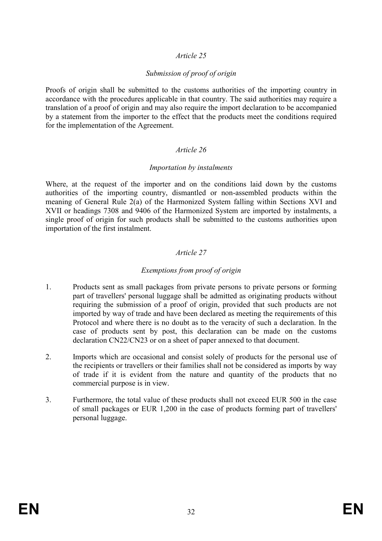## Submission of proof of origin

Proofs of origin shall be submitted to the customs authorities of the importing country in accordance with the procedures applicable in that country. The said authorities may require a translation of a proof of origin and may also require the import declaration to be accompanied by a statement from the importer to the effect that the products meet the conditions required for the implementation of the Agreement.

## Article 26

### Importation by instalments

Where, at the request of the importer and on the conditions laid down by the customs authorities of the importing country, dismantled or non-assembled products within the meaning of General Rule 2(a) of the Harmonized System falling within Sections XVI and XVII or headings 7308 and 9406 of the Harmonized System are imported by instalments, a single proof of origin for such products shall be submitted to the customs authorities upon importation of the first instalment.

## Article 27

## Exemptions from proof of origin

- 1. Products sent as small packages from private persons to private persons or forming part of travellers' personal luggage shall be admitted as originating products without requiring the submission of a proof of origin, provided that such products are not imported by way of trade and have been declared as meeting the requirements of this Protocol and where there is no doubt as to the veracity of such a declaration. In the case of products sent by post, this declaration can be made on the customs declaration CN22/CN23 or on a sheet of paper annexed to that document.
- 2. Imports which are occasional and consist solely of products for the personal use of the recipients or travellers or their families shall not be considered as imports by way of trade if it is evident from the nature and quantity of the products that no commercial purpose is in view.
- 3. Furthermore, the total value of these products shall not exceed EUR 500 in the case of small packages or EUR 1,200 in the case of products forming part of travellers' personal luggage.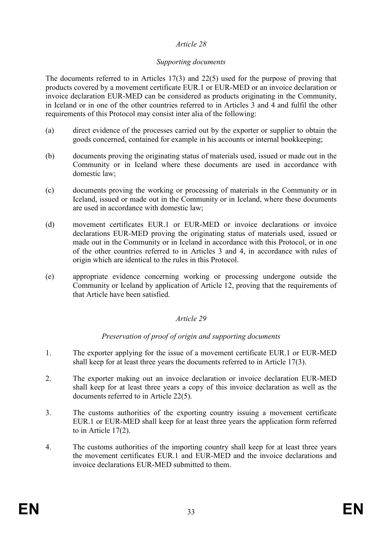## Supporting documents

The documents referred to in Articles 17(3) and 22(5) used for the purpose of proving that products covered by a movement certificate EUR.1 or EUR-MED or an invoice declaration or invoice declaration EUR-MED can be considered as products originating in the Community, in Iceland or in one of the other countries referred to in Articles 3 and 4 and fulfil the other requirements of this Protocol may consist inter alia of the following:

- (a) direct evidence of the processes carried out by the exporter or supplier to obtain the goods concerned, contained for example in his accounts or internal bookkeeping;
- (b) documents proving the originating status of materials used, issued or made out in the Community or in Iceland where these documents are used in accordance with domestic law;
- (c) documents proving the working or processing of materials in the Community or in Iceland, issued or made out in the Community or in Iceland, where these documents are used in accordance with domestic law;
- (d) movement certificates EUR.1 or EUR-MED or invoice declarations or invoice declarations EUR-MED proving the originating status of materials used, issued or made out in the Community or in Iceland in accordance with this Protocol, or in one of the other countries referred to in Articles 3 and 4, in accordance with rules of origin which are identical to the rules in this Protocol.
- (e) appropriate evidence concerning working or processing undergone outside the Community or Iceland by application of Article 12, proving that the requirements of that Article have been satisfied.

## Article 29

## Preservation of proof of origin and supporting documents

- 1. The exporter applying for the issue of a movement certificate EUR.1 or EUR-MED shall keep for at least three years the documents referred to in Article 17(3).
- 2. The exporter making out an invoice declaration or invoice declaration EUR-MED shall keep for at least three years a copy of this invoice declaration as well as the documents referred to in Article 22(5).
- 3. The customs authorities of the exporting country issuing a movement certificate EUR.1 or EUR-MED shall keep for at least three years the application form referred to in Article 17(2).
- 4. The customs authorities of the importing country shall keep for at least three years the movement certificates EUR.1 and EUR-MED and the invoice declarations and invoice declarations EUR-MED submitted to them.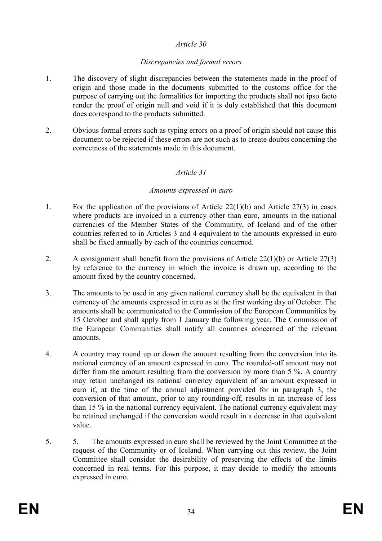### Discrepancies and formal errors

- 1. The discovery of slight discrepancies between the statements made in the proof of origin and those made in the documents submitted to the customs office for the purpose of carrying out the formalities for importing the products shall not ipso facto render the proof of origin null and void if it is duly established that this document does correspond to the products submitted.
- 2. Obvious formal errors such as typing errors on a proof of origin should not cause this document to be rejected if these errors are not such as to create doubts concerning the correctness of the statements made in this document.

### Article 31

#### Amounts expressed in euro

- 1. For the application of the provisions of Article 22(1)(b) and Article 27(3) in cases where products are invoiced in a currency other than euro, amounts in the national currencies of the Member States of the Community, of Iceland and of the other countries referred to in Articles 3 and 4 equivalent to the amounts expressed in euro shall be fixed annually by each of the countries concerned.
- 2. A consignment shall benefit from the provisions of Article 22(1)(b) or Article 27(3) by reference to the currency in which the invoice is drawn up, according to the amount fixed by the country concerned.
- 3. The amounts to be used in any given national currency shall be the equivalent in that currency of the amounts expressed in euro as at the first working day of October. The amounts shall be communicated to the Commission of the European Communities by 15 October and shall apply from 1 January the following year. The Commission of the European Communities shall notify all countries concerned of the relevant amounts.
- 4. A country may round up or down the amount resulting from the conversion into its national currency of an amount expressed in euro. The rounded-off amount may not differ from the amount resulting from the conversion by more than 5 %. A country may retain unchanged its national currency equivalent of an amount expressed in euro if, at the time of the annual adjustment provided for in paragraph 3, the conversion of that amount, prior to any rounding-off, results in an increase of less than 15 % in the national currency equivalent. The national currency equivalent may be retained unchanged if the conversion would result in a decrease in that equivalent value.
- 5. 5. The amounts expressed in euro shall be reviewed by the Joint Committee at the request of the Community or of Iceland. When carrying out this review, the Joint Committee shall consider the desirability of preserving the effects of the limits concerned in real terms. For this purpose, it may decide to modify the amounts expressed in euro.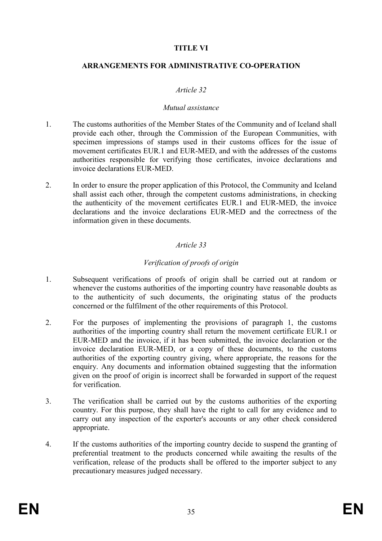## TITLE VI

### ARRANGEMENTS FOR ADMINISTRATIVE CO-OPERATION

### Article 32

### Mutual assistance

- 1. The customs authorities of the Member States of the Community and of Iceland shall provide each other, through the Commission of the European Communities, with specimen impressions of stamps used in their customs offices for the issue of movement certificates EUR.1 and EUR-MED, and with the addresses of the customs authorities responsible for verifying those certificates, invoice declarations and invoice declarations EUR-MED.
- 2. In order to ensure the proper application of this Protocol, the Community and Iceland shall assist each other, through the competent customs administrations, in checking the authenticity of the movement certificates EUR.1 and EUR-MED, the invoice declarations and the invoice declarations EUR-MED and the correctness of the information given in these documents.

## Article 33

## Verification of proofs of origin

- 1. Subsequent verifications of proofs of origin shall be carried out at random or whenever the customs authorities of the importing country have reasonable doubts as to the authenticity of such documents, the originating status of the products concerned or the fulfilment of the other requirements of this Protocol.
- 2. For the purposes of implementing the provisions of paragraph 1, the customs authorities of the importing country shall return the movement certificate EUR.1 or EUR-MED and the invoice, if it has been submitted, the invoice declaration or the invoice declaration EUR-MED, or a copy of these documents, to the customs authorities of the exporting country giving, where appropriate, the reasons for the enquiry. Any documents and information obtained suggesting that the information given on the proof of origin is incorrect shall be forwarded in support of the request for verification.
- 3. The verification shall be carried out by the customs authorities of the exporting country. For this purpose, they shall have the right to call for any evidence and to carry out any inspection of the exporter's accounts or any other check considered appropriate.
- 4. If the customs authorities of the importing country decide to suspend the granting of preferential treatment to the products concerned while awaiting the results of the verification, release of the products shall be offered to the importer subject to any precautionary measures judged necessary.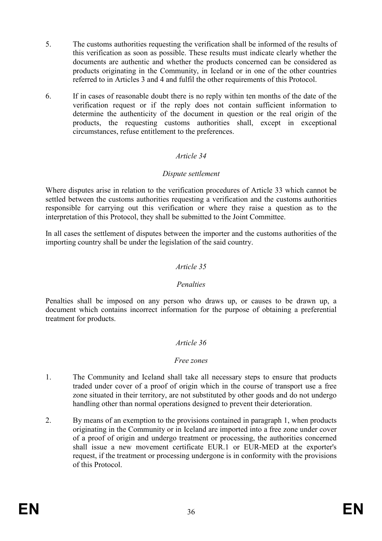- 5. The customs authorities requesting the verification shall be informed of the results of this verification as soon as possible. These results must indicate clearly whether the documents are authentic and whether the products concerned can be considered as products originating in the Community, in Iceland or in one of the other countries referred to in Articles 3 and 4 and fulfil the other requirements of this Protocol.
- 6. If in cases of reasonable doubt there is no reply within ten months of the date of the verification request or if the reply does not contain sufficient information to determine the authenticity of the document in question or the real origin of the products, the requesting customs authorities shall, except in exceptional circumstances, refuse entitlement to the preferences.

### Dispute settlement

Where disputes arise in relation to the verification procedures of Article 33 which cannot be settled between the customs authorities requesting a verification and the customs authorities responsible for carrying out this verification or where they raise a question as to the interpretation of this Protocol, they shall be submitted to the Joint Committee.

In all cases the settlement of disputes between the importer and the customs authorities of the importing country shall be under the legislation of the said country.

### Article 35

### Penalties

Penalties shall be imposed on any person who draws up, or causes to be drawn up, a document which contains incorrect information for the purpose of obtaining a preferential treatment for products.

### Article 36

### Free zones

- 1. The Community and Iceland shall take all necessary steps to ensure that products traded under cover of a proof of origin which in the course of transport use a free zone situated in their territory, are not substituted by other goods and do not undergo handling other than normal operations designed to prevent their deterioration.
- 2. By means of an exemption to the provisions contained in paragraph 1, when products originating in the Community or in Iceland are imported into a free zone under cover of a proof of origin and undergo treatment or processing, the authorities concerned shall issue a new movement certificate EUR.1 or EUR-MED at the exporter's request, if the treatment or processing undergone is in conformity with the provisions of this Protocol.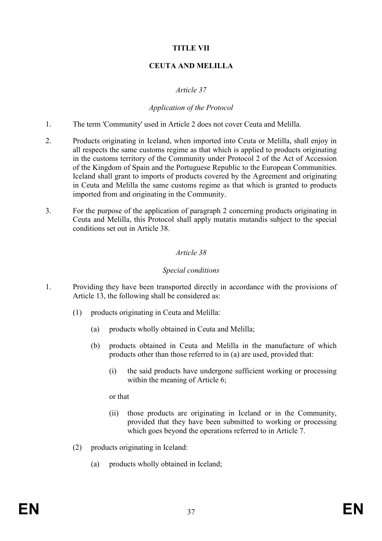# TITLE VII

# CEUTA AND MELILLA

## Article 37

### Application of the Protocol

- 1. The term 'Community' used in Article 2 does not cover Ceuta and Melilla.
- 2. Products originating in Iceland, when imported into Ceuta or Melilla, shall enjoy in all respects the same customs regime as that which is applied to products originating in the customs territory of the Community under Protocol 2 of the Act of Accession of the Kingdom of Spain and the Portuguese Republic to the European Communities. Iceland shall grant to imports of products covered by the Agreement and originating in Ceuta and Melilla the same customs regime as that which is granted to products imported from and originating in the Community.
- 3. For the purpose of the application of paragraph 2 concerning products originating in Ceuta and Melilla, this Protocol shall apply mutatis mutandis subject to the special conditions set out in Article 38.

# Article 38

### Special conditions

- 1. Providing they have been transported directly in accordance with the provisions of Article 13, the following shall be considered as:
	- (1) products originating in Ceuta and Melilla:
		- (a) products wholly obtained in Ceuta and Melilla;
		- (b) products obtained in Ceuta and Melilla in the manufacture of which products other than those referred to in (a) are used, provided that:
			- (i) the said products have undergone sufficient working or processing within the meaning of Article 6;

or that

- (ii) those products are originating in Iceland or in the Community, provided that they have been submitted to working or processing which goes beyond the operations referred to in Article 7.
- (2) products originating in Iceland:
	- (a) products wholly obtained in Iceland;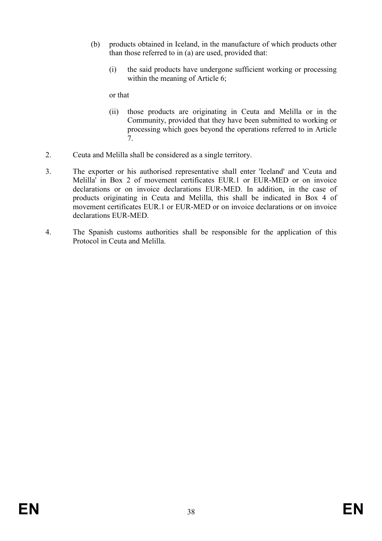- (b) products obtained in Iceland, in the manufacture of which products other than those referred to in (a) are used, provided that:
	- (i) the said products have undergone sufficient working or processing within the meaning of Article 6;

or that

- (ii) those products are originating in Ceuta and Melilla or in the Community, provided that they have been submitted to working or processing which goes beyond the operations referred to in Article 7.
- 2. Ceuta and Melilla shall be considered as a single territory.
- 3. The exporter or his authorised representative shall enter 'Iceland' and 'Ceuta and Melilla' in Box 2 of movement certificates EUR.1 or EUR-MED or on invoice declarations or on invoice declarations EUR-MED. In addition, in the case of products originating in Ceuta and Melilla, this shall be indicated in Box 4 of movement certificates EUR.1 or EUR-MED or on invoice declarations or on invoice declarations EUR-MED.
- 4. The Spanish customs authorities shall be responsible for the application of this Protocol in Ceuta and Melilla.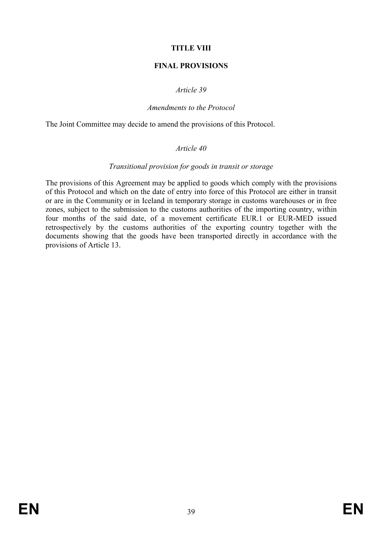# TITLE VIII

## FINAL PROVISIONS

## Article 39

#### Amendments to the Protocol

The Joint Committee may decide to amend the provisions of this Protocol.

### Article 40

#### Transitional provision for goods in transit or storage

The provisions of this Agreement may be applied to goods which comply with the provisions of this Protocol and which on the date of entry into force of this Protocol are either in transit or are in the Community or in Iceland in temporary storage in customs warehouses or in free zones, subject to the submission to the customs authorities of the importing country, within four months of the said date, of a movement certificate EUR.1 or EUR-MED issued retrospectively by the customs authorities of the exporting country together with the documents showing that the goods have been transported directly in accordance with the provisions of Article 13.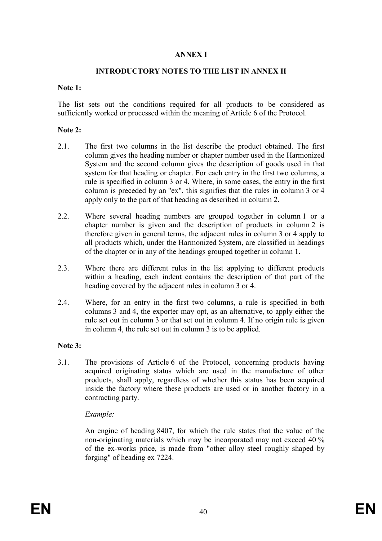### ANNEX I

## INTRODUCTORY NOTES TO THE LIST IN ANNEX II

#### Note 1:

The list sets out the conditions required for all products to be considered as sufficiently worked or processed within the meaning of Article 6 of the Protocol.

#### Note 2:

- 2.1. The first two columns in the list describe the product obtained. The first column gives the heading number or chapter number used in the Harmonized System and the second column gives the description of goods used in that system for that heading or chapter. For each entry in the first two columns, a rule is specified in column 3 or 4. Where, in some cases, the entry in the first column is preceded by an "ex", this signifies that the rules in column 3 or 4 apply only to the part of that heading as described in column 2.
- 2.2. Where several heading numbers are grouped together in column 1 or a chapter number is given and the description of products in column 2 is therefore given in general terms, the adjacent rules in column 3 or 4 apply to all products which, under the Harmonized System, are classified in headings of the chapter or in any of the headings grouped together in column 1.
- 2.3. Where there are different rules in the list applying to different products within a heading, each indent contains the description of that part of the heading covered by the adjacent rules in column 3 or 4.
- 2.4. Where, for an entry in the first two columns, a rule is specified in both columns 3 and 4, the exporter may opt, as an alternative, to apply either the rule set out in column 3 or that set out in column 4. If no origin rule is given in column 4, the rule set out in column 3 is to be applied.

#### Note 3:

3.1. The provisions of Article 6 of the Protocol, concerning products having acquired originating status which are used in the manufacture of other products, shall apply, regardless of whether this status has been acquired inside the factory where these products are used or in another factory in a contracting party.

#### Example:

 An engine of heading 8407, for which the rule states that the value of the non-originating materials which may be incorporated may not exceed 40 % of the ex-works price, is made from "other alloy steel roughly shaped by forging" of heading ex 7224.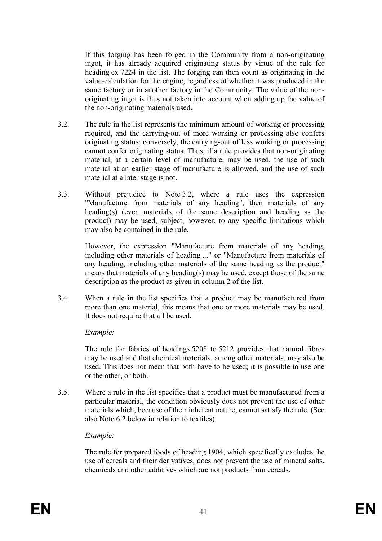If this forging has been forged in the Community from a non-originating ingot, it has already acquired originating status by virtue of the rule for heading ex 7224 in the list. The forging can then count as originating in the value-calculation for the engine, regardless of whether it was produced in the same factory or in another factory in the Community. The value of the nonoriginating ingot is thus not taken into account when adding up the value of the non-originating materials used.

- 3.2. The rule in the list represents the minimum amount of working or processing required, and the carrying-out of more working or processing also confers originating status; conversely, the carrying-out of less working or processing cannot confer originating status. Thus, if a rule provides that non-originating material, at a certain level of manufacture, may be used, the use of such material at an earlier stage of manufacture is allowed, and the use of such material at a later stage is not.
- 3.3. Without prejudice to Note 3.2, where a rule uses the expression "Manufacture from materials of any heading", then materials of any heading(s) (even materials of the same description and heading as the product) may be used, subject, however, to any specific limitations which may also be contained in the rule.

 However, the expression "Manufacture from materials of any heading, including other materials of heading ..." or "Manufacture from materials of any heading, including other materials of the same heading as the product" means that materials of any heading(s) may be used, except those of the same description as the product as given in column 2 of the list.

3.4. When a rule in the list specifies that a product may be manufactured from more than one material, this means that one or more materials may be used. It does not require that all be used.

# Example:

 The rule for fabrics of headings 5208 to 5212 provides that natural fibres may be used and that chemical materials, among other materials, may also be used. This does not mean that both have to be used; it is possible to use one or the other, or both.

3.5. Where a rule in the list specifies that a product must be manufactured from a particular material, the condition obviously does not prevent the use of other materials which, because of their inherent nature, cannot satisfy the rule. (See also Note 6.2 below in relation to textiles).

#### Example:

 The rule for prepared foods of heading 1904, which specifically excludes the use of cereals and their derivatives, does not prevent the use of mineral salts, chemicals and other additives which are not products from cereals.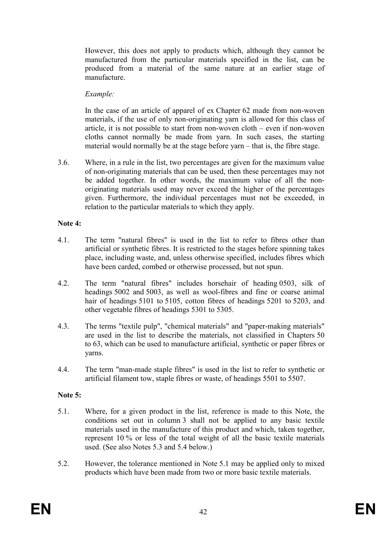However, this does not apply to products which, although they cannot be manufactured from the particular materials specified in the list, can be produced from a material of the same nature at an earlier stage of manufacture.

# Example:

 In the case of an article of apparel of ex Chapter 62 made from non-woven materials, if the use of only non-originating yarn is allowed for this class of article, it is not possible to start from non-woven cloth – even if non-woven cloths cannot normally be made from yarn. In such cases, the starting material would normally be at the stage before yarn – that is, the fibre stage.

3.6. Where, in a rule in the list, two percentages are given for the maximum value of non-originating materials that can be used, then these percentages may not be added together. In other words, the maximum value of all the nonoriginating materials used may never exceed the higher of the percentages given. Furthermore, the individual percentages must not be exceeded, in relation to the particular materials to which they apply.

# Note 4:

- 4.1. The term "natural fibres" is used in the list to refer to fibres other than artificial or synthetic fibres. It is restricted to the stages before spinning takes place, including waste, and, unless otherwise specified, includes fibres which have been carded, combed or otherwise processed, but not spun.
- 4.2. The term "natural fibres" includes horsehair of heading 0503, silk of headings 5002 and 5003, as well as wool-fibres and fine or coarse animal hair of headings 5101 to 5105, cotton fibres of headings 5201 to 5203, and other vegetable fibres of headings 5301 to 5305.
- 4.3. The terms "textile pulp", "chemical materials" and "paper-making materials" are used in the list to describe the materials, not classified in Chapters 50 to 63, which can be used to manufacture artificial, synthetic or paper fibres or yarns.
- 4.4. The term "man-made staple fibres" is used in the list to refer to synthetic or artificial filament tow, staple fibres or waste, of headings 5501 to 5507.

# Note 5:

- 5.1. Where, for a given product in the list, reference is made to this Note, the conditions set out in column 3 shall not be applied to any basic textile materials used in the manufacture of this product and which, taken together, represent 10 % or less of the total weight of all the basic textile materials used. (See also Notes 5.3 and 5.4 below.)
- 5.2. However, the tolerance mentioned in Note 5.1 may be applied only to mixed products which have been made from two or more basic textile materials.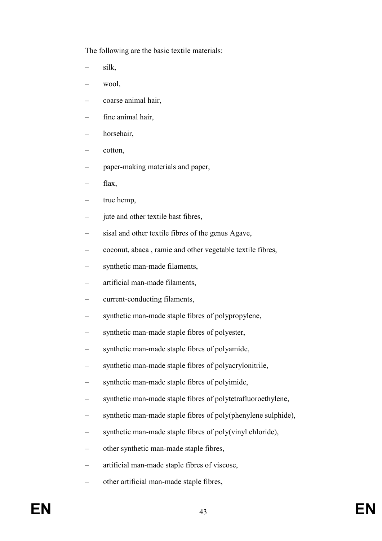The following are the basic textile materials:

- silk,
- wool.
- coarse animal hair,
- fine animal hair,
- horsehair,
- cotton,
- paper-making materials and paper,
- flax,
- true hemp,
- jute and other textile bast fibres,
- sisal and other textile fibres of the genus Agave,
- coconut, abaca , ramie and other vegetable textile fibres,
- synthetic man-made filaments,
- artificial man-made filaments,
- current-conducting filaments,
- synthetic man-made staple fibres of polypropylene,
- synthetic man-made staple fibres of polyester,
- synthetic man-made staple fibres of polyamide,
- synthetic man-made staple fibres of polyacrylonitrile,
- synthetic man-made staple fibres of polyimide,
- synthetic man-made staple fibres of polytetrafluoroethylene,
- synthetic man-made staple fibres of poly(phenylene sulphide),
- synthetic man-made staple fibres of poly(vinyl chloride),
- other synthetic man-made staple fibres,
- artificial man-made staple fibres of viscose,
- other artificial man-made staple fibres,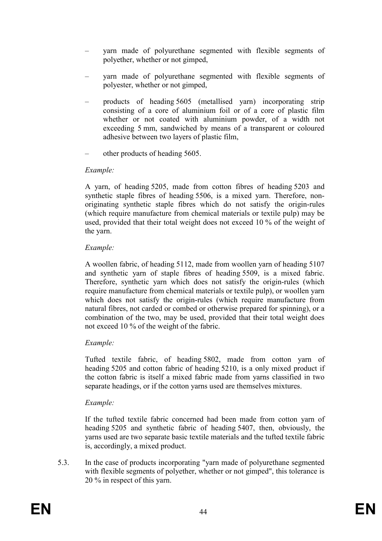- yarn made of polyurethane segmented with flexible segments of polyether, whether or not gimped,
- yarn made of polyurethane segmented with flexible segments of polyester, whether or not gimped,
- products of heading 5605 (metallised yarn) incorporating strip consisting of a core of aluminium foil or of a core of plastic film whether or not coated with aluminium powder, of a width not exceeding 5 mm, sandwiched by means of a transparent or coloured adhesive between two layers of plastic film,
- other products of heading 5605.

# Example:

 A yarn, of heading 5205, made from cotton fibres of heading 5203 and synthetic staple fibres of heading 5506, is a mixed yarn. Therefore, nonoriginating synthetic staple fibres which do not satisfy the origin-rules (which require manufacture from chemical materials or textile pulp) may be used, provided that their total weight does not exceed 10 % of the weight of the yarn.

# Example:

 A woollen fabric, of heading 5112, made from woollen yarn of heading 5107 and synthetic yarn of staple fibres of heading 5509, is a mixed fabric. Therefore, synthetic yarn which does not satisfy the origin-rules (which require manufacture from chemical materials or textile pulp), or woollen yarn which does not satisfy the origin-rules (which require manufacture from natural fibres, not carded or combed or otherwise prepared for spinning), or a combination of the two, may be used, provided that their total weight does not exceed 10 % of the weight of the fabric.

# Example:

 Tufted textile fabric, of heading 5802, made from cotton yarn of heading 5205 and cotton fabric of heading 5210, is a only mixed product if the cotton fabric is itself a mixed fabric made from yarns classified in two separate headings, or if the cotton yarns used are themselves mixtures.

# Example:

 If the tufted textile fabric concerned had been made from cotton yarn of heading 5205 and synthetic fabric of heading 5407, then, obviously, the yarns used are two separate basic textile materials and the tufted textile fabric is, accordingly, a mixed product.

5.3. In the case of products incorporating "yarn made of polyurethane segmented with flexible segments of polyether, whether or not gimped", this tolerance is 20 % in respect of this yarn.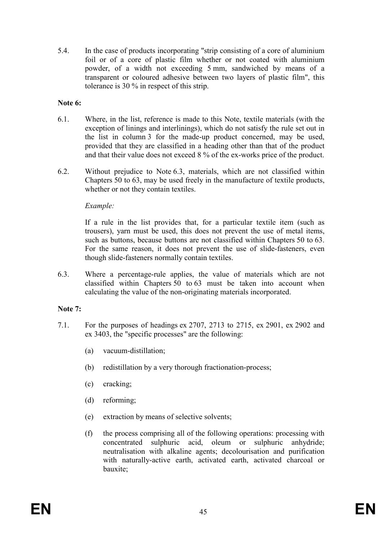5.4. In the case of products incorporating "strip consisting of a core of aluminium foil or of a core of plastic film whether or not coated with aluminium powder, of a width not exceeding 5 mm, sandwiched by means of a transparent or coloured adhesive between two layers of plastic film", this tolerance is 30 % in respect of this strip.

## Note 6:

- 6.1. Where, in the list, reference is made to this Note, textile materials (with the exception of linings and interlinings), which do not satisfy the rule set out in the list in column 3 for the made-up product concerned, may be used, provided that they are classified in a heading other than that of the product and that their value does not exceed 8 % of the ex-works price of the product.
- 6.2. Without prejudice to Note 6.3, materials, which are not classified within Chapters 50 to 63, may be used freely in the manufacture of textile products, whether or not they contain textiles.

### Example:

 If a rule in the list provides that, for a particular textile item (such as trousers), yarn must be used, this does not prevent the use of metal items, such as buttons, because buttons are not classified within Chapters 50 to 63. For the same reason, it does not prevent the use of slide-fasteners, even though slide-fasteners normally contain textiles.

6.3. Where a percentage-rule applies, the value of materials which are not classified within Chapters 50 to 63 must be taken into account when calculating the value of the non-originating materials incorporated.

# Note 7:

- 7.1. For the purposes of headings ex 2707, 2713 to 2715, ex 2901, ex 2902 and ex 3403, the "specific processes" are the following:
	- (a) vacuum-distillation;
	- (b) redistillation by a very thorough fractionation-process;
	- (c) cracking;
	- (d) reforming;
	- (e) extraction by means of selective solvents;
	- (f) the process comprising all of the following operations: processing with concentrated sulphuric acid, oleum or sulphuric anhydride; neutralisation with alkaline agents; decolourisation and purification with naturally-active earth, activated earth, activated charcoal or bauxite;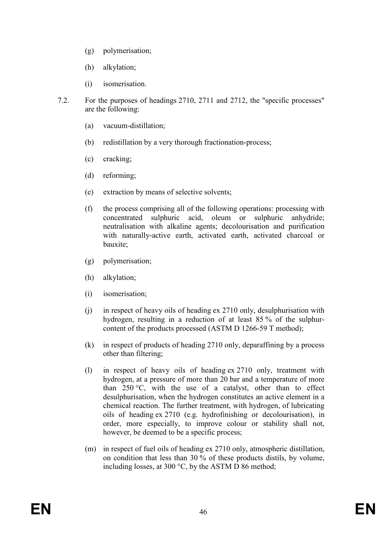- (g) polymerisation;
- (h) alkylation;
- (i) isomerisation.
- 7.2. For the purposes of headings 2710, 2711 and 2712, the "specific processes" are the following:
	- (a) vacuum-distillation;
	- (b) redistillation by a very thorough fractionation-process;
	- (c) cracking;
	- (d) reforming;
	- (e) extraction by means of selective solvents;
	- (f) the process comprising all of the following operations: processing with concentrated sulphuric acid, oleum or sulphuric anhydride; neutralisation with alkaline agents; decolourisation and purification with naturally-active earth, activated earth, activated charcoal or bauxite;
	- (g) polymerisation;
	- (h) alkylation;
	- (i) isomerisation;
	- (j) in respect of heavy oils of heading ex 2710 only, desulphurisation with hydrogen, resulting in a reduction of at least 85 % of the sulphurcontent of the products processed (ASTM D 1266-59 T method);
	- (k) in respect of products of heading 2710 only, deparaffining by a process other than filtering;
	- (l) in respect of heavy oils of heading ex 2710 only, treatment with hydrogen, at a pressure of more than 20 bar and a temperature of more than 250 °C, with the use of a catalyst, other than to effect desulphurisation, when the hydrogen constitutes an active element in a chemical reaction. The further treatment, with hydrogen, of lubricating oils of heading ex 2710 (e.g. hydrofinishing or decolourisation), in order, more especially, to improve colour or stability shall not, however, be deemed to be a specific process;
	- (m) in respect of fuel oils of heading ex 2710 only, atmospheric distillation, on condition that less than 30 % of these products distils, by volume, including losses, at 300 °C, by the ASTM D 86 method;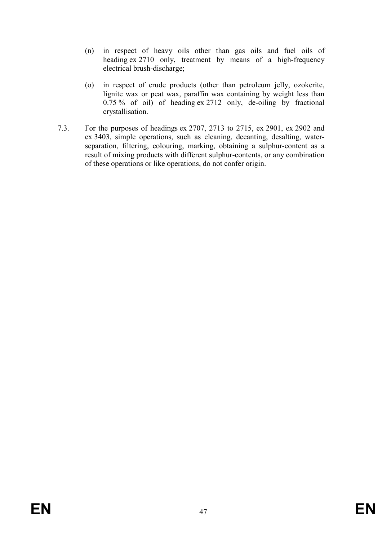- (n) in respect of heavy oils other than gas oils and fuel oils of heading ex 2710 only, treatment by means of a high-frequency electrical brush-discharge;
- (o) in respect of crude products (other than petroleum jelly, ozokerite, lignite wax or peat wax, paraffin wax containing by weight less than 0.75 % of oil) of heading ex 2712 only, de-oiling by fractional crystallisation.
- 7.3. For the purposes of headings ex 2707, 2713 to 2715, ex 2901, ex 2902 and ex 3403, simple operations, such as cleaning, decanting, desalting, waterseparation, filtering, colouring, marking, obtaining a sulphur-content as a result of mixing products with different sulphur-contents, or any combination of these operations or like operations, do not confer origin.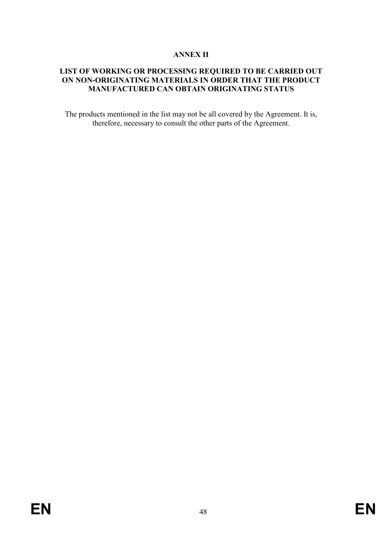#### ANNEX II

# LIST OF WORKING OR PROCESSING REQUIRED TO BE CARRIED OUT ON NON-ORIGINATING MATERIALS IN ORDER THAT THE PRODUCT MANUFACTURED CAN OBTAIN ORIGINATING STATUS

The products mentioned in the list may not be all covered by the Agreement. It is, therefore, necessary to consult the other parts of the Agreement.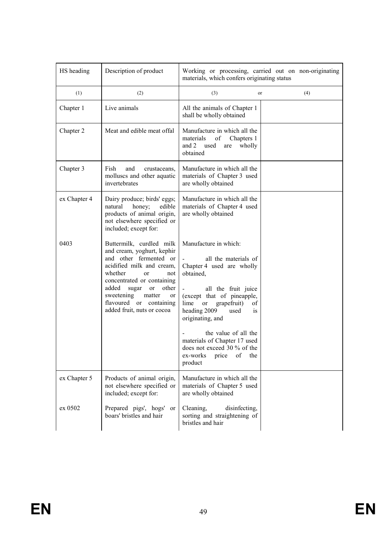| HS heading   | Description of product                                                                                                                                                                                                                                                                      | Working or processing, carried out on non-originating<br>materials, which confers originating status                                                                                                                                                                                                                                                                  |     |
|--------------|---------------------------------------------------------------------------------------------------------------------------------------------------------------------------------------------------------------------------------------------------------------------------------------------|-----------------------------------------------------------------------------------------------------------------------------------------------------------------------------------------------------------------------------------------------------------------------------------------------------------------------------------------------------------------------|-----|
| (1)          | (2)                                                                                                                                                                                                                                                                                         | (3)<br>or                                                                                                                                                                                                                                                                                                                                                             | (4) |
| Chapter 1    | Live animals                                                                                                                                                                                                                                                                                | All the animals of Chapter 1<br>shall be wholly obtained                                                                                                                                                                                                                                                                                                              |     |
| Chapter 2    | Meat and edible meat offal                                                                                                                                                                                                                                                                  | Manufacture in which all the<br>materials<br>of<br>Chapters 1<br>and 2 used<br>wholly<br>are<br>obtained                                                                                                                                                                                                                                                              |     |
| Chapter 3    | Fish<br>and<br>crustaceans,<br>molluscs and other aquatic<br>invertebrates                                                                                                                                                                                                                  | Manufacture in which all the<br>materials of Chapter 3 used<br>are wholly obtained                                                                                                                                                                                                                                                                                    |     |
| ex Chapter 4 | Dairy produce; birds' eggs;<br>natural<br>honey;<br>edible<br>products of animal origin,<br>not elsewhere specified or<br>included; except for:                                                                                                                                             | Manufacture in which all the<br>materials of Chapter 4 used<br>are wholly obtained                                                                                                                                                                                                                                                                                    |     |
| 0403         | Buttermilk, curdled milk<br>and cream, yoghurt, kephir<br>and other fermented or<br>acidified milk and cream,<br>whether<br>or<br>not<br>concentrated or containing<br>added<br>sugar<br>or<br>other<br>sweetening<br>matter<br>or<br>flavoured or containing<br>added fruit, nuts or cocoa | Manufacture in which:<br>all the materials of<br>Chapter 4 used are wholly<br>obtained,<br>all the fruit juice<br>(except that of pineapple,<br>grapefruit)<br>lime<br>or<br>οf<br>heading 2009<br>used<br>1S<br>originating, and<br>the value of all the<br>materials of Chapter 17 used<br>does not exceed 30 % of the<br>ex-works<br>of<br>the<br>price<br>product |     |
| ex Chapter 5 | Products of animal origin,<br>not elsewhere specified or<br>included; except for:                                                                                                                                                                                                           | Manufacture in which all the<br>materials of Chapter 5 used<br>are wholly obtained                                                                                                                                                                                                                                                                                    |     |
| ex 0502      | Prepared pigs', hogs' or<br>boars' bristles and hair                                                                                                                                                                                                                                        | Cleaning,<br>disinfecting,<br>sorting and straightening of<br>bristles and hair                                                                                                                                                                                                                                                                                       |     |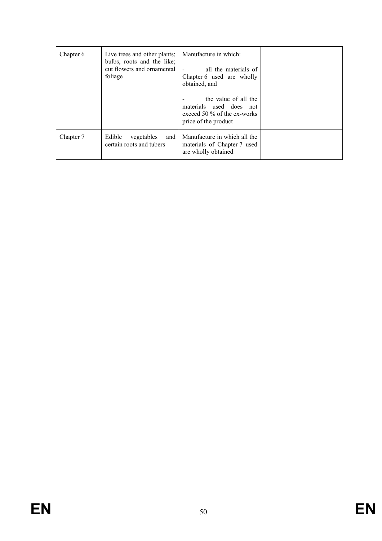| Chapter 6 | Live trees and other plants;<br>bulbs, roots and the like;<br>cut flowers and ornamental<br>foliage | Manufacture in which:<br>all the materials of<br>Chapter 6 used are wholly<br>obtained, and<br>the value of all the<br>materials used does not<br>exceed 50 $\%$ of the ex-works<br>price of the product |  |
|-----------|-----------------------------------------------------------------------------------------------------|----------------------------------------------------------------------------------------------------------------------------------------------------------------------------------------------------------|--|
| Chapter 7 | Edible<br>vegetables<br>and<br>certain roots and tubers                                             | Manufacture in which all the<br>materials of Chapter 7 used<br>are wholly obtained                                                                                                                       |  |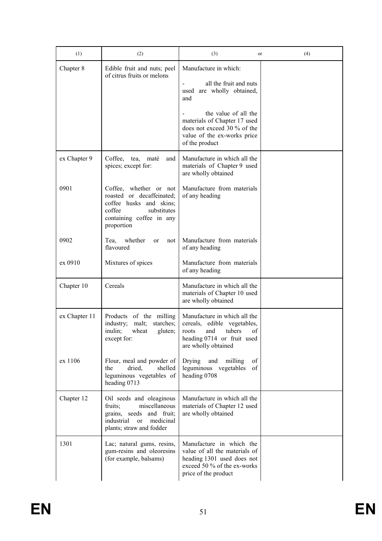| (1)           | (2)                                                                                                                                               | (3)                                                                                                                                              | (4)<br>or |
|---------------|---------------------------------------------------------------------------------------------------------------------------------------------------|--------------------------------------------------------------------------------------------------------------------------------------------------|-----------|
| Chapter 8     | Edible fruit and nuts; peel<br>of citrus fruits or melons                                                                                         | Manufacture in which:<br>all the fruit and nuts<br>used are wholly obtained,<br>and                                                              |           |
|               |                                                                                                                                                   | the value of all the<br>materials of Chapter 17 used<br>does not exceed 30 % of the<br>value of the ex-works price<br>of the product             |           |
| ex Chapter 9  | Coffee,<br>tea,<br>and<br>maté<br>spices; except for:                                                                                             | Manufacture in which all the<br>materials of Chapter 9 used<br>are wholly obtained                                                               |           |
| 0901          | Coffee, whether or not<br>roasted or decaffeinated;<br>coffee husks and skins;<br>coffee<br>substitutes<br>containing coffee in any<br>proportion | Manufacture from materials<br>of any heading                                                                                                     |           |
| 0902          | whether<br>Tea,<br>not<br>or<br>flavoured                                                                                                         | Manufacture from materials<br>of any heading                                                                                                     |           |
| ex 0910       | Mixtures of spices                                                                                                                                | Manufacture from materials<br>of any heading                                                                                                     |           |
| Chapter 10    | Cereals                                                                                                                                           | Manufacture in which all the<br>materials of Chapter 10 used<br>are wholly obtained                                                              |           |
| ex Chapter 11 | Products of the milling<br>malt;<br>industry;<br>starches;<br>inulin;<br>wheat<br>gluten;<br>except for:                                          | Manufacture in which all the<br>cereals, edible vegetables,<br>tubers<br>of<br>and<br>roots<br>heading 0714 or fruit used<br>are wholly obtained |           |
| ex 1106       | Flour, meal and powder of<br>dried,<br>shelled<br>the<br>leguminous vegetables of<br>heading 0713                                                 | Drying<br>and<br>milling<br>οf<br>leguminous vegetables<br>of<br>heading 0708                                                                    |           |
| Chapter 12    | Oil seeds and oleaginous<br>miscellaneous<br>fruits;<br>grains, seeds and fruit;<br>industrial<br>medicinal<br>or<br>plants; straw and fodder     | Manufacture in which all the<br>materials of Chapter 12 used<br>are wholly obtained                                                              |           |
| 1301          | Lac; natural gums, resins,<br>gum-resins and oleoresins<br>(for example, balsams)                                                                 | Manufacture in which the<br>value of all the materials of<br>heading 1301 used does not<br>exceed 50 % of the ex-works<br>price of the product   |           |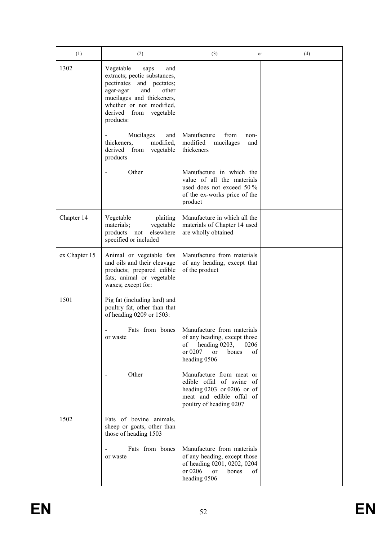| (1)           | (2)                                                                                                                                                                                                               | (3)<br>or                                                                                                                                              | (4) |
|---------------|-------------------------------------------------------------------------------------------------------------------------------------------------------------------------------------------------------------------|--------------------------------------------------------------------------------------------------------------------------------------------------------|-----|
| 1302          | Vegetable<br>saps<br>and<br>extracts; pectic substances,<br>pectinates and pectates;<br>and<br>other<br>agar-agar<br>mucilages and thickeners,<br>whether or not modified,<br>derived from vegetable<br>products: |                                                                                                                                                        |     |
|               | Mucilages<br>and<br>thickeners,<br>modified,<br>from<br>vegetable<br>derived<br>products                                                                                                                          | Manufacture<br>from<br>non-<br>modified<br>mucilages<br>and<br>thickeners                                                                              |     |
|               | Other                                                                                                                                                                                                             | Manufacture in which the<br>value of all the materials<br>used does not exceed 50 %<br>of the ex-works price of the<br>product                         |     |
| Chapter 14    | Vegetable<br>plaiting<br>materials;<br>vegetable<br>elsewhere<br>products not<br>specified or included                                                                                                            | Manufacture in which all the<br>materials of Chapter 14 used<br>are wholly obtained                                                                    |     |
| ex Chapter 15 | Animal or vegetable fats<br>and oils and their cleavage<br>products; prepared edible<br>fats; animal or vegetable<br>waxes; except for:                                                                           | Manufacture from materials<br>of any heading, except that<br>of the product                                                                            |     |
| 1501          | Pig fat (including lard) and<br>poultry fat, other than that<br>of heading 0209 or 1503:                                                                                                                          |                                                                                                                                                        |     |
|               | Fats from bones<br>or waste                                                                                                                                                                                       | Manufacture from materials<br>of any heading, except those<br>heading 0203,<br>0206<br>of<br>or 0207<br>bones<br>οf<br>or<br>heading 0506              |     |
|               | Other                                                                                                                                                                                                             | Manufacture from meat or<br>edible offal of swine of<br>heading 0203 or 0206 or of<br>meat and edible offal of<br>poultry of heading 0207              |     |
| 1502          | Fats of bovine animals,<br>sheep or goats, other than<br>those of heading 1503                                                                                                                                    |                                                                                                                                                        |     |
|               | Fats from bones<br>or waste                                                                                                                                                                                       | Manufacture from materials<br>of any heading, except those<br>of heading 0201, 0202, 0204<br>or $0206$<br><sub>or</sub><br>bones<br>οf<br>heading 0506 |     |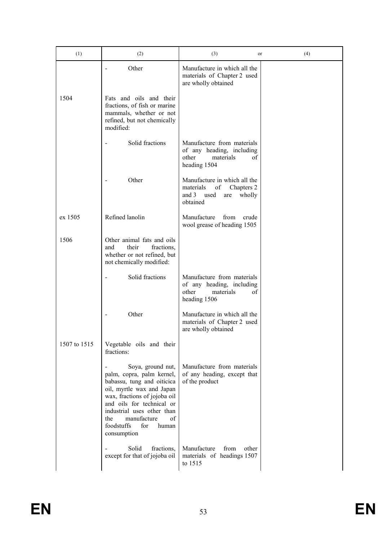| (1)          | (2)                                                                                                                                                                                                                                                                           | (3)<br>or                                                                                                | (4) |
|--------------|-------------------------------------------------------------------------------------------------------------------------------------------------------------------------------------------------------------------------------------------------------------------------------|----------------------------------------------------------------------------------------------------------|-----|
|              | Other                                                                                                                                                                                                                                                                         | Manufacture in which all the<br>materials of Chapter 2 used<br>are wholly obtained                       |     |
| 1504         | Fats and oils and their<br>fractions, of fish or marine<br>mammals, whether or not<br>refined, but not chemically<br>modified:                                                                                                                                                |                                                                                                          |     |
|              | Solid fractions                                                                                                                                                                                                                                                               | Manufacture from materials<br>of any heading, including<br>other<br>materials<br>οf<br>heading 1504      |     |
|              | Other                                                                                                                                                                                                                                                                         | Manufacture in which all the<br>of<br>materials<br>Chapters 2<br>and 3 used<br>wholly<br>are<br>obtained |     |
| ex 1505      | Refined lanolin                                                                                                                                                                                                                                                               | Manufacture<br>from<br>crude<br>wool grease of heading 1505                                              |     |
| 1506         | Other animal fats and oils<br>their<br>fractions,<br>and<br>whether or not refined, but<br>not chemically modified:                                                                                                                                                           |                                                                                                          |     |
|              | Solid fractions                                                                                                                                                                                                                                                               | Manufacture from materials<br>of any heading, including<br>other<br>materials<br>of<br>heading 1506      |     |
|              | Other                                                                                                                                                                                                                                                                         | Manufacture in which all the<br>materials of Chapter 2 used<br>are wholly obtained                       |     |
| 1507 to 1515 | Vegetable oils and their<br>fractions:                                                                                                                                                                                                                                        |                                                                                                          |     |
|              | Soya, ground nut,<br>palm, copra, palm kernel,<br>babassu, tung and oiticica<br>oil, myrtle wax and Japan<br>wax, fractions of jojoba oil<br>and oils for technical or<br>industrial uses other than<br>of<br>manufacture<br>the<br>foodstuffs<br>for<br>human<br>consumption | Manufacture from materials<br>of any heading, except that<br>of the product                              |     |
|              | Solid<br>fractions,<br>except for that of jojoba oil                                                                                                                                                                                                                          | Manufacture<br>from<br>other<br>materials of headings 1507<br>to 1515                                    |     |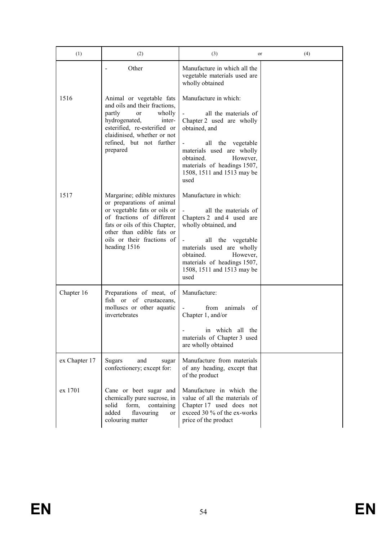| (1)           | (2)                                                                                                                                                                                                                              | (3)<br>or                                                                                                                                                                                                                                                                      | (4) |
|---------------|----------------------------------------------------------------------------------------------------------------------------------------------------------------------------------------------------------------------------------|--------------------------------------------------------------------------------------------------------------------------------------------------------------------------------------------------------------------------------------------------------------------------------|-----|
|               | Other                                                                                                                                                                                                                            | Manufacture in which all the<br>vegetable materials used are<br>wholly obtained                                                                                                                                                                                                |     |
| 1516          | Animal or vegetable fats<br>and oils and their fractions,<br>partly<br>wholly<br><sub>or</sub><br>hydrogenated,<br>inter-<br>esterified, re-esterified or<br>elaidinised, whether or not<br>refined, but not further<br>prepared | Manufacture in which:<br>all the materials of<br>Chapter 2 used are wholly<br>obtained, and<br>all the vegetable<br>materials used are wholly<br>obtained.<br>However,<br>materials of headings 1507,<br>1508, 1511 and 1513 may be<br>used                                    |     |
| 1517          | Margarine; edible mixtures<br>or preparations of animal<br>or vegetable fats or oils or<br>of fractions of different<br>fats or oils of this Chapter,<br>other than edible fats or<br>oils or their fractions of<br>heading 1516 | Manufacture in which:<br>all the materials of<br>Chapters 2 and 4 used are<br>wholly obtained, and<br>all the vegetable<br>$\overline{\phantom{a}}$<br>materials used are wholly<br>However,<br>obtained.<br>materials of headings 1507,<br>1508, 1511 and 1513 may be<br>used |     |
| Chapter 16    | Preparations of meat, of<br>of crustaceans,<br>fish or<br>molluscs or other aquatic<br>invertebrates                                                                                                                             | Manufacture:<br>from<br>animals<br>of<br>Chapter 1, and/or<br>in which all the<br>materials of Chapter 3 used<br>are wholly obtained                                                                                                                                           |     |
| ex Chapter 17 | <b>Sugars</b><br>and<br>sugar<br>confectionery; except for:                                                                                                                                                                      | Manufacture from materials<br>of any heading, except that<br>of the product                                                                                                                                                                                                    |     |
| ex 1701       | Cane or beet sugar and<br>chemically pure sucrose, in<br>solid<br>form,<br>containing<br>flavouring<br>added<br>or<br>colouring matter                                                                                           | Manufacture in which the<br>value of all the materials of<br>Chapter 17 used does not<br>exceed 30 % of the ex-works<br>price of the product                                                                                                                                   |     |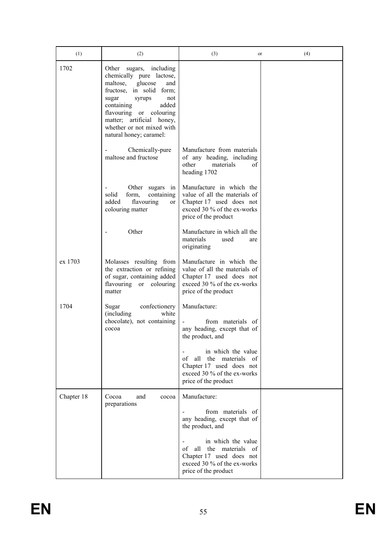| (1)        | (2)                                                                                                                                                                                                                                                                               | (3)<br>or                                                                                                                                                    | (4) |
|------------|-----------------------------------------------------------------------------------------------------------------------------------------------------------------------------------------------------------------------------------------------------------------------------------|--------------------------------------------------------------------------------------------------------------------------------------------------------------|-----|
| 1702       | Other<br>sugars, including<br>chemically pure lactose,<br>maltose,<br>glucose<br>and<br>fructose, in solid form;<br>sugar<br>syrups<br>not<br>containing<br>added<br>flavouring or colouring<br>matter; artificial honey,<br>whether or not mixed with<br>natural honey; caramel: |                                                                                                                                                              |     |
|            | Chemically-pure<br>maltose and fructose                                                                                                                                                                                                                                           | Manufacture from materials<br>of any heading, including<br>other<br>materials<br>οf<br>heading 1702                                                          |     |
|            | Other sugars in<br>containing<br>solid<br>form,<br>added<br>flavouring<br>or<br>colouring matter                                                                                                                                                                                  | Manufacture in which the<br>value of all the materials of<br>Chapter 17 used does not<br>exceed 30 % of the ex-works<br>price of the product                 |     |
|            | Other                                                                                                                                                                                                                                                                             | Manufacture in which all the<br>materials<br>used<br>are<br>originating                                                                                      |     |
| ex 1703    | Molasses resulting from<br>the extraction or refining<br>of sugar, containing added<br>flavouring or colouring<br>matter                                                                                                                                                          | Manufacture in which the<br>value of all the materials of<br>Chapter 17 used does not<br>exceed 30 % of the ex-works<br>price of the product                 |     |
| 1704       | confectionery<br>Sugar<br>(including)<br>white<br>chocolate), not containing<br>cocoa                                                                                                                                                                                             | Manufacture:<br>from materials of<br>any heading, except that of<br>the product, and                                                                         |     |
|            |                                                                                                                                                                                                                                                                                   | in which the value<br>all<br>the<br>materials<br>of<br>- of<br>Chapter 17 used does not<br>exceed 30 % of the ex-works<br>price of the product               |     |
| Chapter 18 | Cocoa<br>and<br>cocoa<br>preparations                                                                                                                                                                                                                                             | Manufacture:<br>from materials of<br>any heading, except that of                                                                                             |     |
|            |                                                                                                                                                                                                                                                                                   | the product, and<br>in which the value<br>all the materials<br>of<br>- of<br>Chapter 17 used does not<br>exceed 30 % of the ex-works<br>price of the product |     |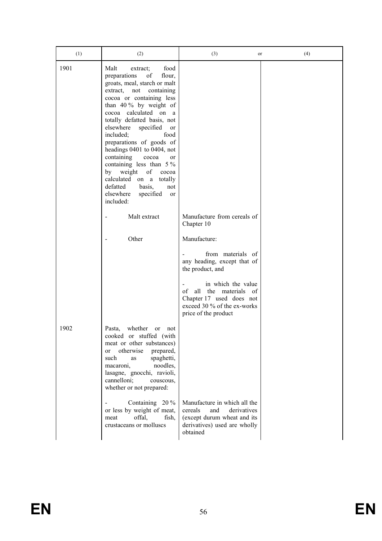| (1)  | (2)                                                                                                                                                                                                                                                                                                                                                                                                                                                                                                                                                  | (3)<br>or                                                                                                                                | (4) |
|------|------------------------------------------------------------------------------------------------------------------------------------------------------------------------------------------------------------------------------------------------------------------------------------------------------------------------------------------------------------------------------------------------------------------------------------------------------------------------------------------------------------------------------------------------------|------------------------------------------------------------------------------------------------------------------------------------------|-----|
| 1901 | Malt<br>food<br>extract;<br>preparations<br>of<br>flour,<br>groats, meal, starch or malt<br>extract, not<br>containing<br>cocoa or containing less<br>than $40\%$ by weight of<br>cocoa calculated on a<br>totally defatted basis, not<br>elsewhere<br>specified<br>or<br>included;<br>food<br>preparations of goods of<br>headings 0401 to 0404, not<br>containing<br>cocoa<br>or<br>containing less than $5\%$<br>of<br>by weight<br>cocoa<br>calculated on a<br>totally<br>defatted<br>basis,<br>not<br>elsewhere<br>specified<br>or<br>included: |                                                                                                                                          |     |
|      | Malt extract                                                                                                                                                                                                                                                                                                                                                                                                                                                                                                                                         | Manufacture from cereals of<br>Chapter 10                                                                                                |     |
|      | Other                                                                                                                                                                                                                                                                                                                                                                                                                                                                                                                                                | Manufacture:                                                                                                                             |     |
|      |                                                                                                                                                                                                                                                                                                                                                                                                                                                                                                                                                      | from materials of<br>any heading, except that of<br>the product, and                                                                     |     |
|      |                                                                                                                                                                                                                                                                                                                                                                                                                                                                                                                                                      | in which the value<br>of<br>all the materials<br>- of<br>Chapter 17 used does not<br>exceed 30 % of the ex-works<br>price of the product |     |
| 1902 | Pasta,<br>whether<br>or<br>not<br>cooked or stuffed (with<br>meat or other substances)<br>otherwise<br>prepared,<br><sub>or</sub><br>such<br>spaghetti,<br>as<br>macaroni,<br>noodles,<br>lasagne, gnocchi, ravioli,<br>cannelloni;<br>couscous,<br>whether or not prepared:                                                                                                                                                                                                                                                                         |                                                                                                                                          |     |
|      | Containing 20 %<br>or less by weight of meat,<br>offal,<br>fish,<br>meat<br>crustaceans or molluscs                                                                                                                                                                                                                                                                                                                                                                                                                                                  | Manufacture in which all the<br>and<br>derivatives<br>cereals<br>(except durum wheat and its<br>derivatives) used are wholly<br>obtained |     |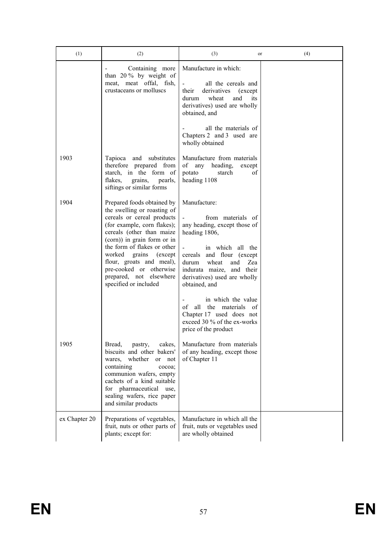| (1)           | (2)                                                                                                                                                                                                                                                                                                                                                          | (3)<br>or                                                                                                                                                                                                                                                                                                                                                                                | (4) |
|---------------|--------------------------------------------------------------------------------------------------------------------------------------------------------------------------------------------------------------------------------------------------------------------------------------------------------------------------------------------------------------|------------------------------------------------------------------------------------------------------------------------------------------------------------------------------------------------------------------------------------------------------------------------------------------------------------------------------------------------------------------------------------------|-----|
|               | Containing more<br>than $20\%$ by weight of<br>meat, meat offal, fish,<br>crustaceans or molluscs                                                                                                                                                                                                                                                            | Manufacture in which:<br>all the cereals and<br>their<br>derivatives (except<br>wheat<br>durum<br>and<br>its<br>derivatives) used are wholly<br>obtained, and                                                                                                                                                                                                                            |     |
|               |                                                                                                                                                                                                                                                                                                                                                              | all the materials of<br>Chapters 2 and 3 used are<br>wholly obtained                                                                                                                                                                                                                                                                                                                     |     |
| 1903          | and substitutes<br>Tapioca<br>therefore prepared from<br>starch, in the form of<br>flakes,<br>grains,<br>pearls,<br>siftings or similar forms                                                                                                                                                                                                                | Manufacture from materials<br>of any heading,<br>except<br>potato<br>of<br>starch<br>heading 1108                                                                                                                                                                                                                                                                                        |     |
| 1904          | Prepared foods obtained by<br>the swelling or roasting of<br>cereals or cereal products<br>(for example, corn flakes);<br>cereals (other than maize<br>(corn)) in grain form or in<br>the form of flakes or other<br>worked<br>grains<br>(except)<br>flour, groats and meal),<br>pre-cooked or otherwise<br>prepared, not elsewhere<br>specified or included | Manufacture:<br>from materials of<br>any heading, except those of<br>heading 1806,<br>in which all the<br>cereals and flour (except<br>durum<br>wheat<br>and<br>Zea<br>indurata maize, and their<br>derivatives) used are wholly<br>obtained, and<br>in which the value<br>of<br>all the materials of<br>Chapter 17 used does not<br>exceed 30 % of the ex-works<br>price of the product |     |
| 1905          | Bread,<br>cakes,<br>pastry,<br>biscuits and other bakers'<br>whether<br>wares,<br>or not<br>containing<br>cocoa;<br>communion wafers, empty<br>cachets of a kind suitable<br>for pharmaceutical<br>use,<br>sealing wafers, rice paper<br>and similar products                                                                                                | Manufacture from materials<br>of any heading, except those<br>of Chapter 11                                                                                                                                                                                                                                                                                                              |     |
| ex Chapter 20 | Preparations of vegetables,<br>fruit, nuts or other parts of<br>plants; except for:                                                                                                                                                                                                                                                                          | Manufacture in which all the<br>fruit, nuts or vegetables used<br>are wholly obtained                                                                                                                                                                                                                                                                                                    |     |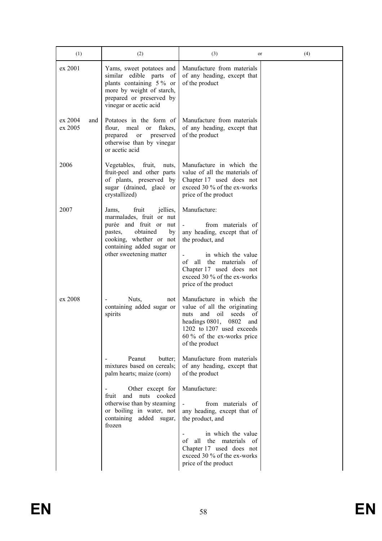| (1)                       | (2)                                                                                                                                                                                              | (3)<br>or                                                                                                                                                                                                                   | (4) |
|---------------------------|--------------------------------------------------------------------------------------------------------------------------------------------------------------------------------------------------|-----------------------------------------------------------------------------------------------------------------------------------------------------------------------------------------------------------------------------|-----|
| ex 2001                   | Yams, sweet potatoes and<br>similar edible parts<br>- of<br>plants containing 5% or<br>more by weight of starch,<br>prepared or preserved by<br>vinegar or acetic acid                           | Manufacture from materials<br>of any heading, except that<br>of the product                                                                                                                                                 |     |
| ex 2004<br>and<br>ex 2005 | Potatoes in the form of<br>flour, meal<br>flakes,<br><sub>or</sub><br>preserved<br>prepared<br>or<br>otherwise than by vinegar<br>or acetic acid                                                 | Manufacture from materials<br>of any heading, except that<br>of the product                                                                                                                                                 |     |
| 2006                      | Vegetables, fruit,<br>nuts,<br>fruit-peel and other parts<br>of plants, preserved by<br>sugar (drained, glacé or<br>crystallized)                                                                | Manufacture in which the<br>value of all the materials of<br>Chapter 17 used does not<br>exceed 30 % of the ex-works<br>price of the product                                                                                |     |
| 2007                      | fruit<br>jellies,<br>Jams,<br>marmalades, fruit or nut<br>purée and fruit or nut<br>obtained<br>pastes,<br>by<br>cooking, whether or not<br>containing added sugar or<br>other sweetening matter | Manufacture:<br>from materials of<br>any heading, except that of<br>the product, and<br>in which the value<br>of<br>all the materials of<br>Chapter 17 used does not<br>exceed 30 % of the ex-works<br>price of the product |     |
| ex 2008                   | Nuts,<br>not<br>containing added sugar or<br>spirits                                                                                                                                             | Manufacture in which the<br>value of all the originating<br>and<br>oil<br>seeds of<br>nuts<br>headings 0801,<br>0802<br>and<br>1202 to 1207 used exceeds<br>$60\%$ of the ex-works price<br>of the product                  |     |
|                           | Peanut<br>butter;<br>mixtures based on cereals;<br>palm hearts; maize (corn)                                                                                                                     | Manufacture from materials<br>of any heading, except that<br>of the product                                                                                                                                                 |     |
|                           | Other except for<br>fruit<br>and<br>nuts cooked<br>otherwise than by steaming<br>or boiling in water, not<br>containing added sugar,<br>frozen                                                   | Manufacture:<br>from materials of<br>any heading, except that of<br>the product, and<br>in which the value<br>all the materials of<br>of<br>Chapter 17 used does not<br>exceed 30 % of the ex-works<br>price of the product |     |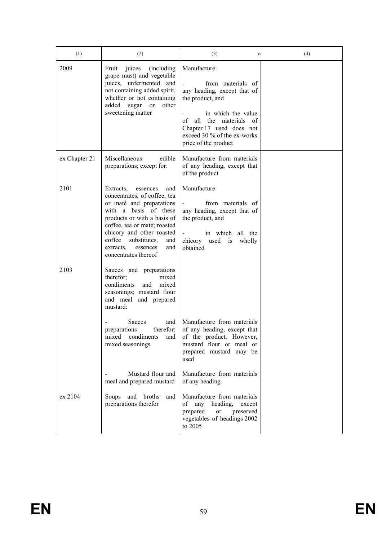| (1)           | (2)                                                                                                                                                                                                                                                                                                    | (3)<br>or                                                                                                                                                                                                                           | (4) |
|---------------|--------------------------------------------------------------------------------------------------------------------------------------------------------------------------------------------------------------------------------------------------------------------------------------------------------|-------------------------------------------------------------------------------------------------------------------------------------------------------------------------------------------------------------------------------------|-----|
| 2009          | Fruit<br>juices<br>(including)<br>grape must) and vegetable<br>juices, unfermented and<br>not containing added spirit,<br>whether or not containing<br>other<br>added<br>sugar<br><sub>or</sub><br>sweetening matter                                                                                   | Manufacture:<br>from materials of<br>any heading, except that of<br>the product, and<br>in which the value<br>the materials<br>of<br>all<br>- of<br>Chapter 17 used does not<br>exceed 30 % of the ex-works<br>price of the product |     |
| ex Chapter 21 | Miscellaneous<br>edible<br>preparations; except for:                                                                                                                                                                                                                                                   | Manufacture from materials<br>of any heading, except that<br>of the product                                                                                                                                                         |     |
| 2101          | Extracts,<br>and<br>essences<br>concentrates, of coffee, tea<br>or maté and preparations<br>with a basis of these<br>products or with a basis of<br>coffee, tea or maté; roasted<br>chicory and other roasted<br>coffee<br>substitutes,<br>and<br>and<br>extracts,<br>essences<br>concentrates thereof | Manufacture:<br>from materials of<br>any heading, except that of<br>the product, and<br>in which all the<br>chicory<br>used<br>wholly<br><i>is</i><br>obtained                                                                      |     |
| 2103          | Sauces and preparations<br>therefor;<br>mixed<br>condiments<br>and<br>mixed<br>seasonings; mustard flour<br>and meal and prepared<br>mustard:                                                                                                                                                          |                                                                                                                                                                                                                                     |     |
|               | <b>Sauces</b><br>and<br>therefor;<br>preparations<br>condiments<br>mixed<br>and<br>mixed seasonings                                                                                                                                                                                                    | Manufacture from materials<br>of any heading, except that<br>of the product. However,<br>mustard flour or meal or<br>prepared mustard may be<br>used                                                                                |     |
|               | Mustard flour and<br>meal and prepared mustard                                                                                                                                                                                                                                                         | Manufacture from materials<br>of any heading                                                                                                                                                                                        |     |
| ex 2104       | Soups and broths<br>and<br>preparations therefor                                                                                                                                                                                                                                                       | Manufacture from materials<br>of<br>any heading,<br>except<br>prepared<br>preserved<br>or<br>vegetables of headings 2002<br>to $2005$                                                                                               |     |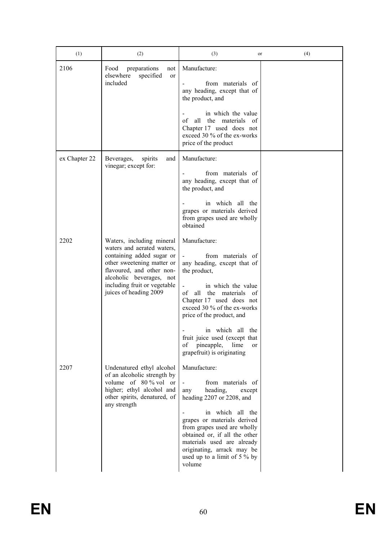| (1)           | (2)                                                                                                                                                                                                                                   | (3)<br>or                                                                                                                                                                                                                                                                                                                                                    | (4) |
|---------------|---------------------------------------------------------------------------------------------------------------------------------------------------------------------------------------------------------------------------------------|--------------------------------------------------------------------------------------------------------------------------------------------------------------------------------------------------------------------------------------------------------------------------------------------------------------------------------------------------------------|-----|
| 2106          | Food<br>preparations<br>not<br>elsewhere<br>specified<br><sub>or</sub><br>included                                                                                                                                                    | Manufacture:<br>from materials of<br>any heading, except that of<br>the product, and<br>in which the value<br>all the<br>materials<br>of<br>- of<br>Chapter 17 used does not<br>exceed 30 % of the ex-works<br>price of the product                                                                                                                          |     |
| ex Chapter 22 | and<br>Beverages,<br>spirits<br>vinegar; except for:                                                                                                                                                                                  | Manufacture:<br>from materials of<br>any heading, except that of<br>the product, and<br>in which all the<br>grapes or materials derived<br>from grapes used are wholly<br>obtained                                                                                                                                                                           |     |
| 2202          | Waters, including mineral<br>waters and aerated waters,<br>containing added sugar or<br>other sweetening matter or<br>flavoured, and other non-<br>alcoholic beverages, not<br>including fruit or vegetable<br>juices of heading 2009 | Manufacture:<br>from materials of<br>any heading, except that of<br>the product,<br>in which the value<br>of<br>all the materials of<br>Chapter 17 used does not<br>exceed 30 % of the ex-works<br>price of the product, and<br>in which all the<br>fruit juice used (except that<br>of<br>pineapple,<br>lime<br><sub>or</sub><br>grapefruit) is originating |     |
| 2207          | Undenatured ethyl alcohol<br>of an alcoholic strength by<br>volume of $80\%$ vol or<br>higher; ethyl alcohol and<br>other spirits, denatured, of<br>any strength                                                                      | Manufacture:<br>from materials of<br>heading,<br>any<br>except<br>heading 2207 or 2208, and<br>in which all the<br>grapes or materials derived<br>from grapes used are wholly<br>obtained or, if all the other<br>materials used are already<br>originating, arrack may be<br>used up to a limit of 5 % by<br>volume                                         |     |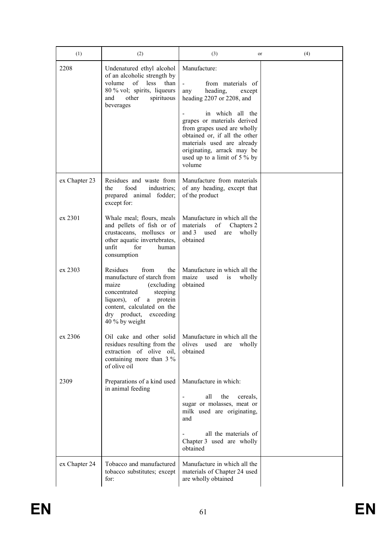| (1)           | (2)                                                                                                                                                                                                              | (3)<br>or                                                                                                                                                                                                                                                                                                              | (4) |
|---------------|------------------------------------------------------------------------------------------------------------------------------------------------------------------------------------------------------------------|------------------------------------------------------------------------------------------------------------------------------------------------------------------------------------------------------------------------------------------------------------------------------------------------------------------------|-----|
| 2208          | Undenatured ethyl alcohol<br>of an alcoholic strength by<br>of less<br>volume<br>than<br>80 % vol; spirits, liqueurs<br>other<br>spirituous<br>and<br>beverages                                                  | Manufacture:<br>from materials of<br>heading,<br>any<br>except<br>heading 2207 or 2208, and<br>in which all the<br>grapes or materials derived<br>from grapes used are wholly<br>obtained or, if all the other<br>materials used are already<br>originating, arrack may be<br>used up to a limit of $5\%$ by<br>volume |     |
| ex Chapter 23 | Residues and waste from<br>food<br>the<br>industries;<br>prepared animal fodder;<br>except for:                                                                                                                  | Manufacture from materials<br>of any heading, except that<br>of the product                                                                                                                                                                                                                                            |     |
| ex 2301       | Whale meal; flours, meals<br>and pellets of fish or of<br>crustaceans, molluscs or<br>other aquatic invertebrates,<br>unfit<br>for<br>human<br>consumption                                                       | Manufacture in which all the<br>materials<br>of<br>Chapters 2<br>and $3$<br>used<br>wholly<br>are<br>obtained                                                                                                                                                                                                          |     |
| ex 2303       | Residues<br>from<br>the<br>manufacture of starch from<br>maize<br>(excluding)<br>concentrated<br>steeping<br>liquors), of<br>a protein<br>content, calculated on the<br>dry product, exceeding<br>40 % by weight | Manufacture in which all the<br>maize<br>used<br>wholly<br>1S<br>obtained                                                                                                                                                                                                                                              |     |
| ex 2306       | Oil cake and other solid<br>residues resulting from the<br>extraction of olive<br>oil,<br>containing more than $3\%$<br>of olive oil                                                                             | Manufacture in which all the<br>olives<br>used<br>wholly<br>are<br>obtained                                                                                                                                                                                                                                            |     |
| 2309          | Preparations of a kind used<br>in animal feeding                                                                                                                                                                 | Manufacture in which:<br>all<br>the<br>cereals,<br>sugar or molasses, meat or<br>milk used are originating,<br>and<br>all the materials of<br>Chapter 3 used are wholly<br>obtained                                                                                                                                    |     |
| ex Chapter 24 | Tobacco and manufactured<br>tobacco substitutes; except<br>for:                                                                                                                                                  | Manufacture in which all the<br>materials of Chapter 24 used<br>are wholly obtained                                                                                                                                                                                                                                    |     |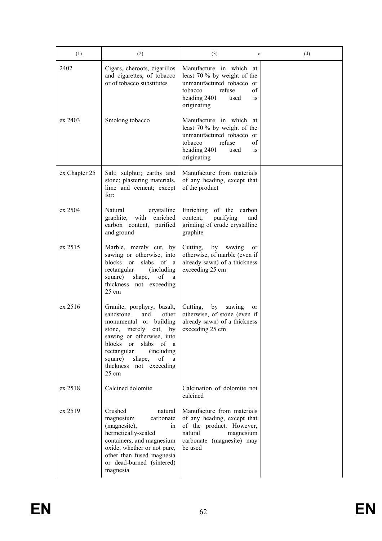| (1)           | (2)                                                                                                                                                                                                                                                                                                               | (3)<br>or                                                                                                                                                   | (4) |
|---------------|-------------------------------------------------------------------------------------------------------------------------------------------------------------------------------------------------------------------------------------------------------------------------------------------------------------------|-------------------------------------------------------------------------------------------------------------------------------------------------------------|-----|
| 2402          | Cigars, cheroots, cigarillos<br>and cigarettes, of tobacco<br>or of tobacco substitutes                                                                                                                                                                                                                           | Manufacture in which at<br>least 70 % by weight of the<br>unmanufactured tobacco or<br>tobacco<br>refuse<br>of<br>heading 2401<br>used<br>1S<br>originating |     |
| ex 2403       | Smoking tobacco                                                                                                                                                                                                                                                                                                   | Manufacture in which at<br>least 70 % by weight of the<br>unmanufactured tobacco or<br>tobacco<br>refuse<br>of<br>heading 2401<br>used<br>1S<br>originating |     |
| ex Chapter 25 | Salt; sulphur; earths and<br>stone; plastering materials,<br>lime and cement; except<br>for:                                                                                                                                                                                                                      | Manufacture from materials<br>of any heading, except that<br>of the product                                                                                 |     |
| ex 2504       | Natural<br>crystalline<br>with<br>enriched<br>graphite,<br>carbon content, purified<br>and ground                                                                                                                                                                                                                 | Enriching of the carbon<br>content,<br>purifying<br>and<br>grinding of crude crystalline<br>graphite                                                        |     |
| ex 2515       | Marble, merely cut, by<br>sawing or otherwise, into<br>blocks or<br>of a<br>slabs<br>rectangular<br>(including)<br>$% \left( \left( \mathcal{A},\mathcal{A}\right) \right) =\left( \mathcal{A},\mathcal{A}\right)$ of<br>square)<br>shape,<br>a<br>thickness not exceeding<br>$25 \text{ cm}$                     | by<br>Cutting,<br>sawing<br>or<br>otherwise, of marble (even if<br>already sawn) of a thickness<br>exceeding 25 cm                                          |     |
| ex 2516       | Granite, porphyry, basalt,<br>sandstone<br>other<br>and<br>building<br>monumental or<br>merely<br>cut,<br>by<br>stone,<br>sawing or otherwise, into<br>blocks<br>of<br><sub>or</sub><br>slabs<br>a<br>rectangular<br>(including)<br>of<br>square)<br>shape,<br>a<br>thickness<br>not exceeding<br>$25 \text{ cm}$ | by<br>Cutting,<br>sawing<br><sub>or</sub><br>otherwise, of stone (even if<br>already sawn) of a thickness<br>exceeding 25 cm                                |     |
| ex 2518       | Calcined dolomite                                                                                                                                                                                                                                                                                                 | Calcination of dolomite not<br>calcined                                                                                                                     |     |
| ex 2519       | Crushed<br>natural<br>magnesium<br>carbonate<br>(magnesite),<br>in<br>hermetically-sealed<br>containers, and magnesium<br>oxide, whether or not pure,<br>other than fused magnesia<br>or dead-burned (sintered)<br>magnesia                                                                                       | Manufacture from materials<br>of any heading, except that<br>of the product. However,<br>natural<br>magnesium<br>carbonate (magnesite) may<br>be used       |     |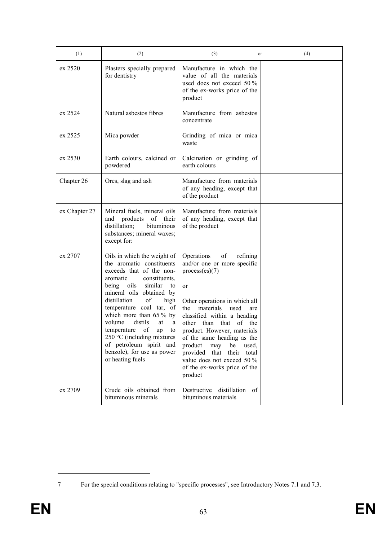| (1)           | (2)                                                                                                                                                                                                                                                                                                                                                                                                                                                | (3)                                                                                                                                                                                                                                                                                                                                                                                                                | or         | (4) |
|---------------|----------------------------------------------------------------------------------------------------------------------------------------------------------------------------------------------------------------------------------------------------------------------------------------------------------------------------------------------------------------------------------------------------------------------------------------------------|--------------------------------------------------------------------------------------------------------------------------------------------------------------------------------------------------------------------------------------------------------------------------------------------------------------------------------------------------------------------------------------------------------------------|------------|-----|
| ex 2520       | Plasters specially prepared<br>for dentistry                                                                                                                                                                                                                                                                                                                                                                                                       | Manufacture in which the<br>value of all the materials<br>used does not exceed 50 $\%$<br>of the ex-works price of the<br>product                                                                                                                                                                                                                                                                                  |            |     |
| ex 2524       | Natural asbestos fibres                                                                                                                                                                                                                                                                                                                                                                                                                            | Manufacture from asbestos<br>concentrate                                                                                                                                                                                                                                                                                                                                                                           |            |     |
| ex 2525       | Mica powder                                                                                                                                                                                                                                                                                                                                                                                                                                        | Grinding of mica or mica<br>waste                                                                                                                                                                                                                                                                                                                                                                                  |            |     |
| ex 2530       | Earth colours, calcined or<br>powdered                                                                                                                                                                                                                                                                                                                                                                                                             | Calcination or grinding of<br>earth colours                                                                                                                                                                                                                                                                                                                                                                        |            |     |
| Chapter 26    | Ores, slag and ash                                                                                                                                                                                                                                                                                                                                                                                                                                 | Manufacture from materials<br>of any heading, except that<br>of the product                                                                                                                                                                                                                                                                                                                                        |            |     |
| ex Chapter 27 | Mineral fuels, mineral oils<br>and products of their<br>distillation;<br>bituminous<br>substances; mineral waxes;<br>except for:                                                                                                                                                                                                                                                                                                                   | Manufacture from materials<br>of any heading, except that<br>of the product                                                                                                                                                                                                                                                                                                                                        |            |     |
| ex 2707       | Oils in which the weight of<br>the aromatic constituents<br>exceeds that of the non-<br>aromatic<br>constituents,<br>oils<br>similar<br>being<br>to<br>mineral oils obtained by<br>of<br>distillation<br>high<br>temperature coal tar, of<br>which more than $65\%$ by<br>volume<br>distils<br>at<br>a<br>of<br>temperature<br>up<br>to<br>250 °C (including mixtures<br>of petroleum spirit and<br>benzole), for use as power<br>or heating fuels | Operations<br>of<br>refining<br>and/or one or more specific<br>process(es)(7)<br>or<br>Other operations in which all<br>materials<br>the<br>used<br>classified within a heading<br>other than<br>that<br>of<br>product. However, materials<br>of the same heading as the<br>product<br>may<br>be<br>used,<br>provided that<br>their total<br>value does not exceed 50 %<br>of the ex-works price of the<br>product | are<br>the |     |
| ex 2709       | Crude oils obtained from<br>bituminous minerals                                                                                                                                                                                                                                                                                                                                                                                                    | Destructive<br>distillation of<br>bituminous materials                                                                                                                                                                                                                                                                                                                                                             |            |     |

<sup>7</sup> For the special conditions relating to "specific processes", see Introductory Notes 7.1 and 7.3.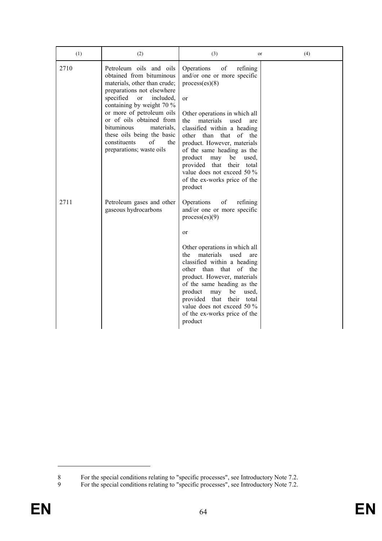| (1)  | (2)                                                                                                                                                                                                                                                                                                                                                                          | (3)<br>or                                                                                                                                                                                                                                                                                                                                                                                                               | (4) |
|------|------------------------------------------------------------------------------------------------------------------------------------------------------------------------------------------------------------------------------------------------------------------------------------------------------------------------------------------------------------------------------|-------------------------------------------------------------------------------------------------------------------------------------------------------------------------------------------------------------------------------------------------------------------------------------------------------------------------------------------------------------------------------------------------------------------------|-----|
| 2710 | Petroleum oils and oils<br>obtained from bituminous<br>materials, other than crude;<br>preparations not elsewhere<br>specified<br><sub>or</sub><br>included,<br>containing by weight 70 %<br>or more of petroleum oils<br>or of oils obtained from<br><i>hituminous</i><br>materials.<br>these oils being the basic<br>constituents<br>of<br>the<br>preparations; waste oils | Operations<br>of<br>refining<br>and/or one or more specific<br>process(es)(8)<br>or<br>Other operations in which all<br>materials<br>the<br>used<br>are<br>classified within a heading<br>of the<br>other than that<br>product. However, materials<br>of the same heading as the<br>product<br>may<br>be<br>used,<br>provided that their total<br>value does not exceed 50 %<br>of the ex-works price of the<br>product |     |
| 2711 | Petroleum gases and other<br>gaseous hydrocarbons                                                                                                                                                                                                                                                                                                                            | Operations<br>of<br>refining<br>and/or one or more specific<br>process(es)(9)<br>or<br>Other operations in which all<br>materials<br>used<br>the<br>are<br>classified within a heading<br>other than that<br>of the<br>product. However, materials<br>of the same heading as the<br>product<br>be<br>may<br>used.<br>provided that their total<br>value does not exceed 50 %<br>of the ex-works price of the<br>product |     |

<sup>8</sup> For the special conditions relating to "specific processes", see Introductory Note 7.2.

<sup>9</sup> For the special conditions relating to "specific processes", see Introductory Note 7.2.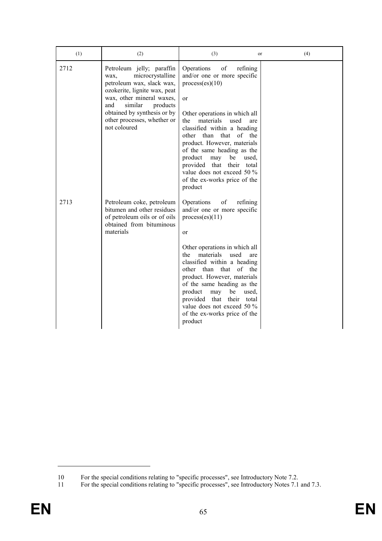| (1)  | (2)                                                                                                                                                                                                                                                         | (3)<br>or                                                                                                                                                                                                                                                                                                                                                                                                                               | (4) |
|------|-------------------------------------------------------------------------------------------------------------------------------------------------------------------------------------------------------------------------------------------------------------|-----------------------------------------------------------------------------------------------------------------------------------------------------------------------------------------------------------------------------------------------------------------------------------------------------------------------------------------------------------------------------------------------------------------------------------------|-----|
| 2712 | Petroleum jelly; paraffin<br>microcrystalline<br>wax,<br>petroleum wax, slack wax,<br>ozokerite, lignite wax, peat<br>wax, other mineral waxes,<br>similar<br>and<br>products<br>obtained by synthesis or by<br>other processes, whether or<br>not coloured | of<br>Operations<br>refining<br>and/or one or more specific<br>process(es)(10)<br>or<br>Other operations in which all<br>the<br>materials<br>used<br>are<br>classified within a heading<br>other than that<br>of<br>the<br>product. However, materials<br>of the same heading as the<br>product<br>may<br>be<br>used.<br>provided<br>that<br>their<br>total<br>value does not exceed 50 %<br>of the ex-works price of the<br>product    |     |
| 2713 | Petroleum coke, petroleum<br>bitumen and other residues<br>of petroleum oils or of oils<br>obtained from bituminous<br>materials                                                                                                                            | Operations<br>of<br>refining<br>and/or one or more specific<br>process(es)(11)<br>or<br>Other operations in which all<br>materials<br>used<br>the<br>are<br>classified within a heading<br>than<br>that<br>of<br>other<br>the<br>product. However, materials<br>of the same heading as the<br>product<br>may<br>be<br>used.<br>provided<br>that their<br>total<br>value does not exceed 50 %<br>of the ex-works price of the<br>product |     |

<sup>10</sup> For the special conditions relating to "specific processes", see Introductory Note 7.2.

<sup>11</sup> For the special conditions relating to "specific processes", see Introductory Notes 7.1 and 7.3.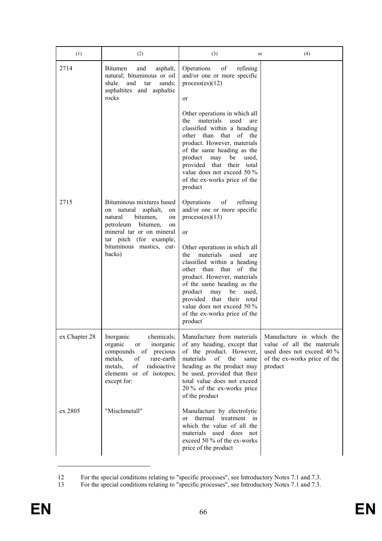| (1)           | (2)                                                                                                                                                                                                                 | (3)<br>or                                                                                                                                                                                                                                                                                                                                                                                                                     | (4)                                                                                                                            |
|---------------|---------------------------------------------------------------------------------------------------------------------------------------------------------------------------------------------------------------------|-------------------------------------------------------------------------------------------------------------------------------------------------------------------------------------------------------------------------------------------------------------------------------------------------------------------------------------------------------------------------------------------------------------------------------|--------------------------------------------------------------------------------------------------------------------------------|
| 2714          | Bitumen<br>and<br>asphalt,<br>natural; bituminous or oil<br>shale<br>and<br>tar<br>sands;<br>asphaltites and asphaltic<br>rocks                                                                                     | Operations<br>of<br>refining<br>and/or one or more specific<br>process(es)(12)<br>or                                                                                                                                                                                                                                                                                                                                          |                                                                                                                                |
|               |                                                                                                                                                                                                                     | Other operations in which all<br>materials<br>used<br>the<br>are<br>classified within a heading<br>that of the<br>other than<br>product. However, materials<br>of the same heading as the<br>product<br>may<br>be<br>used,<br>provided that<br>their total<br>value does not exceed 50 %<br>of the ex-works price of the<br>product                                                                                           |                                                                                                                                |
| 2715          | Bituminous mixtures based<br>natural asphalt,<br>on<br>on<br>bitumen,<br>natural<br>on<br>petroleum<br>bitumen,<br>on<br>mineral tar or on mineral<br>tar pitch (for example,<br>bituminous mastics, cut-<br>backs) | Operations<br>of<br>refining<br>and/or one or more specific<br>process(es)(13)<br>or<br>Other operations in which all<br>materials<br>used<br>the<br>are<br>classified within a heading<br>that of the<br>other than<br>product. However, materials<br>of the same heading as the<br>product<br>may<br>be<br>used,<br>provided that<br>their total<br>value does not exceed $50\%$<br>of the ex-works price of the<br>product |                                                                                                                                |
| ex Chapter 28 | chemicals;<br>Inorganic<br>organic<br>inorganic<br>or<br>of<br>precious<br>compounds<br>metals,<br>of<br>rare-earth<br>of<br>radioactive<br>metals,<br>elements or of isotopes;<br>except for:                      | Manufacture from materials<br>of any heading, except that<br>of the product. However,<br>materials<br>of<br>the<br>same<br>heading as the product may<br>be used, provided that their<br>total value does not exceed<br>20 % of the ex-works price<br>of the product                                                                                                                                                          | Manufacture in which the<br>value of all the materials<br>used does not exceed 40 %<br>of the ex-works price of the<br>product |
| ex 2805       | "Mischmetall"                                                                                                                                                                                                       | Manufacture by electrolytic<br>thermal treatment in<br><sub>or</sub><br>which the value of all the<br>materials used does not<br>exceed 50 % of the ex-works<br>price of the product                                                                                                                                                                                                                                          |                                                                                                                                |

<sup>12</sup> For the special conditions relating to "specific processes", see Introductory Notes 7.1 and 7.3.

<sup>13</sup> For the special conditions relating to "specific processes", see Introductory Notes 7.1 and 7.3.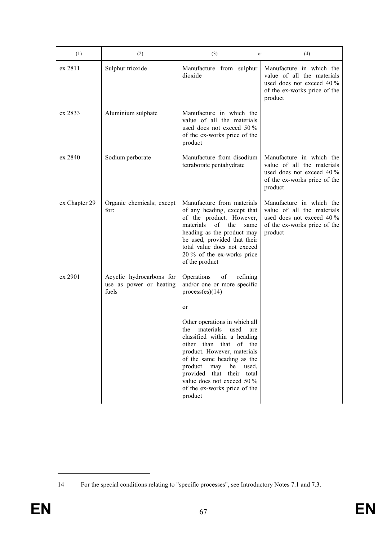| (1)           | (2)                                                          | (3)<br>or                                                                                                                                                                                                                                                                                                                           | (4)                                                                                                                            |
|---------------|--------------------------------------------------------------|-------------------------------------------------------------------------------------------------------------------------------------------------------------------------------------------------------------------------------------------------------------------------------------------------------------------------------------|--------------------------------------------------------------------------------------------------------------------------------|
| ex 2811       | Sulphur trioxide                                             | Manufacture from sulphur<br>dioxide                                                                                                                                                                                                                                                                                                 | Manufacture in which the<br>value of all the materials<br>used does not exceed 40 %<br>of the ex-works price of the<br>product |
| ex 2833       | Aluminium sulphate                                           | Manufacture in which the<br>value of all the materials<br>used does not exceed 50 %<br>of the ex-works price of the<br>product                                                                                                                                                                                                      |                                                                                                                                |
| ex 2840       | Sodium perborate                                             | Manufacture from disodium<br>tetraborate pentahydrate                                                                                                                                                                                                                                                                               | Manufacture in which the<br>value of all the materials<br>used does not exceed 40 %<br>of the ex-works price of the<br>product |
| ex Chapter 29 | Organic chemicals; except<br>for:                            | Manufacture from materials<br>of any heading, except that<br>of the product. However,<br>materials<br>of<br>the<br>same<br>heading as the product may<br>be used, provided that their<br>total value does not exceed<br>20 % of the ex-works price<br>of the product                                                                | Manufacture in which the<br>value of all the materials<br>used does not exceed 40 %<br>of the ex-works price of the<br>product |
| ex 2901       | Acyclic hydrocarbons for<br>use as power or heating<br>fuels | Operations<br>of<br>refining<br>and/or one or more specific<br>process(es)(14)<br>or                                                                                                                                                                                                                                                |                                                                                                                                |
|               |                                                              | Other operations in which all<br>the<br>materials<br>used<br>are<br>classified within a heading<br>other than that of the<br>product. However, materials<br>of the same heading as the<br>product<br>may<br>be<br>used,<br>provided that<br>their<br>total<br>value does not exceed 50 %<br>of the ex-works price of the<br>product |                                                                                                                                |

<sup>14</sup> For the special conditions relating to "specific processes", see Introductory Notes 7.1 and 7.3.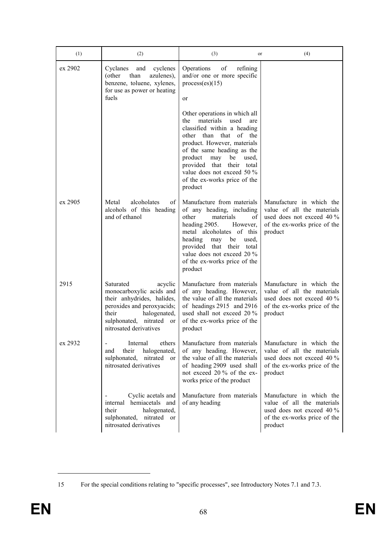| (1)     | (2)                                                                                                                                                                                                          | (3)<br>or                                                                                                                                                                                                                                                                                                                              | (4)                                                                                                                              |
|---------|--------------------------------------------------------------------------------------------------------------------------------------------------------------------------------------------------------------|----------------------------------------------------------------------------------------------------------------------------------------------------------------------------------------------------------------------------------------------------------------------------------------------------------------------------------------|----------------------------------------------------------------------------------------------------------------------------------|
| ex 2902 | Cyclanes<br>and<br>cyclenes<br>than<br>azulenes),<br>(other)<br>benzene, toluene, xylenes,<br>for use as power or heating<br>fuels                                                                           | Operations<br>of<br>refining<br>and/or one or more specific<br>process(es)(15)<br>or                                                                                                                                                                                                                                                   |                                                                                                                                  |
|         |                                                                                                                                                                                                              | Other operations in which all<br>materials<br>used<br>the<br>are<br>classified within a heading<br>that of the<br>other than<br>product. However, materials<br>of the same heading as the<br>product<br>may<br>used,<br>be<br>provided<br>that<br>their total<br>value does not exceed 50 %<br>of the ex-works price of the<br>product |                                                                                                                                  |
| ex 2905 | alcoholates<br>of<br>Metal<br>alcohols of this heading<br>and of ethanol                                                                                                                                     | Manufacture from materials<br>of any heading, including<br>materials<br>other<br>of<br>heading 2905.<br>However,<br>metal alcoholates of this<br>heading<br>used,<br>may<br>be<br>provided that<br>their total<br>value does not exceed 20 %<br>of the ex-works price of the<br>product                                                | Manufacture in which the<br>value of all the materials<br>used does not exceed 40 %<br>of the ex-works price of the<br>product   |
| 2915    | Saturated<br>acyclic<br>monocarboxylic acids and<br>their anhydrides, halides,<br>peroxides and peroxyacids;<br>their<br>halogenated,<br>nitrated<br>sulphonated,<br><sub>or</sub><br>nitrosated derivatives | Manufacture from materials<br>of any heading. However,<br>the value of all the materials<br>of headings 2915 and 2916<br>used shall not exceed 20 %<br>of the ex-works price of the<br>product                                                                                                                                         | Manufacture in which the<br>value of all the materials<br>used does not exceed 40 %<br>of the ex-works price of the<br>product   |
| ex 2932 | ethers<br>Internal<br>halogenated,<br>their<br>and<br>sulphonated,<br>nitrated<br>or<br>nitrosated derivatives                                                                                               | Manufacture from materials<br>of any heading. However,<br>the value of all the materials<br>of heading 2909 used shall<br>not exceed 20 % of the ex-<br>works price of the product                                                                                                                                                     | Manufacture in which the<br>value of all the materials<br>used does not exceed 40 %<br>of the ex-works price of the<br>product   |
|         | Cyclic acetals and<br>internal hemiacetals and<br>halogenated,<br>their<br>sulphonated, nitrated or<br>nitrosated derivatives                                                                                | Manufacture from materials<br>of any heading                                                                                                                                                                                                                                                                                           | Manufacture in which the<br>value of all the materials<br>used does not exceed $40\%$<br>of the ex-works price of the<br>product |

<sup>15</sup> For the special conditions relating to "specific processes", see Introductory Notes 7.1 and 7.3.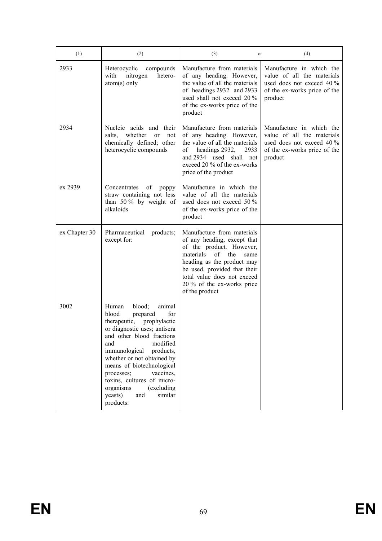| (1)           | (2)                                                                                                                                                                                                                                                                                                                                                                                          | (3)<br>or                                                                                                                                                                                                                                                            | (4)                                                                                                                            |
|---------------|----------------------------------------------------------------------------------------------------------------------------------------------------------------------------------------------------------------------------------------------------------------------------------------------------------------------------------------------------------------------------------------------|----------------------------------------------------------------------------------------------------------------------------------------------------------------------------------------------------------------------------------------------------------------------|--------------------------------------------------------------------------------------------------------------------------------|
| 2933          | Heterocyclic<br>compounds<br>with<br>nitrogen<br>hetero-<br>$atom(s)$ only                                                                                                                                                                                                                                                                                                                   | Manufacture from materials<br>of any heading. However,<br>the value of all the materials<br>of headings 2932 and 2933<br>used shall not exceed 20 %<br>of the ex-works price of the<br>product                                                                       | Manufacture in which the<br>value of all the materials<br>used does not exceed 40 %<br>of the ex-works price of the<br>product |
| 2934          | Nucleic acids and their<br>whether<br>salts,<br>or<br>not<br>chemically defined; other<br>heterocyclic compounds                                                                                                                                                                                                                                                                             | Manufacture from materials<br>of any heading. However,<br>the value of all the materials<br>headings 2932,<br>оf<br>2933<br>and 2934 used shall not<br>exceed 20 % of the ex-works<br>price of the product                                                           | Manufacture in which the<br>value of all the materials<br>used does not exceed 40 %<br>of the ex-works price of the<br>product |
| ex 2939       | Concentrates<br>of<br>poppy<br>straw containing not less<br>than 50% by weight of<br>alkaloids                                                                                                                                                                                                                                                                                               | Manufacture in which the<br>value of all the materials<br>used does not exceed 50 %<br>of the ex-works price of the<br>product                                                                                                                                       |                                                                                                                                |
| ex Chapter 30 | Pharmaceutical<br>products;<br>except for:                                                                                                                                                                                                                                                                                                                                                   | Manufacture from materials<br>of any heading, except that<br>of the product. However,<br>materials<br>of<br>the<br>same<br>heading as the product may<br>be used, provided that their<br>total value does not exceed<br>20 % of the ex-works price<br>of the product |                                                                                                                                |
| 3002          | blood;<br>Human<br>animal<br>for<br>blood<br>prepared<br>therapeutic,<br>prophylactic<br>or diagnostic uses; antisera<br>and other blood fractions<br>modified<br>and<br>immunological<br>products,<br>whether or not obtained by<br>means of biotechnological<br>vaccines.<br>processes;<br>toxins, cultures of micro-<br>(excluding<br>organisms<br>yeasts)<br>similar<br>and<br>products: |                                                                                                                                                                                                                                                                      |                                                                                                                                |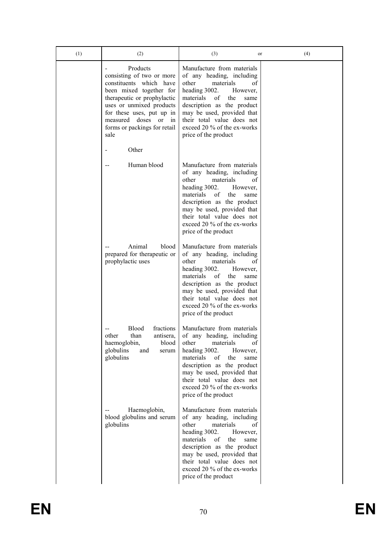| (1) | (2)                                                                                                                                                                                                                                                       | (3)<br>or                                                                                                                                                                                                                                                                                           | (4) |
|-----|-----------------------------------------------------------------------------------------------------------------------------------------------------------------------------------------------------------------------------------------------------------|-----------------------------------------------------------------------------------------------------------------------------------------------------------------------------------------------------------------------------------------------------------------------------------------------------|-----|
|     | Products<br>consisting of two or more<br>constituents which have<br>been mixed together for<br>therapeutic or prophylactic<br>uses or unmixed products<br>for these uses, put up in<br>measured doses<br>or<br>in<br>forms or packings for retail<br>sale | Manufacture from materials<br>of any heading, including<br>other<br>materials<br>οf<br>heading 3002.<br>However,<br>materials<br>οf<br>the<br>same<br>description as the product<br>may be used, provided that<br>their total value does not<br>exceed 20 % of the ex-works<br>price of the product |     |
|     | Other                                                                                                                                                                                                                                                     |                                                                                                                                                                                                                                                                                                     |     |
|     | Human blood                                                                                                                                                                                                                                               | Manufacture from materials<br>of any heading, including<br>materials<br>other<br>οf<br>heading 3002.<br>However,<br>materials<br>of<br>the<br>same<br>description as the product<br>may be used, provided that<br>their total value does not<br>exceed 20 % of the ex-works<br>price of the product |     |
|     | Animal<br>blood<br>prepared for therapeutic or<br>prophylactic uses                                                                                                                                                                                       | Manufacture from materials<br>of any heading, including<br>other<br>materials<br>οf<br>heading 3002.<br>However,<br>materials<br>of<br>the<br>same<br>description as the product<br>may be used, provided that<br>their total value does not<br>exceed 20 % of the ex-works<br>price of the product |     |
|     | <b>Blood</b><br>fractions<br>antisera,<br>than<br>other<br>blood<br>haemoglobin,<br>globulins<br>and<br>serum<br>globulins                                                                                                                                | Manufacture from materials<br>of any heading, including<br>other<br>materials<br>οf<br>heading 3002.<br>However,<br>of<br>materials<br>the<br>same<br>description as the product<br>may be used, provided that<br>their total value does not<br>exceed 20 % of the ex-works<br>price of the product |     |
|     | Haemoglobin,<br>blood globulins and serum<br>globulins                                                                                                                                                                                                    | Manufacture from materials<br>of any heading, including<br>other<br>materials<br>οf<br>heading 3002.<br>However,<br>of<br>the<br>materials<br>same<br>description as the product<br>may be used, provided that<br>their total value does not<br>exceed 20 % of the ex-works<br>price of the product |     |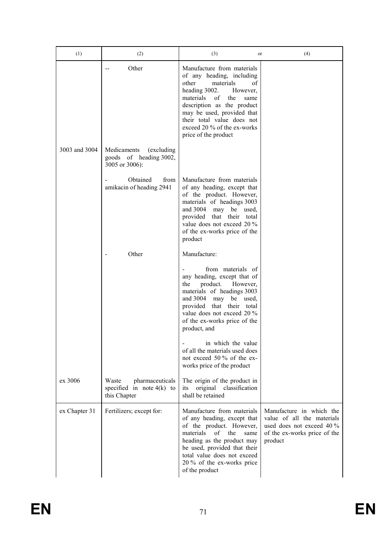| (1)           | (2)                                                                     | (3)<br>or                                                                                                                                                                                                                                                                                           | (4)                                                                                                                              |
|---------------|-------------------------------------------------------------------------|-----------------------------------------------------------------------------------------------------------------------------------------------------------------------------------------------------------------------------------------------------------------------------------------------------|----------------------------------------------------------------------------------------------------------------------------------|
|               | Other                                                                   | Manufacture from materials<br>of any heading, including<br>of<br>other<br>materials<br>heading 3002.<br>However,<br>of<br>the<br>materials<br>same<br>description as the product<br>may be used, provided that<br>their total value does not<br>exceed 20 % of the ex-works<br>price of the product |                                                                                                                                  |
| 3003 and 3004 | Medicaments<br>(excluding)<br>goods of heading 3002,<br>3005 or 3006):  |                                                                                                                                                                                                                                                                                                     |                                                                                                                                  |
|               | Obtained<br>from<br>amikacin of heading 2941                            | Manufacture from materials<br>of any heading, except that<br>of the product. However,<br>materials of headings 3003<br>and 3004 may be used,<br>provided that their total<br>value does not exceed 20 %<br>of the ex-works price of the<br>product                                                  |                                                                                                                                  |
|               | Other                                                                   | Manufacture:                                                                                                                                                                                                                                                                                        |                                                                                                                                  |
|               |                                                                         | from materials of<br>any heading, except that of<br>product.<br>the<br>However,<br>materials of headings 3003<br>and 3004<br>may be used,<br>provided that their total<br>value does not exceed 20 %<br>of the ex-works price of the<br>product, and                                                |                                                                                                                                  |
|               |                                                                         | in which the value<br>of all the materials used does<br>not exceed 50 % of the ex-<br>works price of the product                                                                                                                                                                                    |                                                                                                                                  |
| ex 3006       | Waste<br>pharmaceuticals<br>specified in note $4(k)$ to<br>this Chapter | The origin of the product in<br>original<br>classification<br>its<br>shall be retained                                                                                                                                                                                                              |                                                                                                                                  |
| ex Chapter 31 | Fertilizers; except for:                                                | Manufacture from materials<br>of any heading, except that<br>of the product. However,<br>materials<br>of<br>the<br>same<br>heading as the product may<br>be used, provided that their<br>total value does not exceed<br>20 % of the ex-works price<br>of the product                                | Manufacture in which the<br>value of all the materials<br>used does not exceed $40\%$<br>of the ex-works price of the<br>product |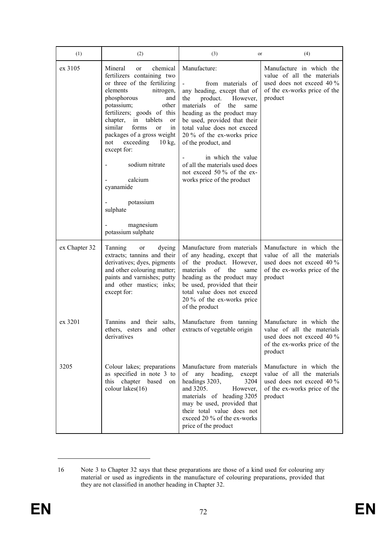| (1)           | (2)                                                                                                                                                                                                                                                                                                                                                                                                                                                                           | (3)<br>or                                                                                                                                                                                                                                                                                                                                                                                            | (4)                                                                                                                            |
|---------------|-------------------------------------------------------------------------------------------------------------------------------------------------------------------------------------------------------------------------------------------------------------------------------------------------------------------------------------------------------------------------------------------------------------------------------------------------------------------------------|------------------------------------------------------------------------------------------------------------------------------------------------------------------------------------------------------------------------------------------------------------------------------------------------------------------------------------------------------------------------------------------------------|--------------------------------------------------------------------------------------------------------------------------------|
| ex 3105       | Mineral<br>chemical<br><sub>or</sub><br>fertilizers containing two<br>or three of the fertilizing<br>elements<br>nitrogen,<br>phosphorous<br>and<br>potassium;<br>other<br>fertilizers; goods of this<br>tablets<br>chapter,<br>in<br>or<br>similar<br>forms<br><sub>or</sub><br>1n<br>packages of a gross weight<br>exceeding<br>$10 \text{ kg}$<br>not<br>except for:<br>sodium nitrate<br>calcium<br>cyanamide<br>potassium<br>sulphate<br>magnesium<br>potassium sulphate | Manufacture:<br>from materials of<br>any heading, except that of<br>the<br>product. However,<br>materials<br>of<br>the<br>same<br>heading as the product may<br>be used, provided that their<br>total value does not exceed<br>20 % of the ex-works price<br>of the product, and<br>in which the value<br>of all the materials used does<br>not exceed 50 % of the ex-<br>works price of the product | Manufacture in which the<br>value of all the materials<br>used does not exceed 40 %<br>of the ex-works price of the<br>product |
| ex Chapter 32 | Tanning<br>dyeing<br><sub>or</sub><br>extracts; tannins and their<br>derivatives; dyes, pigments<br>and other colouring matter;<br>paints and varnishes; putty<br>and other mastics; inks;<br>except for:                                                                                                                                                                                                                                                                     | Manufacture from materials<br>of any heading, except that<br>of the product. However,<br>materials<br>the<br>of<br>same<br>heading as the product may<br>be used, provided that their<br>total value does not exceed<br>20 % of the ex-works price<br>of the product                                                                                                                                 | Manufacture in which the<br>value of all the materials<br>used does not exceed 40 %<br>of the ex-works price of the<br>product |
| ex 3201       | Tannins and their salts,<br>ethers, esters and other<br>derivatives                                                                                                                                                                                                                                                                                                                                                                                                           | Manufacture from tanning<br>extracts of vegetable origin                                                                                                                                                                                                                                                                                                                                             | Manufacture in which the<br>value of all the materials<br>used does not exceed 40 %<br>of the ex-works price of the<br>product |
| 3205          | Colour lakes; preparations<br>as specified in note 3 to<br>chapter<br>this<br>based on<br>colour lakes(16)                                                                                                                                                                                                                                                                                                                                                                    | Manufacture from materials<br>heading,<br>οf<br>any<br>except<br>headings 3203,<br>3204<br>and 3205.<br>However,<br>materials of heading 3205<br>may be used, provided that<br>their total value does not<br>exceed 20 % of the ex-works<br>price of the product                                                                                                                                     | Manufacture in which the<br>value of all the materials<br>used does not exceed 40 %<br>of the ex-works price of the<br>product |

<sup>16</sup> Note 3 to Chapter 32 says that these preparations are those of a kind used for colouring any material or used as ingredients in the manufacture of colouring preparations, provided that they are not classified in another heading in Chapter 32.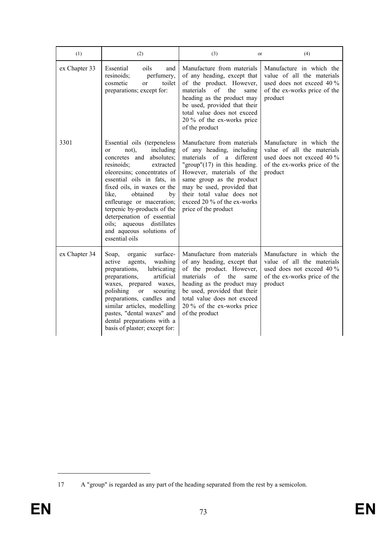| (1)           | (2)                                                                                                                                                                                                                                                                                                                                                                                                                      | (3)<br>or                                                                                                                                                                                                                                                                                              | (4)                                                                                                                            |
|---------------|--------------------------------------------------------------------------------------------------------------------------------------------------------------------------------------------------------------------------------------------------------------------------------------------------------------------------------------------------------------------------------------------------------------------------|--------------------------------------------------------------------------------------------------------------------------------------------------------------------------------------------------------------------------------------------------------------------------------------------------------|--------------------------------------------------------------------------------------------------------------------------------|
| ex Chapter 33 | Essential<br>oils<br>and<br>resinoids;<br>perfumery,<br>toilet<br>cosmetic<br>$\alpha$<br>preparations; except for:                                                                                                                                                                                                                                                                                                      | Manufacture from materials<br>of any heading, except that<br>of the product. However,<br>materials<br>$\alpha$ f<br>the<br>same<br>heading as the product may<br>be used, provided that their<br>total value does not exceed<br>20 % of the ex-works price<br>of the product                           | Manufacture in which the<br>value of all the materials<br>used does not exceed 40 %<br>of the ex-works price of the<br>product |
| 3301          | Essential oils (terpeneless<br>not),<br>including<br><sub>or</sub><br>concretes and<br>absolutes;<br>resinoids;<br>extracted<br>oleoresins; concentrates of<br>essential oils in fats, in<br>fixed oils, in waxes or the<br>obtained<br>like.<br>by<br>enfleurage or maceration;<br>terpenic by-products of the<br>deterpenation of essential<br>oils; aqueous distillates<br>and aqueous solutions of<br>essential oils | Manufacture from materials<br>of any heading, including<br>materials of a<br>different<br>"group" $(17)$ in this heading.<br>However, materials of the<br>same group as the product<br>may be used, provided that<br>their total value does not<br>exceed 20 % of the ex-works<br>price of the product | Manufacture in which the<br>value of all the materials<br>used does not exceed 40 %<br>of the ex-works price of the<br>product |
| ex Chapter 34 | surface-<br>organic<br>Soap,<br>active<br>washing<br>agents,<br>lubricating<br>preparations,<br>artificial<br>preparations,<br>waxes, prepared<br>waxes.<br>polishing<br><b>or</b><br>scouring<br>preparations, candles and<br>similar articles, modelling<br>pastes, "dental waxes" and<br>dental preparations with a<br>basis of plaster; except for:                                                                  | Manufacture from materials<br>of any heading, except that<br>of the product. However,<br>materials<br>of<br>the<br>same<br>heading as the product may<br>be used, provided that their<br>total value does not exceed<br>20 % of the ex-works price<br>of the product                                   | Manufacture in which the<br>value of all the materials<br>used does not exceed 40 %<br>of the ex-works price of the<br>product |

<sup>17</sup> A "group" is regarded as any part of the heading separated from the rest by a semicolon.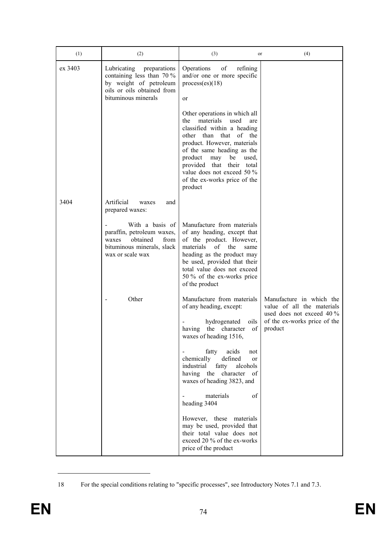| (1)     | (2)                                                                                                                                     | (3)<br>or                                                                                                                                                                                                                                                                                                                                    | (4)                                                                                                                              |
|---------|-----------------------------------------------------------------------------------------------------------------------------------------|----------------------------------------------------------------------------------------------------------------------------------------------------------------------------------------------------------------------------------------------------------------------------------------------------------------------------------------------|----------------------------------------------------------------------------------------------------------------------------------|
| ex 3403 | Lubricating<br>preparations<br>containing less than 70 %<br>by weight of petroleum<br>oils or oils obtained from<br>bituminous minerals | of<br>Operations<br>refining<br>and/or one or more specific<br>process(es)(18)<br>or                                                                                                                                                                                                                                                         |                                                                                                                                  |
|         |                                                                                                                                         | Other operations in which all<br>materials<br>used<br>the<br>are<br>classified within a heading<br>of the<br>other than<br>that<br>product. However, materials<br>of the same heading as the<br>product<br>may<br>used,<br>be<br>provided<br>that<br>their<br>total<br>value does not exceed 50 %<br>of the ex-works price of the<br>product |                                                                                                                                  |
| 3404    | Artificial<br>waxes<br>and<br>prepared waxes:                                                                                           |                                                                                                                                                                                                                                                                                                                                              |                                                                                                                                  |
|         | With a basis of<br>paraffin, petroleum waxes,<br>obtained<br>from<br>waxes<br>bituminous minerals, slack<br>wax or scale wax            | Manufacture from materials<br>of any heading, except that<br>of the product. However,<br>materials<br>of<br>the<br>same<br>heading as the product may<br>be used, provided that their<br>total value does not exceed<br>50 % of the ex-works price<br>of the product                                                                         |                                                                                                                                  |
|         | Other                                                                                                                                   | Manufacture from materials<br>of any heading, except:<br>hydrogenated<br>oils<br>of<br>having<br>the character<br>waxes of heading 1516,<br>fatty<br>acids<br>not<br>$\overline{\phantom{0}}$<br>chemically<br>defined<br>or                                                                                                                 | Manufacture in which the<br>value of all the materials<br>used does not exceed $40\%$<br>of the ex-works price of the<br>product |
|         |                                                                                                                                         | industrial<br>fatty<br>alcohols<br>having the<br>character<br>of<br>waxes of heading 3823, and                                                                                                                                                                                                                                               |                                                                                                                                  |
|         |                                                                                                                                         | materials<br>of<br>heading 3404                                                                                                                                                                                                                                                                                                              |                                                                                                                                  |
|         |                                                                                                                                         | However, these materials<br>may be used, provided that<br>their total value does not<br>exceed 20 % of the ex-works<br>price of the product                                                                                                                                                                                                  |                                                                                                                                  |

<sup>18</sup> For the special conditions relating to "specific processes", see Introductory Notes 7.1 and 7.3.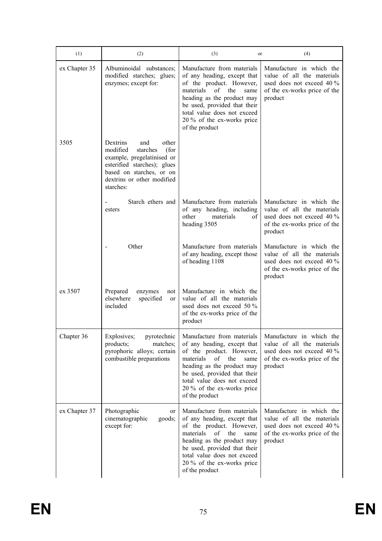| (1)           | (2)                                                                                                                                                                                          | (3)<br>or                                                                                                                                                                                                                                                            | (4)                                                                                                                            |
|---------------|----------------------------------------------------------------------------------------------------------------------------------------------------------------------------------------------|----------------------------------------------------------------------------------------------------------------------------------------------------------------------------------------------------------------------------------------------------------------------|--------------------------------------------------------------------------------------------------------------------------------|
| ex Chapter 35 | Albuminoidal substances;<br>modified starches; glues;<br>enzymes; except for:                                                                                                                | Manufacture from materials<br>of any heading, except that<br>of the product. However,<br>of the<br>materials<br>same<br>heading as the product may<br>be used, provided that their<br>total value does not exceed<br>20 % of the ex-works price<br>of the product    | Manufacture in which the<br>value of all the materials<br>used does not exceed 40 %<br>of the ex-works price of the<br>product |
| 3505          | Dextrins<br>other<br>and<br>modified<br>starches<br>(for<br>example, pregelatinised or<br>esterified starches); glues<br>based on starches, or on<br>dextrins or other modified<br>starches: |                                                                                                                                                                                                                                                                      |                                                                                                                                |
|               | Starch ethers and<br>esters                                                                                                                                                                  | Manufacture from materials<br>of any heading, including<br>other<br>materials<br>of<br>heading 3505                                                                                                                                                                  | Manufacture in which the<br>value of all the materials<br>used does not exceed 40 %<br>of the ex-works price of the<br>product |
|               | Other                                                                                                                                                                                        | Manufacture from materials<br>of any heading, except those<br>of heading 1108                                                                                                                                                                                        | Manufacture in which the<br>value of all the materials<br>used does not exceed 40 %<br>of the ex-works price of the<br>product |
| ex 3507       | Prepared<br>enzymes<br>not<br>elsewhere<br>specified<br>or<br>included                                                                                                                       | Manufacture in which the<br>value of all the materials<br>used does not exceed 50 %<br>of the ex-works price of the<br>product                                                                                                                                       |                                                                                                                                |
| Chapter 36    | pyrotechnic<br>Explosives;<br>products;<br>matches;<br>pyrophoric alloys; certain<br>combustible preparations                                                                                | Manufacture from materials<br>of any heading, except that<br>of the product. However,<br>materials<br>οf<br>the<br>same<br>heading as the product may<br>be used, provided that their<br>total value does not exceed<br>20 % of the ex-works price<br>of the product | Manufacture in which the<br>value of all the materials<br>used does not exceed 40 %<br>of the ex-works price of the<br>product |
| ex Chapter 37 | Photographic<br>or<br>cinematographic<br>goods;<br>except for:                                                                                                                               | Manufacture from materials<br>of any heading, except that<br>of the product. However,<br>of<br>materials<br>the<br>same<br>heading as the product may<br>be used, provided that their<br>total value does not exceed<br>20 % of the ex-works price<br>of the product | Manufacture in which the<br>value of all the materials<br>used does not exceed 40 %<br>of the ex-works price of the<br>product |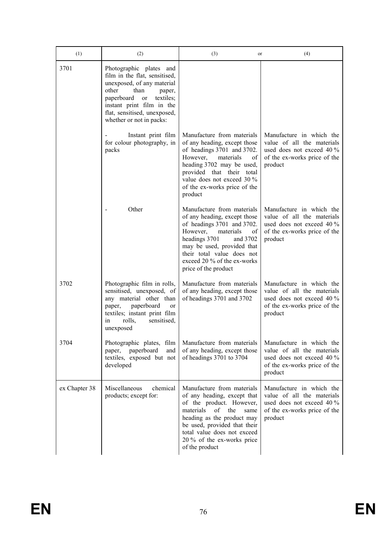| (1)           | (2)                                                                                                                                                                                                                                                    | (3)<br>or                                                                                                                                                                                                                                                               | (4)                                                                                                                            |
|---------------|--------------------------------------------------------------------------------------------------------------------------------------------------------------------------------------------------------------------------------------------------------|-------------------------------------------------------------------------------------------------------------------------------------------------------------------------------------------------------------------------------------------------------------------------|--------------------------------------------------------------------------------------------------------------------------------|
| 3701          | Photographic plates and<br>film in the flat, sensitised,<br>unexposed, of any material<br>other<br>than<br>paper,<br>paperboard<br>textiles;<br><sub>or</sub><br>instant print film in the<br>flat, sensitised, unexposed,<br>whether or not in packs: |                                                                                                                                                                                                                                                                         |                                                                                                                                |
|               | Instant print film<br>for colour photography, in<br>packs                                                                                                                                                                                              | Manufacture from materials<br>of any heading, except those<br>of headings 3701 and 3702.<br>However,<br>materials<br>οf<br>heading 3702 may be used,<br>provided that their total<br>value does not exceed 30 %<br>of the ex-works price of the<br>product              | Manufacture in which the<br>value of all the materials<br>used does not exceed 40 %<br>of the ex-works price of the<br>product |
|               | Other                                                                                                                                                                                                                                                  | Manufacture from materials<br>of any heading, except those<br>of headings 3701 and 3702.<br>However,<br>materials<br>of<br>headings 3701<br>and 3702<br>may be used, provided that<br>their total value does not<br>exceed 20 % of the ex-works<br>price of the product | Manufacture in which the<br>value of all the materials<br>used does not exceed 40 %<br>of the ex-works price of the<br>product |
| 3702          | Photographic film in rolls,<br>sensitised, unexposed, of<br>any material other than<br>paperboard<br>or<br>paper,<br>textiles; instant print film<br>rolls,<br>sensitised,<br>in<br>unexposed                                                          | Manufacture from materials<br>of any heading, except those<br>of headings 3701 and 3702                                                                                                                                                                                 | Manufacture in which the<br>value of all the materials<br>used does not exceed 40 %<br>of the ex-works price of the<br>product |
| 3704          | Photographic plates, film<br>paperboard<br>and<br>paper,<br>textiles, exposed but not<br>developed                                                                                                                                                     | Manufacture from materials<br>of any heading, except those<br>of headings 3701 to 3704                                                                                                                                                                                  | Manufacture in which the<br>value of all the materials<br>used does not exceed 40 %<br>of the ex-works price of the<br>product |
| ex Chapter 38 | Miscellaneous<br>chemical<br>products; except for:                                                                                                                                                                                                     | Manufacture from materials<br>of any heading, except that<br>of the product. However,<br>materials<br>of<br>the<br>same<br>heading as the product may<br>be used, provided that their<br>total value does not exceed<br>20 % of the ex-works price<br>of the product    | Manufacture in which the<br>value of all the materials<br>used does not exceed 40 %<br>of the ex-works price of the<br>product |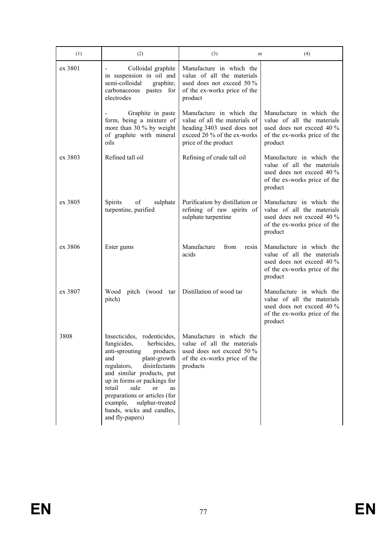| (1)     | (2)                                                                                                                                                                                                                                                                                                                                                                 | (3)<br>or                                                                                                                                      | (4)                                                                                                                              |
|---------|---------------------------------------------------------------------------------------------------------------------------------------------------------------------------------------------------------------------------------------------------------------------------------------------------------------------------------------------------------------------|------------------------------------------------------------------------------------------------------------------------------------------------|----------------------------------------------------------------------------------------------------------------------------------|
| ex 3801 | Colloidal graphite<br>in suspension in oil and<br>semi-colloidal<br>graphite;<br>carbonaceous pastes for<br>electrodes                                                                                                                                                                                                                                              | Manufacture in which the<br>value of all the materials<br>used does not exceed 50 $\%$<br>of the ex-works price of the<br>product              |                                                                                                                                  |
|         | Graphite in paste<br>form, being a mixture of<br>more than 30 % by weight<br>of graphite with mineral<br>oils                                                                                                                                                                                                                                                       | Manufacture in which the<br>value of all the materials of<br>heading 3403 used does not<br>exceed 20 % of the ex-works<br>price of the product | Manufacture in which the<br>value of all the materials<br>used does not exceed 40 %<br>of the ex-works price of the<br>product   |
| ex 3803 | Refined tall oil                                                                                                                                                                                                                                                                                                                                                    | Refining of crude tall oil                                                                                                                     | Manufacture in which the<br>value of all the materials<br>used does not exceed 40 %<br>of the ex-works price of the<br>product   |
| ex 3805 | of<br><b>Spirits</b><br>sulphate<br>turpentine, purified                                                                                                                                                                                                                                                                                                            | Purification by distillation or<br>refining of raw spirits of<br>sulphate turpentine                                                           | Manufacture in which the<br>value of all the materials<br>used does not exceed 40 %<br>of the ex-works price of the<br>product   |
| ex 3806 | Ester gums                                                                                                                                                                                                                                                                                                                                                          | Manufacture<br>from<br>resin<br>acids                                                                                                          | Manufacture in which the<br>value of all the materials<br>used does not exceed $40\%$<br>of the ex-works price of the<br>product |
| ex 3807 | pitch (wood tar<br>Wood<br>pitch)                                                                                                                                                                                                                                                                                                                                   | Distillation of wood tar                                                                                                                       | Manufacture in which the<br>value of all the materials<br>used does not exceed 40 %<br>of the ex-works price of the<br>product   |
| 3808    | Insecticides, rodenticides,<br>herbicides,<br>fungicides,<br>anti-sprouting<br>products<br>plant-growth<br>and<br>regulators,<br>disinfectants<br>and similar products, put<br>up in forms or packings for<br>sale<br>retail<br><sub>or</sub><br>as<br>preparations or articles (for<br>example,<br>sulphur-treated<br>bands, wicks and candles,<br>and fly-papers) | Manufacture in which the<br>value of all the materials<br>used does not exceed 50 %<br>of the ex-works price of the<br>products                |                                                                                                                                  |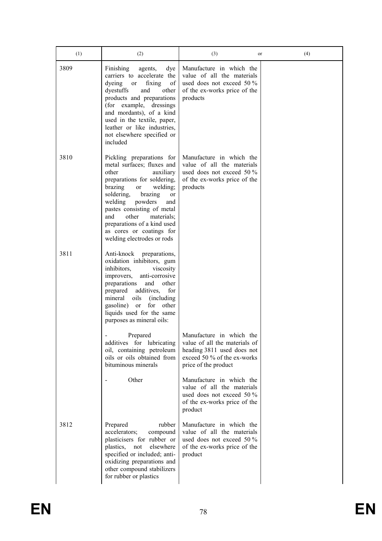| (1)  | (2)                                                                                                                                                                                                                                                                                                                                                                   | (3)<br>or                                                                                                                                      | (4) |
|------|-----------------------------------------------------------------------------------------------------------------------------------------------------------------------------------------------------------------------------------------------------------------------------------------------------------------------------------------------------------------------|------------------------------------------------------------------------------------------------------------------------------------------------|-----|
| 3809 | Finishing<br>agents,<br>dye<br>carriers to accelerate the<br>dyeing<br>fixing<br>of<br><sub>or</sub><br>dyestuffs<br>and<br>other<br>products and preparations<br>(for example, dressings<br>and mordants), of a kind<br>used in the textile, paper,<br>leather or like industries,<br>not elsewhere specified or<br>included                                         | Manufacture in which the<br>value of all the materials<br>used does not exceed 50 $\%$<br>of the ex-works price of the<br>products             |     |
| 3810 | Pickling preparations for<br>metal surfaces; fluxes and<br>other<br>auxiliary<br>preparations for soldering,<br>brazing<br>welding;<br><sub>or</sub><br>soldering,<br>brazing<br>or<br>welding<br>powders<br>and<br>pastes consisting of metal<br>other<br>materials;<br>and<br>preparations of a kind used<br>as cores or coatings for<br>welding electrodes or rods | Manufacture in which the<br>value of all the materials<br>used does not exceed 50 %<br>of the ex-works price of the<br>products                |     |
| 3811 | Anti-knock<br>preparations,<br>oxidation inhibitors, gum<br>inhibitors,<br>viscosity<br>anti-corrosive<br>improvers,<br>and<br>other<br>preparations<br>additives,<br>for<br>prepared<br>mineral<br>oils<br>(including)<br>gasoline) or<br>for<br>other<br>liquids used for the same<br>purposes as mineral oils:                                                     |                                                                                                                                                |     |
|      | Prepared<br>additives for lubricating<br>oil, containing petroleum<br>oils or oils obtained from<br>bituminous minerals                                                                                                                                                                                                                                               | Manufacture in which the<br>value of all the materials of<br>heading 3811 used does not<br>exceed 50 % of the ex-works<br>price of the product |     |
|      | Other                                                                                                                                                                                                                                                                                                                                                                 | Manufacture in which the<br>value of all the materials<br>used does not exceed 50 %<br>of the ex-works price of the<br>product                 |     |
| 3812 | rubber<br>Prepared<br>accelerators;<br>compound<br>plasticisers for rubber or<br>elsewhere<br>plastics,<br>not<br>specified or included; anti-<br>oxidizing preparations and<br>other compound stabilizers<br>for rubber or plastics                                                                                                                                  | Manufacture in which the<br>value of all the materials<br>used does not exceed 50 $\%$<br>of the ex-works price of the<br>product              |     |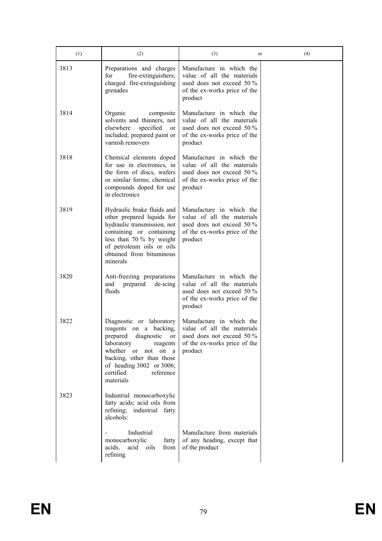| (1)  | (2)                                                                                                                                                                                                                                 | (3)                                                                                                                               | (4)<br>or |
|------|-------------------------------------------------------------------------------------------------------------------------------------------------------------------------------------------------------------------------------------|-----------------------------------------------------------------------------------------------------------------------------------|-----------|
| 3813 | Preparations and charges<br>fire-extinguishers;<br>for<br>charged fire-extinguishing<br>grenades                                                                                                                                    | Manufacture in which the<br>value of all the materials<br>used does not exceed 50 %<br>of the ex-works price of the<br>product    |           |
| 3814 | Organic<br>composite<br>solvents and thinners, not<br>elsewhere<br>specified<br>or<br>included; prepared paint or<br>varnish removers                                                                                               | Manufacture in which the<br>value of all the materials<br>used does not exceed 50 $\%$<br>of the ex-works price of the<br>product |           |
| 3818 | Chemical elements doped<br>for use in electronics, in<br>the form of discs, wafers<br>or similar forms; chemical<br>compounds doped for use<br>in electronics                                                                       | Manufacture in which the<br>value of all the materials<br>used does not exceed 50 %<br>of the ex-works price of the<br>product    |           |
| 3819 | Hydraulic brake fluids and<br>other prepared liquids for<br>hydraulic transmission, not<br>containing or containing<br>less than $70\%$ by weight<br>of petroleum oils or oils<br>obtained from bituminous<br>minerals              | Manufacture in which the<br>value of all the materials<br>used does not exceed 50 $\%$<br>of the ex-works price of the<br>product |           |
| 3820 | Anti-freezing preparations<br>and<br>prepared<br>de-icing<br>fluids                                                                                                                                                                 | Manufacture in which the<br>value of all the materials<br>used does not exceed 50 %<br>of the ex-works price of the<br>product    |           |
| 3822 | Diagnostic or laboratory<br>reagents on a backing,<br>prepared<br>diagnostic<br>or<br>laboratory<br>reagents<br>whether or not on a<br>backing, other than those<br>of heading 3002 or 3006;<br>certified<br>reference<br>materials | Manufacture in which the<br>value of all the materials<br>used does not exceed 50 $\%$<br>of the ex-works price of the<br>product |           |
| 3823 | Industrial monocarboxylic<br>fatty acids; acid oils from<br>refining; industrial fatty<br>alcohols:                                                                                                                                 |                                                                                                                                   |           |
|      | Industrial<br>monocarboxylic<br>fatty<br>acids,<br>acid oils<br>from<br>refining                                                                                                                                                    | Manufacture from materials<br>of any heading, except that<br>of the product                                                       |           |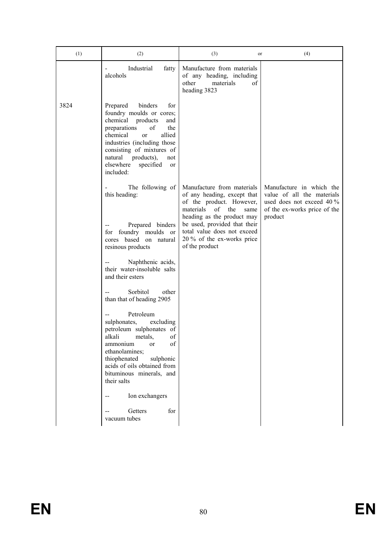| (1)  | (2)                                                                                                                                                                                                                                                                                                                                                                                              | (3)<br>or                                                                                                                                             | (4)                                                                                                                            |
|------|--------------------------------------------------------------------------------------------------------------------------------------------------------------------------------------------------------------------------------------------------------------------------------------------------------------------------------------------------------------------------------------------------|-------------------------------------------------------------------------------------------------------------------------------------------------------|--------------------------------------------------------------------------------------------------------------------------------|
|      | Industrial<br>fatty<br>alcohols                                                                                                                                                                                                                                                                                                                                                                  | Manufacture from materials<br>of any heading, including<br>other<br>materials<br>of<br>heading 3823                                                   |                                                                                                                                |
| 3824 | binders<br>Prepared<br>for<br>foundry moulds or cores;<br>chemical<br>products<br>and<br>preparations<br>$% \left( \left( \mathcal{A},\mathcal{A}\right) \right) =\left( \mathcal{A},\mathcal{A}\right)$ of<br>the<br>chemical<br>allied<br><sub>or</sub><br>industries (including those)<br>consisting of mixtures of<br>natural products),<br>not<br>elsewhere<br>specified<br>or<br>included: |                                                                                                                                                       |                                                                                                                                |
|      | The following of<br>this heading:                                                                                                                                                                                                                                                                                                                                                                | Manufacture from materials<br>of any heading, except that<br>of the product. However,<br>materials<br>the<br>of<br>same<br>heading as the product may | Manufacture in which the<br>value of all the materials<br>used does not exceed 40 %<br>of the ex-works price of the<br>product |
|      | Prepared binders<br>foundry moulds<br>for<br><sub>or</sub><br>cores based on natural<br>resinous products                                                                                                                                                                                                                                                                                        | be used, provided that their<br>total value does not exceed<br>20 % of the ex-works price<br>of the product                                           |                                                                                                                                |
|      | Naphthenic acids,<br>their water-insoluble salts<br>and their esters                                                                                                                                                                                                                                                                                                                             |                                                                                                                                                       |                                                                                                                                |
|      | Sorbitol<br>other<br>than that of heading 2905                                                                                                                                                                                                                                                                                                                                                   |                                                                                                                                                       |                                                                                                                                |
|      | Petroleum<br>sulphonates,<br>excluding<br>petroleum sulphonates of<br>of<br>alkali<br>metals,<br>of<br>ammonium<br>or<br>ethanolamines;<br>thiophenated<br>sulphonic<br>acids of oils obtained from<br>bituminous minerals, and<br>their salts                                                                                                                                                   |                                                                                                                                                       |                                                                                                                                |
|      | Ion exchangers<br>Getters<br>for<br>$-$                                                                                                                                                                                                                                                                                                                                                          |                                                                                                                                                       |                                                                                                                                |
|      | vacuum tubes                                                                                                                                                                                                                                                                                                                                                                                     |                                                                                                                                                       |                                                                                                                                |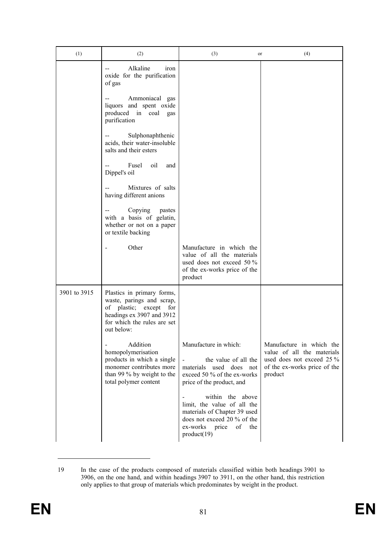| (1)          | (2)                                                                                                                                                         | (3)<br>or                                                                                                                                                 | (4)                                                                                                                            |
|--------------|-------------------------------------------------------------------------------------------------------------------------------------------------------------|-----------------------------------------------------------------------------------------------------------------------------------------------------------|--------------------------------------------------------------------------------------------------------------------------------|
|              | Alkaline<br>iron<br>oxide for the purification<br>of gas                                                                                                    |                                                                                                                                                           |                                                                                                                                |
|              | Ammoniacal gas<br>liquors and spent oxide<br>produced in<br>coal<br>gas<br>purification                                                                     |                                                                                                                                                           |                                                                                                                                |
|              | Sulphonaphthenic<br>acids, their water-insoluble<br>salts and their esters                                                                                  |                                                                                                                                                           |                                                                                                                                |
|              | Fusel<br>oil<br>and<br>Dippel's oil                                                                                                                         |                                                                                                                                                           |                                                                                                                                |
|              | Mixtures of salts<br>having different anions                                                                                                                |                                                                                                                                                           |                                                                                                                                |
|              | Copying<br>pastes<br>with a basis of gelatin,<br>whether or not on a paper<br>or textile backing                                                            |                                                                                                                                                           |                                                                                                                                |
|              | Other                                                                                                                                                       | Manufacture in which the<br>value of all the materials<br>used does not exceed 50 %<br>of the ex-works price of the<br>product                            |                                                                                                                                |
| 3901 to 3915 | Plastics in primary forms,<br>waste, parings and scrap,<br>of plastic; except for<br>headings ex 3907 and 3912<br>for which the rules are set<br>out below: |                                                                                                                                                           |                                                                                                                                |
|              | Addition<br>homopolymerisation<br>products in which a single<br>monomer contributes more<br>than 99 % by weight to the<br>total polymer content             | Manufacture in which:<br>the value of all the<br>$\blacksquare$<br>used does not<br>materials<br>exceed 50 % of the ex-works<br>price of the product, and | Manufacture in which the<br>value of all the materials<br>used does not exceed 25 %<br>of the ex-works price of the<br>product |
|              |                                                                                                                                                             | within the above<br>limit, the value of all the<br>materials of Chapter 39 used<br>does not exceed 20 % of the<br>of the<br>ex-works price<br>product(19) |                                                                                                                                |

<sup>19</sup> In the case of the products composed of materials classified within both headings 3901 to 3906, on the one hand, and within headings 3907 to 3911, on the other hand, this restriction only applies to that group of materials which predominates by weight in the product.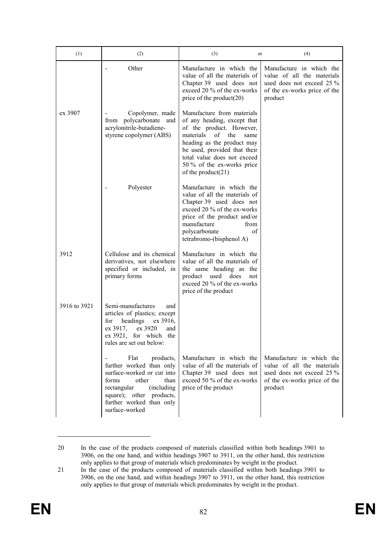| (1)          | (2)                                                                                                                                                                                                           | (3)<br>or                                                                                                                                                                                                                                                                   | (4)                                                                                                                            |
|--------------|---------------------------------------------------------------------------------------------------------------------------------------------------------------------------------------------------------------|-----------------------------------------------------------------------------------------------------------------------------------------------------------------------------------------------------------------------------------------------------------------------------|--------------------------------------------------------------------------------------------------------------------------------|
|              | Other                                                                                                                                                                                                         | Manufacture in which the<br>value of all the materials of<br>Chapter 39 used does not<br>exceed 20 % of the ex-works<br>price of the product $(20)$                                                                                                                         | Manufacture in which the<br>value of all the materials<br>used does not exceed 25 %<br>of the ex-works price of the<br>product |
| ex 3907      | Copolymer, made<br>from polycarbonate and<br>acrylonitrile-butadiene-<br>styrene copolymer (ABS)                                                                                                              | Manufacture from materials<br>of any heading, except that<br>of the product. However,<br>materials<br>of<br>the<br>same<br>heading as the product may<br>be used, provided that their<br>total value does not exceed<br>50 % of the ex-works price<br>of the product $(21)$ |                                                                                                                                |
|              | Polyester                                                                                                                                                                                                     | Manufacture in which the<br>value of all the materials of<br>Chapter 39 used does not<br>exceed 20 % of the ex-works<br>price of the product and/or<br>manufacture<br>from<br>polycarbonate<br>οf<br>tetrabromo-(bisphenol A)                                               |                                                                                                                                |
| 3912         | Cellulose and its chemical<br>derivatives, not elsewhere<br>specified or included, in<br>primary forms                                                                                                        | Manufacture in which the<br>value of all the materials of<br>the same heading as the<br>does<br>product<br>used<br>not<br>exceed 20 % of the ex-works<br>price of the product                                                                                               |                                                                                                                                |
| 3916 to 3921 | Semi-manufactures<br>and<br>articles of plastics; except<br>headings<br>for<br>ex 3916,<br>ex 3917,<br>ex 3920<br>and<br>$ex 3921$ , for which the<br>rules are set out below:                                |                                                                                                                                                                                                                                                                             |                                                                                                                                |
|              | Flat<br>products,<br>further worked than only<br>surface-worked or cut into<br>forms<br>other<br>than<br>rectangular<br>(including)<br>square); other products,<br>further worked than only<br>surface-worked | Manufacture in which the<br>value of all the materials of<br>Chapter 39 used does not<br>exceed 50 % of the ex-works<br>price of the product                                                                                                                                | Manufacture in which the<br>value of all the materials<br>used does not exceed 25 %<br>of the ex-works price of the<br>product |

<sup>20</sup> In the case of the products composed of materials classified within both headings 3901 to 3906, on the one hand, and within headings 3907 to 3911, on the other hand, this restriction only applies to that group of materials which predominates by weight in the product.

<sup>21</sup> In the case of the products composed of materials classified within both headings 3901 to 3906, on the one hand, and within headings 3907 to 3911, on the other hand, this restriction only applies to that group of materials which predominates by weight in the product.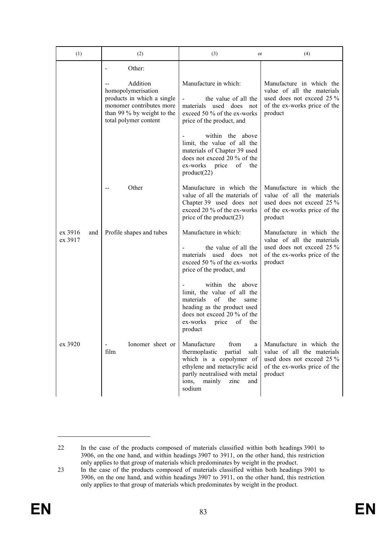| (1)                       | (2)                                                                                                                                             | (3)<br>or                                                                                                                                                                                            | (4)                                                                                                                            |
|---------------------------|-------------------------------------------------------------------------------------------------------------------------------------------------|------------------------------------------------------------------------------------------------------------------------------------------------------------------------------------------------------|--------------------------------------------------------------------------------------------------------------------------------|
|                           | Other:                                                                                                                                          |                                                                                                                                                                                                      |                                                                                                                                |
|                           | Addition<br>homopolymerisation<br>products in which a single<br>monomer contributes more<br>than 99 % by weight to the<br>total polymer content | Manufacture in which:<br>the value of all the<br>materials used does not<br>exceed 50 % of the ex-works<br>price of the product, and                                                                 | Manufacture in which the<br>value of all the materials<br>used does not exceed 25 %<br>of the ex-works price of the<br>product |
|                           |                                                                                                                                                 | within the above<br>limit, the value of all the<br>materials of Chapter 39 used<br>does not exceed 20 % of the<br>ex-works<br>price<br>of the<br>product(22)                                         |                                                                                                                                |
|                           | Other                                                                                                                                           | Manufacture in which the<br>value of all the materials of<br>Chapter 39 used does not<br>exceed 20 % of the ex-works<br>price of the product $(23)$                                                  | Manufacture in which the<br>value of all the materials<br>used does not exceed 25 %<br>of the ex-works price of the<br>product |
| ex 3916<br>and<br>ex 3917 | Profile shapes and tubes                                                                                                                        | Manufacture in which:<br>the value of all the<br>materials used does not<br>exceed 50 % of the ex-works<br>price of the product, and                                                                 | Manufacture in which the<br>value of all the materials<br>used does not exceed 25 %<br>of the ex-works price of the<br>product |
|                           |                                                                                                                                                 | within the above<br>limit, the value of all the<br>materials<br>of<br>the<br>same<br>heading as the product used<br>does not exceed 20 % of the<br>of<br>ex-works<br>price<br>the<br>product         |                                                                                                                                |
| ex 3920                   | Ionomer sheet or<br>$\overline{\phantom{0}}$<br>film                                                                                            | Manufacture<br>from<br>a<br>thermoplastic<br>partial<br>salt<br>which is a copolymer of<br>ethylene and metacrylic acid<br>partly neutralised with metal<br>mainly<br>ions,<br>zinc<br>and<br>sodium | Manufacture in which the<br>value of all the materials<br>used does not exceed 25 %<br>of the ex-works price of the<br>product |

<sup>22</sup> In the case of the products composed of materials classified within both headings 3901 to 3906, on the one hand, and within headings 3907 to 3911, on the other hand, this restriction only applies to that group of materials which predominates by weight in the product.

<sup>23</sup> In the case of the products composed of materials classified within both headings 3901 to 3906, on the one hand, and within headings 3907 to 3911, on the other hand, this restriction only applies to that group of materials which predominates by weight in the product.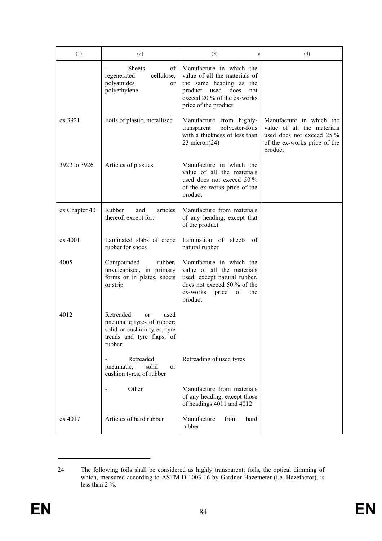| (1)           | (2)                                                                                                                                      | (3)<br>or                                                                                                                                                                  | (4)                                                                                                                            |
|---------------|------------------------------------------------------------------------------------------------------------------------------------------|----------------------------------------------------------------------------------------------------------------------------------------------------------------------------|--------------------------------------------------------------------------------------------------------------------------------|
|               | <b>Sheets</b><br>of<br>cellulose,<br>regenerated<br>polyamides<br>or<br>polyethylene                                                     | Manufacture in which the<br>value of all the materials of<br>the same heading as the<br>product used<br>does<br>not<br>exceed 20 % of the ex-works<br>price of the product |                                                                                                                                |
| ex 3921       | Foils of plastic, metallised                                                                                                             | Manufacture from highly-<br>polyester-foils<br>transparent<br>with a thickness of less than<br>$23 \text{ micron}(24)$                                                     | Manufacture in which the<br>value of all the materials<br>used does not exceed 25 %<br>of the ex-works price of the<br>product |
| 3922 to 3926  | Articles of plastics                                                                                                                     | Manufacture in which the<br>value of all the materials<br>used does not exceed 50 %<br>of the ex-works price of the<br>product                                             |                                                                                                                                |
| ex Chapter 40 | articles<br>Rubber<br>and<br>thereof; except for:                                                                                        | Manufacture from materials<br>of any heading, except that<br>of the product                                                                                                |                                                                                                                                |
| ex 4001       | Laminated slabs of crepe<br>rubber for shoes                                                                                             | Lamination of sheets<br>- of<br>natural rubber                                                                                                                             |                                                                                                                                |
| 4005          | Compounded<br>rubber,<br>unvulcanised, in primary<br>forms or in plates, sheets<br>or strip                                              | Manufacture in which the<br>value of all the materials<br>used, except natural rubber,<br>does not exceed 50 % of the<br>of<br>ex-works<br>price<br>the<br>product         |                                                                                                                                |
| 4012          | Retreaded<br>used<br><sub>or</sub><br>pneumatic tyres of rubber;<br>solid or cushion tyres, tyre<br>treads and tyre flaps, of<br>rubber: |                                                                                                                                                                            |                                                                                                                                |
|               | Retreaded<br>pneumatic,<br>solid<br><sub>or</sub><br>cushion tyres, of rubber                                                            | Retreading of used tyres                                                                                                                                                   |                                                                                                                                |
|               | Other                                                                                                                                    | Manufacture from materials<br>of any heading, except those<br>of headings 4011 and 4012                                                                                    |                                                                                                                                |
| ex 4017       | Articles of hard rubber                                                                                                                  | Manufacture<br>from<br>hard<br>rubber                                                                                                                                      |                                                                                                                                |

<sup>24</sup> The following foils shall be considered as highly transparent: foils, the optical dimming of which, measured according to ASTM-D 1003-16 by Gardner Hazemeter (i.e. Hazefactor), is less than 2 %.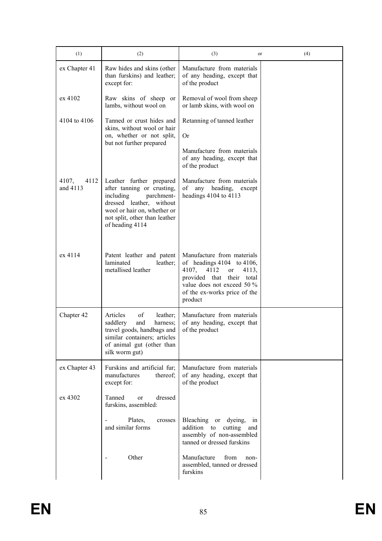| (1)                       | (2)                                                                                                                                                                                              | (3)<br>or                                                                                                                                                                                             | (4) |
|---------------------------|--------------------------------------------------------------------------------------------------------------------------------------------------------------------------------------------------|-------------------------------------------------------------------------------------------------------------------------------------------------------------------------------------------------------|-----|
| ex Chapter 41             | Raw hides and skins (other<br>than furskins) and leather;<br>except for:                                                                                                                         | Manufacture from materials<br>of any heading, except that<br>of the product                                                                                                                           |     |
| ex 4102                   | Raw skins of sheep or<br>lambs, without wool on                                                                                                                                                  | Removal of wool from sheep<br>or lamb skins, with wool on                                                                                                                                             |     |
| 4104 to 4106              | Tanned or crust hides and<br>skins, without wool or hair                                                                                                                                         | Retanning of tanned leather                                                                                                                                                                           |     |
|                           | on, whether or not split,<br>but not further prepared                                                                                                                                            | <b>Or</b>                                                                                                                                                                                             |     |
|                           |                                                                                                                                                                                                  | Manufacture from materials<br>of any heading, except that<br>of the product                                                                                                                           |     |
| 4107,<br>4112<br>and 4113 | Leather further prepared<br>after tanning or crusting,<br>including<br>parchment-<br>dressed leather, without<br>wool or hair on, whether or<br>not split, other than leather<br>of heading 4114 | Manufacture from materials<br>of<br>any heading,<br>except<br>headings $4104$ to $4113$                                                                                                               |     |
| ex 4114                   | Patent leather and patent<br>laminated<br>leather;<br>metallised leather                                                                                                                         | Manufacture from materials<br>of headings $4104$ to $4106$ ,<br>4112<br>4107,<br>4113,<br>or<br>provided that their<br>total<br>value does not exceed 50 %<br>of the ex-works price of the<br>product |     |
| Chapter 42                | Articles<br>of<br>leather;<br>saddlery<br>and<br>harness;<br>travel goods, handbags and<br>similar containers; articles<br>of animal gut (other than<br>silk worm gut)                           | Manufacture from materials<br>of any heading, except that<br>of the product                                                                                                                           |     |
| ex Chapter 43             | Furskins and artificial fur;<br>manufactures<br>thereof;<br>except for:                                                                                                                          | Manufacture from materials<br>of any heading, except that<br>of the product                                                                                                                           |     |
| ex 4302                   | Tanned<br>dressed<br><sub>or</sub><br>furskins, assembled:                                                                                                                                       |                                                                                                                                                                                                       |     |
|                           | Plates,<br>crosses<br>and similar forms                                                                                                                                                          | Bleaching or dyeing,<br>1n<br>addition to<br>cutting<br>and<br>assembly of non-assembled<br>tanned or dressed furskins                                                                                |     |
|                           | Other                                                                                                                                                                                            | Manufacture<br>from<br>non-<br>assembled, tanned or dressed<br>furskins                                                                                                                               |     |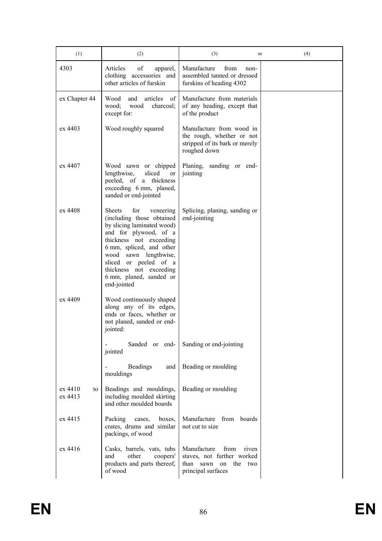| (1)                      | (2)                                                                                                                                                                                                                                                                                                    | (3)<br>or                                                                                                         | (4) |
|--------------------------|--------------------------------------------------------------------------------------------------------------------------------------------------------------------------------------------------------------------------------------------------------------------------------------------------------|-------------------------------------------------------------------------------------------------------------------|-----|
| 4303                     | Articles<br>of<br>apparel,<br>clothing accessories and<br>other articles of furskin                                                                                                                                                                                                                    | Manufacture<br>from<br>non-<br>assembled tanned or dressed<br>furskins of heading 4302                            |     |
| ex Chapter 44            | Wood<br>articles<br>and<br>of<br>wood;<br>wood<br>charcoal;<br>except for:                                                                                                                                                                                                                             | Manufacture from materials<br>of any heading, except that<br>of the product                                       |     |
| ex 4403                  | Wood roughly squared                                                                                                                                                                                                                                                                                   | Manufacture from wood in<br>the rough, whether or not<br>stripped of its bark or merely<br>roughed down           |     |
| ex 4407                  | Wood sawn or chipped<br>sliced<br>lengthwise,<br><sub>or</sub><br>peeled, of a thickness<br>exceeding 6 mm, planed,<br>sanded or end-jointed                                                                                                                                                           | sanding or end-<br>Planing,<br>jointing                                                                           |     |
| ex 4408                  | <b>Sheets</b><br>for<br>veneering<br>(including those obtained<br>by slicing laminated wood)<br>and for plywood, of a<br>thickness not exceeding<br>6 mm, spliced, and other<br>lengthwise,<br>wood sawn<br>sliced or peeled of a<br>thickness not exceeding<br>6 mm, planed, sanded or<br>end-jointed | Splicing, planing, sanding or<br>end-jointing                                                                     |     |
| ex 4409                  | Wood continuously shaped<br>along any of its edges,<br>ends or faces, whether or<br>not planed, sanded or end-<br>jointed:                                                                                                                                                                             |                                                                                                                   |     |
|                          | Sanded or end-<br>jointed                                                                                                                                                                                                                                                                              | Sanding or end-jointing                                                                                           |     |
|                          | <b>Beadings</b><br>and<br>mouldings                                                                                                                                                                                                                                                                    | Beading or moulding                                                                                               |     |
| ex 4410<br>to<br>ex 4413 | Beadings and mouldings,<br>including moulded skirting<br>and other moulded boards                                                                                                                                                                                                                      | Beading or moulding                                                                                               |     |
| ex 4415                  | Packing<br>cases,<br>boxes,<br>crates, drums and similar<br>packings, of wood                                                                                                                                                                                                                          | Manufacture from boards<br>not cut to size                                                                        |     |
| ex 4416                  | Casks, barrels, vats, tubs<br>other<br>coopers'<br>and<br>products and parts thereof,<br>of wood                                                                                                                                                                                                       | Manufacture<br>from<br>riven<br>staves, not further worked<br>than sawn<br>on<br>the<br>two<br>principal surfaces |     |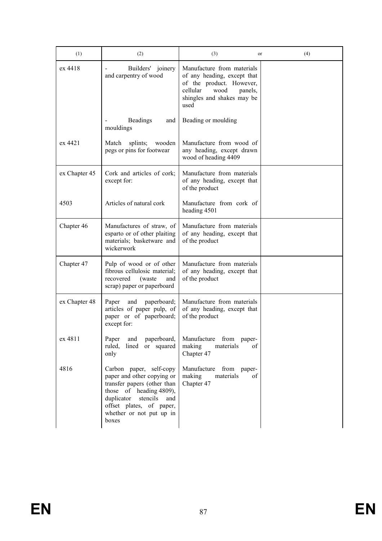| (1)           | (2)                                                                                                                                                                                                               | (3)<br>or                                                                                                                                                  | (4) |
|---------------|-------------------------------------------------------------------------------------------------------------------------------------------------------------------------------------------------------------------|------------------------------------------------------------------------------------------------------------------------------------------------------------|-----|
| ex 4418       | Builders' joinery<br>and carpentry of wood                                                                                                                                                                        | Manufacture from materials<br>of any heading, except that<br>of the product. However,<br>cellular<br>wood<br>panels,<br>shingles and shakes may be<br>used |     |
|               | <b>Beadings</b><br>and<br>mouldings                                                                                                                                                                               | Beading or moulding                                                                                                                                        |     |
| ex 4421       | splints; wooden<br>Match<br>pegs or pins for footwear                                                                                                                                                             | Manufacture from wood of<br>any heading, except drawn<br>wood of heading 4409                                                                              |     |
| ex Chapter 45 | Cork and articles of cork;<br>except for:                                                                                                                                                                         | Manufacture from materials<br>of any heading, except that<br>of the product                                                                                |     |
| 4503          | Articles of natural cork                                                                                                                                                                                          | Manufacture from cork of<br>heading 4501                                                                                                                   |     |
| Chapter 46    | Manufactures of straw, of<br>esparto or of other plaiting<br>materials; basketware and<br>wickerwork                                                                                                              | Manufacture from materials<br>of any heading, except that<br>of the product                                                                                |     |
| Chapter 47    | Pulp of wood or of other<br>fibrous cellulosic material;<br>recovered<br>(waste<br>and<br>scrap) paper or paperboard                                                                                              | Manufacture from materials<br>of any heading, except that<br>of the product                                                                                |     |
| ex Chapter 48 | Paper<br>and<br>paperboard;<br>articles of paper pulp, of<br>paper or of paperboard;<br>except for:                                                                                                               | Manufacture from materials<br>of any heading, except that<br>of the product                                                                                |     |
| ex 4811       | and<br>paperboard,<br>Paper<br>ruled,<br>lined or squared<br>only                                                                                                                                                 | Manufacture from paper-<br>materials<br>making<br>of<br>Chapter 47                                                                                         |     |
| 4816          | Carbon paper, self-copy<br>paper and other copying or<br>transfer papers (other than<br>those of heading 4809),<br>duplicator<br>stencils<br>and<br>offset plates, of paper,<br>whether or not put up in<br>boxes | Manufacture from paper-<br>making<br>materials<br>of<br>Chapter 47                                                                                         |     |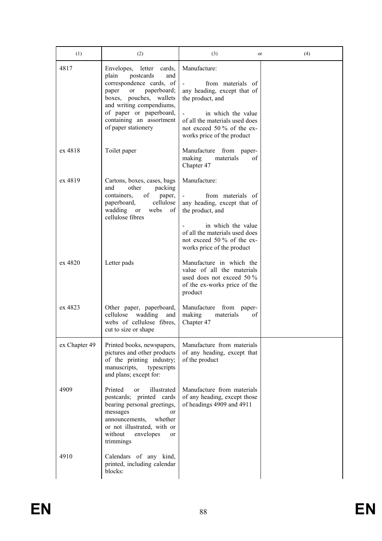| (1)           | (2)                                                                                                                                                                                                                                                     | (3)<br>or                                                                                                                                                                                                | (4) |
|---------------|---------------------------------------------------------------------------------------------------------------------------------------------------------------------------------------------------------------------------------------------------------|----------------------------------------------------------------------------------------------------------------------------------------------------------------------------------------------------------|-----|
| 4817          | Envelopes, letter<br>cards,<br>postcards<br>plain<br>and<br>correspondence cards, of<br>paperboard;<br>paper<br>or<br>boxes, pouches, wallets<br>and writing compendiums,<br>of paper or paperboard,<br>containing an assortment<br>of paper stationery | Manufacture:<br>from materials of<br>any heading, except that of<br>the product, and<br>in which the value<br>of all the materials used does<br>not exceed 50 % of the ex-<br>works price of the product |     |
| ex 4818       | Toilet paper                                                                                                                                                                                                                                            | Manufacture from paper-<br>making<br>materials<br>οf<br>Chapter 47                                                                                                                                       |     |
| ex 4819       | Cartons, boxes, cases, bags<br>other<br>and<br>packing<br>of<br>containers.<br>paper,<br>cellulose<br>paperboard,<br>wadding<br><b>or</b><br>webs<br>of<br>cellulose fibres                                                                             | Manufacture:<br>from materials of<br>any heading, except that of<br>the product, and<br>in which the value<br>of all the materials used does<br>not exceed 50 % of the ex-<br>works price of the product |     |
| ex 4820       | Letter pads                                                                                                                                                                                                                                             | Manufacture in which the<br>value of all the materials<br>used does not exceed 50 %<br>of the ex-works price of the<br>product                                                                           |     |
| ex 4823       | Other paper, paperboard,<br>cellulose<br>wadding<br>and<br>webs of cellulose fibres,<br>cut to size or shape                                                                                                                                            | Manufacture from paper-<br>making<br>materials<br>οf<br>Chapter 47                                                                                                                                       |     |
| ex Chapter 49 | Printed books, newspapers,<br>pictures and other products<br>of the printing industry;<br>manuscripts,<br>typescripts<br>and plans; except for:                                                                                                         | Manufacture from materials<br>of any heading, except that<br>of the product                                                                                                                              |     |
| 4909          | Printed<br>illustrated<br>or<br>postcards; printed cards<br>bearing personal greetings,<br>messages<br><sub>or</sub><br>announcements,<br>whether<br>or not illustrated, with or<br>without<br>envelopes<br><sub>or</sub><br>trimmings                  | Manufacture from materials<br>of any heading, except those<br>of headings 4909 and 4911                                                                                                                  |     |
| 4910          | Calendars of any kind,<br>printed, including calendar<br>blocks:                                                                                                                                                                                        |                                                                                                                                                                                                          |     |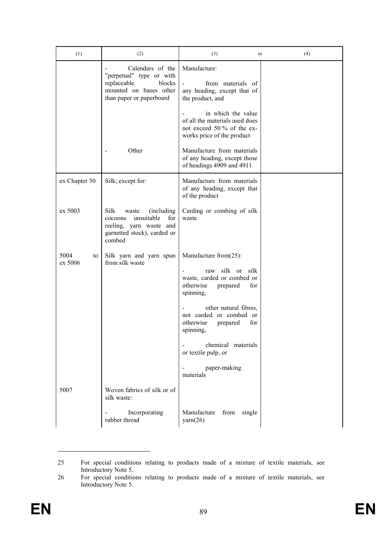| (1)                   | (2)                                                                                                                                     | (3)<br>or                                                                                                                                                                                                                                                                                             | (4) |
|-----------------------|-----------------------------------------------------------------------------------------------------------------------------------------|-------------------------------------------------------------------------------------------------------------------------------------------------------------------------------------------------------------------------------------------------------------------------------------------------------|-----|
|                       | Calendars of the<br>"perpetual" type or with<br>replaceable<br>blocks<br>mounted on bases other<br>than paper or paperboard             | Manufacture:<br>from materials of<br>any heading, except that of<br>the product, and                                                                                                                                                                                                                  |     |
|                       |                                                                                                                                         | in which the value<br>of all the materials used does<br>not exceed 50 % of the ex-<br>works price of the product                                                                                                                                                                                      |     |
|                       | Other                                                                                                                                   | Manufacture from materials<br>of any heading, except those<br>of headings 4909 and 4911                                                                                                                                                                                                               |     |
| ex Chapter 50         | Silk; except for:                                                                                                                       | Manufacture from materials<br>of any heading, except that<br>of the product                                                                                                                                                                                                                           |     |
| ex 5003               | <b>Silk</b><br>(including)<br>waste<br>unsuitable<br>for<br>cocoons<br>reeling, yarn waste and<br>garnetted stock), carded or<br>combed | Carding or combing of silk<br>waste                                                                                                                                                                                                                                                                   |     |
| 5004<br>to<br>ex 5006 | Silk yarn and yarn spun<br>from silk waste                                                                                              | Manufacture from(25):<br>silk or<br>silk<br>raw<br>waste, carded or combed or<br>otherwise<br>prepared<br>for<br>spinning,<br>other natural fibres,<br>not carded or combed or<br>otherwise<br>prepared<br>for<br>spinning,<br>chemical materials<br>or textile pulp, or<br>paper-making<br>materials |     |
| 5007                  | Woven fabrics of silk or of<br>silk waste:                                                                                              |                                                                                                                                                                                                                                                                                                       |     |
|                       | Incorporating<br>rubber thread                                                                                                          | Manufacture<br>from single<br>$\text{yarn}(26)$                                                                                                                                                                                                                                                       |     |

<sup>25</sup> For special conditions relating to products made of a mixture of textile materials, see Introductory Note 5.

<sup>26</sup> For special conditions relating to products made of a mixture of textile materials, see Introductory Note 5.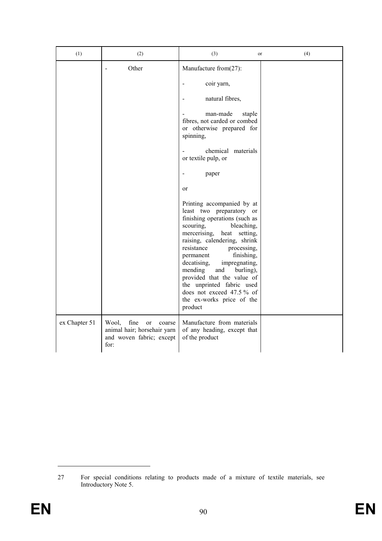| (1)           | (2)                                                                                              | (3)<br>or                                                                                                                                                                                                                                                                         | (4) |
|---------------|--------------------------------------------------------------------------------------------------|-----------------------------------------------------------------------------------------------------------------------------------------------------------------------------------------------------------------------------------------------------------------------------------|-----|
|               | Other                                                                                            | Manufacture from(27):<br>coir yarn,<br>natural fibres,<br>man-made<br>staple<br>fibres, not carded or combed<br>or otherwise prepared for<br>spinning,<br>chemical materials                                                                                                      |     |
|               |                                                                                                  | or textile pulp, or<br>paper<br>or<br>Printing accompanied by at<br>least two preparatory or<br>finishing operations (such as<br>scouring,<br>bleaching,<br>mercerising, heat<br>setting,<br>raising, calendering, shrink<br>resistance<br>processing,<br>finishing,<br>permanent |     |
|               |                                                                                                  | decatising,<br>impregnating,<br>mending<br>and<br>burling),<br>provided that the value of<br>the unprinted fabric used<br>does not exceed 47.5% of<br>the ex-works price of the<br>product                                                                                        |     |
| ex Chapter 51 | fine<br>Wool,<br>or<br>coarse<br>animal hair; horsehair yarn<br>and woven fabric; except<br>for: | Manufacture from materials<br>of any heading, except that<br>of the product                                                                                                                                                                                                       |     |

<sup>27</sup> For special conditions relating to products made of a mixture of textile materials, see Introductory Note 5.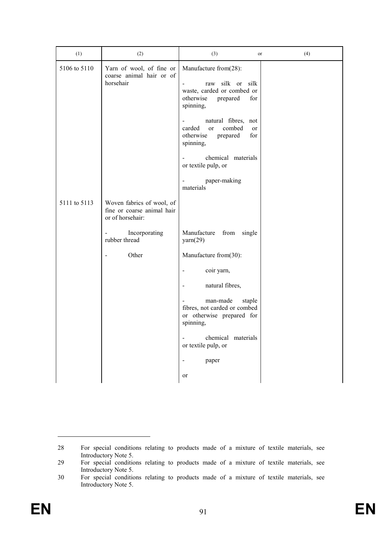| (1)          | (2)                                                                         | (3)                                                                                                             | or        | (4) |
|--------------|-----------------------------------------------------------------------------|-----------------------------------------------------------------------------------------------------------------|-----------|-----|
| 5106 to 5110 | Yarn of wool, of fine or<br>coarse animal hair or of<br>horsehair           | Manufacture from(28):<br>raw silk or silk<br>waste, carded or combed or<br>otherwise<br>prepared<br>spinning,   | for       |     |
|              |                                                                             | natural fibres, not<br>$\frac{1}{2}$<br>carded<br>combed<br><sub>or</sub><br>otherwise<br>prepared<br>spinning, | or<br>for |     |
|              |                                                                             | chemical materials<br>or textile pulp, or                                                                       |           |     |
|              |                                                                             | paper-making<br>materials                                                                                       |           |     |
| 5111 to 5113 | Woven fabrics of wool, of<br>fine or coarse animal hair<br>or of horsehair: |                                                                                                                 |           |     |
|              | Incorporating<br>$\blacksquare$<br>rubber thread                            | Manufacture<br>from single<br>$\text{yarn}(29)$                                                                 |           |     |
|              | Other<br>$\overline{\phantom{a}}$                                           | Manufacture from(30):                                                                                           |           |     |
|              |                                                                             | coir yarn,<br>$\qquad \qquad \blacksquare$                                                                      |           |     |
|              |                                                                             | natural fibres,<br>$\qquad \qquad \blacksquare$                                                                 |           |     |
|              |                                                                             | man-made<br>staple<br>fibres, not carded or combed<br>or otherwise prepared for<br>spinning,                    |           |     |
|              |                                                                             | chemical materials<br>or textile pulp, or                                                                       |           |     |
|              |                                                                             | paper                                                                                                           |           |     |
|              |                                                                             | or                                                                                                              |           |     |

<sup>28</sup> For special conditions relating to products made of a mixture of textile materials, see Introductory Note 5.

<sup>29</sup> For special conditions relating to products made of a mixture of textile materials, see Introductory Note 5.

<sup>30</sup> For special conditions relating to products made of a mixture of textile materials, see Introductory Note 5.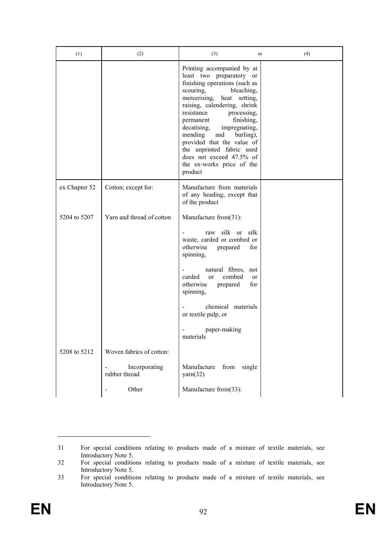| (1)           | (2)                            | (3)                                                                                                                                                                                                                                                                                                                                                                                                                                       | or        | (4) |
|---------------|--------------------------------|-------------------------------------------------------------------------------------------------------------------------------------------------------------------------------------------------------------------------------------------------------------------------------------------------------------------------------------------------------------------------------------------------------------------------------------------|-----------|-----|
|               |                                | Printing accompanied by at<br>least two preparatory or<br>finishing operations (such as<br>scouring,<br>bleaching,<br>setting,<br>mercerising, heat<br>raising, calendering, shrink<br>resistance<br>processing,<br>finishing,<br>permanent<br>decatising,<br>impregnating,<br>mending<br>and<br>burling),<br>provided that the value of<br>the unprinted fabric used<br>does not exceed 47.5% of<br>the ex-works price of the<br>product |           |     |
| ex Chapter 52 | Cotton; except for:            | Manufacture from materials<br>of any heading, except that<br>of the product                                                                                                                                                                                                                                                                                                                                                               |           |     |
| 5204 to 5207  | Yarn and thread of cotton      | Manufacture from(31):                                                                                                                                                                                                                                                                                                                                                                                                                     |           |     |
|               |                                | silk or silk<br>raw<br>waste, carded or combed or<br>otherwise<br>prepared<br>spinning,                                                                                                                                                                                                                                                                                                                                                   | for       |     |
|               |                                | natural fibres, not<br>carded<br>combed<br><sub>or</sub><br>otherwise<br>prepared<br>spinning,                                                                                                                                                                                                                                                                                                                                            | or<br>for |     |
|               |                                | chemical materials<br>or textile pulp, or                                                                                                                                                                                                                                                                                                                                                                                                 |           |     |
|               |                                | paper-making<br>materials                                                                                                                                                                                                                                                                                                                                                                                                                 |           |     |
| 5208 to 5212  | Woven fabrics of cotton:       |                                                                                                                                                                                                                                                                                                                                                                                                                                           |           |     |
|               | Incorporating<br>rubber thread | Manufacture<br>from<br>single<br>$\text{yarn}(32)$                                                                                                                                                                                                                                                                                                                                                                                        |           |     |
|               | Other                          | Manufacture from(33):                                                                                                                                                                                                                                                                                                                                                                                                                     |           |     |

<sup>31</sup> For special conditions relating to products made of a mixture of textile materials, see Introductory Note 5.

<sup>32</sup> For special conditions relating to products made of a mixture of textile materials, see Introductory Note 5.

<sup>33</sup> For special conditions relating to products made of a mixture of textile materials, see Introductory Note 5.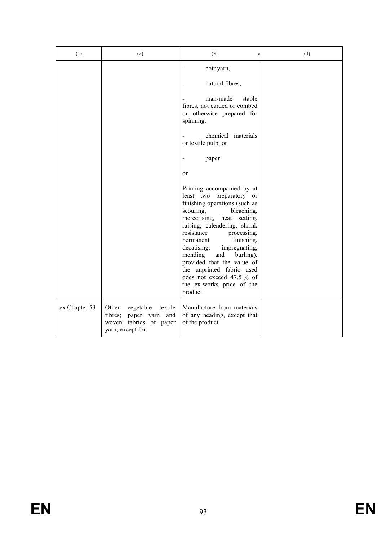| (1)           | (2)                                                                                                          | (3)<br>or                                                                                                                                                                                                                                                                                                                                                                                                                                 | (4) |
|---------------|--------------------------------------------------------------------------------------------------------------|-------------------------------------------------------------------------------------------------------------------------------------------------------------------------------------------------------------------------------------------------------------------------------------------------------------------------------------------------------------------------------------------------------------------------------------------|-----|
|               |                                                                                                              | coir yarn,                                                                                                                                                                                                                                                                                                                                                                                                                                |     |
|               |                                                                                                              | natural fibres,                                                                                                                                                                                                                                                                                                                                                                                                                           |     |
|               |                                                                                                              | man-made<br>staple<br>fibres, not carded or combed<br>or otherwise prepared for<br>spinning,                                                                                                                                                                                                                                                                                                                                              |     |
|               |                                                                                                              | chemical materials<br>or textile pulp, or                                                                                                                                                                                                                                                                                                                                                                                                 |     |
|               |                                                                                                              | paper                                                                                                                                                                                                                                                                                                                                                                                                                                     |     |
|               |                                                                                                              | or                                                                                                                                                                                                                                                                                                                                                                                                                                        |     |
|               |                                                                                                              | Printing accompanied by at<br>least two preparatory or<br>finishing operations (such as<br>scouring,<br>bleaching,<br>mercerising, heat<br>setting,<br>raising, calendering, shrink<br>resistance<br>processing,<br>finishing,<br>permanent<br>decatising,<br>impregnating,<br>mending<br>and<br>burling),<br>provided that the value of<br>the unprinted fabric used<br>does not exceed 47.5% of<br>the ex-works price of the<br>product |     |
| ex Chapter 53 | Other<br>vegetable<br>textile<br>fibres;<br>paper yarn<br>and<br>woven fabrics of paper<br>yarn; except for: | Manufacture from materials<br>of any heading, except that<br>of the product                                                                                                                                                                                                                                                                                                                                                               |     |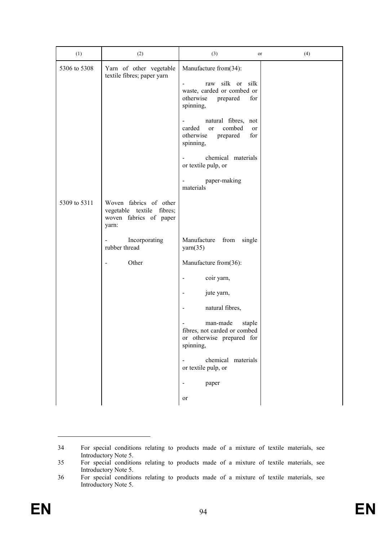| (1)          | (2)                                                   | (3)                                                                                                                                                                                                                                                                          | or                       | (4) |
|--------------|-------------------------------------------------------|------------------------------------------------------------------------------------------------------------------------------------------------------------------------------------------------------------------------------------------------------------------------------|--------------------------|-----|
| 5306 to 5308 | Yarn of other vegetable<br>textile fibres; paper yarn | Manufacture from(34):<br>raw silk or<br>waste, carded or combed or<br>otherwise<br>prepared<br>spinning,<br>natural fibres, not<br>-<br>carded<br>combed<br><sub>or</sub><br>otherwise<br>prepared<br>spinning,<br>chemical materials<br>or textile pulp, or<br>paper-making | silk<br>for<br>or<br>for |     |
| 5309 to 5311 | Woven fabrics of other<br>vegetable textile fibres;   | materials                                                                                                                                                                                                                                                                    |                          |     |
|              | woven fabrics of paper<br>yarn:                       |                                                                                                                                                                                                                                                                              |                          |     |
|              | Incorporating<br>rubber thread                        | Manufacture<br>from<br>$\text{yarn}(35)$                                                                                                                                                                                                                                     | single                   |     |
|              | Other                                                 | Manufacture from(36):                                                                                                                                                                                                                                                        |                          |     |
|              |                                                       | coir yarn,                                                                                                                                                                                                                                                                   |                          |     |
|              |                                                       | jute yarn,                                                                                                                                                                                                                                                                   |                          |     |
|              |                                                       | natural fibres,                                                                                                                                                                                                                                                              |                          |     |
|              |                                                       | man-made<br>fibres, not carded or combed<br>or otherwise prepared for<br>spinning,                                                                                                                                                                                           | staple                   |     |
|              |                                                       | chemical materials<br>or textile pulp, or                                                                                                                                                                                                                                    |                          |     |
|              |                                                       | paper                                                                                                                                                                                                                                                                        |                          |     |
|              |                                                       | or                                                                                                                                                                                                                                                                           |                          |     |

<sup>34</sup> For special conditions relating to products made of a mixture of textile materials, see Introductory Note 5.

<sup>35</sup> For special conditions relating to products made of a mixture of textile materials, see Introductory Note 5.

<sup>36</sup> For special conditions relating to products made of a mixture of textile materials, see Introductory Note 5.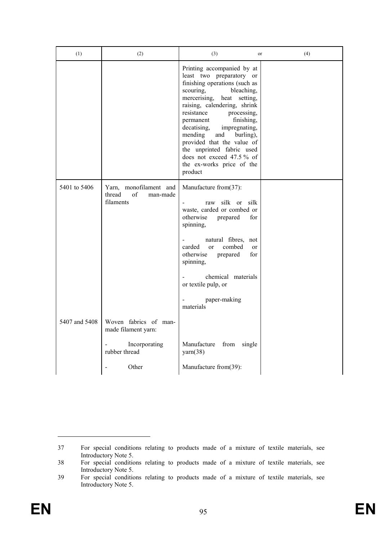| (1)           | (2)                                                             | (3)<br>or                                                                                                                                                                                                                                                                                                                                                                                                                              | (4) |
|---------------|-----------------------------------------------------------------|----------------------------------------------------------------------------------------------------------------------------------------------------------------------------------------------------------------------------------------------------------------------------------------------------------------------------------------------------------------------------------------------------------------------------------------|-----|
|               |                                                                 | Printing accompanied by at<br>least two preparatory or<br>finishing operations (such as<br>scouring,<br>bleaching,<br>mercerising, heat setting,<br>raising, calendering, shrink<br>resistance<br>processing,<br>finishing,<br>permanent<br>impregnating,<br>decatising,<br>mending<br>burling),<br>and<br>provided that the value of<br>the unprinted fabric used<br>does not exceed 47.5% of<br>the ex-works price of the<br>product |     |
| 5401 to 5406  | Yarn, monofilament and<br>thread<br>of<br>man-made<br>filaments | Manufacture from(37):<br>silk or<br>silk<br>raw<br>waste, carded or combed or<br>otherwise<br>prepared<br>for<br>spinning,<br>natural fibres, not<br>carded<br>combed<br>$\alpha$<br>or<br>otherwise<br>prepared<br>for<br>spinning,<br>chemical materials<br>or textile pulp, or<br>paper-making<br>materials                                                                                                                         |     |
| 5407 and 5408 | Woven fabrics of man-<br>made filament yarn:                    |                                                                                                                                                                                                                                                                                                                                                                                                                                        |     |
|               | Incorporating<br>rubber thread                                  | Manufacture<br>from<br>single<br>$\text{yarn}(38)$                                                                                                                                                                                                                                                                                                                                                                                     |     |
|               | Other                                                           | Manufacture from(39):                                                                                                                                                                                                                                                                                                                                                                                                                  |     |

<sup>37</sup> For special conditions relating to products made of a mixture of textile materials, see Introductory Note 5.

<sup>38</sup> For special conditions relating to products made of a mixture of textile materials, see Introductory Note 5.

<sup>39</sup> For special conditions relating to products made of a mixture of textile materials, see Introductory Note 5.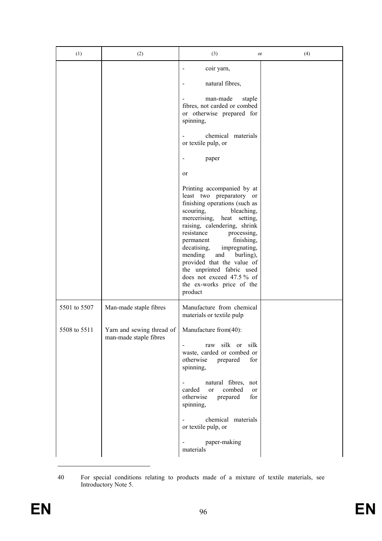| (1)                          | (2)                                                                           | (3)                                                                                                                                                                                                                                                                                                                                                                                                                                    | (4)<br>or |
|------------------------------|-------------------------------------------------------------------------------|----------------------------------------------------------------------------------------------------------------------------------------------------------------------------------------------------------------------------------------------------------------------------------------------------------------------------------------------------------------------------------------------------------------------------------------|-----------|
|                              |                                                                               | coir yarn,<br>natural fibres,<br>man-made<br>staple<br>fibres, not carded or combed<br>or otherwise prepared for<br>spinning,<br>chemical materials<br>or textile pulp, or<br>paper<br>or                                                                                                                                                                                                                                              |           |
|                              |                                                                               | Printing accompanied by at<br>least two preparatory or<br>finishing operations (such as<br>scouring,<br>bleaching,<br>mercerising, heat setting,<br>raising, calendering, shrink<br>resistance<br>processing,<br>finishing,<br>permanent<br>decatising,<br>impregnating,<br>mending<br>and<br>burling),<br>provided that the value of<br>the unprinted fabric used<br>does not exceed 47.5% of<br>the ex-works price of the<br>product |           |
| 5501 to 5507<br>5508 to 5511 | Man-made staple fibres<br>Yarn and sewing thread of<br>man-made staple fibres | Manufacture from chemical<br>materials or textile pulp<br>Manufacture from(40):<br>raw silk or silk<br>waste, carded or combed or<br>otherwise<br>prepared<br>for<br>spinning,<br>natural fibres, not<br>$\blacksquare$<br>carded<br>combed<br>$\alpha$<br><sub>or</sub><br>otherwise<br>for<br>prepared<br>spinning,<br>chemical materials<br>or textile pulp, or                                                                     |           |
|                              |                                                                               | paper-making<br>materials                                                                                                                                                                                                                                                                                                                                                                                                              |           |

<sup>40</sup> For special conditions relating to products made of a mixture of textile materials, see Introductory Note 5.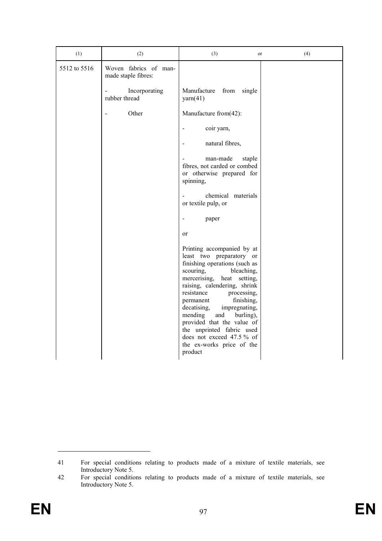| (1)          | (2)                                          | (3)<br>or                                                                                                                                                                                                                                                                                                                                                                                                                              | (4) |
|--------------|----------------------------------------------|----------------------------------------------------------------------------------------------------------------------------------------------------------------------------------------------------------------------------------------------------------------------------------------------------------------------------------------------------------------------------------------------------------------------------------------|-----|
| 5512 to 5516 | Woven fabrics of man-<br>made staple fibres: |                                                                                                                                                                                                                                                                                                                                                                                                                                        |     |
|              | Incorporating<br>rubber thread               | Manufacture<br>from<br>single<br>$\text{yarn}(41)$                                                                                                                                                                                                                                                                                                                                                                                     |     |
|              | Other                                        | Manufacture from(42):                                                                                                                                                                                                                                                                                                                                                                                                                  |     |
|              |                                              | coir yarn,                                                                                                                                                                                                                                                                                                                                                                                                                             |     |
|              |                                              | natural fibres,                                                                                                                                                                                                                                                                                                                                                                                                                        |     |
|              |                                              | man-made<br>staple<br>fibres, not carded or combed<br>or otherwise prepared for<br>spinning,                                                                                                                                                                                                                                                                                                                                           |     |
|              |                                              | chemical materials<br>or textile pulp, or                                                                                                                                                                                                                                                                                                                                                                                              |     |
|              |                                              | paper                                                                                                                                                                                                                                                                                                                                                                                                                                  |     |
|              |                                              | or                                                                                                                                                                                                                                                                                                                                                                                                                                     |     |
|              |                                              | Printing accompanied by at<br>least two preparatory or<br>finishing operations (such as<br>scouring,<br>bleaching,<br>mercerising, heat setting,<br>raising, calendering, shrink<br>resistance<br>processing,<br>finishing,<br>permanent<br>impregnating,<br>decatising,<br>burling),<br>mending<br>and<br>provided that the value of<br>the unprinted fabric used<br>does not exceed 47.5% of<br>the ex-works price of the<br>product |     |

<sup>41</sup> For special conditions relating to products made of a mixture of textile materials, see Introductory Note 5.

<sup>42</sup> For special conditions relating to products made of a mixture of textile materials, see Introductory Note 5.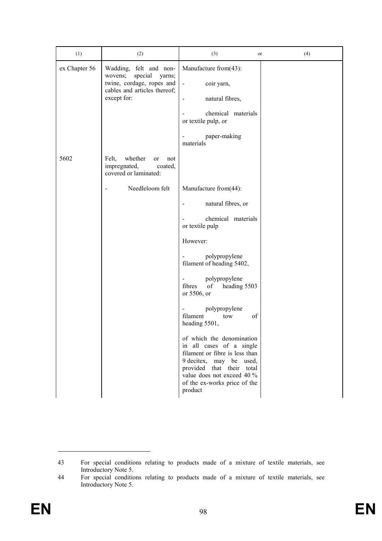| (1)           | (2)                                                                                                                                | (3)<br>or                                                                                                                                                                                                                | (4) |
|---------------|------------------------------------------------------------------------------------------------------------------------------------|--------------------------------------------------------------------------------------------------------------------------------------------------------------------------------------------------------------------------|-----|
| ex Chapter 56 | Wadding, felt and non-<br>special<br>wovens;<br>yarns;<br>twine, cordage, ropes and<br>cables and articles thereof;<br>except for: | Manufacture from(43):<br>coir yarn,<br>$\blacksquare$<br>natural fibres,<br>chemical materials<br>or textile pulp, or<br>paper-making<br>$\qquad \qquad \blacksquare$<br>materials                                       |     |
| 5602          | Felt,<br>whether<br>or<br>not<br>impregnated,<br>coated,<br>covered or laminated:                                                  |                                                                                                                                                                                                                          |     |
|               | Needleloom felt<br>$\blacksquare$                                                                                                  | Manufacture from(44):                                                                                                                                                                                                    |     |
|               |                                                                                                                                    | natural fibres, or<br>$\overline{\phantom{a}}$                                                                                                                                                                           |     |
|               |                                                                                                                                    | chemical materials<br>or textile pulp                                                                                                                                                                                    |     |
|               |                                                                                                                                    | However:                                                                                                                                                                                                                 |     |
|               |                                                                                                                                    | polypropylene<br>$\blacksquare$<br>filament of heading 5402,                                                                                                                                                             |     |
|               |                                                                                                                                    | polypropylene<br>$\overline{\phantom{a}}$<br>fibres<br>of<br>heading 5503<br>or 5506, or                                                                                                                                 |     |
|               |                                                                                                                                    | polypropylene<br>$\qquad \qquad \blacksquare$<br>filament<br>of<br>tow<br>heading 5501,                                                                                                                                  |     |
|               |                                                                                                                                    | of which the denomination<br>in all cases of a single<br>filament or fibre is less than<br>9 decitex, may be used,<br>provided that their total<br>value does not exceed 40 %<br>of the ex-works price of the<br>product |     |

<sup>43</sup> For special conditions relating to products made of a mixture of textile materials, see Introductory Note 5.

<sup>44</sup> For special conditions relating to products made of a mixture of textile materials, see Introductory Note 5.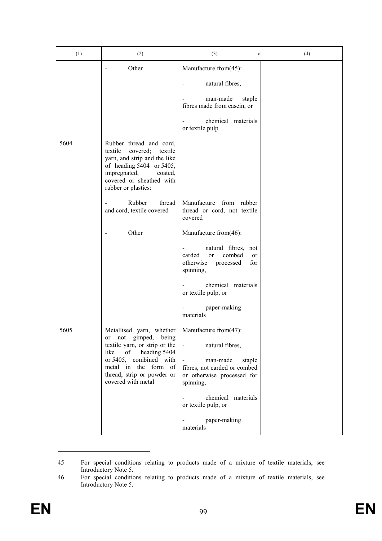| (1)  | (2)                                                                                                                                                                                                 | (3)<br>or                                                                                                                 | (4) |
|------|-----------------------------------------------------------------------------------------------------------------------------------------------------------------------------------------------------|---------------------------------------------------------------------------------------------------------------------------|-----|
|      | Other                                                                                                                                                                                               | Manufacture from(45):                                                                                                     |     |
|      |                                                                                                                                                                                                     | natural fibres,                                                                                                           |     |
|      |                                                                                                                                                                                                     | man-made<br>staple<br>fibres made from casein, or                                                                         |     |
|      |                                                                                                                                                                                                     | chemical materials<br>$\frac{1}{2}$<br>or textile pulp                                                                    |     |
| 5604 | Rubber thread and cord,<br>textile<br>covered;<br>textile<br>yarn, and strip and the like<br>of heading 5404 or 5405,<br>impregnated,<br>coated,<br>covered or sheathed with<br>rubber or plastics: |                                                                                                                           |     |
|      | Rubber<br>thread<br>and cord, textile covered                                                                                                                                                       | Manufacture from rubber<br>thread or cord, not textile<br>covered                                                         |     |
|      | Other<br>$\overline{a}$                                                                                                                                                                             | Manufacture from(46):                                                                                                     |     |
|      |                                                                                                                                                                                                     | natural fibres, not<br>$\blacksquare$<br>combed<br>carded<br>$\alpha$<br>or<br>otherwise<br>processed<br>for<br>spinning, |     |
|      |                                                                                                                                                                                                     | chemical materials<br>or textile pulp, or                                                                                 |     |
|      |                                                                                                                                                                                                     | paper-making<br>materials                                                                                                 |     |
| 5605 | Metallised yarn, whether<br>or not gimped, being                                                                                                                                                    | Manufacture from $(47)$ :                                                                                                 |     |
|      | textile yarn, or strip or the<br>heading 5404<br>like<br>of<br>or 5405, combined with<br>metal in the form of<br>thread, strip or powder or<br>covered with metal                                   | $\mathbb{Z}^2$<br>natural fibres,                                                                                         |     |
|      |                                                                                                                                                                                                     | man-made<br>staple<br>$\blacksquare$<br>fibres, not carded or combed<br>or otherwise processed for<br>spinning,           |     |
|      |                                                                                                                                                                                                     | chemical materials<br>or textile pulp, or                                                                                 |     |
|      |                                                                                                                                                                                                     | paper-making<br>materials                                                                                                 |     |

<sup>45</sup> For special conditions relating to products made of a mixture of textile materials, see Introductory Note 5.

<sup>46</sup> For special conditions relating to products made of a mixture of textile materials, see Introductory Note 5.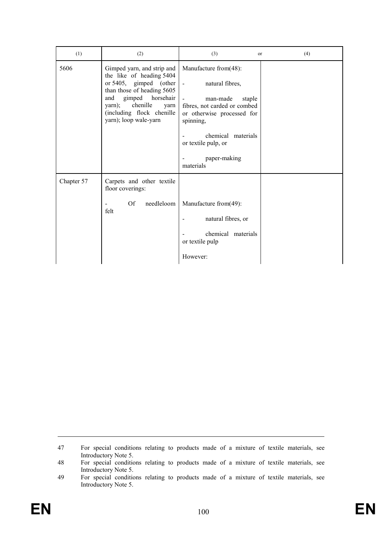| (1)        | (2)                                                                                                                                                                                                                           | (3)<br>or                                                                                                                                                                                                                     | (4) |
|------------|-------------------------------------------------------------------------------------------------------------------------------------------------------------------------------------------------------------------------------|-------------------------------------------------------------------------------------------------------------------------------------------------------------------------------------------------------------------------------|-----|
| 5606       | Gimped yarn, and strip and<br>the like of heading 5404<br>or 5405, gimped (other<br>than those of heading 5605<br>gimped horsehair<br>and<br>chenille<br>yarn);<br>yarn<br>(including flock chenille<br>yarn); loop wale-yarn | Manufacture from(48):<br>natural fibres,<br>$\sim$<br>man-made<br>staple<br>fibres, not carded or combed<br>or otherwise processed for<br>spinning,<br>chemical materials<br>or textile pulp, or<br>paper-making<br>materials |     |
| Chapter 57 | Carpets and other textile<br>floor coverings:<br>Of<br>needleloom<br>felt                                                                                                                                                     | Manufacture from(49):<br>natural fibres, or<br>chemical materials<br>or textile pulp<br>However:                                                                                                                              |     |

47 For special conditions relating to products made of a mixture of textile materials, see Introductory Note 5.

48 For special conditions relating to products made of a mixture of textile materials, see Introductory Note 5.

<sup>49</sup> For special conditions relating to products made of a mixture of textile materials, see Introductory Note 5.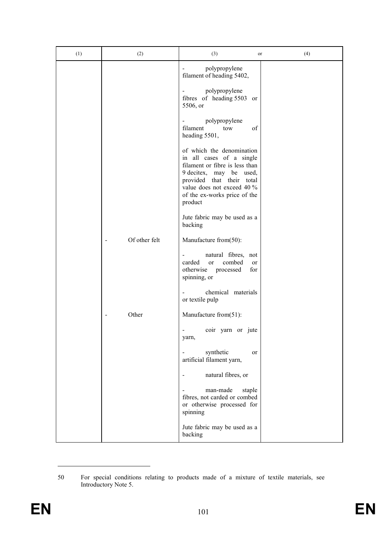| (1) | (2)           | (3)                                                                                                                                                                                                                      | (4)<br>or |
|-----|---------------|--------------------------------------------------------------------------------------------------------------------------------------------------------------------------------------------------------------------------|-----------|
|     |               | polypropylene<br>filament of heading 5402,                                                                                                                                                                               |           |
|     |               | polypropylene<br>fibres of heading 5503 or<br>5506, or                                                                                                                                                                   |           |
|     |               | polypropylene<br>$\overline{\phantom{0}}$<br>filament<br>of<br>tow<br>heading 5501,                                                                                                                                      |           |
|     |               | of which the denomination<br>in all cases of a single<br>filament or fibre is less than<br>9 decitex, may be used,<br>provided that their total<br>value does not exceed 40 %<br>of the ex-works price of the<br>product |           |
|     |               | Jute fabric may be used as a<br>backing                                                                                                                                                                                  |           |
|     | Of other felt | Manufacture from(50):                                                                                                                                                                                                    |           |
|     |               | natural fibres, not<br>$\overline{\phantom{0}}$<br>carded<br>combed<br><sub>or</sub><br>or<br>otherwise<br>processed<br>for<br>spinning, or                                                                              |           |
|     |               | chemical materials<br>or textile pulp                                                                                                                                                                                    |           |
|     | Other         | Manufacture from(51):                                                                                                                                                                                                    |           |
|     |               | coir yarn or jute<br>yarn,                                                                                                                                                                                               |           |
|     |               | synthetic<br>or<br>artificial filament yarn,                                                                                                                                                                             |           |
|     |               | natural fibres, or                                                                                                                                                                                                       |           |
|     |               | man-made<br>staple<br>fibres, not carded or combed<br>or otherwise processed for<br>spinning                                                                                                                             |           |
|     |               | Jute fabric may be used as a<br>backing                                                                                                                                                                                  |           |

<sup>50</sup> For special conditions relating to products made of a mixture of textile materials, see Introductory Note 5.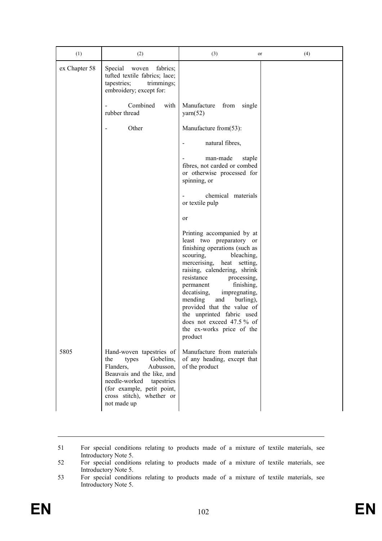| (1)           | (2)                                                                                                                                                                                                                    | (3)                                                                                                                                                                                                                                                                                                                                                                                                                              | or       | (4) |
|---------------|------------------------------------------------------------------------------------------------------------------------------------------------------------------------------------------------------------------------|----------------------------------------------------------------------------------------------------------------------------------------------------------------------------------------------------------------------------------------------------------------------------------------------------------------------------------------------------------------------------------------------------------------------------------|----------|-----|
| ex Chapter 58 | Special<br>fabrics;<br>woven<br>tufted textile fabrics; lace;<br>tapestries;<br>trimmings;<br>embroidery; except for:                                                                                                  |                                                                                                                                                                                                                                                                                                                                                                                                                                  |          |     |
|               | Combined<br>with<br>rubber thread                                                                                                                                                                                      | Manufacture<br>from<br>$\text{yarn}(52)$                                                                                                                                                                                                                                                                                                                                                                                         | single   |     |
|               | Other                                                                                                                                                                                                                  | Manufacture from(53):                                                                                                                                                                                                                                                                                                                                                                                                            |          |     |
|               |                                                                                                                                                                                                                        | natural fibres,                                                                                                                                                                                                                                                                                                                                                                                                                  |          |     |
|               |                                                                                                                                                                                                                        | man-made<br>fibres, not carded or combed<br>or otherwise processed for<br>spinning, or                                                                                                                                                                                                                                                                                                                                           | staple   |     |
|               |                                                                                                                                                                                                                        | chemical materials<br>or textile pulp                                                                                                                                                                                                                                                                                                                                                                                            |          |     |
|               |                                                                                                                                                                                                                        | or                                                                                                                                                                                                                                                                                                                                                                                                                               |          |     |
|               |                                                                                                                                                                                                                        | Printing accompanied by at<br>least two preparatory or<br>finishing operations (such as<br>scouring,<br>bleaching,<br>mercerising,<br>heat<br>raising, calendering, shrink<br>resistance<br>processing,<br>finishing,<br>permanent<br>decatising,<br>impregnating,<br>mending<br>and<br>burling),<br>provided that the value of<br>the unprinted fabric used<br>does not exceed 47.5% of<br>the ex-works price of the<br>product | setting, |     |
| 5805          | Hand-woven tapestries of<br>Gobelins,<br>the<br>types<br>Flanders,<br>Aubusson,<br>Beauvais and the like, and<br>needle-worked<br>tapestries<br>(for example, petit point,<br>cross stitch), whether or<br>not made up | Manufacture from materials<br>of any heading, except that<br>of the product                                                                                                                                                                                                                                                                                                                                                      |          |     |

51 For special conditions relating to products made of a mixture of textile materials, see Introductory Note 5.

52 For special conditions relating to products made of a mixture of textile materials, see Introductory Note 5.

<sup>53</sup> For special conditions relating to products made of a mixture of textile materials, see Introductory Note 5.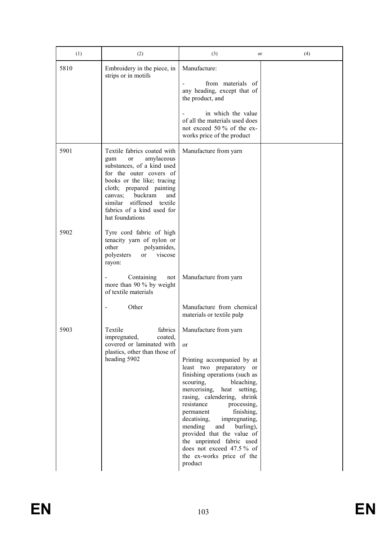| (1)  | (2)                                                                                                                                                                                                                                                                                     | (3)<br>or                                                                                                                                                                                                                                                                                                                                                                                                                                                                                                    | (4) |
|------|-----------------------------------------------------------------------------------------------------------------------------------------------------------------------------------------------------------------------------------------------------------------------------------------|--------------------------------------------------------------------------------------------------------------------------------------------------------------------------------------------------------------------------------------------------------------------------------------------------------------------------------------------------------------------------------------------------------------------------------------------------------------------------------------------------------------|-----|
| 5810 | Embroidery in the piece, in<br>strips or in motifs                                                                                                                                                                                                                                      | Manufacture:<br>from materials of<br>any heading, except that of<br>the product, and<br>in which the value<br>of all the materials used does<br>not exceed 50 % of the ex-<br>works price of the product                                                                                                                                                                                                                                                                                                     |     |
| 5901 | Textile fabrics coated with<br>amylaceous<br>gum<br>or<br>substances, of a kind used<br>for the outer covers of<br>books or the like; tracing<br>cloth; prepared painting<br>buckram<br>and<br>canvas:<br>similar stiffened<br>textile<br>fabrics of a kind used for<br>hat foundations | Manufacture from yarn                                                                                                                                                                                                                                                                                                                                                                                                                                                                                        |     |
| 5902 | Tyre cord fabric of high<br>tenacity yarn of nylon or<br>other<br>polyamides,<br>polyesters<br>viscose<br>or<br>rayon:<br>Containing<br>not<br>more than 90 % by weight<br>of textile materials<br>Other                                                                                | Manufacture from yarn<br>Manufacture from chemical                                                                                                                                                                                                                                                                                                                                                                                                                                                           |     |
| 5903 | Textile<br>fabrics<br>impregnated,<br>coated,<br>covered or laminated with<br>plastics, other than those of<br>heading 5902                                                                                                                                                             | materials or textile pulp<br>Manufacture from yarn<br><sub>or</sub><br>Printing accompanied by at<br>least two preparatory or<br>finishing operations (such as<br>scouring,<br>bleaching,<br>mercerising, heat setting,<br>rasing, calendering, shrink<br>resistance<br>processing,<br>finishing,<br>permanent<br>decatising,<br>impregnating,<br>mending<br>burling),<br>and<br>provided that the value of<br>the unprinted fabric used<br>does not exceed 47.5% of<br>the ex-works price of the<br>product |     |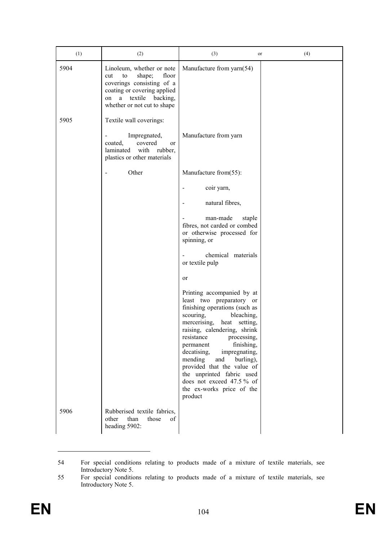| (1)  | (2)                                                                                                                                                                                 | (3)                                                                                                                                                                                                                                                                                                                                                                                                                                       | or | (4) |
|------|-------------------------------------------------------------------------------------------------------------------------------------------------------------------------------------|-------------------------------------------------------------------------------------------------------------------------------------------------------------------------------------------------------------------------------------------------------------------------------------------------------------------------------------------------------------------------------------------------------------------------------------------|----|-----|
| 5904 | Linoleum, whether or note<br>floor<br>shape;<br>cut<br>to<br>coverings consisting of a<br>coating or covering applied<br>textile backing,<br>a<br>on<br>whether or not cut to shape | Manufacture from yarn(54)                                                                                                                                                                                                                                                                                                                                                                                                                 |    |     |
| 5905 | Textile wall coverings:                                                                                                                                                             |                                                                                                                                                                                                                                                                                                                                                                                                                                           |    |     |
|      | Impregnated,<br>$\overline{\phantom{0}}$<br>covered<br>coated,<br>or<br>laminated<br>with<br>rubber,<br>plastics or other materials                                                 | Manufacture from yarn                                                                                                                                                                                                                                                                                                                                                                                                                     |    |     |
|      | Other                                                                                                                                                                               | Manufacture from(55):                                                                                                                                                                                                                                                                                                                                                                                                                     |    |     |
|      |                                                                                                                                                                                     | coir yarn,                                                                                                                                                                                                                                                                                                                                                                                                                                |    |     |
|      |                                                                                                                                                                                     | natural fibres,                                                                                                                                                                                                                                                                                                                                                                                                                           |    |     |
|      |                                                                                                                                                                                     | man-made<br>staple<br>fibres, not carded or combed<br>or otherwise processed for<br>spinning, or                                                                                                                                                                                                                                                                                                                                          |    |     |
|      |                                                                                                                                                                                     | chemical materials<br>or textile pulp                                                                                                                                                                                                                                                                                                                                                                                                     |    |     |
|      |                                                                                                                                                                                     | or                                                                                                                                                                                                                                                                                                                                                                                                                                        |    |     |
|      |                                                                                                                                                                                     | Printing accompanied by at<br>least two preparatory or<br>finishing operations (such as<br>scouring,<br>bleaching,<br>mercerising, heat<br>setting,<br>raising, calendering, shrink<br>processing,<br>resistance<br>finishing,<br>permanent<br>decatising,<br>impregnating,<br>mending<br>burling),<br>and<br>provided that the value of<br>the unprinted fabric used<br>does not exceed 47.5% of<br>the ex-works price of the<br>product |    |     |
| 5906 | Rubberised textile fabrics,<br>than<br>those<br>other<br>of<br>heading 5902:                                                                                                        |                                                                                                                                                                                                                                                                                                                                                                                                                                           |    |     |

<sup>54</sup> For special conditions relating to products made of a mixture of textile materials, see Introductory Note 5.

<sup>55</sup> For special conditions relating to products made of a mixture of textile materials, see Introductory Note 5.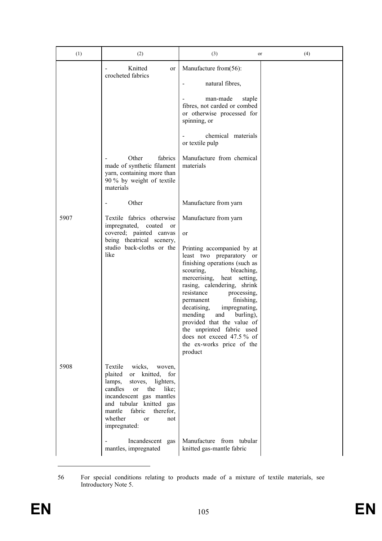| (1)  | (2)                                                                                                                                                                                                                                                                               | (3)<br>or                                                                                                                                                                                                                                                                                                                                                                                                                                                               | (4) |
|------|-----------------------------------------------------------------------------------------------------------------------------------------------------------------------------------------------------------------------------------------------------------------------------------|-------------------------------------------------------------------------------------------------------------------------------------------------------------------------------------------------------------------------------------------------------------------------------------------------------------------------------------------------------------------------------------------------------------------------------------------------------------------------|-----|
|      | Knitted<br>or<br>crocheted fabrics<br>Other<br>fabrics<br>made of synthetic filament<br>yarn, containing more than<br>90 % by weight of textile                                                                                                                                   | Manufacture from(56):<br>natural fibres,<br>man-made<br>staple<br>fibres, not carded or combed<br>or otherwise processed for<br>spinning, or<br>chemical materials<br>or textile pulp<br>Manufacture from chemical<br>materials                                                                                                                                                                                                                                         |     |
|      | materials<br>Other<br>$\overline{\phantom{a}}$                                                                                                                                                                                                                                    | Manufacture from yarn                                                                                                                                                                                                                                                                                                                                                                                                                                                   |     |
| 5907 | Textile fabrics otherwise<br>impregnated, coated<br>or<br>covered; painted canvas<br>being theatrical scenery,<br>studio back-cloths or the<br>like                                                                                                                               | Manufacture from yarn<br>or<br>Printing accompanied by at<br>least two preparatory or<br>finishing operations (such as<br>scouring,<br>bleaching,<br>mercerising, heat<br>setting,<br>rasing, calendering, shrink<br>resistance<br>processing,<br>finishing,<br>permanent<br>decatising,<br>impregnating,<br>mending<br>and<br>burling),<br>provided that the value of<br>the unprinted fabric used<br>does not exceed 47.5% of<br>the ex-works price of the<br>product |     |
| 5908 | Textile<br>wicks,<br>woven,<br>knitted,<br>plaited<br>for<br>or<br>lamps,<br>stoves, lighters,<br>candles<br>the<br><b>or</b><br>like;<br>incandescent gas mantles<br>and tubular knitted gas<br>fabric<br>therefor,<br>mantle<br>whether<br><sub>or</sub><br>not<br>impregnated: |                                                                                                                                                                                                                                                                                                                                                                                                                                                                         |     |
|      | Incandescent gas<br>mantles, impregnated                                                                                                                                                                                                                                          | Manufacture from tubular<br>knitted gas-mantle fabric                                                                                                                                                                                                                                                                                                                                                                                                                   |     |

<sup>56</sup> For special conditions relating to products made of a mixture of textile materials, see Introductory Note 5.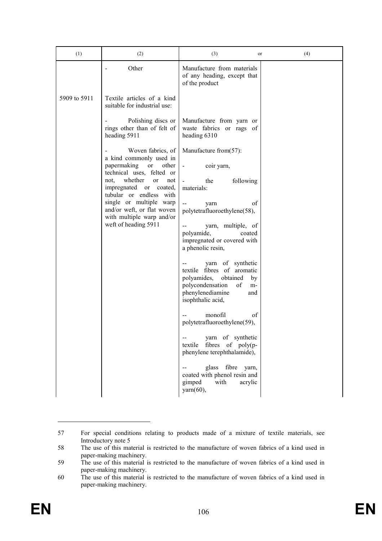| (1)          | (2)                                                                                | (3)                                                                                                                                                                 | or | (4) |
|--------------|------------------------------------------------------------------------------------|---------------------------------------------------------------------------------------------------------------------------------------------------------------------|----|-----|
|              | Other                                                                              | Manufacture from materials<br>of any heading, except that<br>of the product                                                                                         |    |     |
| 5909 to 5911 | Textile articles of a kind<br>suitable for industrial use:                         |                                                                                                                                                                     |    |     |
|              | Polishing discs or<br>rings other than of felt of<br>heading 5911                  | Manufacture from yarn or<br>waste fabrics or rags of<br>heading 6310                                                                                                |    |     |
|              | Woven fabrics, of<br>a kind commonly used in                                       | Manufacture from(57):                                                                                                                                               |    |     |
|              | papermaking<br>or<br>other<br>technical uses, felted or                            | coir yarn,<br>$\blacksquare$                                                                                                                                        |    |     |
|              | whether<br>not.<br>or<br>not<br>impregnated or coated,<br>tubular or endless with  | following<br>the<br>materials:                                                                                                                                      |    |     |
|              | single or multiple warp<br>and/or weft, or flat woven<br>with multiple warp and/or | $\overline{a}$<br>οf<br>yarn<br>polytetrafluoroethylene(58),                                                                                                        |    |     |
|              | weft of heading 5911                                                               | yarn, multiple, of<br>polyamide,<br>coated<br>impregnated or covered with<br>a phenolic resin,                                                                      |    |     |
|              |                                                                                    | yarn of synthetic<br>fibres of aromatic<br>textile<br>polyamides,<br>obtained<br>by<br>polycondensation<br>of<br>m-<br>phenylenediamine<br>and<br>isophthalic acid, |    |     |
|              |                                                                                    | monofil<br>οf<br>polytetrafluoroethylene(59),                                                                                                                       |    |     |
|              |                                                                                    | yarn of synthetic<br>textile fibres of poly(p-<br>phenylene terephthalamide),                                                                                       |    |     |
|              |                                                                                    | fibre<br>glass<br>yarn,<br>coated with phenol resin and<br>gimped<br>with<br>acrylic<br>$\gamma$ arn $(60)$ ,                                                       |    |     |

<sup>57</sup> For special conditions relating to products made of a mixture of textile materials, see Introductory note 5

<sup>58</sup> The use of this material is restricted to the manufacture of woven fabrics of a kind used in paper-making machinery.

<sup>59</sup> The use of this material is restricted to the manufacture of woven fabrics of a kind used in paper-making machinery.

<sup>60</sup> The use of this material is restricted to the manufacture of woven fabrics of a kind used in paper-making machinery.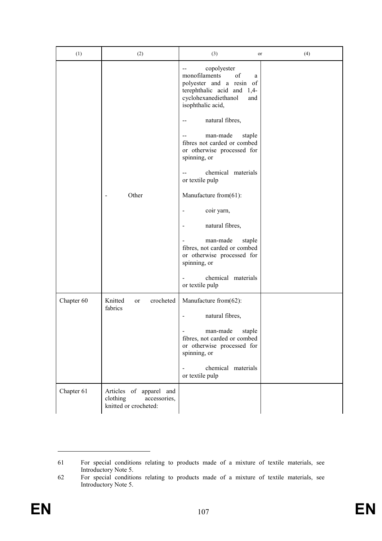| (1)        | (2)                                                                          | (3)<br>or                                                                                                                                                                                                                                                                                | (4) |
|------------|------------------------------------------------------------------------------|------------------------------------------------------------------------------------------------------------------------------------------------------------------------------------------------------------------------------------------------------------------------------------------|-----|
|            |                                                                              | copolyester<br>monofilaments<br>of<br>a<br>polyester and a resin of<br>terephthalic acid and 1,4-<br>cyclohexanediethanol<br>and<br>isophthalic acid,<br>natural fibres,<br>$-$<br>man-made<br>staple<br>--<br>fibres not carded or combed<br>or otherwise processed for<br>spinning, or |     |
|            |                                                                              | chemical materials<br>$\overline{a}$<br>or textile pulp                                                                                                                                                                                                                                  |     |
|            | Other                                                                        | Manufacture from(61):                                                                                                                                                                                                                                                                    |     |
|            |                                                                              | coir yarn,                                                                                                                                                                                                                                                                               |     |
|            |                                                                              | natural fibres,                                                                                                                                                                                                                                                                          |     |
|            |                                                                              | man-made<br>staple<br>fibres, not carded or combed<br>or otherwise processed for<br>spinning, or                                                                                                                                                                                         |     |
|            |                                                                              | chemical materials<br>or textile pulp                                                                                                                                                                                                                                                    |     |
| Chapter 60 | Knitted<br>crocheted<br><sub>or</sub><br>fabrics                             | Manufacture from(62):                                                                                                                                                                                                                                                                    |     |
|            |                                                                              | natural fibres,                                                                                                                                                                                                                                                                          |     |
|            |                                                                              | man-made<br>staple<br>fibres, not carded or combed<br>or otherwise processed for<br>spinning, or                                                                                                                                                                                         |     |
|            |                                                                              | chemical materials<br>or textile pulp                                                                                                                                                                                                                                                    |     |
| Chapter 61 | Articles of apparel and<br>clothing<br>accessories,<br>knitted or crocheted: |                                                                                                                                                                                                                                                                                          |     |

<sup>61</sup> For special conditions relating to products made of a mixture of textile materials, see Introductory Note 5.

<sup>62</sup> For special conditions relating to products made of a mixture of textile materials, see Introductory Note 5.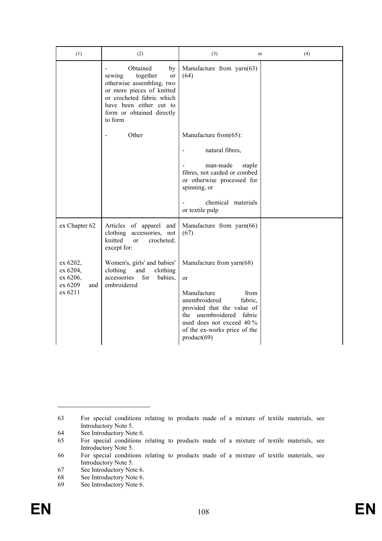| (1)                                                           | (2)                                                                                                                                                                                                  | (3)<br><sub>or</sub>                                                                                                                                                                                                           | (4) |
|---------------------------------------------------------------|------------------------------------------------------------------------------------------------------------------------------------------------------------------------------------------------------|--------------------------------------------------------------------------------------------------------------------------------------------------------------------------------------------------------------------------------|-----|
|                                                               | Obtained<br>by<br>together<br>sewing<br>or<br>otherwise assembling, two<br>or more pieces of knitted<br>or crocheted fabric which<br>have been either cut to<br>form or obtained directly<br>to form | Manufacture from yarn(63)<br>(64)                                                                                                                                                                                              |     |
|                                                               | Other                                                                                                                                                                                                | Manufacture from(65):                                                                                                                                                                                                          |     |
|                                                               |                                                                                                                                                                                                      | natural fibres,                                                                                                                                                                                                                |     |
|                                                               |                                                                                                                                                                                                      | man-made<br>staple<br>fibres, not carded or combed<br>or otherwise processed for<br>spinning, or                                                                                                                               |     |
|                                                               |                                                                                                                                                                                                      | chemical materials<br>or textile pulp                                                                                                                                                                                          |     |
| ex Chapter 62                                                 | Articles of apparel and<br>clothing<br>accessories, not<br>knitted<br>crocheted;<br><sub>or</sub><br>except for:                                                                                     | Manufacture from yarn(66)<br>(67)                                                                                                                                                                                              |     |
| ex 6202,<br>ex 6204,<br>ex 6206,<br>ex 6209<br>and<br>ex 6211 | Women's, girls' and babies'<br>clothing<br>and<br>clothing<br>accessories<br>for<br>babies,<br>embroidered                                                                                           | Manufacture from yarn(68)<br>or<br>Manufacture<br>from<br>unembroidered<br>fabric,<br>provided that the value of<br>unembroidered<br>fabric<br>the<br>used does not exceed 40 %<br>of the ex-works price of the<br>product(69) |     |

<sup>63</sup> For special conditions relating to products made of a mixture of textile materials, see Introductory Note 5.

<sup>64</sup> See Introductory Note 6.<br>65 For special conditions

<sup>65</sup> For special conditions relating to products made of a mixture of textile materials, see Introductory Note 5.

<sup>66</sup> For special conditions relating to products made of a mixture of textile materials, see Introductory Note 5.

<sup>67</sup> See Introductory Note 6.<br>68 See Introductory Note 6.

See Introductory Note 6.

<sup>69</sup> See Introductory Note 6.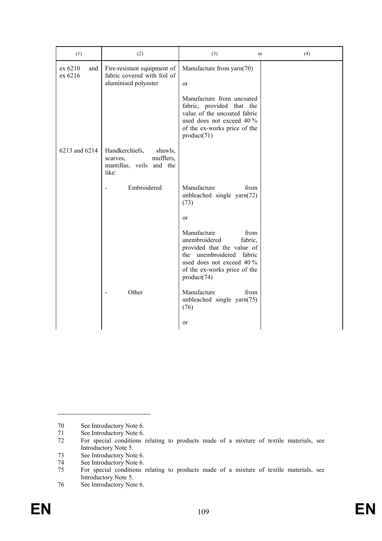| (1)                       | (2)                                                                                     | (3)<br>or                                                                                                                                                                             | (4) |
|---------------------------|-----------------------------------------------------------------------------------------|---------------------------------------------------------------------------------------------------------------------------------------------------------------------------------------|-----|
| ex 6210<br>and<br>ex 6216 | Fire-resistant equipment of<br>fabric covered with foil of<br>aluminised polyester      | Manufacture from yarn(70)<br>or                                                                                                                                                       |     |
|                           |                                                                                         | Manufacture from uncoated<br>fabric, provided that the<br>value of the uncoated fabric<br>used does not exceed 40 %<br>of the ex-works price of the<br>product(71)                    |     |
| 6213 and 6214             | Handkerchiefs,<br>shawls,<br>mufflers,<br>scarves,<br>mantillas, veils and the<br>like: |                                                                                                                                                                                       |     |
|                           | Embroidered                                                                             | Manufacture<br>from<br>unbleached single yarn(72)<br>(73)                                                                                                                             |     |
|                           |                                                                                         | or                                                                                                                                                                                    |     |
|                           |                                                                                         | Manufacture<br>from<br>unembroidered<br>fabric,<br>provided that the value of<br>the unembroidered fabric<br>used does not exceed 40 %<br>of the ex-works price of the<br>product(74) |     |
|                           | Other                                                                                   | Manufacture<br>from<br>unbleached single yarn(75)<br>(76)                                                                                                                             |     |
|                           |                                                                                         | or                                                                                                                                                                                    |     |

<sup>70</sup> See Introductory Note 6.<br>
71 See Introductory Note 6.

<sup>71</sup> See Introductory Note 6.<br>72 For special conditions

<sup>72</sup> For special conditions relating to products made of a mixture of textile materials, see Introductory Note 5.

<sup>73</sup> See Introductory Note 6.<br>74 See Introductory Note 6.

<sup>74</sup> See Introductory Note 6.<br>75 For special conditions

<sup>75</sup> For special conditions relating to products made of a mixture of textile materials, see Introductory Note 5.

<sup>76</sup> See Introductory Note 6.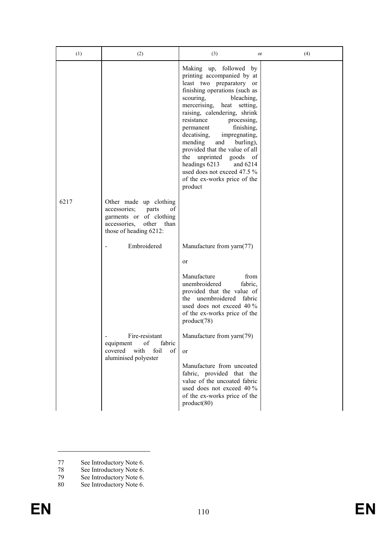| (1)  | (2)                                                                                                                                         | (3)<br>or                                                                                                                                                                                                                                                                                                                                                                                                                                                                                            | (4) |
|------|---------------------------------------------------------------------------------------------------------------------------------------------|------------------------------------------------------------------------------------------------------------------------------------------------------------------------------------------------------------------------------------------------------------------------------------------------------------------------------------------------------------------------------------------------------------------------------------------------------------------------------------------------------|-----|
|      |                                                                                                                                             | Making up, followed by<br>printing accompanied by at<br>least two preparatory or<br>finishing operations (such as<br>scouring,<br>bleaching,<br>mercerising, heat setting,<br>raising, calendering, shrink<br>resistance<br>processing,<br>finishing,<br>permanent<br>decatising,<br>impregnating,<br>mending<br>and<br>burling),<br>provided that the value of all<br>the unprinted goods of<br>headings 6213<br>and 6214<br>used does not exceed 47.5 %<br>of the ex-works price of the<br>product |     |
| 6217 | Other made up clothing<br>accessories;<br>parts<br>οf<br>garments or of clothing<br>accessories,<br>other<br>than<br>those of heading 6212: |                                                                                                                                                                                                                                                                                                                                                                                                                                                                                                      |     |
|      | Embroidered                                                                                                                                 | Manufacture from yarn(77)<br>or                                                                                                                                                                                                                                                                                                                                                                                                                                                                      |     |
|      | Fire-resistant<br>of<br>fabric<br>equipment<br>covered with<br>foil<br>of<br>aluminised polyester                                           | Manufacture<br>from<br>unembroidered<br>fabric,<br>provided that the value of<br>the unembroidered fabric<br>used does not exceed 40 %<br>of the ex-works price of the<br>product(78)<br>Manufacture from yarn(79)<br>or<br>Manufacture from uncoated<br>fabric, provided that the<br>value of the uncoated fabric<br>used does not exceed 40 %<br>of the ex-works price of the<br>product(80)                                                                                                       |     |

79 See Introductory Note 6.

<sup>77</sup> See Introductory Note 6.

<sup>78</sup> See Introductory Note 6.

<sup>80</sup> See Introductory Note 6.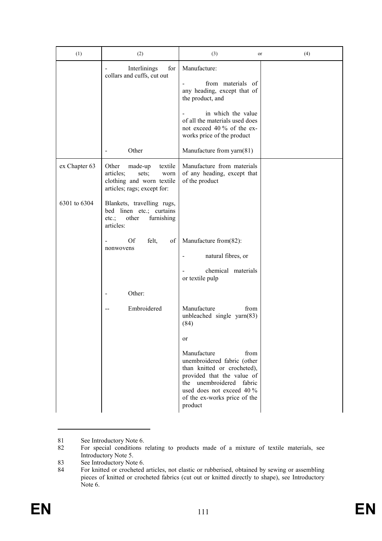| (1)           | (2)                                                                                                                   | (3)<br>or                                                                                                                                                                                                                 | (4) |
|---------------|-----------------------------------------------------------------------------------------------------------------------|---------------------------------------------------------------------------------------------------------------------------------------------------------------------------------------------------------------------------|-----|
|               | Interlinings<br>for<br>collars and cuffs, cut out                                                                     | Manufacture:<br>from materials of<br>any heading, except that of<br>the product, and<br>in which the value<br>of all the materials used does<br>not exceed 40 % of the ex-                                                |     |
|               |                                                                                                                       | works price of the product                                                                                                                                                                                                |     |
|               | Other                                                                                                                 | Manufacture from yarn(81)                                                                                                                                                                                                 |     |
| ex Chapter 63 | Other<br>made-up<br>textile<br>articles;<br>sets;<br>worn<br>clothing and worn textile<br>articles; rags; except for: | Manufacture from materials<br>of any heading, except that<br>of the product                                                                                                                                               |     |
| 6301 to 6304  | Blankets, travelling rugs,<br>bed linen etc.; curtains<br>etc.;<br>other<br>furnishing<br>articles:                   |                                                                                                                                                                                                                           |     |
|               | Of<br>felt,<br>of<br>$\overline{\phantom{a}}$<br>nonwovens                                                            | Manufacture from(82):<br>natural fibres, or<br>chemical materials<br>or textile pulp                                                                                                                                      |     |
|               | Other:                                                                                                                |                                                                                                                                                                                                                           |     |
|               | Embroidered                                                                                                           | Manufacture<br>from<br>unbleached single yarn(83)<br>(84)                                                                                                                                                                 |     |
|               |                                                                                                                       | or                                                                                                                                                                                                                        |     |
|               |                                                                                                                       | Manufacture<br>from<br>unembroidered fabric (other<br>than knitted or crocheted),<br>provided that the value of<br>unembroidered<br>the<br>fabric<br>used does not exceed 40 %<br>of the ex-works price of the<br>product |     |

<sup>81</sup> See Introductory Note 6.<br>82 For special conditions

83 See Introductory Note 6.<br>84 For knitted or crocheted

<sup>82</sup> For special conditions relating to products made of a mixture of textile materials, see Introductory Note 5.

For knitted or crocheted articles, not elastic or rubberised, obtained by sewing or assembling pieces of knitted or crocheted fabrics (cut out or knitted directly to shape), see Introductory Note 6.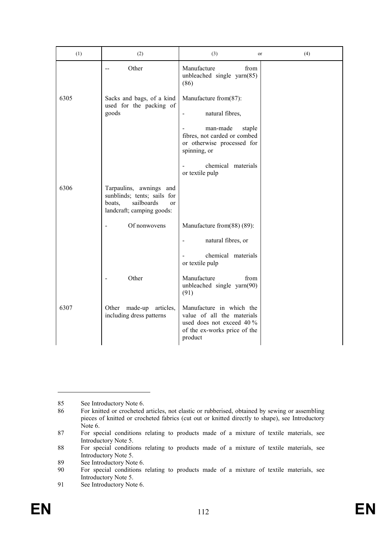| (1)  | (2)                                                                                                                          | (3)<br><sub>or</sub>                                                                                                           | (4) |
|------|------------------------------------------------------------------------------------------------------------------------------|--------------------------------------------------------------------------------------------------------------------------------|-----|
|      | Other<br>$-$                                                                                                                 | Manufacture<br>from<br>unbleached single yarn(85)<br>(86)                                                                      |     |
| 6305 | Sacks and bags, of a kind<br>used for the packing of<br>goods                                                                | Manufacture from(87):<br>natural fibres,                                                                                       |     |
|      |                                                                                                                              | man-made<br>staple<br>fibres, not carded or combed<br>or otherwise processed for<br>spinning, or                               |     |
|      |                                                                                                                              | chemical materials<br>or textile pulp                                                                                          |     |
| 6306 | Tarpaulins, awnings and<br>sunblinds; tents; sails for<br>boats,<br>sailboards<br><sub>or</sub><br>landcraft; camping goods: |                                                                                                                                |     |
|      | Of nonwovens<br>$\overline{a}$                                                                                               | Manufacture from(88) (89):                                                                                                     |     |
|      |                                                                                                                              | natural fibres, or<br>$\overline{\phantom{a}}$                                                                                 |     |
|      |                                                                                                                              | chemical materials<br>or textile pulp                                                                                          |     |
|      | Other                                                                                                                        | Manufacture<br>from<br>unbleached single yarn(90)<br>(91)                                                                      |     |
| 6307 | Other made-up articles,<br>including dress patterns                                                                          | Manufacture in which the<br>value of all the materials<br>used does not exceed 40 %<br>of the ex-works price of the<br>product |     |

<sup>85</sup> See Introductory Note 6.<br>86 For knitted or crocheted

<sup>86</sup> For knitted or crocheted articles, not elastic or rubberised, obtained by sewing or assembling pieces of knitted or crocheted fabrics (cut out or knitted directly to shape), see Introductory Note 6.

<sup>87</sup> For special conditions relating to products made of a mixture of textile materials, see Introductory Note 5.

<sup>88</sup> For special conditions relating to products made of a mixture of textile materials, see Introductory Note 5.

<sup>89</sup> See Introductory Note 6.<br>90 For special conditions

For special conditions relating to products made of a mixture of textile materials, see Introductory Note 5.

<sup>91</sup> See Introductory Note 6.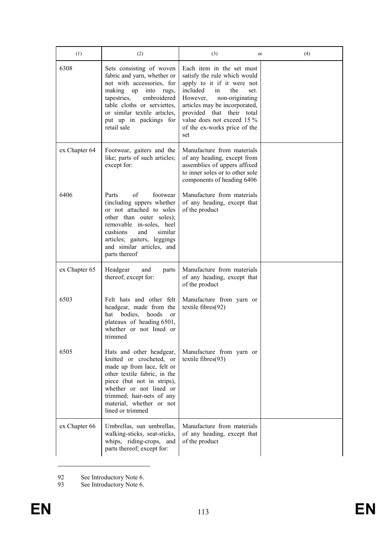| (1)           | (2)                                                                                                                                                                                                                                                      | (3)<br>or                                                                                                                                                                                                                                                                                  | (4) |
|---------------|----------------------------------------------------------------------------------------------------------------------------------------------------------------------------------------------------------------------------------------------------------|--------------------------------------------------------------------------------------------------------------------------------------------------------------------------------------------------------------------------------------------------------------------------------------------|-----|
| 6308          | Sets consisting of woven<br>fabric and yarn, whether or<br>not with accessories, for<br>making up<br>into<br>rugs,<br>tapestries,<br>embroidered<br>table cloths or serviettes,<br>or similar textile articles,<br>put up in packings for<br>retail sale | Each item in the set must<br>satisfy the rule which would<br>apply to it if it were not<br>included<br>in<br>the<br>set.<br>non-originating<br>However,<br>articles may be incorporated,<br>provided that their total<br>value does not exceed 15 %<br>of the ex-works price of the<br>set |     |
| ex Chapter 64 | Footwear, gaiters and the<br>like; parts of such articles;<br>except for:                                                                                                                                                                                | Manufacture from materials<br>of any heading, except from<br>assemblies of uppers affixed<br>to inner soles or to other sole<br>components of heading 6406                                                                                                                                 |     |
| 6406          | of<br>Parts<br>footwear<br>(including uppers whether<br>or not attached to soles<br>other than outer soles);<br>removable in-soles, heel<br>cushions<br>similar<br>and<br>articles; gaiters, leggings<br>and similar articles, and<br>parts thereof      | Manufacture from materials<br>of any heading, except that<br>of the product                                                                                                                                                                                                                |     |
| ex Chapter 65 | Headgear<br>and<br>parts<br>thereof; except for:                                                                                                                                                                                                         | Manufacture from materials<br>of any heading, except that<br>of the product                                                                                                                                                                                                                |     |
| 6503          | Felt hats and other felt<br>headgear, made from the<br>bodies,<br>hoods<br>hat<br>or<br>plateaux of heading 6501,<br>whether or not lined or<br>trimmed                                                                                                  | Manufacture from yarn or<br>textile fibres $(92)$                                                                                                                                                                                                                                          |     |
| 6505          | Hats and other headgear,<br>knitted or crocheted, or<br>made up from lace, felt or<br>other textile fabric, in the<br>piece (but not in strips),<br>whether or not lined or<br>trimmed; hair-nets of any<br>material, whether or not<br>lined or trimmed | Manufacture from yarn or<br>textile fibres(93)                                                                                                                                                                                                                                             |     |
| ex Chapter 66 | Umbrellas, sun umbrellas,<br>walking-sticks, seat-sticks,<br>whips, riding-crops, and<br>parts thereof; except for:                                                                                                                                      | Manufacture from materials<br>of any heading, except that<br>of the product                                                                                                                                                                                                                |     |

92 See Introductory Note 6.

93 See Introductory Note 6.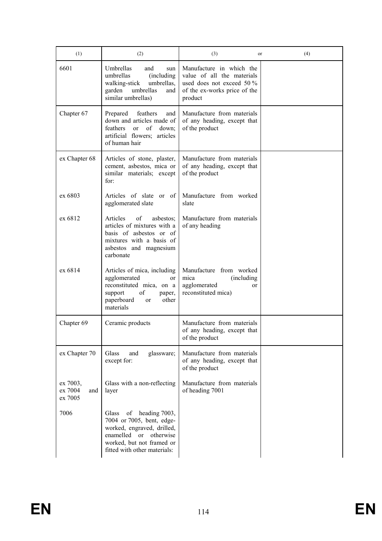| (1)                                   | (2)                                                                                                                                                                                             | (3)<br>or                                                                                                                      | (4) |
|---------------------------------------|-------------------------------------------------------------------------------------------------------------------------------------------------------------------------------------------------|--------------------------------------------------------------------------------------------------------------------------------|-----|
| 6601                                  | Umbrellas<br>and<br>sun<br>umbrellas<br>(including)<br>walking-stick<br>umbrellas,<br>umbrellas<br>garden<br>and<br>similar umbrellas)                                                          | Manufacture in which the<br>value of all the materials<br>used does not exceed 50 %<br>of the ex-works price of the<br>product |     |
| Chapter 67                            | feathers<br>Prepared<br>and<br>down and articles made of<br>feathers<br>of<br>$\alpha$<br>down;<br>artificial flowers; articles<br>of human hair                                                | Manufacture from materials<br>of any heading, except that<br>of the product                                                    |     |
| ex Chapter 68                         | Articles of stone, plaster,<br>cement, asbestos, mica or<br>similar materials; except<br>for:                                                                                                   | Manufacture from materials<br>of any heading, except that<br>of the product                                                    |     |
| ex 6803                               | Articles of slate or of<br>agglomerated slate                                                                                                                                                   | Manufacture from worked<br>slate                                                                                               |     |
| ex 6812                               | Articles<br>of<br>asbestos:<br>articles of mixtures with a<br>basis of asbestos or of<br>mixtures with a basis of<br>asbestos and magnesium<br>carbonate                                        | Manufacture from materials<br>of any heading                                                                                   |     |
| ex 6814                               | Articles of mica, including<br>agglomerated<br>or<br>reconstituted mica, on a<br>support<br>οf<br>paper,<br>paperboard<br>other<br>or<br>materials                                              | Manufacture from worked<br>mica<br>(including)<br>agglomerated<br><sub>or</sub><br>reconstituted mica)                         |     |
| Chapter 69                            | Ceramic products                                                                                                                                                                                | Manufacture from materials<br>of any heading, except that<br>of the product                                                    |     |
| ex Chapter 70                         | Glass<br>glassware;<br>and<br>except for:                                                                                                                                                       | Manufacture from materials<br>of any heading, except that<br>of the product                                                    |     |
| ex 7003,<br>ex 7004<br>and<br>ex 7005 | Glass with a non-reflecting<br>layer                                                                                                                                                            | Manufacture from materials<br>of heading 7001                                                                                  |     |
| 7006                                  | of<br>heading 7003,<br>Glass<br>7004 or 7005, bent, edge-<br>worked, engraved, drilled,<br>enamelled<br>otherwise<br><sub>or</sub><br>worked, but not framed or<br>fitted with other materials: |                                                                                                                                |     |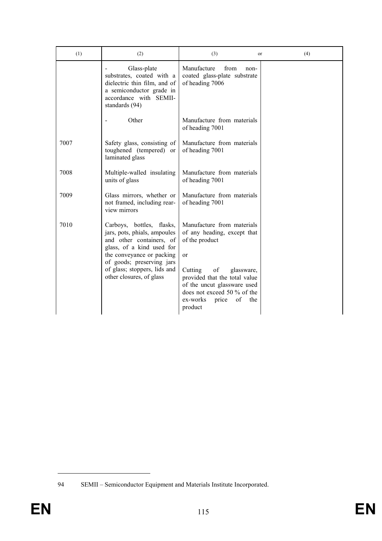| (1)  | (2)                                                                                                                                                                                                                                      | (3)<br>or                                                                                                                                                                                                                                                    | (4) |
|------|------------------------------------------------------------------------------------------------------------------------------------------------------------------------------------------------------------------------------------------|--------------------------------------------------------------------------------------------------------------------------------------------------------------------------------------------------------------------------------------------------------------|-----|
|      | Glass-plate<br>substrates, coated with a<br>dielectric thin film, and of<br>a semiconductor grade in<br>accordance with SEMII-<br>standards (94)                                                                                         | Manufacture<br>from<br>non-<br>coated glass-plate substrate<br>of heading 7006                                                                                                                                                                               |     |
|      | Other                                                                                                                                                                                                                                    | Manufacture from materials<br>of heading 7001                                                                                                                                                                                                                |     |
| 7007 | Safety glass, consisting of<br>toughened (tempered) or<br>laminated glass                                                                                                                                                                | Manufacture from materials<br>of heading 7001                                                                                                                                                                                                                |     |
| 7008 | Multiple-walled insulating<br>units of glass                                                                                                                                                                                             | Manufacture from materials<br>of heading 7001                                                                                                                                                                                                                |     |
| 7009 | Glass mirrors, whether or<br>not framed, including rear-<br>view mirrors                                                                                                                                                                 | Manufacture from materials<br>of heading 7001                                                                                                                                                                                                                |     |
| 7010 | Carboys, bottles, flasks,<br>jars, pots, phials, ampoules<br>and other containers, of<br>glass, of a kind used for<br>the conveyance or packing<br>of goods; preserving jars<br>of glass; stoppers, lids and<br>other closures, of glass | Manufacture from materials<br>of any heading, except that<br>of the product<br>or<br>Cutting<br>of<br>glassware,<br>provided that the total value<br>of the uncut glassware used<br>does not exceed 50 % of the<br>of<br>ex-works<br>price<br>the<br>product |     |

<sup>94</sup> SEMII – Semiconductor Equipment and Materials Institute Incorporated.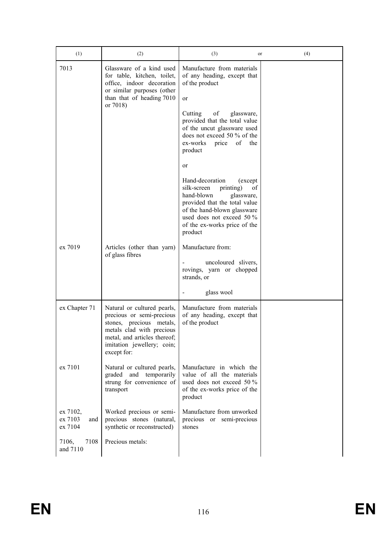| (1)                                   | (2)                                                                                                                                                                                            | (3)<br>or                                                                                                                                                                                                                         | (4) |
|---------------------------------------|------------------------------------------------------------------------------------------------------------------------------------------------------------------------------------------------|-----------------------------------------------------------------------------------------------------------------------------------------------------------------------------------------------------------------------------------|-----|
| 7013                                  | Glassware of a kind used<br>for table, kitchen, toilet,<br>office, indoor decoration<br>or similar purposes (other<br>than that of heading 7010                                                | Manufacture from materials<br>of any heading, except that<br>of the product<br>or                                                                                                                                                 |     |
|                                       | or 7018)                                                                                                                                                                                       | of<br>Cutting<br>glassware,<br>provided that the total value<br>of the uncut glassware used<br>does not exceed 50 % of the<br>ex-works<br>of<br>price<br>the<br>product                                                           |     |
|                                       |                                                                                                                                                                                                | or                                                                                                                                                                                                                                |     |
|                                       |                                                                                                                                                                                                | Hand-decoration<br>(except)<br>silk-screen<br>printing)<br>of<br>hand-blown<br>glassware,<br>provided that the total value<br>of the hand-blown glassware<br>used does not exceed 50 %<br>of the ex-works price of the<br>product |     |
| ex 7019                               | Articles (other than yarn)                                                                                                                                                                     | Manufacture from:                                                                                                                                                                                                                 |     |
|                                       | of glass fibres                                                                                                                                                                                | uncoloured slivers,<br>rovings, yarn or chopped<br>strands, or                                                                                                                                                                    |     |
|                                       |                                                                                                                                                                                                | glass wool                                                                                                                                                                                                                        |     |
| ex Chapter 71                         | Natural or cultured pearls,<br>precious or semi-precious<br>stones, precious metals,<br>metals clad with precious<br>metal, and articles thereof;<br>imitation jewellery; coin;<br>except for: | Manufacture from materials<br>of any heading, except that<br>of the product                                                                                                                                                       |     |
| ex 7101                               | Natural or cultured pearls,<br>graded and temporarily<br>strung for convenience of<br>transport                                                                                                | Manufacture in which the<br>value of all the materials<br>used does not exceed 50 $\%$<br>of the ex-works price of the<br>product                                                                                                 |     |
| ex 7102,<br>ex 7103<br>and<br>ex 7104 | Worked precious or semi-<br>precious stones (natural,<br>synthetic or reconstructed)                                                                                                           | Manufacture from unworked<br>precious or semi-precious<br>stones                                                                                                                                                                  |     |
| 7108<br>7106,<br>and 7110             | Precious metals:                                                                                                                                                                               |                                                                                                                                                                                                                                   |     |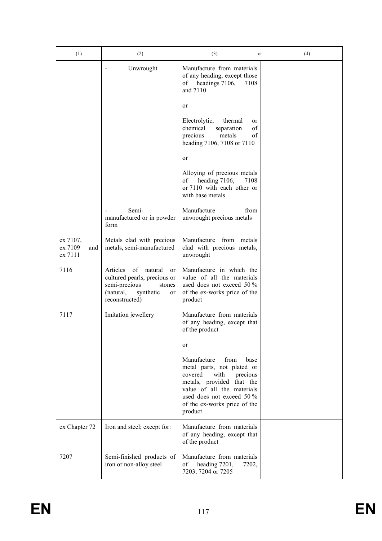| (1)                                   | (2)                                                                                                                                          | (3)<br>or                                                                                                                                                                                                                   | (4) |
|---------------------------------------|----------------------------------------------------------------------------------------------------------------------------------------------|-----------------------------------------------------------------------------------------------------------------------------------------------------------------------------------------------------------------------------|-----|
|                                       | Unwrought                                                                                                                                    | Manufacture from materials<br>of any heading, except those<br>headings 7106,<br>of<br>7108<br>and 7110                                                                                                                      |     |
|                                       |                                                                                                                                              | or                                                                                                                                                                                                                          |     |
|                                       |                                                                                                                                              | Electrolytic,<br>thermal<br>or<br>chemical<br>of<br>separation<br>precious<br>metals<br>of<br>heading 7106, 7108 or 7110                                                                                                    |     |
|                                       |                                                                                                                                              | or                                                                                                                                                                                                                          |     |
|                                       |                                                                                                                                              | Alloying of precious metals<br>heading 7106,<br>7108<br>of<br>or 7110 with each other or<br>with base metals                                                                                                                |     |
|                                       | Semi-<br>manufactured or in powder<br>form                                                                                                   | Manufacture<br>from<br>unwrought precious metals                                                                                                                                                                            |     |
| ex 7107,<br>ex 7109<br>and<br>ex 7111 | Metals clad with precious<br>metals, semi-manufactured                                                                                       | Manufacture<br>from<br>metals<br>clad with precious metals,<br>unwrought                                                                                                                                                    |     |
| 7116                                  | Articles<br>of<br>natural<br>or<br>cultured pearls, precious or<br>semi-precious<br>stones<br>(natural,<br>synthetic<br>or<br>reconstructed) | Manufacture in which the<br>value of all the materials<br>used does not exceed 50 %<br>of the ex-works price of the<br>product                                                                                              |     |
| 7117                                  | Imitation jewellery                                                                                                                          | Manufacture from materials<br>of any heading, except that<br>of the product                                                                                                                                                 |     |
|                                       |                                                                                                                                              | or                                                                                                                                                                                                                          |     |
|                                       |                                                                                                                                              | Manufacture<br>from<br>base<br>metal parts, not plated or<br>covered<br>with<br>precious<br>metals, provided that the<br>value of all the materials<br>used does not exceed 50 %<br>of the ex-works price of the<br>product |     |
| ex Chapter 72                         | Iron and steel; except for:                                                                                                                  | Manufacture from materials<br>of any heading, except that<br>of the product                                                                                                                                                 |     |
| 7207                                  | Semi-finished products of<br>iron or non-alloy steel                                                                                         | Manufacture from materials<br>heading 7201,<br>οf<br>7202,<br>7203, 7204 or 7205                                                                                                                                            |     |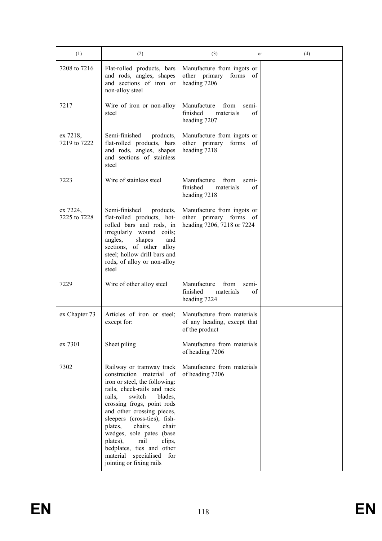| (1)                      | (2)                                                                                                                                                                                                                                                                                                                                                                                                                                     | (3)<br>or                                                                                | (4) |
|--------------------------|-----------------------------------------------------------------------------------------------------------------------------------------------------------------------------------------------------------------------------------------------------------------------------------------------------------------------------------------------------------------------------------------------------------------------------------------|------------------------------------------------------------------------------------------|-----|
| 7208 to 7216             | Flat-rolled products, bars<br>and rods, angles, shapes<br>and sections of iron or<br>non-alloy steel                                                                                                                                                                                                                                                                                                                                    | Manufacture from ingots or<br>other primary forms<br>of<br>heading 7206                  |     |
| 7217                     | Wire of iron or non-alloy<br>steel                                                                                                                                                                                                                                                                                                                                                                                                      | Manufacture<br>from<br>semi-<br>finished<br>materials<br>οf<br>heading 7207              |     |
| ex 7218,<br>7219 to 7222 | Semi-finished<br>products,<br>flat-rolled products, bars<br>and rods, angles, shapes<br>and sections of stainless<br>steel                                                                                                                                                                                                                                                                                                              | Manufacture from ingots or<br>other primary<br>forms<br>of<br>heading 7218               |     |
| 7223                     | Wire of stainless steel                                                                                                                                                                                                                                                                                                                                                                                                                 | Manufacture<br>from<br>sem <sub>1</sub> -<br>finished<br>materials<br>of<br>heading 7218 |     |
| ex 7224,<br>7225 to 7228 | Semi-finished<br>products,<br>flat-rolled products, hot-<br>rolled bars and rods, in<br>irregularly wound coils;<br>angles,<br>shapes<br>and<br>sections, of other alloy<br>steel; hollow drill bars and<br>rods, of alloy or non-alloy<br>steel                                                                                                                                                                                        | Manufacture from ingots or<br>other primary forms of<br>heading 7206, 7218 or 7224       |     |
| 7229                     | Wire of other alloy steel                                                                                                                                                                                                                                                                                                                                                                                                               | Manufacture<br>from<br>sem <sub>1</sub> -<br>finished<br>materials<br>of<br>heading 7224 |     |
| ex Chapter 73            | Articles of iron or steel;<br>except for:                                                                                                                                                                                                                                                                                                                                                                                               | Manufacture from materials<br>of any heading, except that<br>of the product              |     |
| ex 7301                  | Sheet piling                                                                                                                                                                                                                                                                                                                                                                                                                            | Manufacture from materials<br>of heading 7206                                            |     |
| 7302                     | Railway or tramway track<br>construction material<br>-of<br>iron or steel, the following:<br>rails, check-rails and rack<br>rails,<br>switch<br>blades,<br>crossing frogs, point rods<br>and other crossing pieces,<br>sleepers (cross-ties), fish-<br>plates,<br>chairs,<br>chair<br>wedges, sole pates (base<br>plates),<br>rail<br>clips,<br>bedplates, ties and other<br>material<br>specialised<br>for<br>jointing or fixing rails | Manufacture from materials<br>of heading 7206                                            |     |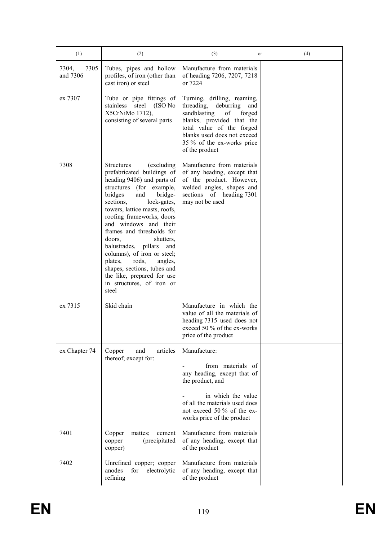| (1)                       | (2)                                                                                                                                                                                                                                                                                                                                                                                                                                                                                                                          | (3)<br>or                                                                                                                                                                                                                              | (4) |
|---------------------------|------------------------------------------------------------------------------------------------------------------------------------------------------------------------------------------------------------------------------------------------------------------------------------------------------------------------------------------------------------------------------------------------------------------------------------------------------------------------------------------------------------------------------|----------------------------------------------------------------------------------------------------------------------------------------------------------------------------------------------------------------------------------------|-----|
| 7305<br>7304,<br>and 7306 | Tubes, pipes and hollow<br>profiles, of iron (other than<br>cast iron) or steel                                                                                                                                                                                                                                                                                                                                                                                                                                              | Manufacture from materials<br>of heading 7206, 7207, 7218<br>or 7224                                                                                                                                                                   |     |
| ex 7307                   | Tube or pipe fittings of<br>steel<br>(ISO No<br>stainless<br>X5CrNiMo 1712),<br>consisting of several parts                                                                                                                                                                                                                                                                                                                                                                                                                  | Turning, drilling, reaming,<br>threading,<br>deburring<br>and<br>sandblasting<br>of<br>forged<br>blanks, provided that the<br>total value of the forged<br>blanks used does not exceed<br>35 % of the ex-works price<br>of the product |     |
| 7308                      | <b>Structures</b><br>(excluding)<br>prefabricated buildings of<br>heading 9406) and parts of<br>structures (for example,<br>and<br>bridge-<br>bridges<br>sections,<br>lock-gates,<br>towers, lattice masts, roofs,<br>roofing frameworks, doors<br>and windows and their<br>frames and thresholds for<br>doors,<br>shutters,<br>balustrades, pillars<br>and<br>columns), of iron or steel;<br>rods,<br>plates,<br>angles,<br>shapes, sections, tubes and<br>the like, prepared for use<br>in structures, of iron or<br>steel | Manufacture from materials<br>of any heading, except that<br>of the product. However,<br>welded angles, shapes and<br>sections of heading 7301<br>may not be used                                                                      |     |
| ex 7315                   | Skid chain                                                                                                                                                                                                                                                                                                                                                                                                                                                                                                                   | Manufacture in which the<br>value of all the materials of<br>heading 7315 used does not<br>exceed 50 % of the ex-works<br>price of the product                                                                                         |     |
| ex Chapter 74             | Copper<br>articles<br>and<br>thereof; except for:                                                                                                                                                                                                                                                                                                                                                                                                                                                                            | Manufacture:                                                                                                                                                                                                                           |     |
|                           |                                                                                                                                                                                                                                                                                                                                                                                                                                                                                                                              | from materials of<br>any heading, except that of<br>the product, and                                                                                                                                                                   |     |
|                           |                                                                                                                                                                                                                                                                                                                                                                                                                                                                                                                              | in which the value<br>of all the materials used does<br>not exceed 50 % of the ex-<br>works price of the product                                                                                                                       |     |
| 7401                      | Copper<br>mattes;<br>cement<br>(precipitated<br>copper<br>copper)                                                                                                                                                                                                                                                                                                                                                                                                                                                            | Manufacture from materials<br>of any heading, except that<br>of the product                                                                                                                                                            |     |
| 7402                      | Unrefined copper; copper<br>anodes<br>for<br>electrolytic<br>refining                                                                                                                                                                                                                                                                                                                                                                                                                                                        | Manufacture from materials<br>of any heading, except that<br>of the product                                                                                                                                                            |     |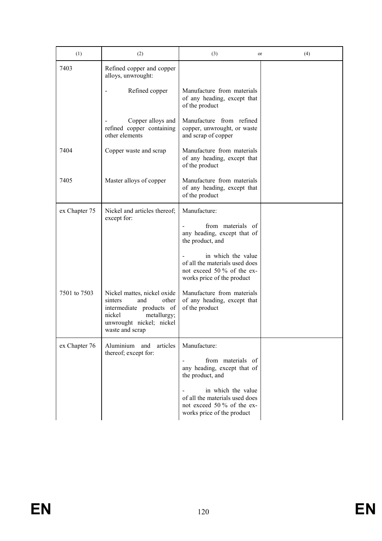| (1)           | (2)                                                                                                                                                        | (3)<br>or                                                                                                        | (4) |
|---------------|------------------------------------------------------------------------------------------------------------------------------------------------------------|------------------------------------------------------------------------------------------------------------------|-----|
| 7403          | Refined copper and copper<br>alloys, unwrought:                                                                                                            |                                                                                                                  |     |
|               | Refined copper                                                                                                                                             | Manufacture from materials<br>of any heading, except that<br>of the product                                      |     |
|               | Copper alloys and<br>refined copper containing<br>other elements                                                                                           | Manufacture from refined<br>copper, unwrought, or waste<br>and scrap of copper                                   |     |
| 7404          | Copper waste and scrap                                                                                                                                     | Manufacture from materials<br>of any heading, except that<br>of the product                                      |     |
| 7405          | Master alloys of copper                                                                                                                                    | Manufacture from materials<br>of any heading, except that<br>of the product                                      |     |
| ex Chapter 75 | Nickel and articles thereof;<br>except for:                                                                                                                | Manufacture:                                                                                                     |     |
|               |                                                                                                                                                            | from materials of<br>any heading, except that of<br>the product, and                                             |     |
|               |                                                                                                                                                            | in which the value<br>of all the materials used does<br>not exceed 50 % of the ex-<br>works price of the product |     |
| 7501 to 7503  | Nickel mattes, nickel oxide<br>other<br>sinters<br>and<br>intermediate products of<br>nickel<br>metallurgy;<br>unwrought nickel; nickel<br>waste and scrap | Manufacture from materials<br>of any heading, except that<br>of the product                                      |     |
| ex Chapter 76 | Aluminium and<br>articles<br>thereof; except for:                                                                                                          | Manufacture:                                                                                                     |     |
|               |                                                                                                                                                            | from materials of<br>any heading, except that of<br>the product, and                                             |     |
|               |                                                                                                                                                            | in which the value<br>of all the materials used does<br>not exceed 50 % of the ex-<br>works price of the product |     |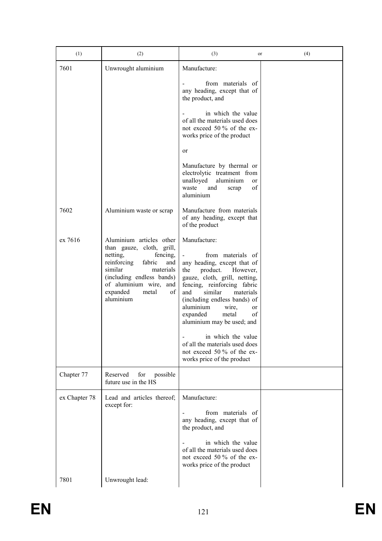| (1)           | (2)                                                                                                                                                                                                                                                                                                                                  | (3)<br>or                                                                                                                                                                                                                                                                                                                                                                                                                                                 | (4) |
|---------------|--------------------------------------------------------------------------------------------------------------------------------------------------------------------------------------------------------------------------------------------------------------------------------------------------------------------------------------|-----------------------------------------------------------------------------------------------------------------------------------------------------------------------------------------------------------------------------------------------------------------------------------------------------------------------------------------------------------------------------------------------------------------------------------------------------------|-----|
| 7601          | Unwrought aluminium                                                                                                                                                                                                                                                                                                                  | Manufacture:                                                                                                                                                                                                                                                                                                                                                                                                                                              |     |
|               |                                                                                                                                                                                                                                                                                                                                      | from materials of<br>any heading, except that of<br>the product, and                                                                                                                                                                                                                                                                                                                                                                                      |     |
|               |                                                                                                                                                                                                                                                                                                                                      | in which the value<br>of all the materials used does<br>not exceed 50 % of the ex-<br>works price of the product                                                                                                                                                                                                                                                                                                                                          |     |
|               |                                                                                                                                                                                                                                                                                                                                      | <sub>or</sub>                                                                                                                                                                                                                                                                                                                                                                                                                                             |     |
|               |                                                                                                                                                                                                                                                                                                                                      | Manufacture by thermal or<br>electrolytic treatment from<br>unalloyed<br>aluminium<br>or<br>of<br>and<br>waste<br>scrap<br>aluminium                                                                                                                                                                                                                                                                                                                      |     |
| 7602          | Aluminium waste or scrap                                                                                                                                                                                                                                                                                                             | Manufacture from materials<br>of any heading, except that<br>of the product                                                                                                                                                                                                                                                                                                                                                                               |     |
| ex 7616       | Aluminium articles other<br>than gauze, cloth, grill,<br>netting,<br>fencing,<br>reinforcing<br>fabric<br>and<br>similar<br>materials<br>(including endless bands)<br>of aluminium wire, and<br>$% \left( \left( \mathcal{A},\mathcal{A}\right) \right) =\left( \mathcal{A},\mathcal{A}\right)$ of<br>expanded<br>metal<br>aluminium | Manufacture:<br>from materials of<br>$\blacksquare$<br>any heading, except that of<br>the<br>product.<br>However,<br>gauze, cloth, grill, netting,<br>fencing, reinforcing fabric<br>similar<br>and<br>materials<br>(including endless bands) of<br>aluminium<br>wire,<br>or<br>of<br>expanded<br>metal<br>aluminium may be used; and<br>in which the value<br>of all the materials used does<br>not exceed 50 % of the ex-<br>works price of the product |     |
| Chapter 77    | Reserved<br>for<br>possible<br>future use in the HS                                                                                                                                                                                                                                                                                  |                                                                                                                                                                                                                                                                                                                                                                                                                                                           |     |
| ex Chapter 78 | Lead and articles thereof;<br>except for:                                                                                                                                                                                                                                                                                            | Manufacture:<br>from materials of<br>any heading, except that of<br>the product, and<br>in which the value<br>of all the materials used does<br>not exceed 50 % of the ex-<br>works price of the product                                                                                                                                                                                                                                                  |     |
| 7801          | Unwrought lead:                                                                                                                                                                                                                                                                                                                      |                                                                                                                                                                                                                                                                                                                                                                                                                                                           |     |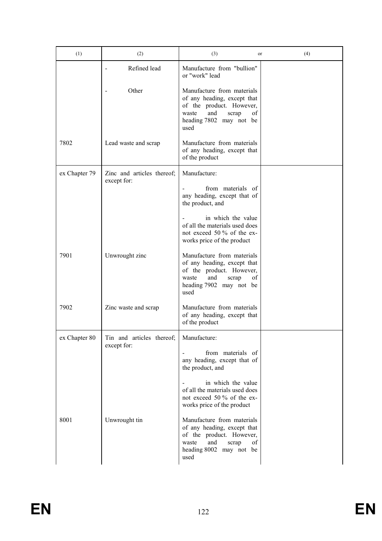| (1)           | (2)                                      | (3)<br><sub>or</sub>                                                                                                                                    | (4) |
|---------------|------------------------------------------|---------------------------------------------------------------------------------------------------------------------------------------------------------|-----|
|               | Refined lead                             | Manufacture from "bullion"<br>or "work" lead                                                                                                            |     |
|               | Other                                    | Manufacture from materials<br>of any heading, except that<br>of the product. However,<br>and<br>of<br>waste<br>scrap<br>heading 7802 may not be<br>used |     |
| 7802          | Lead waste and scrap                     | Manufacture from materials<br>of any heading, except that<br>of the product                                                                             |     |
| ex Chapter 79 | Zinc and articles thereof;               | Manufacture:                                                                                                                                            |     |
|               | except for:                              | from materials of<br>any heading, except that of<br>the product, and                                                                                    |     |
|               |                                          | in which the value<br>of all the materials used does<br>not exceed 50 % of the ex-<br>works price of the product                                        |     |
| 7901          | Unwrought zinc                           | Manufacture from materials<br>of any heading, except that<br>of the product. However,<br>and<br>waste<br>οf<br>scrap<br>heading 7902 may not be<br>used |     |
| 7902          | Zinc waste and scrap                     | Manufacture from materials<br>of any heading, except that<br>of the product                                                                             |     |
| ex Chapter 80 | Tin and articles thereof;<br>except for: | Manufacture:                                                                                                                                            |     |
|               |                                          | from materials of<br>$\frac{1}{2}$<br>any heading, except that of<br>the product, and                                                                   |     |
|               |                                          | in which the value<br>of all the materials used does<br>not exceed 50 % of the ex-<br>works price of the product                                        |     |
| 8001          | Unwrought tin                            | Manufacture from materials<br>of any heading, except that<br>of the product. However,<br>and<br>of<br>waste<br>scrap<br>heading 8002 may not be<br>used |     |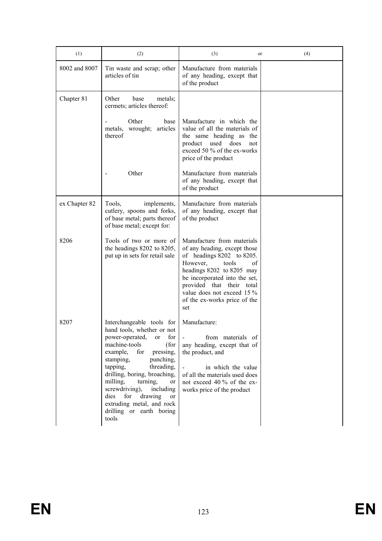| (1)           | (2)                                                                                                                                                                                                                                                                                                                                                                                                 | (3)<br>or                                                                                                                                                                                                                                                                               | (4) |
|---------------|-----------------------------------------------------------------------------------------------------------------------------------------------------------------------------------------------------------------------------------------------------------------------------------------------------------------------------------------------------------------------------------------------------|-----------------------------------------------------------------------------------------------------------------------------------------------------------------------------------------------------------------------------------------------------------------------------------------|-----|
| 8002 and 8007 | Tin waste and scrap; other<br>articles of tin                                                                                                                                                                                                                                                                                                                                                       | Manufacture from materials<br>of any heading, except that<br>of the product                                                                                                                                                                                                             |     |
| Chapter 81    | Other<br>metals;<br>base<br>cermets; articles thereof:                                                                                                                                                                                                                                                                                                                                              |                                                                                                                                                                                                                                                                                         |     |
|               | Other<br>base<br>wrought;<br>articles<br>metals.<br>thereof                                                                                                                                                                                                                                                                                                                                         | Manufacture in which the<br>value of all the materials of<br>the same heading as<br>the<br>does<br>product<br>used<br>not<br>exceed 50 % of the ex-works<br>price of the product                                                                                                        |     |
|               | Other                                                                                                                                                                                                                                                                                                                                                                                               | Manufacture from materials<br>of any heading, except that<br>of the product                                                                                                                                                                                                             |     |
| ex Chapter 82 | Tools,<br>implements,<br>cutlery, spoons and forks,<br>of base metal; parts thereof<br>of base metal; except for:                                                                                                                                                                                                                                                                                   | Manufacture from materials<br>of any heading, except that<br>of the product                                                                                                                                                                                                             |     |
| 8206          | Tools of two or more of<br>the headings 8202 to 8205,<br>put up in sets for retail sale                                                                                                                                                                                                                                                                                                             | Manufacture from materials<br>of any heading, except those<br>of headings $8202$ to $8205$ .<br>However,<br>tools<br>of<br>headings 8202 to 8205 may<br>be incorporated into the set,<br>provided that their total<br>value does not exceed 15 %<br>of the ex-works price of the<br>set |     |
| 8207          | Interchangeable tools for<br>hand tools, whether or not<br>power-operated,<br>for<br>or<br>machine-tools<br>(for<br>example,<br>for<br>pressing,<br>stamping,<br>punching,<br>tapping,<br>threading,<br>drilling, boring, broaching,<br>milling,<br>turning,<br>or<br>screwdriving),<br>including<br>drawing<br>dies<br>for<br>or<br>extruding metal, and rock<br>drilling or earth boring<br>tools | Manufacture:<br>from materials of<br>any heading, except that of<br>the product, and<br>in which the value<br>of all the materials used does<br>not exceed 40 % of the ex-<br>works price of the product                                                                                |     |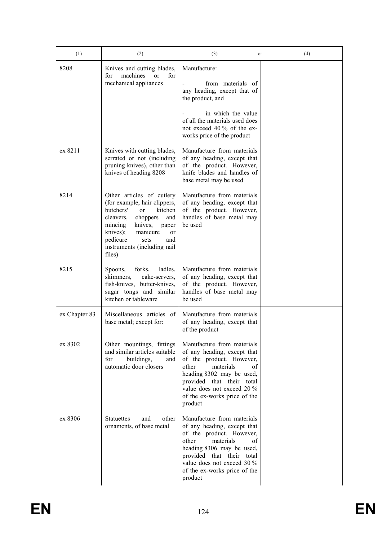| (1)           | (2)                                                                                                                                                                                                                                                                 | (3)<br>or                                                                                                                                                                                                                                            | (4) |
|---------------|---------------------------------------------------------------------------------------------------------------------------------------------------------------------------------------------------------------------------------------------------------------------|------------------------------------------------------------------------------------------------------------------------------------------------------------------------------------------------------------------------------------------------------|-----|
| 8208          | Knives and cutting blades,<br>machines<br>for<br><sub>or</sub><br>for<br>mechanical appliances                                                                                                                                                                      | Manufacture:<br>from materials of<br>any heading, except that of<br>the product, and<br>in which the value<br>of all the materials used does<br>not exceed 40 % of the ex-<br>works price of the product                                             |     |
| ex 8211       | Knives with cutting blades,<br>serrated or not (including<br>pruning knives), other than<br>knives of heading 8208                                                                                                                                                  | Manufacture from materials<br>of any heading, except that<br>of the product. However,<br>knife blades and handles of<br>base metal may be used                                                                                                       |     |
| 8214          | Other articles of cutlery<br>(for example, hair clippers,<br>butchers'<br>kitchen<br>or<br>cleavers,<br>choppers<br>and<br>knives,<br>mincing<br>paper<br>knives);<br>manicure<br><sub>or</sub><br>pedicure<br>and<br>sets<br>instruments (including nail<br>files) | Manufacture from materials<br>of any heading, except that<br>of the product. However,<br>handles of base metal may<br>be used                                                                                                                        |     |
| 8215          | Spoons,<br>forks,<br>ladles,<br>skimmers,<br>cake-servers,<br>fish-knives, butter-knives,<br>sugar tongs and similar<br>kitchen or tableware                                                                                                                        | Manufacture from materials<br>of any heading, except that<br>of the product. However,<br>handles of base metal may<br>be used                                                                                                                        |     |
| ex Chapter 83 | Miscellaneous articles of<br>base metal; except for:                                                                                                                                                                                                                | Manufacture from materials<br>of any heading, except that<br>of the product                                                                                                                                                                          |     |
| ex 8302       | Other mountings, fittings<br>and similar articles suitable<br>buildings,<br>for<br>and<br>automatic door closers                                                                                                                                                    | Manufacture from materials<br>of any heading, except that<br>of the product. However,<br>materials<br>other<br>οf<br>heading 8302 may be used,<br>provided that their total<br>value does not exceed 20 %<br>of the ex-works price of the<br>product |     |
| ex 8306       | <b>Statuettes</b><br>other<br>and<br>ornaments, of base metal                                                                                                                                                                                                       | Manufacture from materials<br>of any heading, except that<br>of the product. However,<br>materials<br>other<br>οf<br>heading 8306 may be used,<br>provided that their total<br>value does not exceed 30 %<br>of the ex-works price of the<br>product |     |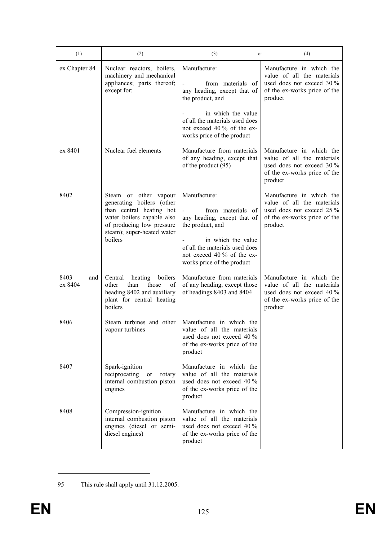| (1)                    | (2)                                                                                                                                                                                | (3)<br>or                                                                                                                                                                                                | (4)                                                                                                                            |
|------------------------|------------------------------------------------------------------------------------------------------------------------------------------------------------------------------------|----------------------------------------------------------------------------------------------------------------------------------------------------------------------------------------------------------|--------------------------------------------------------------------------------------------------------------------------------|
| ex Chapter 84          | Nuclear reactors, boilers,<br>machinery and mechanical<br>appliances; parts thereof;<br>except for:                                                                                | Manufacture:<br>from materials of<br>any heading, except that of<br>the product, and                                                                                                                     | Manufacture in which the<br>value of all the materials<br>used does not exceed 30 %<br>of the ex-works price of the<br>product |
|                        |                                                                                                                                                                                    | in which the value<br>of all the materials used does<br>not exceed 40 % of the ex-<br>works price of the product                                                                                         |                                                                                                                                |
| ex 8401                | Nuclear fuel elements                                                                                                                                                              | Manufacture from materials<br>of any heading, except that<br>of the product (95)                                                                                                                         | Manufacture in which the<br>value of all the materials<br>used does not exceed 30 %<br>of the ex-works price of the<br>product |
| 8402                   | Steam or other vapour<br>generating boilers (other<br>than central heating hot<br>water boilers capable also<br>of producing low pressure<br>steam); super-heated water<br>boilers | Manufacture:<br>from materials of<br>any heading, except that of<br>the product, and<br>in which the value<br>of all the materials used does<br>not exceed 40 % of the ex-<br>works price of the product | Manufacture in which the<br>value of all the materials<br>used does not exceed 25 %<br>of the ex-works price of the<br>product |
| 8403<br>and<br>ex 8404 | Central<br>heating<br>boilers<br>other<br>than<br>those<br>of<br>heading 8402 and auxiliary<br>plant for central heating<br>boilers                                                | Manufacture from materials<br>of any heading, except those<br>of headings 8403 and 8404                                                                                                                  | Manufacture in which the<br>value of all the materials<br>used does not exceed 40 %<br>of the ex-works price of the<br>product |
| 8406                   | Steam turbines and other<br>vapour turbines                                                                                                                                        | Manufacture in which the<br>value of all the materials<br>used does not exceed 40 %<br>of the ex-works price of the<br>product                                                                           |                                                                                                                                |
| 8407                   | Spark-ignition<br>reciprocating<br>rotary<br>or<br>internal combustion piston<br>engines                                                                                           | Manufacture in which the<br>value of all the materials<br>used does not exceed $40\%$<br>of the ex-works price of the<br>product                                                                         |                                                                                                                                |
| 8408                   | Compression-ignition<br>internal combustion piston<br>engines (diesel or semi-<br>diesel engines)                                                                                  | Manufacture in which the<br>value of all the materials<br>used does not exceed $40\%$<br>of the ex-works price of the<br>product                                                                         |                                                                                                                                |

<sup>95</sup> This rule shall apply until 31.12.2005.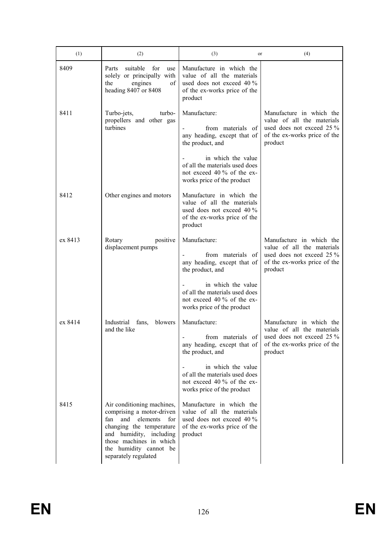| (1)     | (2)                                                                                                                                                                                                                          | (3)<br>or                                                                                                                                                                  | (4)                                                                                                                            |
|---------|------------------------------------------------------------------------------------------------------------------------------------------------------------------------------------------------------------------------------|----------------------------------------------------------------------------------------------------------------------------------------------------------------------------|--------------------------------------------------------------------------------------------------------------------------------|
| 8409    | suitable<br>for<br>Parts<br>use<br>solely or principally with<br>the<br>engines<br>οf<br>heading 8407 or 8408                                                                                                                | Manufacture in which the<br>value of all the materials<br>used does not exceed 40 %<br>of the ex-works price of the<br>product                                             |                                                                                                                                |
| 8411    | Turbo-jets,<br>turbo-<br>propellers and other gas<br>turbines                                                                                                                                                                | Manufacture:<br>from materials of<br>any heading, except that of<br>the product, and<br>in which the value<br>of all the materials used does<br>not exceed 40 % of the ex- | Manufacture in which the<br>value of all the materials<br>used does not exceed 25 %<br>of the ex-works price of the<br>product |
|         |                                                                                                                                                                                                                              | works price of the product                                                                                                                                                 |                                                                                                                                |
| 8412    | Other engines and motors                                                                                                                                                                                                     | Manufacture in which the<br>value of all the materials<br>used does not exceed 40 %<br>of the ex-works price of the<br>product                                             |                                                                                                                                |
| ex 8413 | positive<br>Rotary<br>displacement pumps                                                                                                                                                                                     | Manufacture:<br>from materials of<br>any heading, except that of<br>the product, and                                                                                       | Manufacture in which the<br>value of all the materials<br>used does not exceed 25 %<br>of the ex-works price of the<br>product |
|         |                                                                                                                                                                                                                              | in which the value<br>of all the materials used does<br>not exceed 40 % of the ex-<br>works price of the product                                                           |                                                                                                                                |
| ex 8414 | Industrial<br>fans,<br>blowers                                                                                                                                                                                               | Manufacture:                                                                                                                                                               | Manufacture in which the                                                                                                       |
|         | and the like                                                                                                                                                                                                                 | from materials of<br>any heading, except that of<br>the product, and                                                                                                       | value of all the materials<br>used does not exceed $25\%$<br>of the ex-works price of the<br>product                           |
|         |                                                                                                                                                                                                                              | in which the value<br>of all the materials used does<br>not exceed 40 % of the ex-<br>works price of the product                                                           |                                                                                                                                |
| 8415    | Air conditioning machines,<br>comprising a motor-driven<br>elements<br>fan<br>and<br>for<br>changing the temperature<br>and humidity, including<br>those machines in which<br>the humidity cannot be<br>separately regulated | Manufacture in which the<br>value of all the materials<br>used does not exceed 40 %<br>of the ex-works price of the<br>product                                             |                                                                                                                                |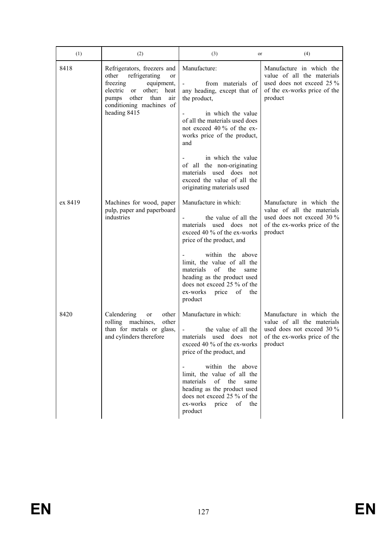| (1)     | (2)                                                                                                                                                                                        | (3)<br>or                                                                                                                                                                                                    | (4)                                                                                                                            |
|---------|--------------------------------------------------------------------------------------------------------------------------------------------------------------------------------------------|--------------------------------------------------------------------------------------------------------------------------------------------------------------------------------------------------------------|--------------------------------------------------------------------------------------------------------------------------------|
| 8418    | Refrigerators, freezers and<br>refrigerating<br>other<br>or<br>freezing<br>equipment,<br>electric or other; heat<br>other than<br>air<br>pumps<br>conditioning machines of<br>heading 8415 | Manufacture:<br>from materials of<br>any heading, except that of<br>the product,<br>in which the value<br>of all the materials used does<br>not exceed 40 % of the ex-<br>works price of the product,<br>and | Manufacture in which the<br>value of all the materials<br>used does not exceed 25 %<br>of the ex-works price of the<br>product |
|         |                                                                                                                                                                                            | in which the value<br>of all the non-originating<br>materials used does not<br>exceed the value of all the<br>originating materials used                                                                     |                                                                                                                                |
| ex 8419 | Machines for wood, paper<br>pulp, paper and paperboard<br>industries                                                                                                                       | Manufacture in which:<br>the value of all the<br>materials used does not<br>exceed 40 % of the ex-works<br>price of the product, and                                                                         | Manufacture in which the<br>value of all the materials<br>used does not exceed 30 %<br>of the ex-works price of the<br>product |
|         |                                                                                                                                                                                            | within the above<br>limit, the value of all the<br>materials<br>of<br>the<br>same<br>heading as the product used<br>does not exceed 25 % of the<br>ex-works price<br>of<br>the<br>product                    |                                                                                                                                |
| 8420    | Calendering<br>other<br>or<br>rolling machines,<br>other<br>than for metals or glass,<br>and cylinders therefore                                                                           | Manufacture in which:<br>the value of all the<br>materials used does not<br>exceed 40 % of the ex-works<br>price of the product, and<br>within the above<br>limit, the value of all the                      | Manufacture in which the<br>value of all the materials<br>used does not exceed 30 %<br>of the ex-works price of the<br>product |
|         |                                                                                                                                                                                            | materials<br>of<br>the<br>same<br>heading as the product used<br>does not exceed 25 % of the<br>of<br>ex-works<br>price<br>the<br>product                                                                    |                                                                                                                                |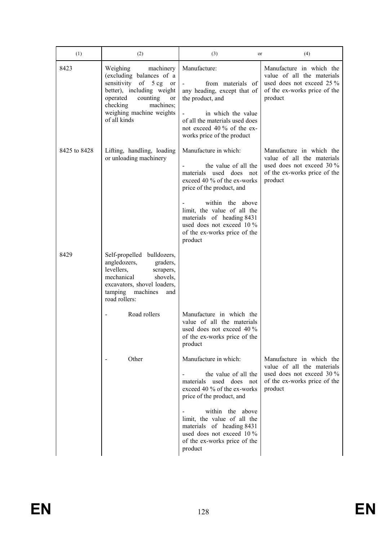| Weighing<br>machinery<br>(excluding balances of a<br>sensitivity of 5 cg or<br>better), including weight<br>operated<br>counting<br>or<br>machines;<br>checking<br>weighing machine weights<br>of all kinds | Manufacture:<br>from materials of<br>any heading, except that of<br>the product, and<br>in which the value<br>of all the materials used does<br>not exceed 40 % of the ex-<br>works price of the product                                                                                     | Manufacture in which the<br>value of all the materials<br>used does not exceed 25 %<br>of the ex-works price of the<br>product   |
|-------------------------------------------------------------------------------------------------------------------------------------------------------------------------------------------------------------|----------------------------------------------------------------------------------------------------------------------------------------------------------------------------------------------------------------------------------------------------------------------------------------------|----------------------------------------------------------------------------------------------------------------------------------|
| Lifting, handling, loading<br>or unloading machinery                                                                                                                                                        | Manufacture in which:<br>the value of all the<br>materials used does not<br>exceed 40 % of the ex-works<br>price of the product, and<br>within the above<br>limit, the value of all the<br>materials of heading 8431<br>used does not exceed 10 %<br>of the ex-works price of the<br>product | Manufacture in which the<br>value of all the materials<br>used does not exceed $30\%$<br>of the ex-works price of the<br>product |
| Self-propelled bulldozers,<br>angledozers,<br>graders,<br>levellers,<br>scrapers,<br>mechanical<br>shovels,<br>excavators, shovel loaders,<br>tamping<br>machines<br>and<br>road rollers:                   |                                                                                                                                                                                                                                                                                              |                                                                                                                                  |
| Road rollers                                                                                                                                                                                                | Manufacture in which the<br>value of all the materials<br>used does not exceed 40 %<br>of the ex-works price of the<br>product                                                                                                                                                               |                                                                                                                                  |
| Other                                                                                                                                                                                                       | Manufacture in which:<br>the value of all the<br>materials used does not<br>exceed 40 % of the ex-works<br>price of the product, and<br>within the above<br>limit, the value of all the<br>materials of heading 8431<br>used does not exceed 10 %                                            | Manufacture in which the<br>value of all the materials<br>used does not exceed 30 %<br>of the ex-works price of the<br>product   |
|                                                                                                                                                                                                             |                                                                                                                                                                                                                                                                                              | of the ex-works price of the<br>product                                                                                          |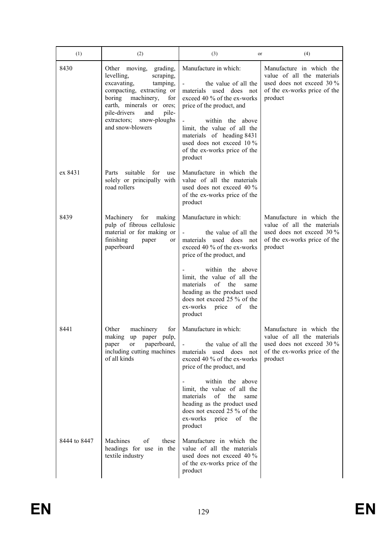| (1)          | (2)                                                                                                                                                                                                                                               | (3)<br>or                                                                                                                                                                                                                                                                                                                                            | (4)                                                                                                                              |
|--------------|---------------------------------------------------------------------------------------------------------------------------------------------------------------------------------------------------------------------------------------------------|------------------------------------------------------------------------------------------------------------------------------------------------------------------------------------------------------------------------------------------------------------------------------------------------------------------------------------------------------|----------------------------------------------------------------------------------------------------------------------------------|
| 8430         | Other moving, grading,<br>levelling,<br>scraping,<br>excavating,<br>tamping,<br>compacting, extracting or<br>boring machinery,<br>for<br>earth, minerals or ores;<br>pile-drivers<br>pile-<br>and<br>extractors; snow-ploughs<br>and snow-blowers | Manufacture in which:<br>the value of all the<br>materials used does not<br>exceed 40 % of the ex-works<br>price of the product, and<br>within the above<br>limit, the value of all the<br>materials of heading 8431<br>used does not exceed 10 %<br>of the ex-works price of the<br>product                                                         | Manufacture in which the<br>value of all the materials<br>used does not exceed 30 %<br>of the ex-works price of the<br>product   |
| ex 8431      | suitable<br>for<br>Parts<br>use<br>solely or principally with<br>road rollers                                                                                                                                                                     | Manufacture in which the<br>value of all the materials<br>used does not exceed 40 %<br>of the ex-works price of the<br>product                                                                                                                                                                                                                       |                                                                                                                                  |
| 8439         | Machinery for making<br>pulp of fibrous cellulosic<br>material or for making or<br>finishing<br>paper<br>or<br>paperboard                                                                                                                         | Manufacture in which:<br>the value of all the<br>$\mathcal{L}_{\rm{max}}$<br>materials used does not<br>exceed 40 % of the ex-works<br>price of the product, and<br>within the above<br>limit, the value of all the<br>of the<br>materials<br>same<br>heading as the product used<br>does not exceed 25 % of the<br>ex-works price of the<br>product | Manufacture in which the<br>value of all the materials<br>used does not exceed 30 %<br>of the ex-works price of the<br>product   |
| 8441         | Other<br>machinery<br>for<br>making<br>paper pulp,<br>up<br>paperboard,<br>paper<br>or<br>including cutting machines<br>of all kinds                                                                                                              | Manufacture in which:<br>the value of all the<br>used does not<br>materials<br>exceed 40 % of the ex-works<br>price of the product, and<br>within the above<br>limit, the value of all the<br>materials<br>of<br>the<br>same<br>heading as the product used<br>does not exceed 25 % of the<br>ex-works price<br>of the<br>product                    | Manufacture in which the<br>value of all the materials<br>used does not exceed $30\%$<br>of the ex-works price of the<br>product |
| 8444 to 8447 | Machines<br>of<br>these<br>headings for use in the<br>textile industry                                                                                                                                                                            | Manufacture in which the<br>value of all the materials<br>used does not exceed 40 %<br>of the ex-works price of the<br>product                                                                                                                                                                                                                       |                                                                                                                                  |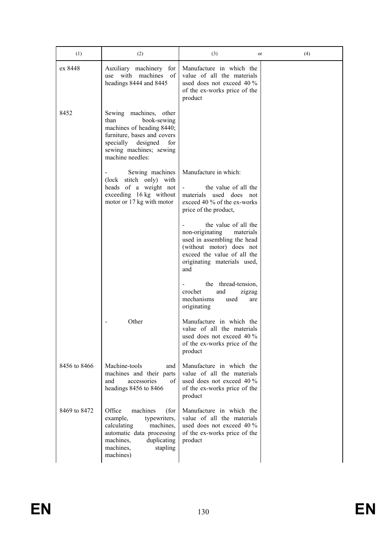| (1)          | (2)                                                                                                                                                                                   | (3)<br>or                                                                                                                                                                            | (4) |
|--------------|---------------------------------------------------------------------------------------------------------------------------------------------------------------------------------------|--------------------------------------------------------------------------------------------------------------------------------------------------------------------------------------|-----|
| ex 8448      | Auxiliary machinery for<br>with machines of<br>use<br>headings 8444 and 8445                                                                                                          | Manufacture in which the<br>value of all the materials<br>used does not exceed $40\%$<br>of the ex-works price of the<br>product                                                     |     |
| 8452         | Sewing machines, other<br>book-sewing<br>than<br>machines of heading 8440;<br>furniture, bases and covers<br>specially designed<br>for<br>sewing machines; sewing<br>machine needles: |                                                                                                                                                                                      |     |
|              | Sewing machines<br>(lock stitch only) with<br>heads of a weight not<br>exceeding 16 kg without<br>motor or 17 kg with motor                                                           | Manufacture in which:<br>the value of all the<br>materials used does not<br>exceed 40 % of the ex-works<br>price of the product,                                                     |     |
|              |                                                                                                                                                                                       | the value of all the<br>non-originating<br>materials<br>used in assembling the head<br>(without motor) does not<br>exceed the value of all the<br>originating materials used,<br>and |     |
|              |                                                                                                                                                                                       | the thread-tension,<br>crochet<br>and<br>zigzag<br>mechanisms<br>used<br>are<br>originating                                                                                          |     |
|              | Other                                                                                                                                                                                 | Manufacture in which the<br>value of all the materials<br>used does not exceed 40 %<br>of the ex-works price of the<br>product                                                       |     |
| 8456 to 8466 | Machine-tools<br>and<br>machines and their parts<br>accessories<br>of<br>and<br>headings 8456 to 8466                                                                                 | Manufacture in which the<br>value of all the materials<br>used does not exceed 40 %<br>of the ex-works price of the<br>product                                                       |     |
| 8469 to 8472 | Office<br>machines<br>(for<br>example,<br>typewriters,<br>machines,<br>calculating<br>automatic data processing<br>machines,<br>duplicating<br>machines,<br>stapling<br>machines)     | Manufacture in which the<br>value of all the materials<br>used does not exceed $40\%$<br>of the ex-works price of the<br>product                                                     |     |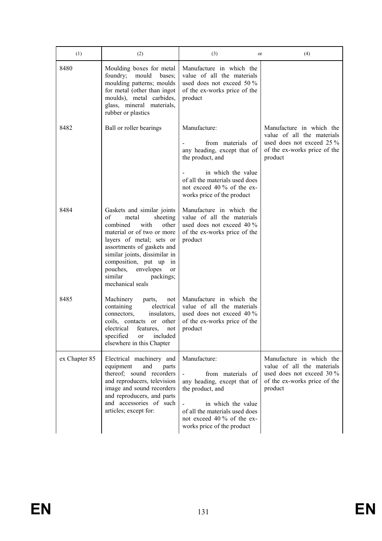| (1)           | (2)                                                                                                                                                                                                                                                                                                              | (3)<br>or                                                                                                                                                                                                     | (4)                                                                                                                            |
|---------------|------------------------------------------------------------------------------------------------------------------------------------------------------------------------------------------------------------------------------------------------------------------------------------------------------------------|---------------------------------------------------------------------------------------------------------------------------------------------------------------------------------------------------------------|--------------------------------------------------------------------------------------------------------------------------------|
| 8480          | Moulding boxes for metal<br>foundry;<br>mould<br>bases;<br>moulding patterns; moulds<br>for metal (other than ingot<br>moulds), metal carbides,<br>glass, mineral materials,<br>rubber or plastics                                                                                                               | Manufacture in which the<br>value of all the materials<br>used does not exceed 50 $\%$<br>of the ex-works price of the<br>product                                                                             |                                                                                                                                |
| 8482          | Ball or roller bearings                                                                                                                                                                                                                                                                                          | Manufacture:<br>from materials of<br>any heading, except that of<br>the product, and<br>in which the value<br>of all the materials used does<br>not exceed 40 % of the ex-<br>works price of the product      | Manufacture in which the<br>value of all the materials<br>used does not exceed 25 %<br>of the ex-works price of the<br>product |
| 8484          | Gaskets and similar joints<br>of<br>sheeting<br>metal<br>combined<br>with<br>other<br>material or of two or more<br>layers of metal; sets or<br>assortments of gaskets and<br>similar joints, dissimilar in<br>composition, put up in<br>pouches,<br>envelopes<br>or<br>similar<br>packings;<br>mechanical seals | Manufacture in which the<br>value of all the materials<br>used does not exceed 40 %<br>of the ex-works price of the<br>product                                                                                |                                                                                                                                |
| 8485          | Machinery<br>parts,<br>not<br>containing<br>electrical<br>connectors.<br>insulators,<br>coils, contacts or other<br>electrical<br>features,<br>not<br>specified<br>included<br>or<br>elsewhere in this Chapter                                                                                                   | Manufacture in which the<br>value of all the materials<br>used does not exceed 40 %<br>of the ex-works price of the<br>product                                                                                |                                                                                                                                |
| ex Chapter 85 | Electrical machinery and<br>equipment<br>and<br>parts<br>thereof; sound recorders<br>and reproducers, television<br>image and sound recorders<br>and reproducers, and parts<br>and accessories of such<br>articles; except for:                                                                                  | Manufacture:<br>from materials<br>- of<br>any heading, except that of<br>the product, and<br>in which the value<br>of all the materials used does<br>not exceed 40 % of the ex-<br>works price of the product | Manufacture in which the<br>value of all the materials<br>used does not exceed 30 %<br>of the ex-works price of the<br>product |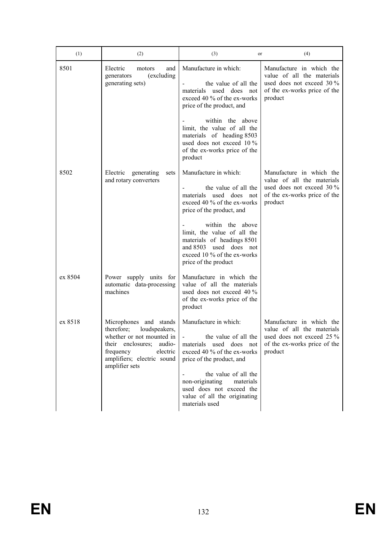| (1)     | (2)                                                                                                                                                                                        | (3)<br>or                                                                                                                                                         | (4)                                                                                                                            |
|---------|--------------------------------------------------------------------------------------------------------------------------------------------------------------------------------------------|-------------------------------------------------------------------------------------------------------------------------------------------------------------------|--------------------------------------------------------------------------------------------------------------------------------|
| 8501    | Electric<br>motors<br>and<br>(excluding<br>generators<br>generating sets)                                                                                                                  | Manufacture in which:<br>the value of all the<br>materials used does not<br>exceed 40 % of the ex-works<br>price of the product, and                              | Manufacture in which the<br>value of all the materials<br>used does not exceed 30 %<br>of the ex-works price of the<br>product |
|         |                                                                                                                                                                                            | within the above<br>limit, the value of all the<br>materials of heading 8503<br>used does not exceed 10 %<br>of the ex-works price of the<br>product              |                                                                                                                                |
| 8502    | Electric generating<br>sets<br>and rotary converters                                                                                                                                       | Manufacture in which:<br>the value of all the<br>materials used does not<br>exceed 40 % of the ex-works<br>price of the product, and                              | Manufacture in which the<br>value of all the materials<br>used does not exceed 30 %<br>of the ex-works price of the<br>product |
|         |                                                                                                                                                                                            | within the above<br>limit, the value of all the<br>materials of headings 8501<br>and 8503<br>used does not<br>exceed 10 % of the ex-works<br>price of the product |                                                                                                                                |
| ex 8504 | Power supply units for<br>automatic data-processing<br>machines                                                                                                                            | Manufacture in which the<br>value of all the materials<br>used does not exceed 40 %<br>of the ex-works price of the<br>product                                    |                                                                                                                                |
| ex 8518 | Microphones and stands<br>therefore;<br>loudspeakers,<br>whether or not mounted in<br>their enclosures;<br>audio-<br>frequency<br>electric<br>amplifiers; electric sound<br>amplifier sets | Manufacture in which:<br>the value of all the<br>materials used does not<br>exceed 40 % of the ex-works<br>price of the product, and                              | Manufacture in which the<br>value of all the materials<br>used does not exceed 25 %<br>of the ex-works price of the<br>product |
|         |                                                                                                                                                                                            | the value of all the<br>non-originating<br>materials<br>used does not exceed the<br>value of all the originating<br>materials used                                |                                                                                                                                |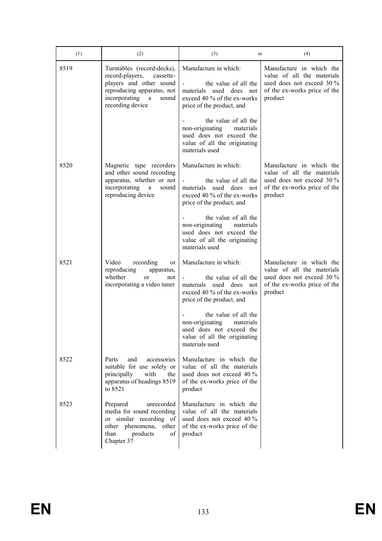| (1)  | (2)                                                                                                                                                                 | (3)<br>or                                                                                                                                      | (4)                                                                                                                            |
|------|---------------------------------------------------------------------------------------------------------------------------------------------------------------------|------------------------------------------------------------------------------------------------------------------------------------------------|--------------------------------------------------------------------------------------------------------------------------------|
| 8519 | Turntables (record-decks),<br>record-players,<br>cassette-<br>players and other sound<br>reproducing apparatus, not<br>incorporating a<br>sound<br>recording device | Manufacture in which:<br>the value of all the<br>materials used does not<br>exceed 40 % of the ex-works<br>price of the product, and           | Manufacture in which the<br>value of all the materials<br>used does not exceed 30 %<br>of the ex-works price of the<br>product |
|      |                                                                                                                                                                     | the value of all the<br>non-originating<br>materials<br>used does not exceed the<br>value of all the originating<br>materials used             |                                                                                                                                |
| 8520 | Magnetic tape recorders<br>and other sound recording<br>apparatus, whether or not<br>incorporating<br>a<br>sound<br>reproducing device                              | Manufacture in which:<br>the value of all the<br>materials used does not<br>exceed 40 % of the ex-works<br>price of the product, and           | Manufacture in which the<br>value of all the materials<br>used does not exceed 30 %<br>of the ex-works price of the<br>product |
|      |                                                                                                                                                                     | the value of all the<br>non-originating<br>materials<br>used does not exceed the<br>value of all the originating<br>materials used             |                                                                                                                                |
| 8521 | Video<br>recording<br>or<br>reproducing<br>apparatus,<br>whether<br><sub>or</sub><br>not<br>incorporating a video tuner                                             | Manufacture in which:<br>the value of all the<br>$\sim$<br>materials used does not<br>exceed 40 % of the ex-works<br>price of the product, and | Manufacture in which the<br>value of all the materials<br>used does not exceed 30 %<br>of the ex-works price of the<br>product |
|      |                                                                                                                                                                     | the value of all the<br>non-originating<br>materials<br>used does not exceed the<br>value of all the originating<br>materials used             |                                                                                                                                |
| 8522 | accessories<br>Parts<br>and<br>suitable for use solely or<br>with<br>principally<br>the<br>apparatus of headings 8519<br>to 8521                                    | Manufacture in which the<br>value of all the materials<br>used does not exceed $40\%$<br>of the ex-works price of the<br>product               |                                                                                                                                |
| 8523 | Prepared<br>unrecorded<br>media for sound recording<br>or similar recording of<br>other phenomena, other<br>than<br>products<br>οf<br>Chapter 37                    | Manufacture in which the<br>value of all the materials<br>used does not exceed 40 %<br>of the ex-works price of the<br>product                 |                                                                                                                                |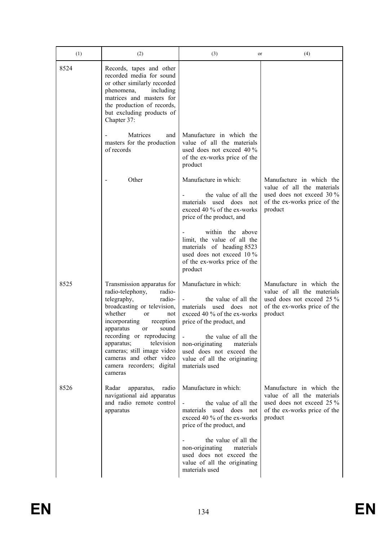| (1)  | (2)                                                                                                                                                                                                                                                                                                                                                                    | (3)<br>or                                                                                                                                                                                                                                                                                    | (4)                                                                                                                            |
|------|------------------------------------------------------------------------------------------------------------------------------------------------------------------------------------------------------------------------------------------------------------------------------------------------------------------------------------------------------------------------|----------------------------------------------------------------------------------------------------------------------------------------------------------------------------------------------------------------------------------------------------------------------------------------------|--------------------------------------------------------------------------------------------------------------------------------|
| 8524 | Records, tapes and other<br>recorded media for sound<br>or other similarly recorded<br>phenomena,<br>including<br>matrices and masters for<br>the production of records,<br>but excluding products of<br>Chapter 37:                                                                                                                                                   |                                                                                                                                                                                                                                                                                              |                                                                                                                                |
|      | Matrices<br>and<br>masters for the production<br>of records                                                                                                                                                                                                                                                                                                            | Manufacture in which the<br>value of all the materials<br>used does not exceed 40 %<br>of the ex-works price of the<br>product                                                                                                                                                               |                                                                                                                                |
|      | Other                                                                                                                                                                                                                                                                                                                                                                  | Manufacture in which:<br>the value of all the<br>materials used does not<br>exceed 40 % of the ex-works<br>price of the product, and<br>within the above<br>limit, the value of all the<br>materials of heading 8523<br>used does not exceed 10 %                                            | Manufacture in which the<br>value of all the materials<br>used does not exceed 30 %<br>of the ex-works price of the<br>product |
|      |                                                                                                                                                                                                                                                                                                                                                                        | of the ex-works price of the<br>product                                                                                                                                                                                                                                                      |                                                                                                                                |
| 8525 | Transmission apparatus for<br>radio-telephony,<br>radio-<br>telegraphy,<br>radio-<br>broadcasting or television,<br>whether<br><sub>or</sub><br>not<br>incorporating<br>reception<br>apparatus<br>sound<br>or<br>recording or reproducing<br>television<br>apparatus;<br>cameras; still image video<br>cameras and other video<br>camera recorders; digital<br>cameras | Manufacture in which:<br>the value of all the<br>materials used does not<br>exceed 40 % of the ex-works<br>price of the product, and<br>$\overline{a}$<br>the value of all the<br>non-originating<br>materials<br>used does not exceed the<br>value of all the originating<br>materials used | Manufacture in which the<br>value of all the materials<br>used does not exceed 25 %<br>of the ex-works price of the<br>product |
| 8526 | Radar<br>apparatus,<br>radio<br>navigational aid apparatus<br>and radio remote control<br>apparatus                                                                                                                                                                                                                                                                    | Manufacture in which:<br>the value of all the<br>materials used does not<br>exceed 40 % of the ex-works<br>price of the product, and<br>the value of all the<br>non-originating<br>materials<br>used does not exceed the<br>value of all the originating<br>materials used                   | Manufacture in which the<br>value of all the materials<br>used does not exceed 25 %<br>of the ex-works price of the<br>product |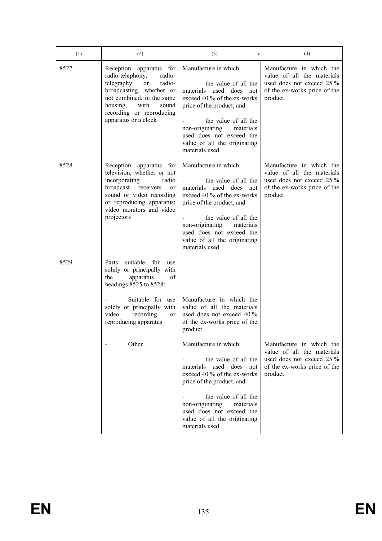| (1)  | (2)                                                                                                                                                                                                                                         | (3)<br>or                                                                                                                                                                                                                                                                                                                                                                                                    | (4)                                                                                                                            |
|------|---------------------------------------------------------------------------------------------------------------------------------------------------------------------------------------------------------------------------------------------|--------------------------------------------------------------------------------------------------------------------------------------------------------------------------------------------------------------------------------------------------------------------------------------------------------------------------------------------------------------------------------------------------------------|--------------------------------------------------------------------------------------------------------------------------------|
| 8527 | Reception<br>apparatus for<br>radio-telephony,<br>radio-<br>telegraphy<br>radio-<br><sub>or</sub><br>broadcasting, whether or<br>not combined, in the same<br>housing,<br>with<br>sound<br>recording or reproducing<br>apparatus or a clock | Manufacture in which:<br>the value of all the<br>materials used does not<br>exceed 40 % of the ex-works<br>price of the product, and<br>the value of all the<br>non-originating<br>materials<br>used does not exceed the<br>value of all the originating<br>materials used                                                                                                                                   | Manufacture in which the<br>value of all the materials<br>used does not exceed 25 %<br>of the ex-works price of the<br>product |
| 8528 | Reception apparatus for<br>television, whether or not<br>incorporating<br>radio<br>broadcast<br>receivers<br>or<br>sound or video recording<br>or reproducing apparatus;<br>video monitors and video<br>projectors                          | Manufacture in which:<br>the value of all the<br>materials used does not<br>exceed 40 % of the ex-works<br>price of the product, and<br>the value of all the<br>non-originating<br>materials<br>used does not exceed the<br>value of all the originating<br>materials used                                                                                                                                   | Manufacture in which the<br>value of all the materials<br>used does not exceed 25 %<br>of the ex-works price of the<br>product |
| 8529 | suitable<br>for<br>Parts<br>use<br>solely or principally with<br>the<br>of<br>apparatus<br>headings 8525 to 8528:<br>Suitable for use<br>solely or principally with<br>video<br>recording<br>or<br>reproducing apparatus<br>Other           | Manufacture in which the<br>value of all the materials<br>used does not exceed 40 %<br>of the ex-works price of the<br>product<br>Manufacture in which:<br>the value of all the<br>materials used does not<br>exceed 40 % of the ex-works<br>price of the product, and<br>the value of all the<br>non-originating<br>materials<br>used does not exceed the<br>value of all the originating<br>materials used | Manufacture in which the<br>value of all the materials<br>used does not exceed 25 %<br>of the ex-works price of the<br>product |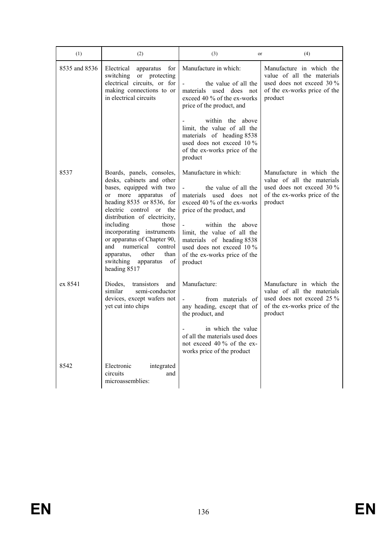| (1)           | (2)                                                                                                                                                                                                                                                                                                                                                                                                   | (3)<br>or                                                                                                                                                                                                                                                                                    | (4)                                                                                                                            |
|---------------|-------------------------------------------------------------------------------------------------------------------------------------------------------------------------------------------------------------------------------------------------------------------------------------------------------------------------------------------------------------------------------------------------------|----------------------------------------------------------------------------------------------------------------------------------------------------------------------------------------------------------------------------------------------------------------------------------------------|--------------------------------------------------------------------------------------------------------------------------------|
| 8535 and 8536 | Electrical<br>for<br>apparatus<br>switching<br>or protecting<br>electrical circuits, or for<br>making connections to or<br>in electrical circuits                                                                                                                                                                                                                                                     | Manufacture in which:<br>the value of all the<br>materials used does not<br>exceed 40 % of the ex-works<br>price of the product, and                                                                                                                                                         | Manufacture in which the<br>value of all the materials<br>used does not exceed 30 %<br>of the ex-works price of the<br>product |
|               |                                                                                                                                                                                                                                                                                                                                                                                                       | within the above<br>limit, the value of all the<br>materials of heading 8538<br>used does not exceed 10 %<br>of the ex-works price of the<br>product                                                                                                                                         |                                                                                                                                |
| 8537          | Boards, panels, consoles,<br>desks, cabinets and other<br>bases, equipped with two<br>or more apparatus<br>of<br>heading 8535 or 8536, for<br>electric control or the<br>distribution of electricity,<br>including<br>those<br>incorporating instruments<br>or apparatus of Chapter 90,<br>and<br>numerical<br>control<br>apparatus,<br>other<br>than<br>switching<br>of<br>apparatus<br>heading 8517 | Manufacture in which:<br>the value of all the<br>materials used does not<br>exceed 40 % of the ex-works<br>price of the product, and<br>within the above<br>limit, the value of all the<br>materials of heading 8538<br>used does not exceed 10 %<br>of the ex-works price of the<br>product | Manufacture in which the<br>value of all the materials<br>used does not exceed 30 %<br>of the ex-works price of the<br>product |
| ex 8541       | Diodes,<br>transistors<br>and<br>similar<br>semi-conductor<br>devices, except wafers not<br>yet cut into chips                                                                                                                                                                                                                                                                                        | Manufacture:<br>from materials of<br>any heading, except that of<br>the product, and<br>in which the value<br>of all the materials used does<br>not exceed 40 % of the ex-<br>works price of the product                                                                                     | Manufacture in which the<br>value of all the materials<br>used does not exceed 25 %<br>of the ex-works price of the<br>product |
| 8542          | Electronic<br>integrated<br>circuits<br>and<br>microassemblies:                                                                                                                                                                                                                                                                                                                                       |                                                                                                                                                                                                                                                                                              |                                                                                                                                |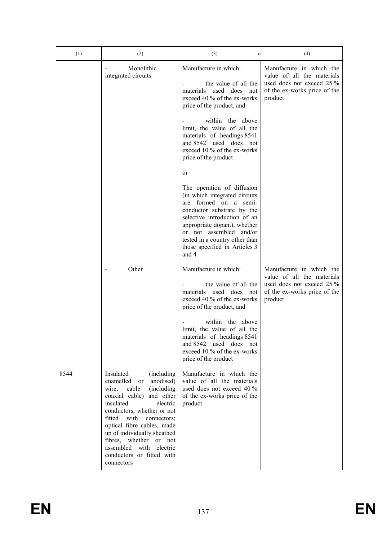| (1)  | (2)                                                                                                                                                                                                                                                                                                                                                                                      | (3)<br>or                                                                                                                                                                                                                                                                                       | (4)                                                                                                                            |
|------|------------------------------------------------------------------------------------------------------------------------------------------------------------------------------------------------------------------------------------------------------------------------------------------------------------------------------------------------------------------------------------------|-------------------------------------------------------------------------------------------------------------------------------------------------------------------------------------------------------------------------------------------------------------------------------------------------|--------------------------------------------------------------------------------------------------------------------------------|
|      | Monolithic<br>integrated circuits                                                                                                                                                                                                                                                                                                                                                        | Manufacture in which:<br>the value of all the<br>used does not<br>materials<br>exceed 40 % of the ex-works<br>price of the product, and<br>within the above                                                                                                                                     | Manufacture in which the<br>value of all the materials<br>used does not exceed 25 %<br>of the ex-works price of the<br>product |
|      |                                                                                                                                                                                                                                                                                                                                                                                          | limit, the value of all the<br>materials of headings 8541<br>and 8542 used does not<br>exceed 10 % of the ex-works<br>price of the product<br>or                                                                                                                                                |                                                                                                                                |
|      |                                                                                                                                                                                                                                                                                                                                                                                          | The operation of diffusion<br>(in which integrated circuits<br>formed on a semi-<br>are<br>conductor substrate by the<br>selective introduction of an<br>appropriate dopant), whether<br>or not assembled<br>and/or<br>tested in a country other than<br>those specified in Articles 3<br>and 4 |                                                                                                                                |
|      | Other                                                                                                                                                                                                                                                                                                                                                                                    | Manufacture in which:<br>the value of all the<br>materials used does not<br>exceed 40 % of the ex-works<br>price of the product, and                                                                                                                                                            | Manufacture in which the<br>value of all the materials<br>used does not exceed 25 %<br>of the ex-works price of the<br>product |
|      |                                                                                                                                                                                                                                                                                                                                                                                          | within the above<br>limit, the value of all the<br>materials of headings 8541<br>and 8542<br>used does<br>not<br>exceed 10 % of the ex-works<br>price of the product                                                                                                                            |                                                                                                                                |
| 8544 | Insulated<br>(including)<br>enamelled<br>anodised)<br><sub>or</sub><br>wire, cable<br>(including)<br>coaxial cable)<br>and other<br>insulated<br>electric<br>conductors, whether or not<br>fitted<br>with<br>connectors;<br>optical fibre cables, made<br>up of individually sheathed<br>fibres, whether or not<br>assembled with<br>electric<br>conductors or fitted with<br>connectors | Manufacture in which the<br>value of all the materials<br>used does not exceed 40 %<br>of the ex-works price of the<br>product                                                                                                                                                                  |                                                                                                                                |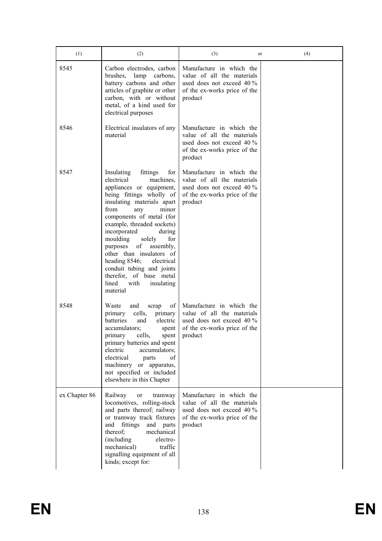| (1)           | (2)                                                                                                                                                                                                                                                                                                                                                                                                                                                                                  | (3)<br>or                                                                                                                        | (4) |
|---------------|--------------------------------------------------------------------------------------------------------------------------------------------------------------------------------------------------------------------------------------------------------------------------------------------------------------------------------------------------------------------------------------------------------------------------------------------------------------------------------------|----------------------------------------------------------------------------------------------------------------------------------|-----|
| 8545          | Carbon electrodes, carbon<br>brushes, lamp carbons,<br>battery carbons and other<br>articles of graphite or other<br>carbon, with or without<br>metal, of a kind used for<br>electrical purposes                                                                                                                                                                                                                                                                                     | Manufacture in which the<br>value of all the materials<br>used does not exceed $40\%$<br>of the ex-works price of the<br>product |     |
| 8546          | Electrical insulators of any<br>material                                                                                                                                                                                                                                                                                                                                                                                                                                             | Manufacture in which the<br>value of all the materials<br>used does not exceed 40 %<br>of the ex-works price of the<br>product   |     |
| 8547          | Insulating<br>fittings<br>for<br>electrical<br>machines,<br>appliances or equipment,<br>being fittings wholly of<br>insulating materials apart<br>from<br>minor<br>any<br>components of metal (for<br>example, threaded sockets)<br>incorporated<br>during<br>moulding<br>solely<br>for<br>οf<br>assembly,<br>purposes<br>other than insulators of<br>heading 8546;<br>electrical<br>conduit tubing and joints<br>therefor, of base metal<br>lined<br>with<br>insulating<br>material | Manufacture in which the<br>value of all the materials<br>used does not exceed 40 %<br>of the ex-works price of the<br>product   |     |
| 8548          | Waste<br>and<br>of<br>scrap<br>primary<br>cells,<br>primary<br>batteries<br>electric<br>and<br>accumulators;<br>spent<br>primary<br>cells,<br>spent<br>primary batteries and spent<br>accumulators;<br>electric<br>electrical<br>of<br>parts<br>machinery or apparatus,<br>not specified or included<br>elsewhere in this Chapter                                                                                                                                                    | Manufacture in which the<br>value of all the materials<br>used does not exceed $40\%$<br>of the ex-works price of the<br>product |     |
| ex Chapter 86 | Railway<br>tramway<br>or<br>locomotives, rolling-stock<br>and parts thereof; railway<br>or tramway track fixtures<br>fittings<br>and<br>and parts<br>thereof;<br>mechanical<br>(including)<br>electro-<br>mechanical)<br>traffic<br>signalling equipment of all<br>kinds; except for:                                                                                                                                                                                                | Manufacture in which the<br>value of all the materials<br>used does not exceed 40 %<br>of the ex-works price of the<br>product   |     |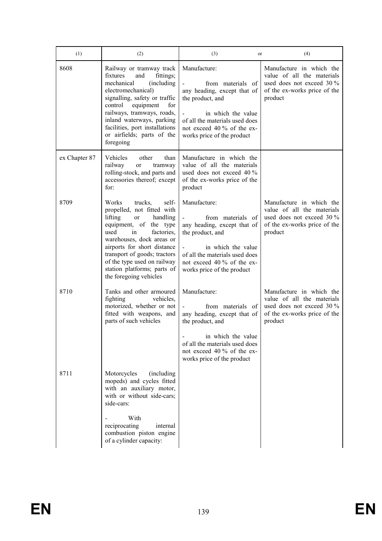| (1)           | (2)                                                                                                                                                                                                                                                                                                                            | (3)<br>or                                                                                                                                                                                                          | (4)                                                                                                                              |
|---------------|--------------------------------------------------------------------------------------------------------------------------------------------------------------------------------------------------------------------------------------------------------------------------------------------------------------------------------|--------------------------------------------------------------------------------------------------------------------------------------------------------------------------------------------------------------------|----------------------------------------------------------------------------------------------------------------------------------|
| 8608          | Railway or tramway track<br>fixtures<br>and<br>fittings;<br>(including)<br>mechanical<br>electromechanical)<br>signalling, safety or traffic<br>control<br>equipment<br>for<br>railways, tramways, roads,<br>inland waterways, parking<br>facilities, port installations<br>or airfields; parts of the<br>foregoing            | Manufacture:<br>from materials of<br>any heading, except that of<br>the product, and<br>in which the value<br>of all the materials used does<br>not exceed 40 % of the ex-<br>works price of the product           | Manufacture in which the<br>value of all the materials<br>used does not exceed 30 %<br>of the ex-works price of the<br>product   |
| ex Chapter 87 | Vehicles<br>other<br>than<br>railway<br>or<br>tramway<br>rolling-stock, and parts and<br>accessories thereof; except<br>for:                                                                                                                                                                                                   | Manufacture in which the<br>value of all the materials<br>used does not exceed 40 %<br>of the ex-works price of the<br>product                                                                                     |                                                                                                                                  |
| 8709          | Works<br>trucks,<br>self-<br>propelled, not fitted with<br>lifting<br>handling<br>or<br>equipment, of the type<br>factories,<br>used<br>in<br>warehouses, dock areas or<br>airports for short distance<br>transport of goods; tractors<br>of the type used on railway<br>station platforms; parts of<br>the foregoing vehicles | Manufacture:<br>from materials of<br>$\sim$<br>any heading, except that of<br>the product, and<br>in which the value<br>of all the materials used does<br>not exceed 40 % of the ex-<br>works price of the product | Manufacture in which the<br>value of all the materials<br>used does not exceed $30\%$<br>of the ex-works price of the<br>product |
| 8710          | Tanks and other armoured<br>fighting<br>vehicles,<br>motorized, whether or not<br>fitted with weapons, and<br>parts of such vehicles                                                                                                                                                                                           | Manufacture:<br>from materials of<br>any heading, except that of<br>the product, and<br>in which the value<br>of all the materials used does<br>not exceed 40 % of the ex-<br>works price of the product           | Manufacture in which the<br>value of all the materials<br>used does not exceed 30 %<br>of the ex-works price of the<br>product   |
| 8711          | Motorcycles<br>(including)<br>mopeds) and cycles fitted<br>with an auxiliary motor,<br>with or without side-cars;<br>side-cars:<br>With<br>reciprocating<br>internal<br>combustion piston engine<br>of a cylinder capacity:                                                                                                    |                                                                                                                                                                                                                    |                                                                                                                                  |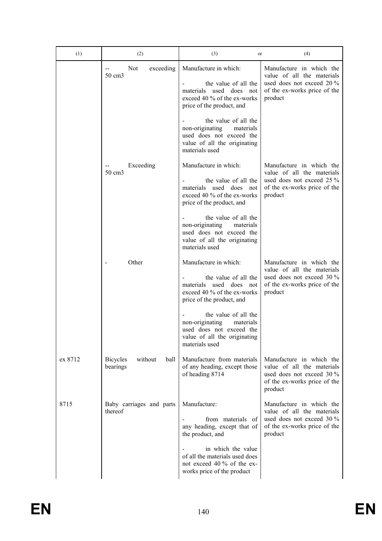| (1)     | (2)                                            | (3)<br>or                                                                                                                                                    | (4)                                                                                                                            |
|---------|------------------------------------------------|--------------------------------------------------------------------------------------------------------------------------------------------------------------|--------------------------------------------------------------------------------------------------------------------------------|
|         | <b>Not</b><br>exceeding<br>50 cm3              | Manufacture in which:<br>the value of all the<br>materials used does not<br>exceed 40 % of the ex-works<br>price of the product, and<br>the value of all the | Manufacture in which the<br>value of all the materials<br>used does not exceed 20 %<br>of the ex-works price of the<br>product |
|         |                                                | non-originating<br>materials<br>used does not exceed the<br>value of all the originating<br>materials used                                                   |                                                                                                                                |
|         | Exceeding<br>50 cm3                            | Manufacture in which:<br>the value of all the<br>materials used does not<br>exceed 40 % of the ex-works<br>price of the product, and                         | Manufacture in which the<br>value of all the materials<br>used does not exceed 25 %<br>of the ex-works price of the<br>product |
|         |                                                | the value of all the<br>non-originating<br>materials<br>used does not exceed the<br>value of all the originating<br>materials used                           |                                                                                                                                |
|         | Other                                          | Manufacture in which:<br>the value of all the<br>materials used does not<br>exceed 40 % of the ex-works<br>price of the product, and                         | Manufacture in which the<br>value of all the materials<br>used does not exceed 30 %<br>of the ex-works price of the<br>product |
|         |                                                | the value of all the<br>non-originating<br>materials<br>used does not exceed the<br>value of all the originating<br>materials used                           |                                                                                                                                |
| ex 8712 | <b>Bicycles</b><br>without<br>ball<br>bearings | Manufacture from materials<br>of any heading, except those<br>of heading 8714                                                                                | Manufacture in which the<br>value of all the materials<br>used does not exceed 30 %<br>of the ex-works price of the<br>product |
| 8715    | Baby carriages and parts<br>thereof            | Manufacture:<br>from materials of<br>any heading, except that of<br>the product, and                                                                         | Manufacture in which the<br>value of all the materials<br>used does not exceed 30 %<br>of the ex-works price of the<br>product |
|         |                                                | in which the value<br>of all the materials used does<br>not exceed 40 % of the ex-<br>works price of the product                                             |                                                                                                                                |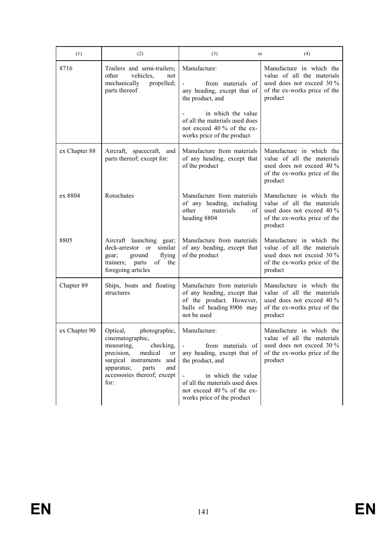| (1)           | (2)                                                                                                                                                                                                                      | (3)<br>or                                                                                                                                                                                | (4)                                                                                                                            |
|---------------|--------------------------------------------------------------------------------------------------------------------------------------------------------------------------------------------------------------------------|------------------------------------------------------------------------------------------------------------------------------------------------------------------------------------------|--------------------------------------------------------------------------------------------------------------------------------|
| 8716          | Trailers and semi-trailers;<br>vehicles.<br>other<br>not<br>propelled;<br>mechanically<br>parts thereof                                                                                                                  | Manufacture:<br>from materials of<br>any heading, except that of<br>the product, and                                                                                                     | Manufacture in which the<br>value of all the materials<br>used does not exceed 30 %<br>of the ex-works price of the<br>product |
|               |                                                                                                                                                                                                                          | in which the value<br>of all the materials used does<br>not exceed 40 % of the ex-<br>works price of the product                                                                         |                                                                                                                                |
| ex Chapter 88 | Aircraft, spacecraft, and<br>parts thereof; except for:                                                                                                                                                                  | Manufacture from materials<br>of any heading, except that<br>of the product                                                                                                              | Manufacture in which the<br>value of all the materials<br>used does not exceed 40 %<br>of the ex-works price of the<br>product |
| ex 8804       | Rotochutes                                                                                                                                                                                                               | Manufacture from materials<br>of any heading, including<br>other<br>materials<br>οf<br>heading 8804                                                                                      | Manufacture in which the<br>value of all the materials<br>used does not exceed 40 %<br>of the ex-works price of the<br>product |
| 8805          | Aircraft launching gear;<br>deck-arrestor or<br>similar<br>flying<br>gear;<br>ground<br>trainers;<br>the<br>of<br>parts<br>foregoing articles                                                                            | Manufacture from materials<br>of any heading, except that<br>of the product                                                                                                              | Manufacture in which the<br>value of all the materials<br>used does not exceed 30 %<br>of the ex-works price of the<br>product |
| Chapter 89    | Ships, boats and floating<br>structures                                                                                                                                                                                  | Manufacture from materials<br>of any heading, except that<br>of the product. However,<br>hulls of heading 8906 may<br>not be used                                                        | Manufacture in which the<br>value of all the materials<br>used does not exceed 40 %<br>of the ex-works price of the<br>product |
| ex Chapter 90 | photographic, Manufacture:<br>Optical,<br>cinematographic,<br>measuring.<br>checking,<br>precision,<br>medical<br>or<br>surgical instruments<br>and<br>apparatus;<br>parts<br>and<br>accessories thereof; except<br>for: | from materials of<br>any heading, except that of<br>the product, and<br>in which the value<br>of all the materials used does<br>not exceed 40 % of the ex-<br>works price of the product | Manufacture in which the<br>value of all the materials<br>used does not exceed 30 %<br>of the ex-works price of the<br>product |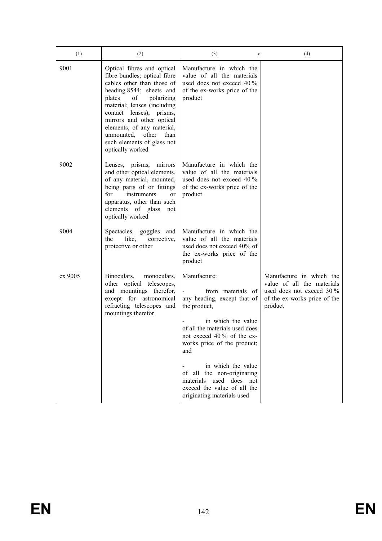| (1)     | (2)                                                                                                                                                                                                                                                                                                                                                       | (3)<br>or                                                                                                                                                                                                                                                                                                                                                | (4)                                                                                                                            |
|---------|-----------------------------------------------------------------------------------------------------------------------------------------------------------------------------------------------------------------------------------------------------------------------------------------------------------------------------------------------------------|----------------------------------------------------------------------------------------------------------------------------------------------------------------------------------------------------------------------------------------------------------------------------------------------------------------------------------------------------------|--------------------------------------------------------------------------------------------------------------------------------|
| 9001    | Optical fibres and optical<br>fibre bundles; optical fibre<br>cables other than those of<br>heading 8544; sheets and<br>of<br>plates<br>polarizing<br>material; lenses (including<br>contact lenses), prisms,<br>mirrors and other optical<br>elements, of any material,<br>other<br>unmounted,<br>than<br>such elements of glass not<br>optically worked | Manufacture in which the<br>value of all the materials<br>used does not exceed 40 %<br>of the ex-works price of the<br>product                                                                                                                                                                                                                           |                                                                                                                                |
| 9002    | Lenses, prisms,<br>mirrors<br>and other optical elements,<br>of any material, mounted,<br>being parts of or fittings<br>instruments<br>for<br>or<br>apparatus, other than such<br>elements of glass<br>not<br>optically worked                                                                                                                            | Manufacture in which the<br>value of all the materials<br>used does not exceed $40\%$<br>of the ex-works price of the<br>product                                                                                                                                                                                                                         |                                                                                                                                |
| 9004    | Spectacles, goggles<br>and<br>like,<br>the<br>corrective,<br>protective or other                                                                                                                                                                                                                                                                          | Manufacture in which the<br>value of all the materials<br>used does not exceed 40% of<br>the ex-works price of the<br>product                                                                                                                                                                                                                            |                                                                                                                                |
| ex 9005 | Binoculars,<br>monoculars,<br>other optical telescopes,<br>and mountings therefor,<br>except for astronomical<br>refracting telescopes and<br>mountings therefor                                                                                                                                                                                          | Manufacture:<br>from materials of<br>any heading, except that of<br>the product,<br>in which the value<br>of all the materials used does<br>not exceed 40 % of the ex-<br>works price of the product;<br>and<br>in which the value<br>of all the non-originating<br>materials used does not<br>exceed the value of all the<br>originating materials used | Manufacture in which the<br>value of all the materials<br>used does not exceed 30 %<br>of the ex-works price of the<br>product |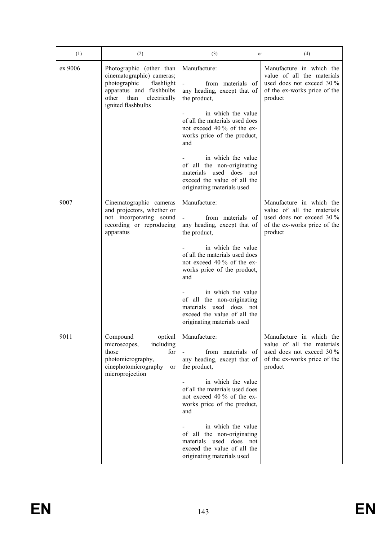| (1)     | (2)                                                                                                                                                                    | (3)<br>or                                                                                                                                | (4)                                                                                                                            |
|---------|------------------------------------------------------------------------------------------------------------------------------------------------------------------------|------------------------------------------------------------------------------------------------------------------------------------------|--------------------------------------------------------------------------------------------------------------------------------|
| ex 9006 | Photographic (other than<br>cinematographic) cameras;<br>photographic<br>flashlight<br>apparatus and flashbulbs<br>other<br>than<br>electrically<br>ignited flashbulbs | Manufacture:<br>from materials of<br>any heading, except that of<br>the product,                                                         | Manufacture in which the<br>value of all the materials<br>used does not exceed 30 %<br>of the ex-works price of the<br>product |
|         |                                                                                                                                                                        | in which the value<br>of all the materials used does<br>not exceed 40 % of the ex-<br>works price of the product,<br>and                 |                                                                                                                                |
|         |                                                                                                                                                                        | in which the value<br>of all the non-originating<br>materials used does not<br>exceed the value of all the<br>originating materials used |                                                                                                                                |
| 9007    | Cinematographic cameras<br>and projectors, whether or<br>not incorporating sound<br>recording or reproducing<br>apparatus                                              | Manufacture:<br>from materials of<br>any heading, except that of<br>the product,                                                         | Manufacture in which the<br>value of all the materials<br>used does not exceed 30 %<br>of the ex-works price of the<br>product |
|         |                                                                                                                                                                        | in which the value<br>of all the materials used does<br>not exceed 40 % of the ex-<br>works price of the product,<br>and                 |                                                                                                                                |
|         |                                                                                                                                                                        | in which the value<br>of all the non-originating<br>materials used does not<br>exceed the value of all the<br>originating materials used |                                                                                                                                |
| 9011    | Compound<br>optical<br>including<br>microscopes,<br>for<br>those<br>photomicrography,<br>cinephotomicrography<br>or<br>microprojection                                 | Manufacture:<br>from materials of<br>any heading, except that of<br>the product,                                                         | Manufacture in which the<br>value of all the materials<br>used does not exceed 30 %<br>of the ex-works price of the<br>product |
|         |                                                                                                                                                                        | in which the value<br>of all the materials used does<br>not exceed 40 % of the ex-<br>works price of the product,<br>and                 |                                                                                                                                |
|         |                                                                                                                                                                        | in which the value<br>of all the non-originating<br>materials used does not<br>exceed the value of all the<br>originating materials used |                                                                                                                                |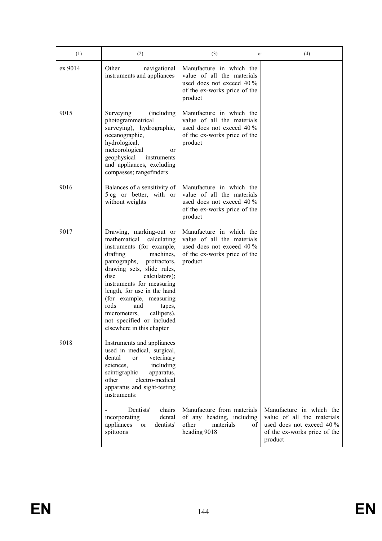| (1)     | (2)                                                                                                                                                                                                                                                                                                                                                                                                          | (3)<br>or                                                                                                                        | (4)                                                                                                                            |
|---------|--------------------------------------------------------------------------------------------------------------------------------------------------------------------------------------------------------------------------------------------------------------------------------------------------------------------------------------------------------------------------------------------------------------|----------------------------------------------------------------------------------------------------------------------------------|--------------------------------------------------------------------------------------------------------------------------------|
| ex 9014 | Other<br>navigational<br>instruments and appliances                                                                                                                                                                                                                                                                                                                                                          | Manufacture in which the<br>value of all the materials<br>used does not exceed $40\%$<br>of the ex-works price of the<br>product |                                                                                                                                |
| 9015    | Surveying<br>(including)<br>photogrammetrical<br>surveying), hydrographic,<br>oceanographic,<br>hydrological,<br>meteorological<br>or<br>geophysical<br>instruments<br>and appliances, excluding<br>compasses; rangefinders                                                                                                                                                                                  | Manufacture in which the<br>value of all the materials<br>used does not exceed $40\%$<br>of the ex-works price of the<br>product |                                                                                                                                |
| 9016    | Balances of a sensitivity of<br>5 cg or better, with or<br>without weights                                                                                                                                                                                                                                                                                                                                   | Manufacture in which the<br>value of all the materials<br>used does not exceed 40 %<br>of the ex-works price of the<br>product   |                                                                                                                                |
| 9017    | Drawing, marking-out or<br>mathematical<br>calculating<br>instruments (for example,<br>drafting<br>machines,<br>pantographs,<br>protractors,<br>drawing sets, slide rules,<br>disc<br>calculators);<br>instruments for measuring<br>length, for use in the hand<br>(for example, measuring<br>rods<br>and<br>tapes,<br>micrometers,<br>callipers),<br>not specified or included<br>elsewhere in this chapter | Manufacture in which the<br>value of all the materials<br>used does not exceed 40 %<br>of the ex-works price of the<br>product   |                                                                                                                                |
| 9018    | Instruments and appliances<br>used in medical, surgical,<br>dental<br>veterinary<br><sub>or</sub><br>sciences,<br>including<br>scintigraphic<br>apparatus,<br>electro-medical<br>other<br>apparatus and sight-testing<br>instruments:                                                                                                                                                                        |                                                                                                                                  |                                                                                                                                |
|         | Dentists'<br>chairs<br>incorporating<br>dental<br>dentists'<br>appliances<br>$\alpha$<br>spittoons                                                                                                                                                                                                                                                                                                           | Manufacture from materials<br>of any heading, including<br>other<br>materials<br>οf<br>heading 9018                              | Manufacture in which the<br>value of all the materials<br>used does not exceed 40 %<br>of the ex-works price of the<br>product |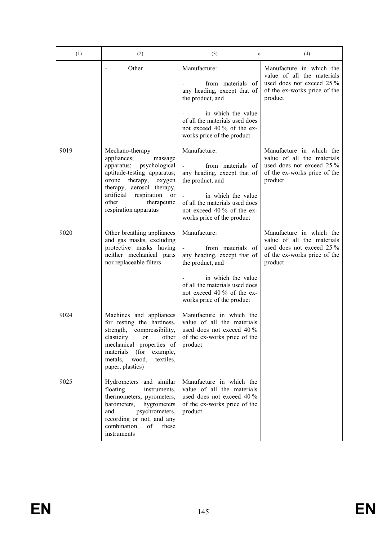| (1)  | (2)                                                                                                                                                                                                                                         | (3)<br>or                                                                                                                                                                                                | (4)                                                                                                                            |
|------|---------------------------------------------------------------------------------------------------------------------------------------------------------------------------------------------------------------------------------------------|----------------------------------------------------------------------------------------------------------------------------------------------------------------------------------------------------------|--------------------------------------------------------------------------------------------------------------------------------|
|      | Other                                                                                                                                                                                                                                       | Manufacture:<br>from materials of<br>any heading, except that of<br>the product, and                                                                                                                     | Manufacture in which the<br>value of all the materials<br>used does not exceed 25 %<br>of the ex-works price of the<br>product |
|      |                                                                                                                                                                                                                                             | in which the value<br>of all the materials used does<br>not exceed 40 % of the ex-<br>works price of the product                                                                                         |                                                                                                                                |
| 9019 | Mechano-therapy<br>appliances;<br>massage<br>apparatus; psychological<br>aptitude-testing apparatus;<br>ozone therapy, oxygen<br>therapy, aerosol therapy,<br>artificial respiration<br>or<br>therapeutic<br>other<br>respiration apparatus | Manufacture:<br>from materials of<br>any heading, except that of<br>the product, and<br>in which the value<br>of all the materials used does<br>not exceed 40 % of the ex-<br>works price of the product | Manufacture in which the<br>value of all the materials<br>used does not exceed 25 %<br>of the ex-works price of the<br>product |
| 9020 | Other breathing appliances<br>and gas masks, excluding<br>protective masks having<br>neither mechanical parts<br>nor replaceable filters                                                                                                    | Manufacture:<br>from materials of<br>any heading, except that of<br>the product, and<br>in which the value<br>of all the materials used does<br>not exceed 40 % of the ex-<br>works price of the product | Manufacture in which the<br>value of all the materials<br>used does not exceed 25 %<br>of the ex-works price of the<br>product |
| 9024 | Machines and appliances<br>for testing the hardness,<br>strength, compressibility,<br>elasticity<br>other<br>or<br>mechanical properties of<br>materials<br>(for<br>example,<br>metals,<br>wood,<br>textiles.<br>paper, plastics)           | Manufacture in which the<br>value of all the materials<br>used does not exceed 40 %<br>of the ex-works price of the<br>product                                                                           |                                                                                                                                |
| 9025 | Hydrometers and similar<br>floating<br>instruments,<br>thermometers, pyrometers,<br>barometers,<br>hygrometers<br>and<br>psychrometers,<br>recording or not, and any<br>combination<br>of<br>these<br>instruments                           | Manufacture in which the<br>value of all the materials<br>used does not exceed 40 %<br>of the ex-works price of the<br>product                                                                           |                                                                                                                                |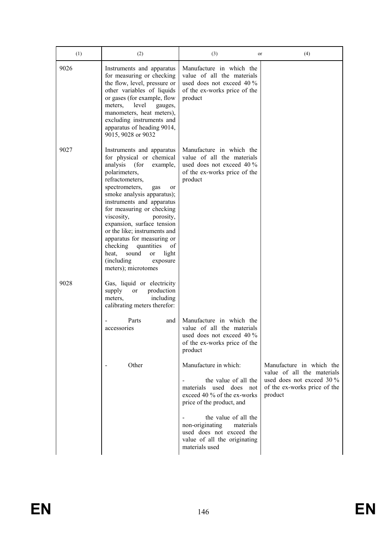| (1)  | (2)                                                                                                                                                                                                                                                                                                                                                                                                                                                                                        | (3)<br>or                                                                                                                          | (4)                                                                  |
|------|--------------------------------------------------------------------------------------------------------------------------------------------------------------------------------------------------------------------------------------------------------------------------------------------------------------------------------------------------------------------------------------------------------------------------------------------------------------------------------------------|------------------------------------------------------------------------------------------------------------------------------------|----------------------------------------------------------------------|
| 9026 | Instruments and apparatus<br>for measuring or checking<br>the flow, level, pressure or<br>other variables of liquids<br>or gases (for example, flow<br>level<br>meters,<br>gauges,<br>manometers, heat meters),<br>excluding instruments and<br>apparatus of heading 9014,<br>9015, 9028 or 9032                                                                                                                                                                                           | Manufacture in which the<br>value of all the materials<br>used does not exceed 40 %<br>of the ex-works price of the<br>product     |                                                                      |
| 9027 | Instruments and apparatus<br>for physical or chemical<br>analysis<br>(for<br>example,<br>polarimeters,<br>refractometers,<br>spectrometers,<br>gas<br>or<br>smoke analysis apparatus);<br>instruments and apparatus<br>for measuring or checking<br>viscosity,<br>porosity,<br>expansion, surface tension<br>or the like; instruments and<br>apparatus for measuring or<br>checking<br>quantities<br>of<br>sound<br>light<br>heat,<br>or<br>(including)<br>exposure<br>meters); microtomes | Manufacture in which the<br>value of all the materials<br>used does not exceed 40 %<br>of the ex-works price of the<br>product     |                                                                      |
| 9028 | Gas, liquid or electricity<br>supply<br>production<br>or<br>including<br>meters.<br>calibrating meters therefor:<br>Parts<br>and                                                                                                                                                                                                                                                                                                                                                           | Manufacture in which the                                                                                                           |                                                                      |
|      | accessories                                                                                                                                                                                                                                                                                                                                                                                                                                                                                | value of all the materials<br>used does not exceed 40 %<br>of the ex-works price of the<br>product                                 |                                                                      |
|      | Other                                                                                                                                                                                                                                                                                                                                                                                                                                                                                      | Manufacture in which:                                                                                                              | Manufacture in which the<br>value of all the materials               |
|      |                                                                                                                                                                                                                                                                                                                                                                                                                                                                                            | the value of all the<br>materials used does not<br>exceed 40 % of the ex-works<br>price of the product, and                        | used does not exceed 30 %<br>of the ex-works price of the<br>product |
|      |                                                                                                                                                                                                                                                                                                                                                                                                                                                                                            | the value of all the<br>non-originating<br>materials<br>used does not exceed the<br>value of all the originating<br>materials used |                                                                      |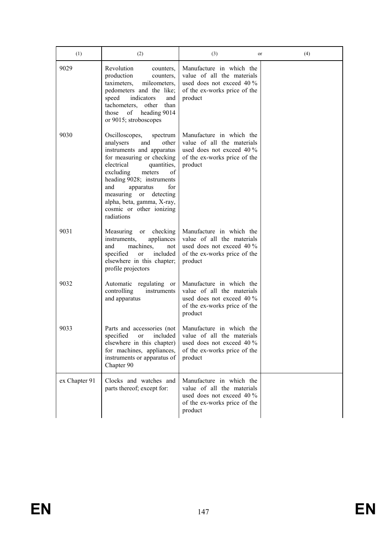| (1)           | (2)                                                                                                                                                                                                                                                                                                                                         | (3)<br>or                                                                                                                      | (4) |
|---------------|---------------------------------------------------------------------------------------------------------------------------------------------------------------------------------------------------------------------------------------------------------------------------------------------------------------------------------------------|--------------------------------------------------------------------------------------------------------------------------------|-----|
| 9029          | Revolution<br>counters,<br>production<br>counters,<br>taximeters,<br>mileometers,<br>pedometers and the like;<br>indicators<br>speed<br>and<br>tachometers,<br>other<br>than<br>of<br>heading 9014<br>those<br>or 9015; stroboscopes                                                                                                        | Manufacture in which the<br>value of all the materials<br>used does not exceed 40 %<br>of the ex-works price of the<br>product |     |
| 9030          | Oscilloscopes,<br>spectrum<br>analysers<br>and<br>other<br>instruments and apparatus<br>for measuring or checking<br>electrical<br>quantities,<br>excluding<br>of<br>meters<br>heading 9028; instruments<br>and<br>apparatus<br>for<br>measuring<br>detecting<br>or<br>alpha, beta, gamma, X-ray,<br>cosmic or other ionizing<br>radiations | Manufacture in which the<br>value of all the materials<br>used does not exceed 40 %<br>of the ex-works price of the<br>product |     |
| 9031          | Measuring<br>checking<br><sub>or</sub><br>instruments,<br>appliances<br>machines,<br>and<br>not<br>included<br>specified<br>or<br>elsewhere in this chapter;<br>profile projectors                                                                                                                                                          | Manufacture in which the<br>value of all the materials<br>used does not exceed 40 %<br>of the ex-works price of the<br>product |     |
| 9032          | Automatic regulating or<br>controlling<br>instruments<br>and apparatus                                                                                                                                                                                                                                                                      | Manufacture in which the<br>value of all the materials<br>used does not exceed 40 %<br>of the ex-works price of the<br>product |     |
| 9033          | Parts and accessories (not<br>specified<br>or<br>included<br>elsewhere in this chapter)<br>for machines, appliances,<br>instruments or apparatus of<br>Chapter 90                                                                                                                                                                           | Manufacture in which the<br>value of all the materials<br>used does not exceed 40 %<br>of the ex-works price of the<br>product |     |
| ex Chapter 91 | Clocks and watches and<br>parts thereof; except for:                                                                                                                                                                                                                                                                                        | Manufacture in which the<br>value of all the materials<br>used does not exceed 40 %<br>of the ex-works price of the<br>product |     |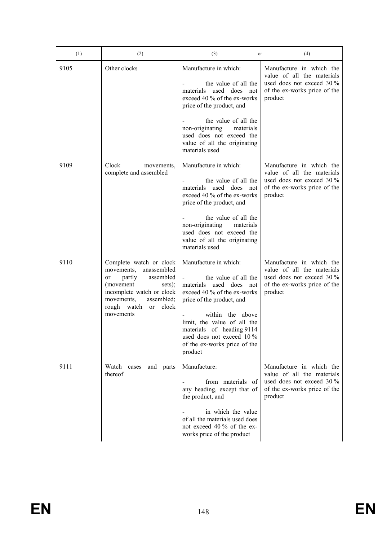| (1)  | (2)                                                                                                                                                                                                 | (3)<br>or                                                                                                                                                                                                                                                                         | (4)                                                                                                                            |
|------|-----------------------------------------------------------------------------------------------------------------------------------------------------------------------------------------------------|-----------------------------------------------------------------------------------------------------------------------------------------------------------------------------------------------------------------------------------------------------------------------------------|--------------------------------------------------------------------------------------------------------------------------------|
| 9105 | Other clocks                                                                                                                                                                                        | Manufacture in which:<br>the value of all the<br>materials used does not<br>exceed 40 % of the ex-works<br>price of the product, and                                                                                                                                              | Manufacture in which the<br>value of all the materials<br>used does not exceed 30 %<br>of the ex-works price of the<br>product |
|      |                                                                                                                                                                                                     | the value of all the<br>non-originating<br>materials<br>used does not exceed the<br>value of all the originating<br>materials used                                                                                                                                                |                                                                                                                                |
| 9109 | Clock<br>movements,<br>complete and assembled                                                                                                                                                       | Manufacture in which:<br>the value of all the<br>materials used does not<br>exceed 40 % of the ex-works<br>price of the product, and                                                                                                                                              | Manufacture in which the<br>value of all the materials<br>used does not exceed 30 %<br>of the ex-works price of the<br>product |
|      |                                                                                                                                                                                                     | the value of all the<br>non-originating<br>materials<br>used does not exceed the<br>value of all the originating<br>materials used                                                                                                                                                |                                                                                                                                |
| 9110 | Complete watch or clock<br>movements, unassembled<br>partly<br>assembled<br>or<br>(movement<br>sets);<br>incomplete watch or clock<br>movements,<br>assembled;<br>rough watch or clock<br>movements | Manufacture in which:<br>the value of all the<br>materials used does not<br>exceed 40 % of the ex-works<br>price of the product, and<br>within the above<br>limit, the value of all the<br>materials of heading 9114<br>used does not exceed 10 %<br>of the ex-works price of the | Manufacture in which the<br>value of all the materials<br>used does not exceed 30 %<br>of the ex-works price of the<br>product |
| 9111 | Watch<br>and parts<br>cases<br>thereof                                                                                                                                                              | product<br>Manufacture:<br>from materials of<br>any heading, except that of<br>the product, and<br>in which the value<br>of all the materials used does<br>not exceed 40 % of the ex-<br>works price of the product                                                               | Manufacture in which the<br>value of all the materials<br>used does not exceed 30 %<br>of the ex-works price of the<br>product |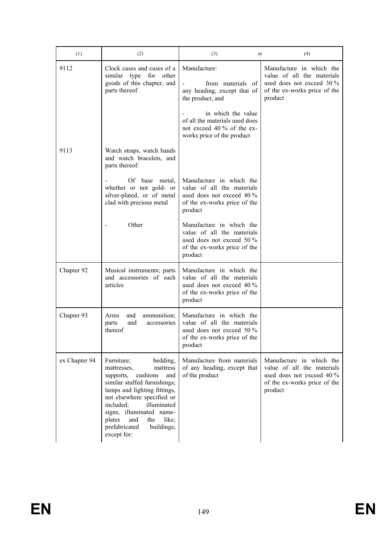| (1)           | (2)                                                                                                                                                                                                                                                                                                                    | (3)<br>or                                                                                                                      | (4)                                                                                                                            |
|---------------|------------------------------------------------------------------------------------------------------------------------------------------------------------------------------------------------------------------------------------------------------------------------------------------------------------------------|--------------------------------------------------------------------------------------------------------------------------------|--------------------------------------------------------------------------------------------------------------------------------|
| 9112          | Clock cases and cases of a<br>similar type for<br>other<br>goods of this chapter, and<br>parts thereof                                                                                                                                                                                                                 | Manufacture:<br>from materials of<br>any heading, except that of<br>the product, and                                           | Manufacture in which the<br>value of all the materials<br>used does not exceed 30 %<br>of the ex-works price of the<br>product |
|               |                                                                                                                                                                                                                                                                                                                        | in which the value<br>of all the materials used does<br>not exceed 40 % of the ex-<br>works price of the product               |                                                                                                                                |
| 9113          | Watch straps, watch bands<br>and watch bracelets, and<br>parts thereof:                                                                                                                                                                                                                                                |                                                                                                                                |                                                                                                                                |
|               | Of base metal,<br>whether or not gold- or<br>silver-plated, or of metal<br>clad with precious metal                                                                                                                                                                                                                    | Manufacture in which the<br>value of all the materials<br>used does not exceed 40 %<br>of the ex-works price of the<br>product |                                                                                                                                |
|               | Other                                                                                                                                                                                                                                                                                                                  | Manufacture in which the<br>value of all the materials<br>used does not exceed 50 %<br>of the ex-works price of the<br>product |                                                                                                                                |
| Chapter 92    | Musical instruments; parts<br>and accessories of such<br>articles                                                                                                                                                                                                                                                      | Manufacture in which the<br>value of all the materials<br>used does not exceed 40 %<br>of the ex-works price of the<br>product |                                                                                                                                |
| Chapter 93    | and<br>ammunition;<br>Arms<br>and<br>accessories<br>parts<br>thereof                                                                                                                                                                                                                                                   | Manufacture in which the<br>value of all the materials<br>used does not exceed 50 %<br>of the ex-works price of the<br>product |                                                                                                                                |
| ex Chapter 94 | Furniture;<br>bedding,<br>mattresses,<br>mattress<br>cushions<br>supports,<br>and<br>similar stuffed furnishings;<br>lamps and lighting fittings,<br>not elsewhere specified or<br>illuminated<br>included;<br>signs, illuminated name-<br>plates<br>and<br>the<br>like;<br>prefabricated<br>buildings;<br>except for: | Manufacture from materials<br>of any heading, except that<br>of the product                                                    | Manufacture in which the<br>value of all the materials<br>used does not exceed 40 %<br>of the ex-works price of the<br>product |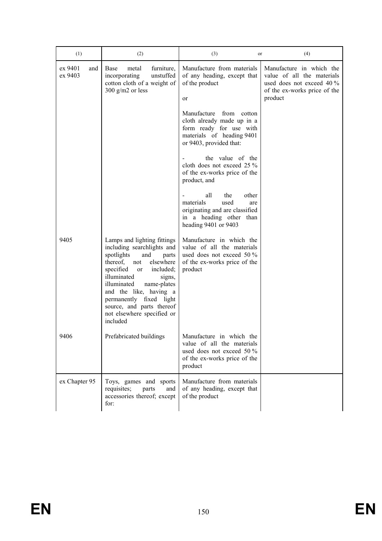| (1)                       | (2)                                                                                                                                                                                                                                                                                                                                                   | (3)<br>or                                                                                                                                | (4)                                                                                                                            |
|---------------------------|-------------------------------------------------------------------------------------------------------------------------------------------------------------------------------------------------------------------------------------------------------------------------------------------------------------------------------------------------------|------------------------------------------------------------------------------------------------------------------------------------------|--------------------------------------------------------------------------------------------------------------------------------|
| ex 9401<br>and<br>ex 9403 | Base<br>metal<br>furniture,<br>incorporating<br>unstuffed<br>cotton cloth of a weight of<br>300 g/m2 or less                                                                                                                                                                                                                                          | Manufacture from materials<br>of any heading, except that<br>of the product<br>or                                                        | Manufacture in which the<br>value of all the materials<br>used does not exceed 40 %<br>of the ex-works price of the<br>product |
|                           |                                                                                                                                                                                                                                                                                                                                                       | Manufacture from cotton<br>cloth already made up in a<br>form ready for use with<br>materials of heading 9401<br>or 9403, provided that: |                                                                                                                                |
|                           |                                                                                                                                                                                                                                                                                                                                                       | the value of the<br>cloth does not exceed 25 %<br>of the ex-works price of the<br>product, and                                           |                                                                                                                                |
|                           |                                                                                                                                                                                                                                                                                                                                                       | all<br>the<br>other<br>materials<br>used<br>are<br>originating and are classified<br>in a heading other than<br>heading 9401 or 9403     |                                                                                                                                |
| 9405                      | Lamps and lighting fittings<br>including searchlights and<br>spotlights<br>and<br>parts<br>thereof,<br>elsewhere<br>not<br>specified<br>included;<br><sub>or</sub><br>illuminated<br>signs,<br>illuminated<br>name-plates<br>and the like, having a<br>permanently fixed light<br>source, and parts thereof<br>not elsewhere specified or<br>included | Manufacture in which the<br>value of all the materials<br>used does not exceed 50 %<br>of the ex-works price of the<br>product           |                                                                                                                                |
| 9406                      | Prefabricated buildings                                                                                                                                                                                                                                                                                                                               | Manufacture in which the<br>value of all the materials<br>used does not exceed 50 $\%$<br>of the ex-works price of the<br>product        |                                                                                                                                |
| ex Chapter 95             | Toys, games and sports<br>requisites;<br>parts<br>and<br>accessories thereof; except<br>for:                                                                                                                                                                                                                                                          | Manufacture from materials<br>of any heading, except that<br>of the product                                                              |                                                                                                                                |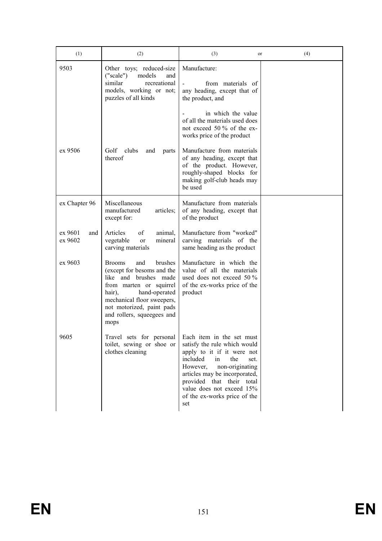| (1)                       | (2)                                                                                                                                                                                                                                           | (3)<br>or                                                                                                                                                                                                                                                                                 | (4) |
|---------------------------|-----------------------------------------------------------------------------------------------------------------------------------------------------------------------------------------------------------------------------------------------|-------------------------------------------------------------------------------------------------------------------------------------------------------------------------------------------------------------------------------------------------------------------------------------------|-----|
| 9503                      | Other toys; reduced-size<br>("scale")<br>models<br>and<br>similar<br>recreational<br>models, working or not;<br>puzzles of all kinds                                                                                                          | Manufacture:<br>from materials of<br>any heading, except that of<br>the product, and                                                                                                                                                                                                      |     |
| ex 9506                   | Golf<br>clubs<br>and<br>parts<br>thereof                                                                                                                                                                                                      | in which the value<br>of all the materials used does<br>not exceed 50 % of the ex-<br>works price of the product<br>Manufacture from materials<br>of any heading, except that<br>of the product. However,<br>roughly-shaped blocks for<br>making golf-club heads may<br>be used           |     |
| ex Chapter 96             | Miscellaneous<br>manufactured<br>articles;<br>except for:                                                                                                                                                                                     | Manufacture from materials<br>of any heading, except that<br>of the product                                                                                                                                                                                                               |     |
| ex 9601<br>and<br>ex 9602 | Articles<br>of<br>animal.<br>vegetable<br>mineral<br><sub>or</sub><br>carving materials                                                                                                                                                       | Manufacture from "worked"<br>carving materials of the<br>same heading as the product                                                                                                                                                                                                      |     |
| ex 9603                   | brushes<br><b>Brooms</b><br>and<br>(except for besoms and the<br>like and brushes made<br>from marten or squirrel<br>hand-operated<br>hair),<br>mechanical floor sweepers,<br>not motorized, paint pads<br>and rollers, squeegees and<br>mops | Manufacture in which the<br>value of all the materials<br>used does not exceed 50 %<br>of the ex-works price of the<br>product                                                                                                                                                            |     |
| 9605                      | Travel sets for personal<br>toilet, sewing or shoe or<br>clothes cleaning                                                                                                                                                                     | Each item in the set must<br>satisfy the rule which would<br>apply to it if it were not<br>included<br>the<br>in<br>set.<br>non-originating<br>However,<br>articles may be incorporated,<br>provided that their total<br>value does not exceed 15%<br>of the ex-works price of the<br>set |     |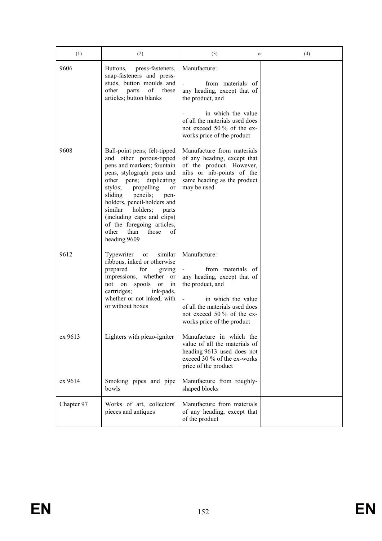| (1)        | (2)                                                                                                                                                                                                                                                                                                                                                                                    | (3)<br>or                                                                                                                                                                                                | (4) |
|------------|----------------------------------------------------------------------------------------------------------------------------------------------------------------------------------------------------------------------------------------------------------------------------------------------------------------------------------------------------------------------------------------|----------------------------------------------------------------------------------------------------------------------------------------------------------------------------------------------------------|-----|
| 9606       | press-fasteners,<br>Buttons,<br>snap-fasteners and press-<br>studs, button moulds and<br>of these<br>other<br>parts<br>articles; button blanks                                                                                                                                                                                                                                         | Manufacture:<br>from materials of<br>any heading, except that of<br>the product, and<br>in which the value<br>of all the materials used does                                                             |     |
|            |                                                                                                                                                                                                                                                                                                                                                                                        | not exceed 50 % of the ex-<br>works price of the product                                                                                                                                                 |     |
| 9608       | Ball-point pens; felt-tipped<br>and other porous-tipped<br>pens and markers; fountain<br>pens, stylograph pens and<br>other pens; duplicating<br>propelling<br>stylos;<br>or<br>pencils;<br>sliding<br>pen-<br>holders, pencil-holders and<br>similar<br>holders;<br>parts<br>(including caps and clips)<br>of the foregoing articles,<br>other<br>those<br>than<br>οf<br>heading 9609 | Manufacture from materials<br>of any heading, except that<br>of the product. However,<br>nibs or nib-points of the<br>same heading as the product<br>may be used                                         |     |
| 9612       | Typewriter<br>similar<br>or<br>ribbons, inked or otherwise<br>for<br>prepared<br>giving<br>impressions, whether<br><sub>or</sub><br>not on<br>spools<br>in<br>or<br>cartridges;<br>ink-pads,<br>whether or not inked, with<br>or without boxes                                                                                                                                         | Manufacture:<br>from materials of<br>any heading, except that of<br>the product, and<br>in which the value<br>of all the materials used does<br>not exceed 50 % of the ex-<br>works price of the product |     |
| ex 9613    | Lighters with piezo-igniter                                                                                                                                                                                                                                                                                                                                                            | Manufacture in which the<br>value of all the materials of<br>heading 9613 used does not<br>exceed 30 % of the ex-works<br>price of the product                                                           |     |
| ex 9614    | Smoking pipes and pipe<br>bowls                                                                                                                                                                                                                                                                                                                                                        | Manufacture from roughly-<br>shaped blocks                                                                                                                                                               |     |
| Chapter 97 | Works of art, collectors'<br>pieces and antiques                                                                                                                                                                                                                                                                                                                                       | Manufacture from materials<br>of any heading, except that<br>of the product                                                                                                                              |     |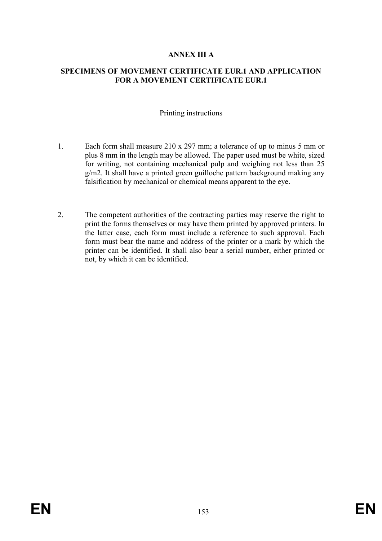# ANNEX III A

## SPECIMENS OF MOVEMENT CERTIFICATE EUR.1 AND APPLICATION FOR A MOVEMENT CERTIFICATE EUR.1

### Printing instructions

- 1. Each form shall measure 210 x 297 mm; a tolerance of up to minus 5 mm or plus 8 mm in the length may be allowed. The paper used must be white, sized for writing, not containing mechanical pulp and weighing not less than 25 g/m2. It shall have a printed green guilloche pattern background making any falsification by mechanical or chemical means apparent to the eye.
- 2. The competent authorities of the contracting parties may reserve the right to print the forms themselves or may have them printed by approved printers. In the latter case, each form must include a reference to such approval. Each form must bear the name and address of the printer or a mark by which the printer can be identified. It shall also bear a serial number, either printed or not, by which it can be identified.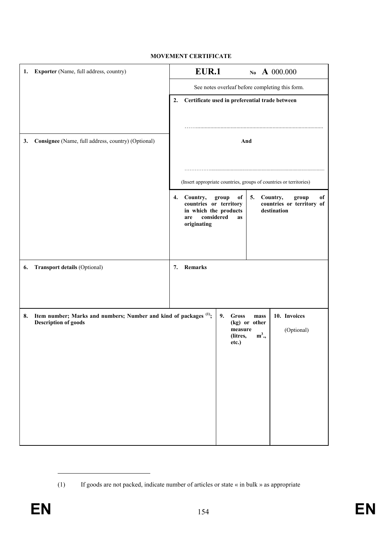#### MOVEMENT CERTIFICATE

| 1.                                                                                                                | Exporter (Name, full address, country)             | EUR.1<br>No A 000.000                                                                                                                                                                                |
|-------------------------------------------------------------------------------------------------------------------|----------------------------------------------------|------------------------------------------------------------------------------------------------------------------------------------------------------------------------------------------------------|
|                                                                                                                   |                                                    | See notes overleaf before completing this form.                                                                                                                                                      |
|                                                                                                                   |                                                    | Certificate used in preferential trade between<br>2.                                                                                                                                                 |
|                                                                                                                   |                                                    |                                                                                                                                                                                                      |
| 3.                                                                                                                | Consignee (Name, full address, country) (Optional) | And                                                                                                                                                                                                  |
|                                                                                                                   |                                                    |                                                                                                                                                                                                      |
|                                                                                                                   |                                                    | (Insert appropriate countries, groups of countries or territories)                                                                                                                                   |
|                                                                                                                   |                                                    | 4. Country,<br>group<br>5.<br>Country,<br>of<br>of<br>group<br>countries or territory<br>countries or territory of<br>in which the products<br>destination<br>considered<br>are<br>as<br>originating |
| 6.                                                                                                                | Transport details (Optional)                       | Remarks<br>7.                                                                                                                                                                                        |
|                                                                                                                   |                                                    |                                                                                                                                                                                                      |
|                                                                                                                   |                                                    |                                                                                                                                                                                                      |
| Item number; Marks and numbers; Number and kind of packages <sup>(1)</sup> ;<br>8.<br><b>Description of goods</b> |                                                    | 10. Invoices<br>9.<br><b>Gross</b><br>mass<br>(kg) or other<br>measure<br>(Optional)<br>$m^3$ .,<br>(litres,<br>etc.)                                                                                |
|                                                                                                                   |                                                    |                                                                                                                                                                                                      |

<sup>(1)</sup> If goods are not packed, indicate number of articles or state « in bulk » as appropriate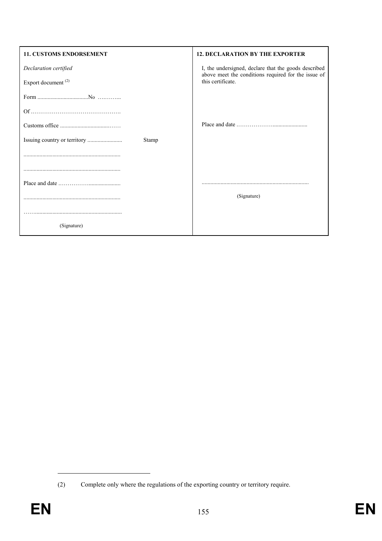| 11. CUSTOMS ENDORSEMENT        | <b>12. DECLARATION BY THE EXPORTER</b>                                                                      |
|--------------------------------|-------------------------------------------------------------------------------------------------------------|
| Declaration certified          | I, the undersigned, declare that the goods described<br>above meet the conditions required for the issue of |
| Export document <sup>(2)</sup> | this certificate.                                                                                           |
|                                |                                                                                                             |
|                                |                                                                                                             |
|                                |                                                                                                             |
| Stamp                          |                                                                                                             |
|                                |                                                                                                             |
|                                |                                                                                                             |
|                                |                                                                                                             |
|                                | (Signature)                                                                                                 |
|                                |                                                                                                             |
| (Signature)                    |                                                                                                             |

<sup>(2)</sup> Complete only where the regulations of the exporting country or territory require.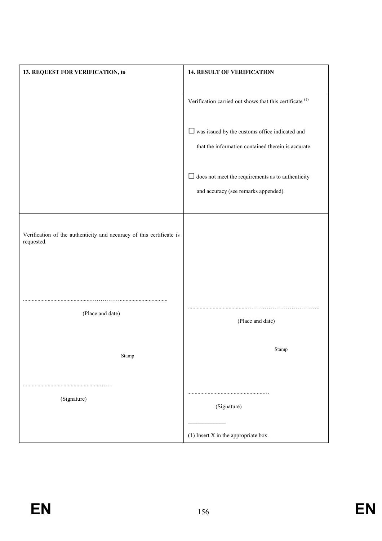| 13. REQUEST FOR VERIFICATION, to                                                   | <b>14. RESULT OF VERIFICATION</b>                                                                            |
|------------------------------------------------------------------------------------|--------------------------------------------------------------------------------------------------------------|
|                                                                                    | Verification carried out shows that this certificate $(1)$                                                   |
|                                                                                    | $\Box$ was issued by the customs office indicated and<br>that the information contained therein is accurate. |
|                                                                                    | $\Box$ does not meet the requirements as to authenticity<br>and accuracy (see remarks appended).             |
| Verification of the authenticity and accuracy of this certificate is<br>requested. |                                                                                                              |
| (Place and date)                                                                   | (Place and date)                                                                                             |
| Stamp                                                                              | Stamp                                                                                                        |
| (Signature)                                                                        | (Signature)                                                                                                  |
|                                                                                    | $(1)$ Insert X in the appropriate box.                                                                       |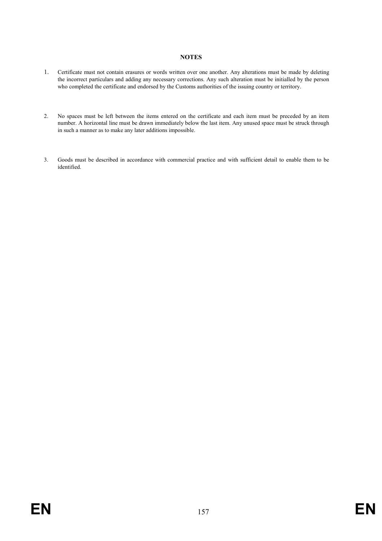#### **NOTES**

- 1. Certificate must not contain erasures or words written over one another. Any alterations must be made by deleting the incorrect particulars and adding any necessary corrections. Any such alteration must be initialled by the person who completed the certificate and endorsed by the Customs authorities of the issuing country or territory.
- 2. No spaces must be left between the items entered on the certificate and each item must be preceded by an item number. A horizontal line must be drawn immediately below the last item. Any unused space must be struck through in such a manner as to make any later additions impossible.
- 3. Goods must be described in accordance with commercial practice and with sufficient detail to enable them to be identified.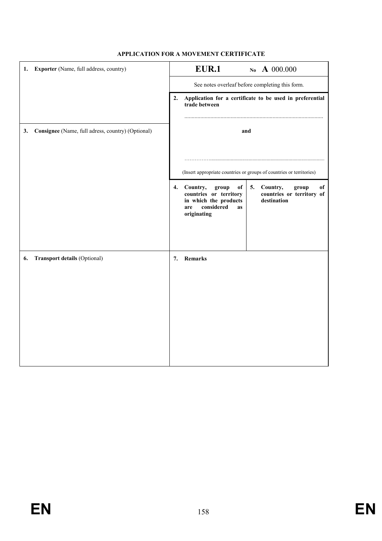| 1. | Exporter (Name, full address, country)            | <b>EUR.1</b><br>No A 000.000 |                                                                                                                                                                                                   |
|----|---------------------------------------------------|------------------------------|---------------------------------------------------------------------------------------------------------------------------------------------------------------------------------------------------|
|    |                                                   |                              | See notes overleaf before completing this form.                                                                                                                                                   |
|    |                                                   | 2.                           | Application for a certificate to be used in preferential<br>trade between                                                                                                                         |
| 3. | Consignee (Name, full adress, country) (Optional) |                              | and                                                                                                                                                                                               |
|    |                                                   |                              | (Insert appropriate countries or groups of countries or territories)                                                                                                                              |
|    |                                                   | 4.                           | Country,<br>Country,<br>group<br>of<br>5.<br>of<br>group<br>countries or territory of<br>countries or territory<br>destination<br>in which the products<br>considered<br>are<br>as<br>originating |
| 6. | Transport details (Optional)                      | 7.                           | Remarks                                                                                                                                                                                           |

### APPLICATION FOR A MOVEMENT CERTIFICATE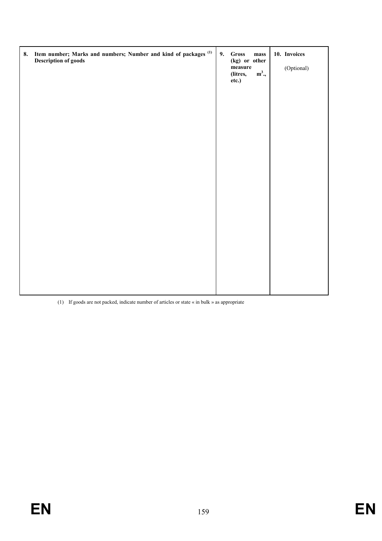| 8. | Item number; Marks and numbers; Number and kind of packages <sup>(1)</sup><br><b>Description of goods</b> | 9. | Gross<br>mass<br>(kg) or other<br>$\bf measure$<br>$m^3$ .,<br>(litres,<br>etc.) | 10. Invoices<br>(Optional) |
|----|-----------------------------------------------------------------------------------------------------------|----|----------------------------------------------------------------------------------|----------------------------|
|    |                                                                                                           |    |                                                                                  |                            |

(1) If goods are not packed, indicate number of articles or state « in bulk » as appropriate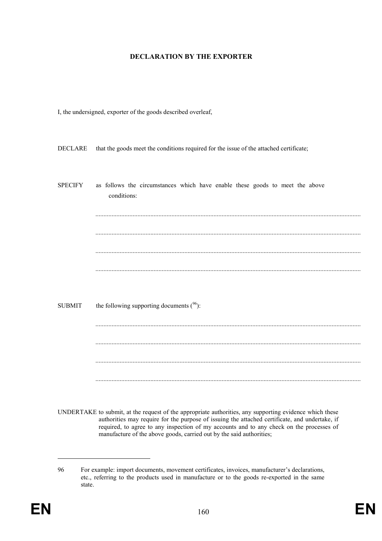#### DECLARATION BY THE EXPORTER

I, the undersigned, exporter of the goods described overleaf,

DECLARE that the goods meet the conditions required for the issue of the attached certificate;

| <b>SPECIFY</b> | as follows the circumstances which have enable these goods to meet the above<br>conditions: |
|----------------|---------------------------------------------------------------------------------------------|
|                |                                                                                             |
|                |                                                                                             |
|                |                                                                                             |
| <b>SUBMIT</b>  | the following supporting documents $(96)$ :                                                 |
|                |                                                                                             |
|                |                                                                                             |
|                |                                                                                             |

UNDERTAKE to submit, at the request of the appropriate authorities, any supporting evidence which these authorities may require for the purpose of issuing the attached certificate, and undertake, if required, to agree to any inspection of my accounts and to any check on the processes of manufacture of the above goods, carried out by the said authorities;

<sup>96</sup> For example: import documents, movement certificates, invoices, manufacturer's declarations, etc., referring to the products used in manufacture or to the goods re-exported in the same state.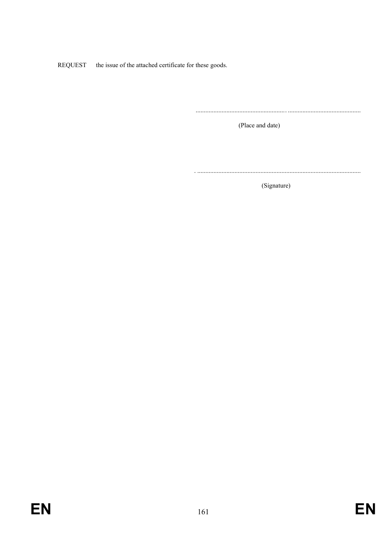REQUEST the issue of the attached certificate for these goods.

(Place and date)

(Signature)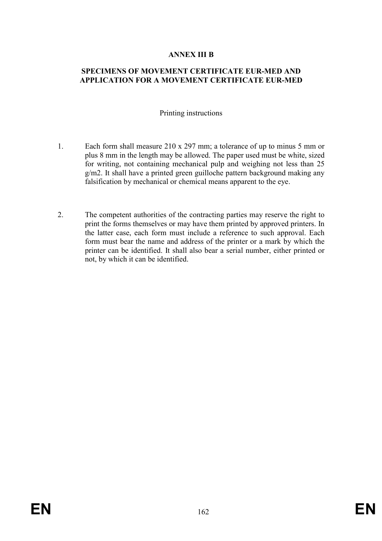## ANNEX III B

# SPECIMENS OF MOVEMENT CERTIFICATE EUR-MED AND APPLICATION FOR A MOVEMENT CERTIFICATE EUR-MED

### Printing instructions

- 1. Each form shall measure 210 x 297 mm; a tolerance of up to minus 5 mm or plus 8 mm in the length may be allowed. The paper used must be white, sized for writing, not containing mechanical pulp and weighing not less than 25 g/m2. It shall have a printed green guilloche pattern background making any falsification by mechanical or chemical means apparent to the eye.
- 2. The competent authorities of the contracting parties may reserve the right to print the forms themselves or may have them printed by approved printers. In the latter case, each form must include a reference to such approval. Each form must bear the name and address of the printer or a mark by which the printer can be identified. It shall also bear a serial number, either printed or not, by which it can be identified.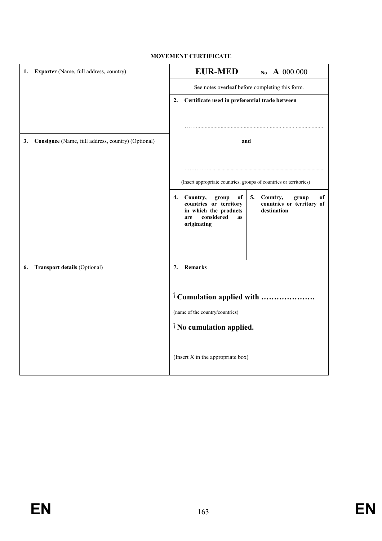### MOVEMENT CERTIFICATE

| 1. | Exporter (Name, full address, country)             | <b>EUR-MED</b><br>No A 000.000                                                                                                                                                                              |  |
|----|----------------------------------------------------|-------------------------------------------------------------------------------------------------------------------------------------------------------------------------------------------------------------|--|
|    |                                                    | See notes overleaf before completing this form.                                                                                                                                                             |  |
|    |                                                    | Certificate used in preferential trade between<br>2.                                                                                                                                                        |  |
|    |                                                    |                                                                                                                                                                                                             |  |
| 3. | Consignee (Name, full address, country) (Optional) | and                                                                                                                                                                                                         |  |
|    |                                                    | (Insert appropriate countries, groups of countries or territories)                                                                                                                                          |  |
|    |                                                    | 4. Country,<br>of<br>5.<br>Country,<br>of<br>group<br>group<br>countries or territory<br>countries or territory of<br>destination<br>in which the products<br>considered<br>are<br><b>as</b><br>originating |  |
| 6. | <b>Transport details (Optional)</b>                | Remarks<br>7.                                                                                                                                                                                               |  |
|    |                                                    | <sup>1</sup> Cumulation applied with                                                                                                                                                                        |  |
|    |                                                    | (name of the country/countries)                                                                                                                                                                             |  |
|    |                                                    | <sup><i>i</i></sup> No cumulation applied.                                                                                                                                                                  |  |
|    |                                                    | (Insert X in the appropriate box)                                                                                                                                                                           |  |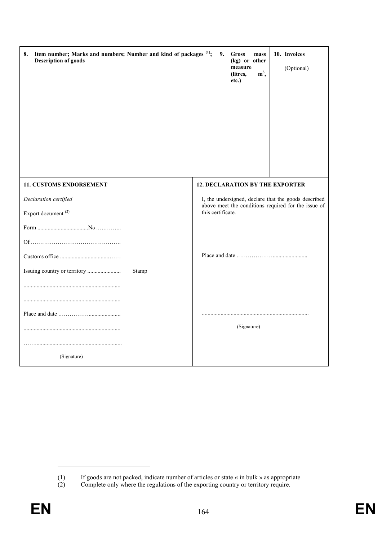| Item number; Marks and numbers; Number and kind of packages <sup>(1)</sup> ;<br>8.<br><b>Description of goods</b> | 9.<br>Gross<br>mass<br>(kg) or other<br>measure<br>$m^3$ ,<br>(litres,<br>etc.) | 10. Invoices<br>(Optional)                                                                                  |
|-------------------------------------------------------------------------------------------------------------------|---------------------------------------------------------------------------------|-------------------------------------------------------------------------------------------------------------|
| 11. CUSTOMS ENDORSEMENT                                                                                           | <b>12. DECLARATION BY THE EXPORTER</b>                                          |                                                                                                             |
| Declaration certified<br>Export document <sup>(2)</sup>                                                           | this certificate.                                                               | I, the undersigned, declare that the goods described<br>above meet the conditions required for the issue of |
| Stamp                                                                                                             |                                                                                 |                                                                                                             |
| (Signature)                                                                                                       | (Signature)                                                                     |                                                                                                             |

<sup>(1)</sup> If goods are not packed, indicate number of articles or state « in bulk » as appropriate

<sup>(2)</sup> Complete only where the regulations of the exporting country or territory require.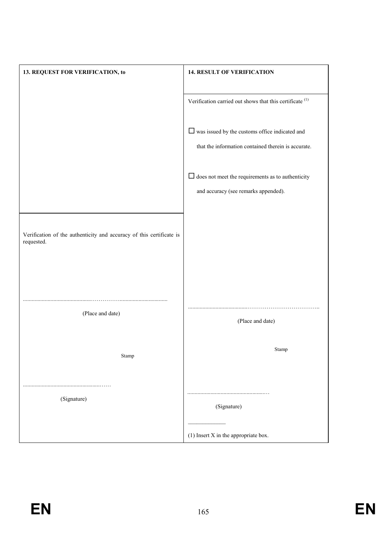| 13. REQUEST FOR VERIFICATION, to                                                   | <b>14. RESULT OF VERIFICATION</b>                             |
|------------------------------------------------------------------------------------|---------------------------------------------------------------|
|                                                                                    |                                                               |
|                                                                                    | Verification carried out shows that this certificate $^{(1)}$ |
|                                                                                    | $\Box$ was issued by the customs office indicated and         |
|                                                                                    | that the information contained therein is accurate.           |
|                                                                                    |                                                               |
|                                                                                    | $\Box$ does not meet the requirements as to authenticity      |
|                                                                                    | and accuracy (see remarks appended).                          |
|                                                                                    |                                                               |
| Verification of the authenticity and accuracy of this certificate is<br>requested. |                                                               |
|                                                                                    |                                                               |
|                                                                                    |                                                               |
| (Place and date)                                                                   |                                                               |
|                                                                                    | (Place and date)                                              |
|                                                                                    | $\operatorname{Stamp}$                                        |
| Stamp                                                                              |                                                               |
|                                                                                    |                                                               |
| (Signature)                                                                        |                                                               |
|                                                                                    | (Signature)                                                   |
|                                                                                    | $(1)$ Insert X in the appropriate box.                        |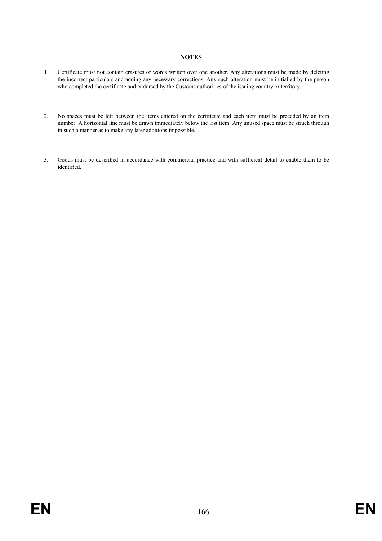#### **NOTES**

- 1. Certificate must not contain erasures or words written over one another. Any alterations must be made by deleting the incorrect particulars and adding any necessary corrections. Any such alteration must be initialled by the person who completed the certificate and endorsed by the Customs authorities of the issuing country or territory.
- 2. No spaces must be left between the items entered on the certificate and each item must be preceded by an item number. A horizontal line must be drawn immediately below the last item. Any unused space must be struck through in such a manner as to make any later additions impossible.
- 3. Goods must be described in accordance with commercial practice and with sufficient detail to enable them to be identified.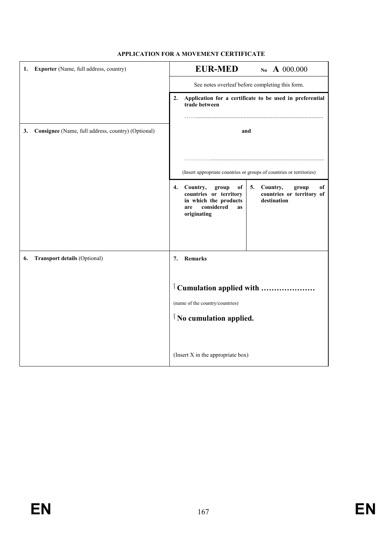| 1. | Exporter (Name, full address, country)             | <b>EUR-MED</b><br>No A 000.000                                                                                                                                                                          |  |
|----|----------------------------------------------------|---------------------------------------------------------------------------------------------------------------------------------------------------------------------------------------------------------|--|
|    |                                                    | See notes overleaf before completing this form.                                                                                                                                                         |  |
|    |                                                    | Application for a certificate to be used in preferential<br>2.<br>trade between                                                                                                                         |  |
| 3. | Consignee (Name, full address, country) (Optional) | and                                                                                                                                                                                                     |  |
|    |                                                    | (Insert appropriate countries or groups of countries or territories)                                                                                                                                    |  |
|    |                                                    | Country,<br>4.<br>group<br>of<br>5.<br>Country,<br>of<br>group<br>countries or territory of<br>countries or territory<br>in which the products<br>destination<br>considered<br>are<br>as<br>originating |  |
| 6. | <b>Transport details (Optional)</b>                | Remarks<br>7.                                                                                                                                                                                           |  |
|    |                                                    | <sup>1</sup> Cumulation applied with                                                                                                                                                                    |  |
|    |                                                    | (name of the country/countries)                                                                                                                                                                         |  |
|    |                                                    | <sup><i>i</i></sup> No cumulation applied.                                                                                                                                                              |  |
|    |                                                    | (Insert X in the appropriate box)                                                                                                                                                                       |  |

## APPLICATION FOR A MOVEMENT CERTIFICATE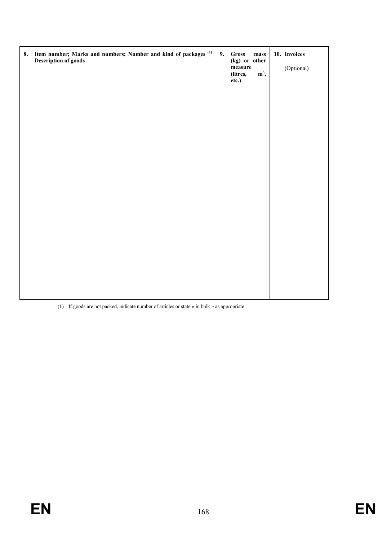| 8. Item number; Marks and numbers; Number and kind of packages <sup>(1)</sup><br><b>Description of goods</b> | 9. | Gross<br>$_{\rm mass}$<br>(kg) or other<br>$\,$ measure<br>$m^3$ ,<br>(litres,<br>etc.) | 10. Invoices<br>(Optional) |
|--------------------------------------------------------------------------------------------------------------|----|-----------------------------------------------------------------------------------------|----------------------------|
|                                                                                                              |    |                                                                                         |                            |
|                                                                                                              |    |                                                                                         |                            |
|                                                                                                              |    |                                                                                         |                            |
|                                                                                                              |    |                                                                                         |                            |

(1) If goods are not packed, indicate number of articles or state « in bulk » as appropriate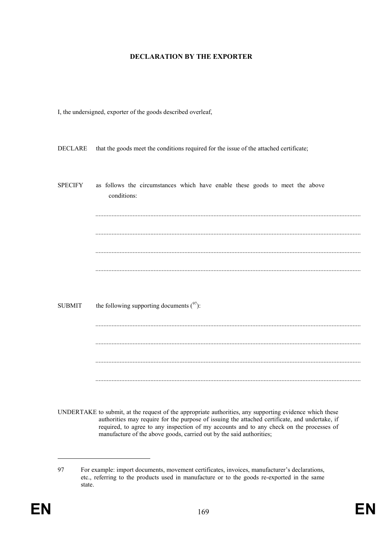#### DECLARATION BY THE EXPORTER

I, the undersigned, exporter of the goods described overleaf,

DECLARE that the goods meet the conditions required for the issue of the attached certificate;

| <b>SPECIFY</b> | as follows the circumstances which have enable these goods to meet the above<br>conditions: |
|----------------|---------------------------------------------------------------------------------------------|
|                |                                                                                             |
|                |                                                                                             |
|                |                                                                                             |
| <b>SUBMIT</b>  | the following supporting documents $(^{97})$ :                                              |
|                |                                                                                             |
|                |                                                                                             |

UNDERTAKE to submit, at the request of the appropriate authorities, any supporting evidence which these authorities may require for the purpose of issuing the attached certificate, and undertake, if required, to agree to any inspection of my accounts and to any check on the processes of manufacture of the above goods, carried out by the said authorities;

<sup>97</sup> For example: import documents, movement certificates, invoices, manufacturer's declarations, etc., referring to the products used in manufacture or to the goods re-exported in the same state.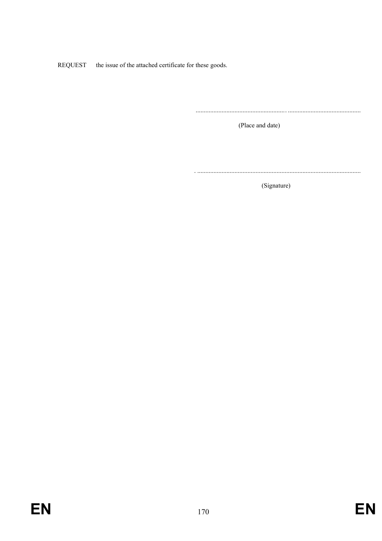**REQUEST** the issue of the attached certificate for these goods.

(Place and date)

(Signature)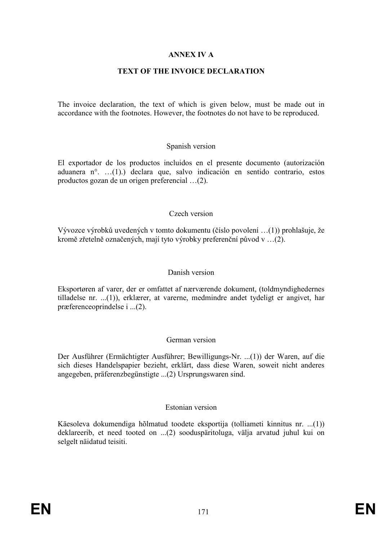# ANNEX IV A

# TEXT OF THE INVOICE DECLARATION

The invoice declaration, the text of which is given below, must be made out in accordance with the footnotes. However, the footnotes do not have to be reproduced.

### Spanish version

El exportador de los productos incluidos en el presente documento (autorización aduanera n°. …(1).) declara que, salvo indicación en sentido contrario, estos productos gozan de un origen preferencial …(2).

## Czech version

Vývozce výrobků uvedených v tomto dokumentu (číslo povolení …(1)) prohlašuje, že kromě zřetelně označených, mají tyto výrobky preferenční původ v …(2).

#### Danish version

Eksportøren af varer, der er omfattet af nærværende dokument, (toldmyndighedernes tilladelse nr. ...(1)), erklærer, at varerne, medmindre andet tydeligt er angivet, har præferenceoprindelse i ...(2).

#### German version

Der Ausführer (Ermächtigter Ausführer; Bewilligungs-Nr. ...(1)) der Waren, auf die sich dieses Handelspapier bezieht, erklärt, dass diese Waren, soweit nicht anderes angegeben, präferenzbegünstigte ...(2) Ursprungswaren sind.

#### Estonian version

Käesoleva dokumendiga hõlmatud toodete eksportija (tolliameti kinnitus nr. ...(1)) deklareerib, et need tooted on ...(2) sooduspäritoluga, välja arvatud juhul kui on selgelt näidatud teisiti.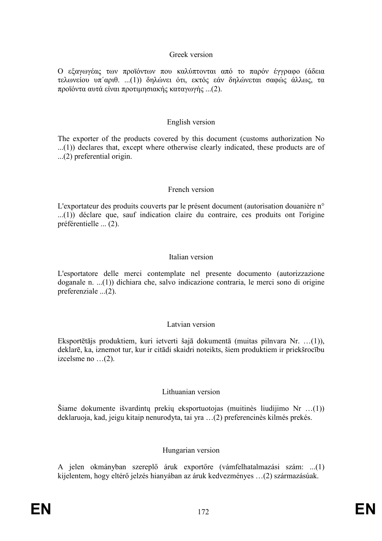## Greek version

Ο εξαγωγέας των προϊόντων που καλύπτονται από το παρόν έγγραφο (άδεια τελωνείου υπ΄αριθ. ...(1)) δηλώνει ότι, εκτός εάν δηλώνεται σαφώς άλλως, τα προϊόντα αυτά είναι προτιµησιακής καταγωγής ...(2).

### English version

The exporter of the products covered by this document (customs authorization No ...(1)) declares that, except where otherwise clearly indicated, these products are of ...(2) preferential origin.

## French version

L'exportateur des produits couverts par le présent document (autorisation douanière n° ...(1)) déclare que, sauf indication claire du contraire, ces produits ont l'origine préférentielle ... (2).

## Italian version

L'esportatore delle merci contemplate nel presente documento (autorizzazione doganale n. ...(1)) dichiara che, salvo indicazione contraria, le merci sono di origine preferenziale ...(2).

## Latvian version

Eksportētājs produktiem, kuri ietverti šajā dokumentā (muitas pilnvara Nr. …(1)), deklarē, ka, iznemot tur, kur ir citādi skaidri noteikts, šiem produktiem ir priekšrocību izcelsme no …(2).

## Lithuanian version

Šiame dokumente išvardintų prekių eksportuotojas (muitinès liudijimo Nr …(1)) deklaruoja, kad, jeigu kitaip nenurodyta, tai yra …(2) preferencinès kilmés prekés.

## Hungarian version

A jelen okmányban szereplő áruk exportőre (vámfelhatalmazási szám: ...(1) kijelentem, hogy eltérő jelzés hianyában az áruk kedvezményes ...(2) származásúak.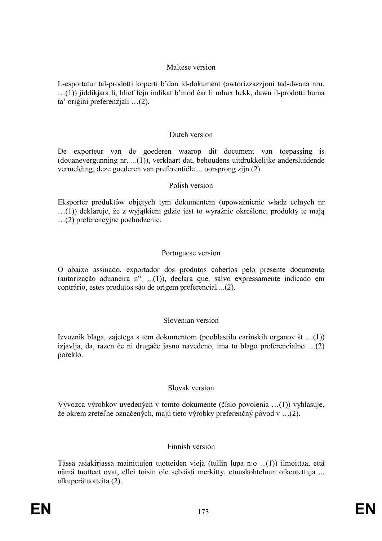## Maltese version

L-esportatur tal-prodotti koperti b'dan id-dokument (awtorizzazzjoni tad-dwana nru. …(1)) jiddikjara li, ħlief fejn indikat b'mod ëar li mhux hekk, dawn il-prodotti huma ta' oriģini preferenzjali ...(2).

# Dutch version

De exporteur van de goederen waarop dit document van toepassing is (douanevergunning nr. ...(1)), verklaart dat, behoudens uitdrukkelijke andersluidende vermelding, deze goederen van preferentiële ... oorsprong zijn (2).

## Polish version

Eksporter produktów objętych tym dokumentem (upoważnienie władz celnych nr  $\dots(1)$ ) deklaruje, że z wyjątkiem gdzie jest to wyraźnie określone, produkty te mają …(2) preferencyjne pochodzenie.

## Portuguese version

O abaixo assinado, exportador dos produtos cobertos pelo presente documento (autorização aduaneira n°. ...(1)), declara que, salvo expressamente indicado em contrário, estes produtos são de origem preferencial ...(2).

# Slovenian version

Izvoznik blaga, zajetega s tem dokumentom (pooblastilo carinskih organov št …(1)) izjavlja, da, razen če ni drugače jasno navedeno, ima to blago preferencialno …(2) poreklo.

# Slovak version

Vývozca výrobkov uvedených v tomto dokumente (číslo povolenia …(1)) vyhlasuje, že okrem zreteľne označených, majú tieto výrobky preferenčný pôvod v …(2).

# Finnish version

Tässä asiakirjassa mainittujen tuotteiden viejä (tullin lupa n:o ...(1)) ilmoittaa, että nämä tuotteet ovat, ellei toisin ole selvästi merkitty, etuuskohteluun oikeutettuja ... alkuperätuotteita (2).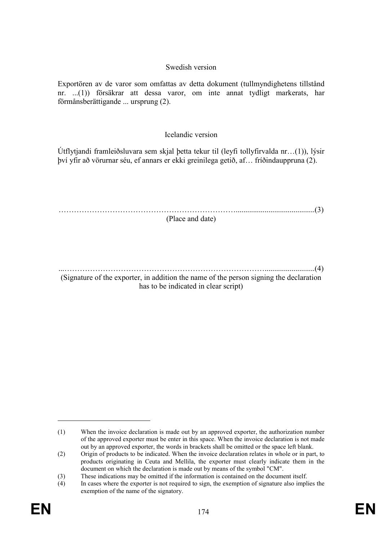## Swedish version

Exportören av de varor som omfattas av detta dokument (tullmyndighetens tillstånd nr. ...(1)) försäkrar att dessa varor, om inte annat tydligt markerats, har förmånsberättigande ... ursprung (2).

# Icelandic version

Útflytjandi framleiðsluvara sem skjal þetta tekur til (leyfi tollyfirvalda nr…(1)), lýsir því yfir að vörurnar séu, ef annars er ekki greinilega getið, af… fríðindauppruna (2).

…………………………………………………………….........................................(3) (Place and date)

...……………………………………………………………………..........................(4) (Signature of the exporter, in addition the name of the person signing the declaration has to be indicated in clear script)

<sup>(1)</sup> When the invoice declaration is made out by an approved exporter, the authorization number of the approved exporter must be enter in this space. When the invoice declaration is not made out by an approved exporter, the words in brackets shall be omitted or the space left blank.

<sup>(2)</sup> Origin of products to be indicated. When the invoice declaration relates in whole or in part, to products originating in Ceuta and Mellila, the exporter must clearly indicate them in the document on which the declaration is made out by means of the symbol "CM".

<sup>(3)</sup> These indications may be omitted if the information is contained on the document itself.

<sup>(4)</sup> In cases where the exporter is not required to sign, the exemption of signature also implies the exemption of the name of the signatory.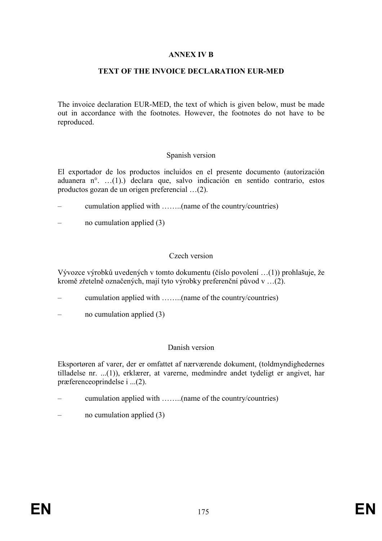## ANNEX IV B

# TEXT OF THE INVOICE DECLARATION EUR-MED

The invoice declaration EUR-MED, the text of which is given below, must be made out in accordance with the footnotes. However, the footnotes do not have to be reproduced.

### Spanish version

El exportador de los productos incluidos en el presente documento (autorización aduanera n°. …(1).) declara que, salvo indicación en sentido contrario, estos productos gozan de un origen preferencial …(2).

- cumulation applied with ……..(name of the country/countries)
- no cumulation applied  $(3)$

## Czech version

Vývozce výrobků uvedených v tomto dokumentu (číslo povolení …(1)) prohlašuje, že kromě zřetelně označených, mají tyto výrobky preferenční původ v …(2).

- cumulation applied with ……..(name of the country/countries)
- no cumulation applied  $(3)$

#### Danish version

Eksportøren af varer, der er omfattet af nærværende dokument, (toldmyndighedernes tilladelse nr. ...(1)), erklærer, at varerne, medmindre andet tydeligt er angivet, har præferenceoprindelse i ...(2).

- cumulation applied with ……..(name of the country/countries)
- no cumulation applied  $(3)$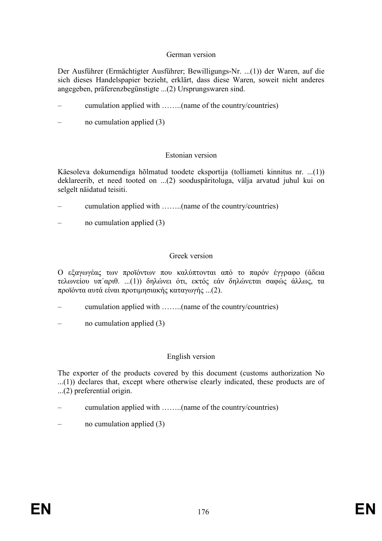## German version

Der Ausführer (Ermächtigter Ausführer; Bewilligungs-Nr. ...(1)) der Waren, auf die sich dieses Handelspapier bezieht, erklärt, dass diese Waren, soweit nicht anderes angegeben, präferenzbegünstigte ...(2) Ursprungswaren sind.

- cumulation applied with ……..(name of the country/countries)
- no cumulation applied  $(3)$

## Estonian version

Käesoleva dokumendiga hõlmatud toodete eksportija (tolliameti kinnitus nr. ...(1)) deklareerib, et need tooted on ...(2) sooduspäritoluga, välja arvatud juhul kui on selgelt näidatud teisiti.

- cumulation applied with ……..(name of the country/countries)
- no cumulation applied (3)

## Greek version

Ο εξαγωγέας των προϊόντων που καλύπτονται από το παρόν έγγραφο (άδεια τελωνείου υπ΄αριθ. ...(1)) δηλώνει ότι, εκτός εάν δηλώνεται σαφώς άλλως, τα προϊόντα αυτά είναι προτιµησιακής καταγωγής ...(2).

- cumulation applied with ……..(name of the country/countries)
- no cumulation applied  $(3)$

## English version

The exporter of the products covered by this document (customs authorization No ...(1)) declares that, except where otherwise clearly indicated, these products are of ...(2) preferential origin.

- cumulation applied with ……..(name of the country/countries)
- no cumulation applied  $(3)$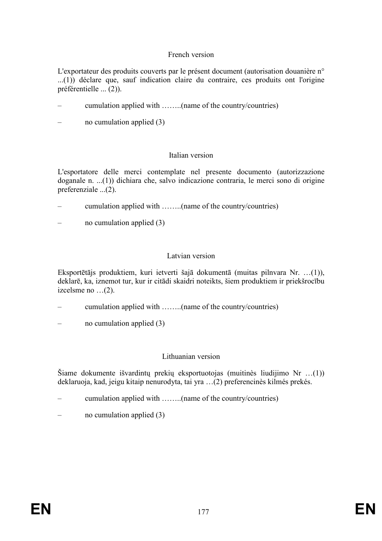# French version

L'exportateur des produits couverts par le présent document (autorisation douanière n° ...(1)) déclare que, sauf indication claire du contraire, ces produits ont l'origine préférentielle ... (2)).

- cumulation applied with ……..(name of the country/countries)
- no cumulation applied (3)

## Italian version

L'esportatore delle merci contemplate nel presente documento (autorizzazione doganale n. ...(1)) dichiara che, salvo indicazione contraria, le merci sono di origine preferenziale ...(2).

- cumulation applied with ……..(name of the country/countries)
- no cumulation applied  $(3)$

## Latvian version

Eksportētājs produktiem, kuri ietverti šajā dokumentā (muitas pilnvara Nr. …(1)), deklarē, ka, iznemot tur, kur ir citādi skaidri noteikts, šiem produktiem ir priekšrocību izcelsme no …(2).

- cumulation applied with ……..(name of the country/countries)
- no cumulation applied  $(3)$

## Lithuanian version

Šiame dokumente išvardintų prekių eksportuotojas (muitinès liudijimo Nr …(1)) deklaruoja, kad, jeigu kitaip nenurodyta, tai yra …(2) preferencinès kilmés prekés.

- cumulation applied with ……..(name of the country/countries)
- no cumulation applied  $(3)$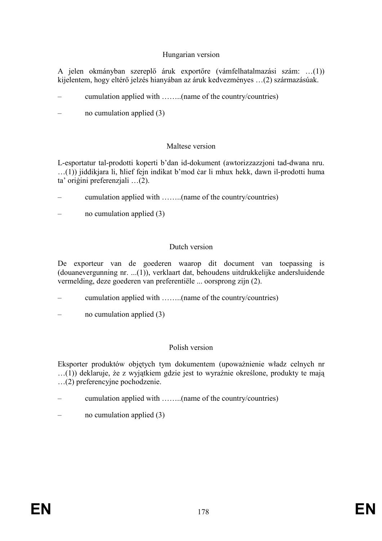# Hungarian version

A jelen okmányban szereplő áruk exportőre (vámfelhatalmazási szám: ...(1)) kijelentem, hogy eltérő jelzés hianyában az áruk kedvezményes ...(2) származásúak.

- cumulation applied with ……..(name of the country/countries)
- no cumulation applied  $(3)$

## Maltese version

L-esportatur tal-prodotti koperti b'dan id-dokument (awtorizzazzjoni tad-dwana nru. …(1)) jiddikjara li, ħlief fejn indikat b'mod ëar li mhux hekk, dawn il-prodotti huma ta' origini preferenziali …(2).

- cumulation applied with ……..(name of the country/countries)
- no cumulation applied  $(3)$

## Dutch version

De exporteur van de goederen waarop dit document van toepassing is (douanevergunning nr. ...(1)), verklaart dat, behoudens uitdrukkelijke andersluidende vermelding, deze goederen van preferentiële ... oorsprong zijn (2).

- cumulation applied with ……..(name of the country/countries)
- no cumulation applied  $(3)$

## Polish version

Eksporter produktów objętych tym dokumentem (upoważnienie władz celnych nr  $\dots(1)$ ) deklaruje, że z wyjątkiem gdzie jest to wyraźnie określone, produkty te mają …(2) preferencyjne pochodzenie.

- cumulation applied with ……..(name of the country/countries)
- no cumulation applied  $(3)$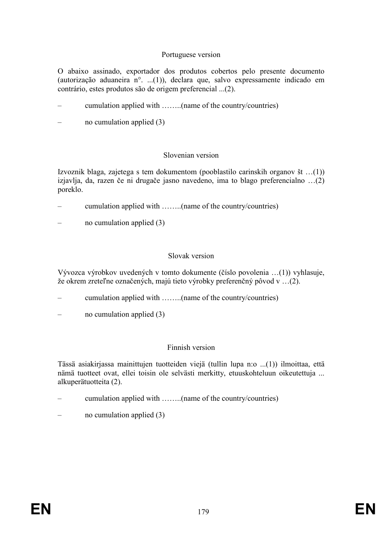# Portuguese version

O abaixo assinado, exportador dos produtos cobertos pelo presente documento (autorização aduaneira n°. ...(1)), declara que, salvo expressamente indicado em contrário, estes produtos são de origem preferencial ...(2).

- cumulation applied with ……..(name of the country/countries)
- no cumulation applied  $(3)$

## Slovenian version

Izvoznik blaga, zajetega s tem dokumentom (pooblastilo carinskih organov št …(1)) izjavlja, da, razen če ni drugače jasno navedeno, ima to blago preferencialno …(2) poreklo.

- cumulation applied with ……..(name of the country/countries)
- no cumulation applied  $(3)$

## Slovak version

Vývozca výrobkov uvedených v tomto dokumente (číslo povolenia …(1)) vyhlasuje, že okrem zreteľne označených, majú tieto výrobky preferenčný pôvod v …(2).

- cumulation applied with ……..(name of the country/countries)
- no cumulation applied  $(3)$

## Finnish version

Tässä asiakirjassa mainittujen tuotteiden viejä (tullin lupa n:o ...(1)) ilmoittaa, että nämä tuotteet ovat, ellei toisin ole selvästi merkitty, etuuskohteluun oikeutettuja ... alkuperätuotteita (2).

- cumulation applied with ……..(name of the country/countries)
- no cumulation applied  $(3)$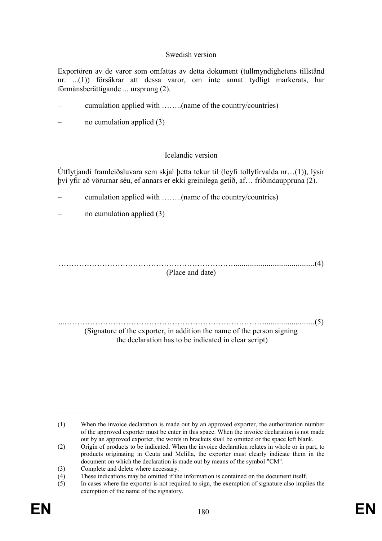## Swedish version

Exportören av de varor som omfattas av detta dokument (tullmyndighetens tillstånd nr. ...(1)) försäkrar att dessa varor, om inte annat tydligt markerats, har förmånsberättigande ... ursprung (2).

- cumulation applied with ……..(name of the country/countries)
- no cumulation applied (3)

## Icelandic version

Útflytjandi framleiðsluvara sem skjal þetta tekur til (leyfi tollyfirvalda nr…(1)), lýsir því yfir að vörurnar séu, ef annars er ekki greinilega getið, af… fríðindauppruna (2).

- cumulation applied with ……..(name of the country/countries)
- no cumulation applied  $(3)$

…………………………………………………………….........................................(4) (Place and date)

...……………………………………………………………………..........................(5) (Signature of the exporter, in addition the name of the person signing the declaration has to be indicated in clear script)

<sup>(1)</sup> When the invoice declaration is made out by an approved exporter, the authorization number of the approved exporter must be enter in this space. When the invoice declaration is not made out by an approved exporter, the words in brackets shall be omitted or the space left blank.

<sup>(2)</sup> Origin of products to be indicated. When the invoice declaration relates in whole or in part, to products originating in Ceuta and Melilla, the exporter must clearly indicate them in the document on which the declaration is made out by means of the symbol "CM".

<sup>(3)</sup> Complete and delete where necessary.

<sup>(4)</sup> These indications may be omitted if the information is contained on the document itself.

<sup>(5)</sup> In cases where the exporter is not required to sign, the exemption of signature also implies the exemption of the name of the signatory.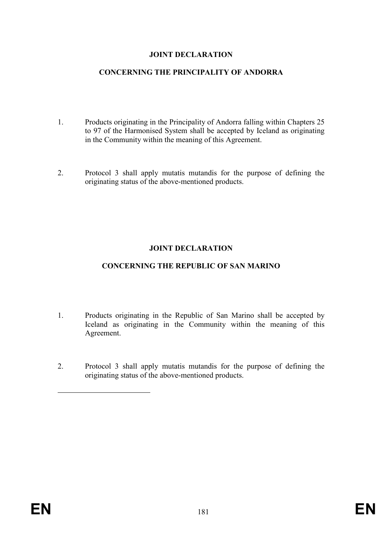## JOINT DECLARATION

#### CONCERNING THE PRINCIPALITY OF ANDORRA

- 1. Products originating in the Principality of Andorra falling within Chapters 25 to 97 of the Harmonised System shall be accepted by Iceland as originating in the Community within the meaning of this Agreement.
- 2. Protocol 3 shall apply mutatis mutandis for the purpose of defining the originating status of the above-mentioned products.

# JOINT DECLARATION

## CONCERNING THE REPUBLIC OF SAN MARINO

- 1. Products originating in the Republic of San Marino shall be accepted by Iceland as originating in the Community within the meaning of this Agreement.
- 2. Protocol 3 shall apply mutatis mutandis for the purpose of defining the originating status of the above-mentioned products.

 $\overline{a}$